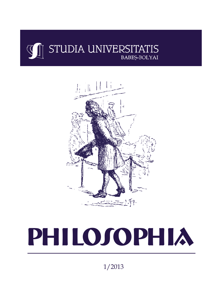



# PHILOJOPHIA

1/2013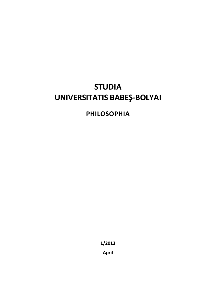# **STUDIA UNIVERSITATIS BABEŞ-BOLYAI**

# **PHILOSOPHIA**

**1/2013** 

**April**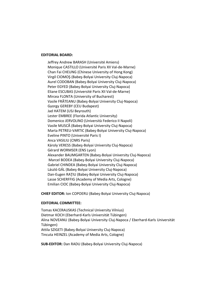#### **EDITORIAL BOARD:**

Jeffrey Andrew BARASH (Université Amiens) Monique CASTILLO (Université Paris XII Val-de-Marne) Chan Fai CHEUNG (Chinese University of Hong Kong) Virgil CIOMOŞ (Babeş-Bolyai University Cluj-Napoca) Aurel CODOBAN (Babeş-Bolyai University Cluj-Napoca) Peter EGYED (Babeş-Bolyai University Cluj-Napoca) Eliane ESCUBAS (Université Paris XII Val-de-Marne) Mircea FLONTA (University of Bucharest) Vasile FRĂTEANU (Babeş-Bolyai University Cluj-Napoca) Gyorgy GEREBY (CEU Budapest) Jad HATEM (USJ Beyrouth) Lester EMBREE (Florida Atlantic University) Domenico JERVOLINO (Università Federico II Napoli) Vasile MUSCĂ (Babeş-Bolyai University Cluj-Napoca) Marta PETREU-VARTIC (Babeş-Bolyai University Cluj-Napoca) Eveline PINTO (Université Paris I) Anca VASILIU (CNRS Paris) Károly VERESS (Babeş-Bolyai University Cluj-Napoca) Gérard WORMSER (ENS Lyon) Alexander BAUMGARTEN (Babeş-Bolyai University Cluj-Napoca) Marcel BODEA (Babeş-Bolyai University Cluj-Napoca) Gabriel CHINDEA (Babeş-Bolyai University Cluj-Napoca) László GÁL (Babeş-Bolyai University Cluj-Napoca) Dan-Eugen RAŢIU (Babeş-Bolyai University Cluj-Napoca) Lasse SCHERFFIG (Academy of Media Arts, Cologne) Emilian CIOC (Babeş-Bolyai University Cluj-Napoca)

**CHIEF EDITOR:** Ion COPOERU (Babeş-Bolyai University Cluj-Napoca)

### **EDITORIAL COMMITTEE:**

Tomas KACERAUSKAS (Technical University Vilnius) Dietmar KOCH (Eberhard-Karls Universität Tübingen) Alina NOVEANU (Babeş-Bolyai University Cluj-Napoca / Eberhard-Karls Universität Tübingen) Attila SZIGETI (Babeş-Bolyai University Cluj-Napoca) Tincuta HEINZEL (Academy of Media Arts, Cologne)

**SUB-EDITOR:** Dan RADU (Babeş-Bolyai University Cluj-Napoca)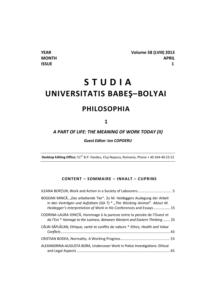# **S T U D I A UNIVERSITATIS BABEŞ–BOLYAI PHILOSOPHIA**

**1** 

# *A PART OF LIFE: THE MEANING OF WORK TODAY (II)*

*Guest Editor: Ion COPOERU* 

**Desktop Editing Office:**  $51^{ST}$  B.P. Hasdeu, Cluj-Napoca, Romania, Phone + 40 264-40.53.52

## **CONTENT – SOMMAIRE – INHALT – CUPRINS**

| BOGDAN MINCĂ, "Das arbeitende Tier". Zu M. Heideggers Auslegung der Arbeit<br>in den Vorträgen und Aufsätzen (GA 7) $*$ "The Working Animal". About M.<br>Heidegger's Interpretation of Work in His Conferences and Essays 15 |  |
|-------------------------------------------------------------------------------------------------------------------------------------------------------------------------------------------------------------------------------|--|
| CODRINA-LAURA IONIȚĂ, Hommage à la paresse entre la pensée de l'Ouest et<br>de l'Est * Homage to the Laziness. Between Western and Eastern Thinking 25                                                                        |  |
| CĂLIN SĂPLĂCAN, Ethique, santé et conflits de valeurs * Ethics, Health and Value                                                                                                                                              |  |
|                                                                                                                                                                                                                               |  |
| ALEXANDRINA-AUGUSTA BORA, Undercover Work in Police Investigations: Ethical                                                                                                                                                   |  |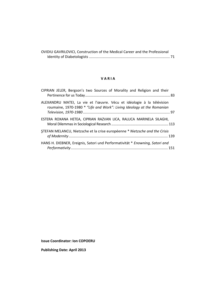| OVIDIU GAVRILOVICI, Construction of the Medical Career and the Professional |  |
|-----------------------------------------------------------------------------|--|
|                                                                             |  |

#### **V A R I A**

| CIPRIAN JELER, Bergson's two Sources of Morality and Religion and their                                                                         |  |
|-------------------------------------------------------------------------------------------------------------------------------------------------|--|
| ALEXANDRU MATEI, La vie et l'œuvre. Vécu et idéologie à la télévision<br>roumaine, 1970-1980 * "Life and Work": Living Ideology at the Romanian |  |
| ESTERA ROXANA HETEA, CIPRIAN RAZVAN LICA, RALUCA MARINELA SILAGHI,                                                                              |  |
| STEFAN MELANCU, Nietzsche et la crise européenne * Nietzsche and the Crisis                                                                     |  |
| HANS H. DIEBNER, Ereignis, Satori und Performativität * Enowning, Satori and                                                                    |  |

**Issue Coordinator: Ion COPOERU** 

**Publishing Date: April 2013**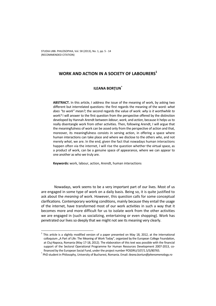# WORK AND ACTION IN A SOCIETY OF LABOURERS<sup>1</sup>

#### **ILEANA BORŢUN\***

**ABSTRACT.** In this article, I address the issue of the meaning of work, by asking two different but interrelated questions: the first regards the meaning of the word: *what does "to work" mean?*; the second regards the value of work: *why is it worthwhile to work?* I will answer to the first question from the perspective offered by the distinction developed by Hannah Arendt between *labour*, *work*, and *action*, because it helps us to really disentangle work from other activities. Then, following Arendt, I will argue that the meaningfulness of work can be assed only from the perspective of action and that, moreover, its meaningfulness consists in serving action, in offering a space where human interactions can take place and where we disclose to the others *who*, and not merely *what*, we are. In the end, given the fact that nowadays human interactions happen often via the internet, I will rise the question whether the virtual space, as a product of work, can be a genuine space of appearance, where we can appear to one another as who we truly are.

**Keywords:** work, labour, action, Arendt, human interactions

Nowadays, work seems to be a very important part of our lives. Most of us are engaged in some type of work on a daily basis. Being so, it is quite justified to ask about the *meaning* of work. However, this question calls for some conceptual clarifications. Contemporary working conditions, mainly because they entail the usage of the internet, have transformed most of our work activities in such a way that it becomes more and more difficult for us to isolate work from the other activities we are engaged in (such as socializing, entertaining or even shopping). Work has penetrated our lives so deeply that we might not see its meaning very clearly.

<sup>1</sup> This article is a slightly modified version of a paper presented on May 18, 2012, at the international colloquium "A Part of Life: The Meaning of Work Today", organized by the European College Foundation, at Cluj-Napoca, Romania (May 17-18, 2012). The elaboration of this text was possible with the financial support of the Sectoral Operational Programme for Human Resources Development 2007-2013, cofinanced by the European Social Fund, under the project number POSDRU/107/1.5/S/80765. \*

PhD student in Philosophy, University of Bucharest, Romania. Email: *ileana.bortun@phenomenology.ro*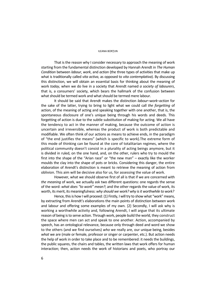#### ILEANA BORŢUN

That is the reason why I consider necessary to approach the meaning of work starting from the fundamental distinction developed by Hannah Arendt in *The Human Condition* between *labour*, *work*, and *action* (the three types of activities that make up what is traditionally called *vita activa*, as opposed to *vita contemplativa*). By discussing this distinction, we will obtain an essential basis for thinking about the meaning of work *today*, when we do live in a society that Arendt named *a society of labourers*, that is, a consumers' society, which bears the hallmark of the confusion between what should be termed work and what should be termed mere labour.

It should be said that Arendt makes the distinction *labour*–*work*–*action* for the sake of the latter, trying to bring to light what we could call *the forgetting* of action, of the meaning of acting and speaking together with one another, that is, the spontaneous disclosure of one's unique being through his words and deeds. This forgetting of action is due to the subtle substitution of making for acting. We all have the tendency to act in the manner of making, because the outcome of action is uncertain and irreversible, whereas the product of work is both predictable and modifiable. We often think of our actions as means to achieve ends, in the paradigm of "the end justifies the means" (which is specific to work).The extreme form of this mode of thinking can be found at the core of totalitarian regimes, where the political community doesn't consist in a plurality of acting beings anymore, but it is divided in ruled, on the one hand, and, on the other, rulers who try to mould the first into the shape of the "Arian race" or "the new man" – exactly like the worker moulds the clay into the shape of pots or bricks. Considering this danger, the entire elaboration of Arendt's distinction is meant to retrieve the meaning of action from oblivion. This aim will be decisive also for us, for assessing the value of work.

However, what we should observe first of all is that if we are concerned with *the meaning* of work, we actually ask two different questions: one regards the sense of the word: *what does "to work" mean?*; and the other regards the value of work, its worth, its merit, its meaningfulness: *why should we work? why is it worthwhile to work?*

Hence, this is how I will proceed: {1} Firstly, I will try to show what "work" means, by extracting from Arendt's elaborations the main points of distinction between work and labour and offering some examples of my own. {2} Secondly, I will ask why is working a worthwhile activity and, following Arendt, I will argue that its ultimate reason of being is to serve action. Through work, people build the world, they construct the space where men can act and speak to one another. Action, accompanied by speech, has an ontological relevance, because only through deed and word we show to the others (and we find ourselves) *who* we really are, our unique being, besides *what* we are (male or female, professor or singer or carpenter, etc.). But action needs the help of work in order to take place and to be remembered: it needs the buildings, the public squares, the chairs and tables, the written laws that work offers for human interaction; then, action needs the work of historians and poets, who portray our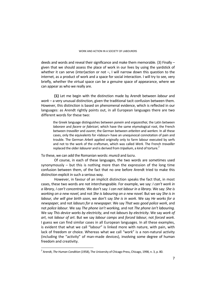deeds and words and reveal their significance and make them memorable. {3} Finally – given that we should assess the place of work in our lives by using the yardstick of whether it can serve (inter)action or not  $-$ , I will narrow down this question to the internet, as a product of work and a space for social interaction. I will try to see, very briefly, whether the virtual space can be a genuine space of appearance, where we can appear as who we really are.

**{1}** Let me begin with the distinction made by Arendt between *labour* and *work* – a very unusual distinction, given the traditional tacit confusion between them. However, this distinction is based on phenomenal evidence, which is reflected in our languages: as Arendt rightly points out, in all European languages there are two different words for these two:

the Greek language distinguishes between *ponein* and *ergazesthai*, the Latin between *laborare* and *facere* or *fabricari*, which have the same etymological root, the French between *travailler* and *ouvrer*, the German between *arbeiten* and *werken.* In all these cases, only the equivalents for «labour» have an unequivocal connotation of pain and trouble. The German *Arbeit* applied originally only to farm labour executed by serfs and not to the work of the craftsman, which was called *Werk.* The French *travailler*  replaced the older *labourer* and is derived from *tripalium*, a kind of torture.<sup>2</sup>

To these, we can add the Romanian words: *muncă* and *lucru*.

Of course, in each of these languages, the two words are sometimes used synonymously – but this is nothing more than the expression of the long time confusion between them, of the fact that no one before Arendt tried to make this distinction explicit in such a serious way.

However, in favour of an implicit distinction speaks the fact that, in most cases, these two words are not interchangeable. For example, we say: *I can't work in a library, I can't concentrate.* We don't say: *I can not labour in a library.* We say: *She is working on a new novel*, and not *She is labouring on a new novel*. But we say *She is in labour, she will give birth soon*, we don't say *She is in work*. We say *He works for a newspaper*, and not *labours for a newspaper.* We say *That was good police work*, and not *police labour*. We say *The phone isn't working*, and not *The phone isn't labouring.*  We say *This device works by electricity*, and not *labours by electricity*. We say *work of art*, not *labour of art*. But we say *labour camps* and *forced labour*, not *forced work*. I guess we can find similar cases in all European languages. In all these examples, is evident that what we call "labour" is linked more with nature, with pain, with lack of freedom or choice. Whereas what we call "work" is a non-natural activity (including the "activity" of man-made devices), involving some degree of human freedom and creativity.

 2 Arendt, *The Human Condition* (1958), The University of Chicago Press, Chicago, 1998, n. 3, p. 80.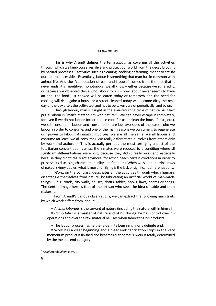#### ILEANA BORŢUN

This is why Arendt defines the term *labour* as covering all the activities through which we keep ourselves alive and protect our world from the decay brought by natural processes – activities such as cleaning, cooking or farming, meant to satisfy our natural necessities. Essentially, labour is something that man has in common with animal life. And the "connotation of pain and trouble" comes from the fact that it never ends, it is repetitive, monotonous: we all know – either because we suffered it, or because we observed those who labour for us – how labour never seems to have an end: the food just cooked will be eaten today or tomorrow and the need for cooking will rise again; a house or a street cleaned today will become dirty the next day or the day after; the cultivated land has to be taken care of periodically, and so on.

Through labour, man is caught in the ever-recurring cycle of nature. As Marx put it, labour is "man's metabolism with nature"<sup>3</sup>. We can never escape it completely, for even if we do not labour (other people cook for us or clean the house for us, etc.), we still consume – labour and consumption are but two sides of the same coin: we labour in order to consume; and one of the main reasons we consume is to regenerate our power to labour. As *animal laborans*, we are all the same: we all labour and consume (at least, we all consume). We really differentiate ourselves from others only by work and action. — This is actually perhaps the most terrifying aspect of the totalitarian concentration camps: the inmates were reduced to a condition where all significant differentiations were lost, because they didn't really work and especially because they didn't really act anymore (for action needs certain conditions in order to preserve its disclosing character: equality and freedom). When we see the terrible rows of naked, skinny bodies, what is most horrifying is the lack of significant differentiations.

*Work*, on the contrary, designates all the activities through which humans disentangle themselves from nature, by fabricating an artificial world of man-made things — e.g. roads, city walls, houses, chairs, tables, books, laws, poems or songs. The central image here is that of the artisan who sees the idea of table and then makes it.

From Arendt's various observations, we can extract the following main traits by which work differs from labour:

*Animal laborans* is the servant of nature (including the nature within himself).

 *Homo faber* is a master of nature and of his doings: he has control over his operations and over the raw material he uses when fabricating his products.

The labour process has neither a definite beginning, nor a definite end.

 Work has a clear beginning and a clear end: fabrication stops in the very moment its product is finished and becomes autonomous; work is totally determined by the means–end category.

<sup>3</sup> *Apud* Arendt, *idem*, p. 98.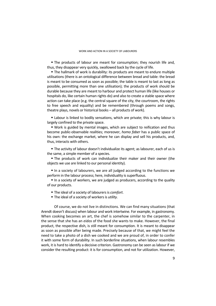The products of labour are meant for consumption; they nourish life and, thus, they disappear very quickly, swallowed back by the cycle of life.

 The hallmark of work is durability: its products are meant to endure multiple utilisations (there is an ontological difference between bread and table: the bread is meant to be consumed as soon as possible; the table is meant to last as long as possible, permitting more than one utilisation); the products of work should be durable because they are meant to harbour and protect human life (like houses or hospitals do, like certain human rights do) and also to create a stable space where action can take place (e.g. the central square of the city, the courtroom, the rights to free speech and equality) and be remembered (through poems and songs, theatre plays, novels or historical books – all products of work).

 Labour is linked to bodily sensations, which are private; this is why labour is largely confined to the private space.

 Work is guided by mental images, which are subject to reification and thus become public-observable realities; moreover, *homo faber* has a public space of his own: the exchange market, where he can display and sell his products, and, thus, interacts with others.

 The activity of labour doesn't individualize its agent; as labourer, each of us is the same, a simple member of a species.

 The products of work can individualize their maker and their owner (the objects we use are linked to our personal identity).

In a society of labourers, we are all judged according to the functions we perform in the labour process; here, individuality is superfluous.

In a society of workers, we are judged as producers, according to the quality of our products.

- The ideal of a society of labourers is *comfort*.
- The ideal of a society of workers is *utility.*

Of course, we do not live in distinctions. We can find many situations (that Arendt doesn't discuss) when labour and work intertwine. For example, in gastronomy. When cooking becomes an art, the chef is somehow similar to the carpenter, in the sense that she has an *eidos* of the food she wants to make. However, the final product, the respective dish, is still meant for consumption. It is meant to disappear as soon as possible after being made. Precisely because of that, we might feel the need to take a photo of a dish we cooked and we are proud of, in order to confer it with some form of durability. In such borderline situations, when labour resembles work, it is hard to identify a decisive criterion. Gastronomy can be seen as labour if we consider the resulting product: it is for consumption, and not for utilization. However,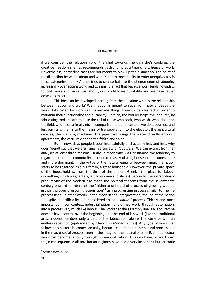#### ILEANA BORŢUN

if we consider the relationship of the chef towards the dish she's cooking, the creative freedom she has recommends gastronomy as a type of art, hence of work. Nevertheless, borderline cases are not meant to blow up the distinction. The point of the distinction between labour and work is not to force reality to enter unequivocally in these categories. I think Arendt tries to counterbalance the phenomenon of labouring increasingly overlapping work, and to signal the fact that because work tends nowadays to look more and more like labour, our world loses durability and we have fewer occasions to act.

This idea can be developed starting from the question: what is the relationship between labour and work? Well, labour is meant to save from natural decay the world fabricated by work (all man-made things have to be cleaned in order to maintain their functionality and durability). In turn, the worker helps the labourer, by fabricating tools meant to ease the toil of those who cook, who wash, who labour on the field, who raise animals, etc. In comparison to our ancestors, we do labour less and less painfully, thanks to the means of transportation, to the elevator, the agricultural devices, the washing machines, the pipe that brings the water directly into our apartments, the vacuum cleaner, the fridge and so on.

But if nowadays people labour less painfully and actually less and less, why does Arendt say that we are living in a society of *labourers*? We can extract from her analyses at least three reasons: Firstly, in modernity, via Christianity, the tendency to regard the ruler of a community as a kind of master of a big household becomes more and more dominant; in the virtue of the natural equality between men, the nation starts to be regarded as a big family, a great household. However, the private space of the household is, from the time of the ancient Greeks, the place for labour (something which was, largely, left to women and slaves). Secondly, the extraordinary productivity of the modern age made the political theorists from the seventeenth century onward to interpret the "hitherto unheard-of process of growing wealth, growing property, growing acquisition"<sup>4</sup> as a progressing process similar to the life process itself. In other words, in the modern self-interpretation, the life of the nation – despite its artificiality – is considered to be a *natural* process. Thirdly and most importantly in our context, industrialization transformed work, through automation, into a process very much like labour. The worker at the assembly line is a labourer: he doesn't have control over the beginning and the end of his work (like the traditional artisan does). He does only a part of the fabrication, always the same part, in an endless repetition (epitomized by Chaplin in *Modern Times*). Any type of work that follows this pattern becomes, actually, labour – caught not in the natural process, but in the macro-social process, seen in the image of the natural one. — Even intellectual work can become labour, through bureaucratization. This can have, as we know, tragic consequences: all totalitarian regimes have had a very important bureaucratic

<sup>4</sup> Arendt, *idem*, p. 105.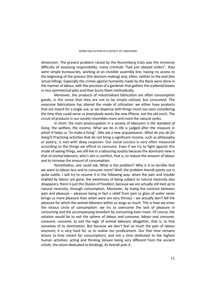dimension. The gravest problem raised by the Nuremberg trials was the immense difficulty of assessing responsibility: many criminals "had just obeyed orders", they were simple bureaucrats, working at an invisible assembly line, having no access to the beginning of the process (the decision making) and, often, neither to the end (the actual killing). Especially the crimes against humanity made by the Nazis were done in the manner of labour, with the precision of a gardener that gathers the scattered leaves in nice symmetrical piles and then burns them methodically.

Moreover, the products of industrialized fabrication are often consumption goods, in the sense that they are not to be simply utilised, but *consumed*. The excessive fabrications has altered the mode of utilisation: we either have products that are meant for a single use, or we dispense with things much too soon considering the time they could serve us (everybody wants the *new* IPhone, not the old one!). The circuit of products in our society resembles more and more the natural cycles.

In short, the main preoccupation in a society of labourers is *the standard of living*, the welfare, the income. What we do in life is judged after the measure in which it helps us "to make a living". (We ask a new acquaintance: *What do you do for living?*) Practising activities that do not bring a significant income, such as philosophy or poetry, is met with deep suspicion. Our social success is very often measured according to the things we afford to consume. Even if we try to fight against this mode of seeing things, we still live in a labouring society because the dominant view is that of *animal laborans*, who's aim is comfort, that is, to reduce the amount of labour and to increase the amount of consumption.

Nonetheless, one could ask: What is the problem? Why is it so terrible that we want to labour less and to consume more? Well, the problem Arendt points out is quite subtle. I will try to resume it in the following way: when the pain and trouble implied by labour are gone, the awareness of being subject to natural necessity also disappears; there is just the illusion of freedom, because we are actually still tied up to natural necessity, through consumption. Moreover, by losing the contrast between pain and pleasure – pleasure being in fact a relief from pain (a glass of water never brings us more pleasure than when were are very thirsty) – we actually don't fell the pleasure for which the *animal laborans* within us longs so much. This is how we enter the vicious circle of consumption: we try to overcome the lack of pleasure in consuming and the accompanying boredom by consuming even more. Of course, the solution would be to exit the sphere of *labour and consume, labour and consume, consume, consume*, to exit the logic of *animal laborans* altogether, that is, to free ourselves of its domination. But because we don't feel so much the pain of labour anymore, it is very hard for us to realise our predicament. Our free time remains *leisure* (a time meant for consumption), and not a time dedicated to the highest human activities: acting and thinking (*leisure* being very different from the ancient *schole*, the *otium* dedicated to thinking). As Arendt puts it: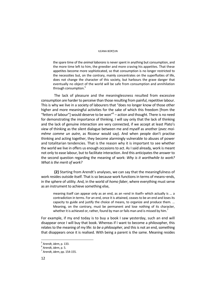#### ILEANA BORŢUN

the spare time of the *animal laborans* is never spent in anything but consumption, and the more time left to him, the greedier and more craving his appetites. That these appetites become more sophisticated, so that consumption is no longer restricted to the necessities but, on the contrary, mainly concentrates on the superfluities of life, does not change the character of this society, but harbours the grave danger that eventually no object of the world will be safe from consumption and annihilation through consumption.<sup>5</sup>

The lack of pleasure and the meaninglessness resulted from excessive consumption are harder to perceive than those resulting from painful, repetitive labour. This is why we live in a society of labourers that "does no longer know of those other higher and more meaningful activities for the sake of which this freedom [from the "fetters of labour"] would deserve to be won"<sup>6</sup> – action and thought. There is no need for demonstrating the importance of thinking. I will say only that the lack of thinking and the lack of genuine interaction are very connected, if we accept at least Plato's view of thinking as the silent dialogue between me and myself as another (*avec moimême comme un autre*, as Ricoeur would say). And when people don't practise thinking and acting together, they become alarmingly vulnerable to abuses of power and totalitarian tendencies. That is the reason why it is important to see whether the world we live in offers us enough occasions to act. As I said already, work is meant not only to ease labour, but to facilitate interaction. And this anticipates the answer to the second question regarding the meaning of work: *Why is it worthwhile to work? What is the merit of work?*

**{2}** Starting from Arendt's analyses, we can say that the meaningfulness of work resides outside itself. That is so because work functions in terms of means–ends, in the sphere of utility. And, in the world of *homo faber*, where everything must serve as an instrument to achieve something else,

meaning itself can appear only as an end, as an «end in itself» which actually is … a contradiction in terms. For an end, once it is attained, ceases to be an end and loses its capacity to guide and justify the choice of means, to organize and produce them. … Meaning, on the contrary, must be permanent and lose nothing of its character, whether it is achieved or, rather, found by man or fails man and is missed by him.<sup>7</sup>

For example, if my end today is to buy a book I saw yesterday, such an end will disappear once I will buy that book. Whereas if I want to become a philosopher, this relates to the meaning of my life: *to be a philosopher*, and this is not an end, something that disappears once it is realised. With being a parent is the same. Meaning resides

<sup>&</sup>lt;sup>5</sup> Arendt, *idem*, p. 133.<br><sup>6</sup> Arendt, *idem*, p. 5.

Arendt, *idem*, p. 5. 7

Arendt, *idem*, pp. 154-155.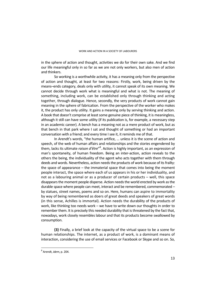in the sphere of action and thought, activities we do for their own sake. And we find our life meaningful only in so far as we are not only workers, but also men of action and thinkers.

So working is a worthwhile activity, it has a meaning only from the perspective of action and thought, at least for two reasons: Firstly, work, being driven by the means–ends category, deals only with utility, it cannot speak of its own meaning. We cannot decide through work what is meaningful and what is not. The meaning of something, including work, can be established only through thinking and acting together, through dialogue. Hence, secondly, the very products of work cannot gain meaning in the sphere of fabrication. From the perspective of the worker who makes it, the product has only utility. It gains a meaning only by serving thinking and action. A book that doesn't comprise at least some genuine piece of thinking, it is meaningless, although it still can have some utility (if its publication is, for example, a necessary step in an academic career). A bench has a meaning not as a mere product of work, but as that bench in that park where I sat and thought of something or had an important conversation with a friend; and every time I see it, it reminds me of that.

In Arendt's words, "the human artifice, … unless it is the scene of action and speech, of the web of human affairs and relationships and the stories engendered by them, lacks its ultimate *raison d'être"*<sup>8</sup>. Action is highly important, as an expression of man's spontaneity, of human freedom. Being an inter-action, action reveals to the others the being, the individuality of the agent who acts together with them through deeds and words. Nevertheless, action needs the products of work because of its frailty: the space of appearance – the immaterial space that comes into being the moment people interact, the space where each of us appears in his or her individuality, and not as a labouring animal or as a producer of certain products – well, this space disappears the moment people disperse. Action needs the world erected by work as the durable space where people can meet, interact and be remembered, commemorated – by statues, street names, poems and so on. Here, humans can aspire to immortality by way of being remembered as doers of great deeds and speakers of great words (in this sense, Achilles is immortal). Action needs the durability of the products of work, like thinking too needs work – we have to write down our thoughts in order to remember them. It is precisely this needed durability that is threatened by the fact that, nowadays, work closely resembles labour and that its products become swallowed by consumption.

**{3}** Finally, a brief look at the capacity of the virtual space to be a scene for human relationships. The internet, as a product of work, is a dominant means of interaction, considering the use of email services or Facebook or Skype and so on. So,

<sup>8</sup> Arendt, *idem*, p. 204.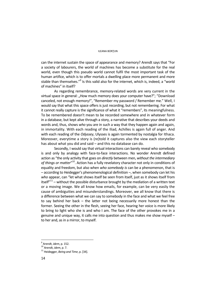#### ILEANA BORŢUN

can the internet sustain the space of appearance and memory? Arendt says that "For a society of labourers, the world of machines has become a substitute for the real world, even though this pseudo world cannot fulfil the most important task of the human artifice, which is to offer mortals a dwelling place more permanent and more stable than themselves."<sup>9</sup> Is this valid also for the internet, which is, indeed, a "world of machines" in itself?

As regarding remembrance, memory-related words are very current in the virtual space in general: "How much memory does your computer have?"; "Download canceled, not enough memory!", "Remember my password / Remember me." Well, I would say that what this space offers is just recording, but not remembering. For what it cannot really capture is the significance of what it "remembers", its meaningfulness. To be remembered doesn't mean to be recorded somewhere and in whatever form in a database, but kept alive through a story, a narrative that describes your deeds and words and, thus, shows *who* you are in such a way that they happen again and again, in immortality. With each reading of the Iliad, Achilles is again full of anger. And with each reading of the *Odyssey*, Ulysses is again tormented by nostalgia for Ithaca. Moreover, everytime a story is (re)told it captures also the view each storyteller has about what you did and said – and this no database can do.

Secondly, I would say that virtual interactions can barely reveal who somebody is and only by analogy with face-to-face interactions. No wonder Arendt defined action as "the only activity that goes on *directly* between men, *without the intermediary of things or matter*" 10. Action has a fully revelatory character not only in conditions of equality and freedom, but also when *who somebody is* can be a phenomenon, that is – according to Heidegger's phenomenological definition –, when somebody can let his *who* appear, can "let what shows itself be seen from itself, just as it shows itself from itself $n^{11}$  – without the possible disturbance brought by the mediation of a written text or a moving image. We all know how emails, for example, can be very easily the cause of ambiguities and misunderstandings. Moreover, we all know that there is a difference between what we can say to somebody in the face and what we feel free to say behind her back – the latter not being necessarily more honest than the former. Seeing the other in the flesh, seeing her face, hearing her voice is more likely to bring to light who she is and who I am. The face of the other provokes me in a genuine and unique way, it calls me into question and thus makes me show myself – to her and, as in a mirror, to myself.

 $<sup>9</sup>$  Arendt, *idem*, p. 152.</sup>

<sup>&</sup>lt;sup>10</sup> Arendt, *idem*, p. 7.<br><sup>11</sup> Heidegger, *Being and Time*, p. [34].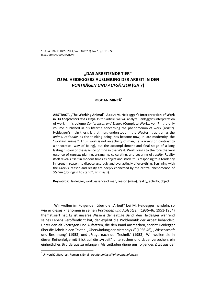# **"DAS ARBEITENDE TIER" ZU M. HEIDEGGERS AUSLEGUNG DER ARBEIT IN DEN**  *VORTRÄGEN UND AUFSÄTZEN* **(GA 7)**

## **BOGDAN MINCĂ\***

**ABSTRACT. "The Working Animal". About M. Heidegger's Interpretation of Work in His** *Conferences and Essays.* In this article, we will analyze Heidegger's interpretation of work in his volume *Conferences and Essays* (Complete Works, vol. 7), the only volume published in his lifetime concerning the phenomenon of work (*Arbeit*). Heidegger's main thesis is that man, understood in the Western tradition as the *animal rationale*, as the thinking being, has become now, in late modernity, the "working animal". Thus, work is not an activity of man, i.e. a *praxis* (in contrast to a theoretical way of being), but the accomplishment and final stage of a long lasting history of the *essence of man* in the West. Work brings to the fore the very essence of *reason*: planing, arranging, calculating, and securing of *reality*. Reality itself reveals itself in modern times as object and stock, thus respoding to a tendency inherent in reason: to dispose assuredly and everlastingly of everything. Beginning with the Greeks, reason and reality are deeply connected by the central phenomenon of *Stellen* ("bringing to stand", gr. *thesis*).

**Keywords:** Heidegger, work, essence of man, reason (*ratio*), reality, activity, object.

Wir wollen im Folgenden über die "Arbeit" bei M. Heidegger handeln, so wie er dieses Phänomen in seinen *Vorträgen und Aufsätzen* (1936-46, 1951-1954) thematisiert hat. Es ist unseres Wissens der einzige Band, den Heidegger während seines Lebens veröffentlicht hat, der explizit die Problematik der Arbeit behandelt. Unter den elf Vorträgen und Aufsätzen, die den Band ausmachen, spricht Heidegger über die Arbeit in den Texten: "Überwindung der Metaphysik" (1936-46), "Wissenschaft und Besinnung" (1953) und "Frage nach der Technik" (1953). Wir wollen sie in dieser Reihenfolge mit Blick auf die "Arbeit" untersuchen und dabei versuchen, ein einheitliches Bild daraus zu erlangen. Als Leitfaden diene uns folgendes Zitat aus der

<sup>\*</sup> Universität Bukarest, Romania. Email: *bogdan.minca@phenomenology.ro*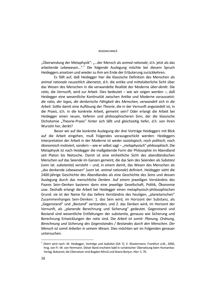"Überwindung der Metaphysik": "...der Mensch als *animal rationale*, d.h. jetzt als das arbeitende Lebewesen...".<sup>1</sup> Die folgende Auslegung möchte bei diesem Spruch Heideggers ansetzen und wieder zu ihm am Ende der Erläuterung zurückkehren.

 Es fällt auf, daß Heidegger hier die klassische Definition des Menschen als *animal rationale* neuzeitlich *über*setzt, d.h. die antike und mittelalterliche Sicht über das Wesen des Menschen in die verwandelte Realität der Moderne *über*-*denkt*. Die *ratio*, die Vernunft, wird zur Arbeit. Dies bedeutet – wie wir zeigen werden –, daß Heidegger eine wesentliche Kontinuität zwischen Antike und Moderne voraussetzt: *die ratio, der logos, die denkerische Fähigkeit des Menschen, verwandelt sich in die Arbeit*. Sollte damit eine Auflösung der *Theorie*, die in der Vernunft angesiedelt ist, in die *Praxis*, d.h. in die konkrete Arbeit, gemeint sein? Oder erlangt die Arbeit bei Heidegger einen neuen, tieferen und philosophischeren Sinn, der die klassische Dichotomie "Theorie-Praxis" hinter sich läßt und gleichzeitig tiefer, d.h. von ihren Wurzeln her, denkt?

Bevor wir auf die konkrete Auslegung der drei Vorträge Heideggers mit Blick auf die Arbeit eingehen, muß Folgendes vorausgeschickt werden: Heideggers Interpretation der Arbeit in der Moderne ist weder *soziologisch*, noch *politisch*, noch  $ökonomisch$  motiviert, sondern – wie er selbst sagt – "metaphysisch"-philosophisch. Die Metaphysik ist nach Heidegger die maßgebende Form der Philosophie im Abendland seit Platon bis Nietzsche. Damit ist eine einheitliche Sicht des abendländischen Menschen auf das Seiende im Ganzen gemeint, die das Sein des Seienden als *Substanz* (vom lat. *substantia*) versteht – und, in einem damit, das Wesen des Menschen als "das denkende Lebewesen" (vom lat. *animal rationale*) definiert. Heidegger sieht die 2400-jährige Geschichte des Abendlandes als eine Geschichte des *Seins* und dessen Auslegung durch das menschliche *Denken*. Auf einem jeweiligen Verständnis des Paares Sein–Denken basieren dann eine jeweilige Gesellschaft, Politik, Ökonomie usw. Deshalb erlangt die Arbeit bei Heidegger einen metaphysisch-philosophischen Grund: sie ist der Name für das tiefere Verständnis des heutigen, "planetarischen" Zusammenhanges Sein-Denken: 1. das Sein wird, im Horizont der Substanz, als "Gegenstand" und "Bestand" verstanden, und 2. das Denken wird, im Horizont der Vernunft, als "planende Berechnung und Sicherung" gedeutet. Gegenstand und Bestand sind wesentliche Entfaltungen der *substantia*, genauso wie Sicherung und Berechnung Entwicklungen der *ratio* sind. Die *Arbeit ist somit: Planung, Ordnung, Berechnung und Sicherung des Gegenstandes / Bestandes durch den Menschen*. *Der Mensch ist somit Arbeiter in seinem Wesen.* Dies möchten wir im Folgenden genauer untersuchen.

<sup>1</sup> Zitiert wird nach: M. Heidegger, *Vorträge und Aufsätze* (GA 7), V. Klostermann, Frankfurt a.M., 2000, hrsg. von Fr.-W. von Herrmann. Dieser Band erscheint bald in rumänischer Übersetzung beim Humanitas-Verlag, Bukarest; die Übersetzer sind Bogdan Mincă und Ileana Borţun. Hier: S. 70.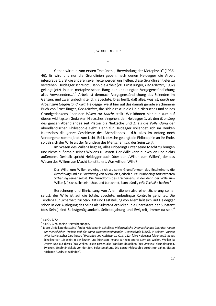\*

Gehen wir nun zum ersten Text über, "Überwindung der Metaphysik" (1936-46). Er wird uns nur die Grundlinien geben, nach denen Heidegger die Arbeit interpretiert. Erst die anderen zwei Texte werden uns helfen, diese Grundlinien tiefer zu verstehen. Heidegger schreibt: "Denn die Arbeit (vgl. Ernst Jünger, *Der Arbeiter*, 1932) gelangt jetzt in den metaphysischen Rang der unbedingten Vergegenständlichung alles Anwesenden...".<sup>2</sup> Arbeit ist demnach Vergegenständlichung des Seienden im Ganzen, und zwar unbedingte, d.h. absolute. Dies heißt, daß alles, was ist, *durch die Arbeit zum Gegenstand wird*. Heidegger weist hier auf das damals gerade erschienene Buch von Ernst Jünger, *Der Arbeiter*, das sich direkt in die Linie Nietzsches und seines Grundgedankens über den *Willen zur Macht* stellt. Wir können hier nur kurz auf diesen wichtigsten Gedanken Nietzsches eingehen, den Heidegger 1. als den *Grundzug* des ganzen Abendlandes seit Platon bis Nietzsche und 2. als die *Vollendung* der abendländischen Philosophie sieht. Denn für Heidegger vollendet sich im Denken Nietzsches die ganze Geschichte des Abendlandes – d.h. alles im Anfang noch Verborgene kommt jetzt zum Licht. Bei Nietzsche gelangt die Philosophie an ihr Ende, so daß sich der Wille als der Grundzug des Menschen *und* des Seins zeigt.

Im Wesen des Willens liegt es, alles unbedingt unter seine Macht zu bringen und nichts außerhalb seines Wollens zu lassen. Der Wille kann nur wollen und nichts außerdem. Deshalb spricht Heidegger auch über den "Willen zum Willen", der das Wesen des Willens zur Macht konstituiert. Was will der Wille?

Der Wille zum Willen erzwingt sich als seine Grundformen des Erscheinens die *Berechnung* und die *Einrichtung* von Allem, dies jedoch nur zur unbedingt fortsetzbaren *Sicherung* seiner selbst. Die Grundform des Erscheinens, in der dann der Wille zum Willen […] sich selbst einrichtet und berechnet, kann bündig »*die Technik*« heißen.3

Berechnung und Einrichtung von Allem dienen also einer Sicherung seiner selbst: der Wille ist auf die totale, absolute, unbedingte Kontrolle gerichtet. Die Tendenz zur Sicherheit, zur Stabilität und Feststellung von Allem läßt sich laut Heidegger schon in der Auslegung des Seins als Substanz erblicken: die Charaktere der Substanz (des Seins) sind Selbstgenügsamkeit, Selbstbejahung und Ewigkeit, Immer-da-sein.<sup>4</sup>

 $2$  a.a.O., S. 70.

<sup>&</sup>lt;sup>3</sup> a.a.O., S. 78, meine Hervorhebungen.

<sup>&</sup>lt;sup>4</sup> Diese "Prädikate des Seins" findet Heidegger in Schellings *Philosophische Untersuchungen über das Wesen der menschlichen Freiheit und die damit zusammenhängenden Gegenstände* (1809). In seinem Vortrag "Wer ist Nietzsches Zarathustra" (*Vorträge und Aufsätze*, a.a.O., S. 112), führt Heidegger folgendes Zitat aus Schelling vor: "Es giebt in der letzten und höchsten Instanz gar kein andres Seyn als Wollen. Wollen ist Urseyn und auf dieses (das Wollen) allein passen alle Prädikate desselben (des Urseyns): Grundlosigkeit, Ewigkeit, Unabhängigkeit von der Zeit, Selbstbejahung. Die ganze Philosophie strebt nur dahin, diesen höchsten Ausdruck zu finden".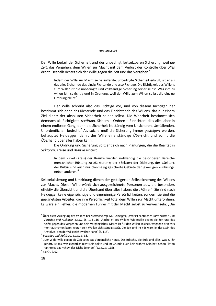#### BOGDAN MINCĂ

Der Wille bedarf der Sicherheit und der unbedingt fortsetzbaren Sicherung, weil *die Zeit*, das Vergehen, dem Willen zur Macht mit dem Verlust der Kontrolle über *alles*  droht. Deshalb richtet sich der Wille gegen die Zeit und das Vergehen.<sup>5</sup>

Indem der Wille zur Macht seine äußerste, unbedingte Sicherheit erlangt, ist er als das alles Sichernde das einzig Richtende und also Richtige. Die Richtigkeit des Willens zum Willen ist die unbedingte und vollständige Sicherung seiner selbst. Was ihm zu willen ist, ist richtig und in Ordnung, weil der Wille zum Willen selbst die einzige Ordnung bleibt.<sup>6</sup>

Der Wille schreibt also das Richtige vor, und von diesem Richtigen her bestimmt sich dann das Richtende und das Einrichtende des Willens, das nur einem Ziel dient: der absoluten Sicherheit seiner selbst. Die Wahrheit bestimmt sich demnach als Richtigkeit, *rectitudo*. Sichern – Ordnen – Einrichten: dies alles aber in einem endlosen Gang, denn die Sicherheit ist ständig vom Unsicheren, Umfallenden, Unordentlichen bedroht.7 Als solche muß die Sicherung immer *gesteigert* werden, behauptet Heidegger, damit der Wille eine ständige *Über*sicht und somit die *Über*hand über alles haben kann.

 Die Ordnung und Sicherung vollzieht sich nach Planungen, die die Realität in *Sektoren*, Kreise und Bezirke einteilt.

In dem Zirkel (Kreis) der Bezirke werden notwendig die besonderen Bereiche menschlicher Rüstung zu »Sektoren«; der »Sektor« der Dichtung, der »Sektor« der Kultur sind auch nur planmäßig gesicherte Gebiete der jeweiligen »Führung« neben anderen.<sup>8</sup>

Sektorialisierung und Umzirkung dienen der gesteigerten Selbstsicherung des Willens zur Macht. Dieser Wille wählt sich ausgezeichnete Personen aus, die besonders effektiv die Übersicht und die Überhand über alles haben: die "Führer". Sie sind nach Heidegger keine eigensüchtige und eigensinnige Persönlichkeiten, sondern sie sind die geeignetsten Arbeiter, die ihre Persönlichkeit total dem Willen zur Macht unterordnen. Es wäre ein Fehler, die modernen Führer mit der Macht selbst zu verwechseln: "Die

 $^5$  Über diese Auslegung des Willens bei Nietzsche, vgl. M. Heidegger, "Wer ist Nietzsches Zarathustra?", in: Vorträge und Aufsätze, a.a.O., SS. 113-116. "Rache ist des Willens Widerwille gegen die Zeit und das heißt: gegen das Vergehen und sein Vergängliches. Dieses ist für den Willen solches, wogegen er nichts mehr ausrichten kann, woran sein Wollen sich ständig stößt. Die Zeit und ihr »Es war« ist der Stein des

Anstoßes, den der Wille nicht wälzen kann" (S. 115).<br><sup>6</sup> *Vorträge und Aufsätze*, a.a.O., S. 86. <sup>7</sup> *"Der Widerwille gegen die Zeit setzt das Vergängliche herab. Das Irdische, die Erde und alles, was zu ihr* gehört, ist das, was eigentlich nicht sein sollte und im Grunde auch kein wahres Sein hat. Schon Platon nannte es das *mē on*, das Nicht-Seiende" (a.a.O., S. 115). 8

 $8$  a.a.O., S. 92.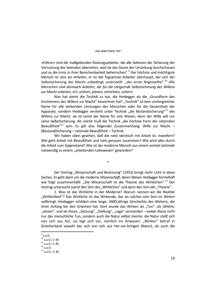»Führer« sind die maßgebenden Rüstungsarbeiter, die alle Sektoren der Sicherung der Vernutzung des Seienden übersehen, weil sie das Ganze der Umzirkung durchschauen und so die Irrnis in ihrer Berechenbarkeit beherrschen".<sup>9</sup> Der höchste und mächtigste Mensch ist also ein *Arbeiter*, er ist der fügsamste Arbeiter überhaupt, der sich der Selbstsicherung der Macht unbedingt unterstellt: "der erste Angestellte".<sup>10</sup> *Alle Menschen sind demnach Arbeiter, die für die steigernde Selbstsicherung des Willens zur Macht arbeiten, d.h. ordnen, planen, einrichten, sichern.*

Was hat damit die *Technik* zu tun, die Heidegger als die "Grundform des Erscheinens des Willens zur Macht" bezeichnet hat? "Technik" ist kein umfangreicher Name für alle wirkenden Leistungen des Menschen oder für die Gesamtheit der Apparate, sondern Heidegger versteht unter Technik "die Bestandsicherung"<sup>11</sup> des Willens zur Macht: sie ist somit der Name für sein Wesen, denn der Wille will nur seine Selbstsicherung. Als solche muß die Technik "die höchste Form der rationalen Bewußtheit"<sup>12</sup> sein. Es gilt also folgender Zusammenhang: Wille zur Macht – (Bestand)Sicherung – rationale Bewußtheit – Technik.

Wir haben oben gesehen, daß die *ratio* identisch mit Arbeit ist. Inwiefern? Wie geht Arbeit mit Bewußtheit und *ratio* genauer zusammen? Wie wird alles durch die Arbeit zum Gegenstand? Wie ist der moderne Mensch aus einem *animal rationale*  notwendig zu einem "arbeitenden Lebewesen" geworden?

\*

Der Vortrag "Wissenschaft und Besinnung" (1953) bringt mehr Licht in diese Sachen. Es geht darin um die moderne *Wissenschaft*, deren Wesen Heidegger formelhaft wie folgt zusammenfaßt: "Die Wissenschaft ist die Theorie des Wirklichen".<sup>13</sup> Der Vortrag untersucht zuerst den Sinn des "Wirklichen" und dann den Sinn der "Theorie".

1. Was ist das Wirkliche in der Moderne? Warum nennen wir die Realität "Wirklichkeit"? Das Wirkliche ist das Wirkende, das als solches sein Sein im *Wirken* vollbringt. Heidegger schildert eine lange, 2400-jährige Geschichte des Wirkens, die ihren Anfang bei den Griechen hat. Dort wurde das Wirken als "Tun", als *tithēmi*, "setzen", und als *thesis*, "Setzung", "Stellung", "Lage" verstanden – wobei *thesis* nicht nur das menschliche Tun, sondern auch die Natur selbst meinte: die Natur *stellt sich* von sich aus *her*, sie legt sich vor, nämlich ins Anwesen. "Wirken" betraf in Griechenland sowohl das sich von sich aus Her-vor-bringen (Natur), als auch die

 $12$  a.a.O.

 $9^9$ a.a.O.

 $10$  a.a.O., S. 94.

 $11$  a.a.O., S. 85.

<sup>13</sup> a.a.O., S. 40.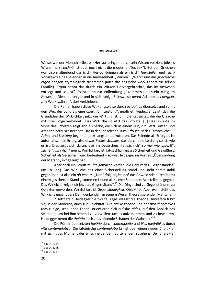#### BOGDAN MINCĂ

Weise, wie der Mensch selbst ein Her-vor-bringen durch sein Wissen vollzieht (dieses Wissen heißt *technē*, ist aber noch nicht die moderne "Technik"). Bei den Griechen war also maßgebend das (sich) Her-vor-bringen als ein (sich) *Her*-*stellen* und (sich) Vor-stellen eines Seienden in die Anwesenheit. "Wirken", "Werk" und das griechische *ergon* hängen etymologisch zusammen (auch das englische *work* gehört zur selben Familie). *Ergon* nennt das durch ein Wirken Hervorgebrachte, das im Anwesen vorliegt und so "ist". Es ist dann zur Vollendung gekommen und steht ruhig im Anwesen. Diese beruhigte und in sich ruhige Seinsweise nennt Aristoteles *energeia*, "Im-Werk-währen", dort verbleiben.

Die Römer haben diese Wirkungsweise durch *actualitas* übersetzt und somit den Weg der *actio* als eine *operatio*, "Leistung", geöffnet. Heidegger zeigt, daß die Grundidee der Wirklichkeit jetzt die *Wirkung* ist, d.h. die Kausalität, die die Ursache mit ihrer Folge verbindet. "Das Wirkliche ist jetzt das Erfolgte. […] Das Erwirkte im Sinne des Erfolgten zeigt sich als Sache, die sich in einem Tun, d.h. jetzt Leisten und Arbeiten herausgestellt hat. Das in der Tat solchen Tuns Erfolgte ist das Tatsächliche".<sup>14</sup> *Arbeit* und *Leistung* beginnen jetzt langsam aufzutreten. Das Seiende als Erfolgtes ist automatisch ein Erfolg, also etwas Festes, *Stabiles*, das durch eine Leistung so ist, wie es ist. Dies zeigt sich daran, daß im Deutschen "tat-sächlich" so viel wie "gewiß", "sicher", "wirklich" meint. Wirklichkeit ist Tat-sächlichkeit als Sicherheit und Gewißheit. Sicherheit als Versichern wird bedeutend – so wie Heidegger im Vortrag "Überwindung der Metaphysik" gezeigt hat.

Aber noch ein Schritt mußte gemacht werden: die Geburt des "Gegenstandes" (im 18. Jhr.). Das Wirkliche hält einer Sicherstellung stand und steht somit stabil gegenüber, ist also ein *ob-iectum*. "Der Erfolg ergibt, daß das Anwesende durch ihn zu einem gesicherten Stand gekommen ist und als solcher Stand dem Vorstellen begegnet. Das Wirkliche zeigt sich jetzt als Gegen-Stand".15 Die Dinge sind zu Gegenständen, zu Objekten geworden. Wirklichkeit ist *Gegenständigkeit*, Objektität. Aber *wem* steht das Wirkliche gegenüber? Dem denkenden, in seinem Wesen theoretisierenden Menschen.

 2. Jetzt stellt Heidegger die zweite Frage: was ist die Theorie? Inwiefern führt sie, in der Moderne, auch zur Objektität? Die antike *theōria* und der *bios theōrētikos* (das ruhige, schauende Leben) orientieren sich auf das *eidos*, auf den Anblick des Seienden, um bei ihm sehend zu verweilen, um es aufzunehmen und zu bewahren. Heidegger nennt die *theōria* auch "das hütende Schauen der Wahrheit"<sup>16</sup>.

Die Römer übersetzten *theōria* durch *contemplatio* und *bios theōrētikos* durch *vita contemplativa*. Die lateinische *contemplatio* bringt aber einen neuen Charakter mit sich: "das Moment des einschneidenden, aufteilenden Zusehens. Der Charakter

 $\overline{a}$  $14$  a.a.O., S. 44.

 $15$  a.a.O., S. 45.

 $^{16}$  a.a.O., S. 47.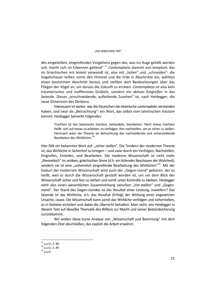#### "DAS ARBEITENDE TIER"

des eingeteilten, eingreifenden Vorgehens gegen das, was ins Auge gefaßt werden soll, macht sich im Erkennen geltend".<sup>17</sup> *Contemplatio* stammt von *templum*, das im Griechischen mit *temnō* verwandt ist, also mit "teilen" und "schneiden": die Vogelschauer teilten somit den Himmel und die Erde in Abschnitte ein, wählten einen bestimmen Abschnitt heraus und stellten dort Beobachtungen über das Fliegen der Vögel an, um daraus die Zukunft zu erraten. *Contemplatio* ist also kein träumerisches und inoffensives Grübeln, sondern ein aktives *Eingreifen* in das Seiende. Dieses "einschneidende, aufteilende Zusehen" ist, nach Heidegger, die neue Dimension des Denkens.

 Interessant ist weiter, wie die Deutschen die lateinische *contemplatio* verstanden haben, und zwar als "Betrachtung": ein Wort, das selbst vom lateinischen *tractare* kommt. Heidegger bemerkt Folgendes:

Trachten ist das lateinische *tractare*, behandeln, bearbeiten. Nach etwas trachten heißt: sich auf etwas *zu-*arbeiten, es verfolgen, ihm nachstellen, um es sicher zu stellen. Demnach wäre die Theorie als Betrachtung das nachstellende und sicherstellende Bearbeiten des Wirklichen.<sup>18</sup>

Hier fällt ein bekanntes Wort auf: "sicher stellen". Die Tendenz der modernen Theorie ist, das Wirkliche *in Sicherheit* zu bringen – und zwar durch ein Verfolgen, Nachstellen, Eingreifen, Einteilen, und Bearbeiten. Die moderne Wissenschaft ist nicht mehr "theoretisch" im antiken, griechischen Sinne (d.h. ein *hütendes* Beschauen der Wahrheit), sondern sie ist eine "unheimlich eingreifende Bearbeitung des Wirklichen"<sup>19</sup>. Mit der Geburt der modernen Wissenschaft wird auch der "Gegen-stand" geboren, der so heißt, weil er durch die Wissenschaft *gestellt* worden ist, um *vor* dem Blick der Wissenschaft sicher und fest zu stehen und somit unter Kontrolle zu bleiben. Heidegger sieht also einen wesentlichen Zusammenhang zwischen "Vor-stellen" und "Gegenstand". Der Stand des Gegen-standes ist das Resultat einer Leistung. Inwiefern? Das Seiende ist das Wirkliche, d.h. das Resultat (Erfolg) der Wirkung einer angesetzten Ursache, *causa*. Die Wissenschaft kann somit das Wirkliche verfolgen und sicherstellen, es in Gebiete einteilen und dabei die *Über*sicht behalten. Man sieht, wie Heidegger in diesem Text auf dieselbe Thematik des Willens zur Macht und seiner Bestandsicherung zurückkommt.

Wir wollen diese kurze Analyse von "Wissenschaft und Besinnung" mit dem folgenden Zitat abschließen, das explizit die *Arbeit* erwähnt:

 $^{17}$  a.a.O., S. 48.

 $18$  a.a.O., S. 49.

<sup>19</sup> a.a.O.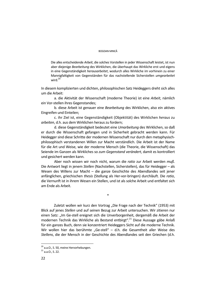#### BOGDAN MINCĂ

Die alles entscheidende *Arbeit*, die solches Vorstellen in jeder Wissenschaft leistet, ist nun aber diejenige *Bearbeitung* des Wirklichen, die überhaupt das Wirkliche erst und eigens in eine Gegenständigkeit *herausarbeitet*, wodurch alles Wirkliche im vorhinein zu einer Mannigfaltigkeit von Gegenständen für das nachstellende Sicherstellen *umgearbeitet* wird.<sup>20</sup>

In diesem komplizierten und dichten, philosophischen Satz Heideggers dreht sich alles um die Arbeit:

a. die Aktivität der Wissenschaft (moderne Theorie) ist eine *Arbeit*, nämlich ein Vor-stellen ihres Gegenstandes;

b. diese Arbeit ist genauer eine *Bearbeitung* des Wirklichen, also ein aktives Eingreifen und Einteilen;

c. ihr Ziel ist, eine Gegenständigkeit (Objektität) des Wirklichen *heraus* zu *arbeiten*, d.h. aus dem Wirklichen heraus zu fordern;

d. diese Gegenständigkeit bedeutet eine *Umarbeitung* des Wirklichen, so daß er durch die Wissenschaft gefangen und in Sicherheit gebracht werden kann. Für Heidegger sind diese Schritte der modernen Wissenschaft nur durch den metaphysischphilosophisch verstandenen Willen zur Macht verständlich. Die Arbeit ist der Name für die Art und Weise, wie der moderne Mensch (die Theorie, die Wissenschaft) das Seiende im Ganzen als Wirkliches so *zum Gegenstand verändert*, damit es kontrolliert und gesichert werden kann.

Aber noch wissen wir noch nicht, warum die *ratio* zur Arbeit werden *muß*. Die Antwort liegt in jenem *Stellen* (Nachstellen, Sicherstellen), das für Heidegger – als Wesen des Willens zur Macht – die ganze Geschichte des Abendlandes seit jener anfänglichen, griechischen *thesis* (Stellung als Her-vor-bringen) durchläuft. Die *ratio*, die Vernunft ist in ihrem Wesen ein Stellen, und ist als solche Arbeit und entfaltet sich am Ende als Arbeit.

\*

Zuletzt wollen wir kurz den Vortrag "Die Frage nach der Technik" (1953) mit Blick auf jenes *Stellen* und auf seinen Bezug zur Arbeit untersuchen. Wir zitieren nur einen Satz: "Im Ge-stell ereignet sich die Unverborgenheit, dergemäß die Arbeit der modernen Technik das Wirkliche als Bestand entbirgt".21 Diese Aussage gäbe Anlaß für ein ganzes Buch, denn sie konzentriert Heideggers Sicht auf die moderne Technik. Wir wollen hier das berühmte "Ge-stell" – d.h. die Gesamtheit aller Weise des *Stellens*, die der Mensch in der Geschichte des Abendlandes seit den Griechen (d.h.

 $20$  a.a.O., S. 50, meine Hervorhebungen.

<sup>21</sup> a.a.O., S. 22.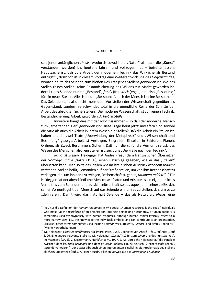#### "DAS ARBEITENDE TIER"

seit jener anfänglichen *thesis*, wodurch sowohl die "Natur" als auch die "Kunst" verstanden wurden) bis heute erfahren und vollzogen hat – beiseite lassen. Hauptsache ist, daß "die Arbeit der modernen Technik das Wirkliche als Bestand entbirgt": "Bestand" ist in diesem Vortrag eine Weiterentwicklung des Gegenstandes, wonach heute das Seiende zum bloßen Resultat jenes Stellens geworden ist. Wo das Stellen reines Stellen, reine Bestandsicherung des Willens zur Macht geworden ist, dort ist das Seiende nur ein "Bestand", *fonds* (fr.), *stock* (engl.), d.h. also "Ressource" für ein neues Stellen. Alles ist heute "Ressource", auch der Mensch ist eine Ressource.<sup>22</sup> Das Seiende steht also nicht mehr dem Vor-stellen der Wissenschaft gegenüber als Gegen-stand, sondern verschwindet total in die unendliche Reihe der Schritte der Arbeit des absoluten Sicherstellens. Die moderne Wissenschaft ist zur reinen Technik, Bestandsicherung, Arbeit, geworden. *Arbeit ist Stellen*.

Inwiefern hängt dies mit der *ratio* zusammen – so daß der moderne Mensch zum "arbeitenden Tier" geworden ist? Diese Frage heißt jetzt: inwiefern sind sowohl die *ratio* als auch die Arbeit in ihrem Wesen ein Stellen? Daß die Arbeit ein Stellen ist, haben uns die zwei Texte "Überwindung der Metaphysik" und "Wissenschaft und Besinnung" gezeigt: Arbeit ist Verfolgen, Eingreifen, Einteilen in Sektoren, Planen, Ordnen, als Zweck Bestimmen, Sichern. Daß nun die *ratio*, die Vernunft selbst, das Wesen des Menschen also, ein Stellen ist, zeigt uns "Die Frage nach der Technik".

*Ratio ist Stellen.* Heidegger hat André Préau, dem französischen Übersetzer der Vorträge und Aufsätze (1958), einen Ratschlag gegeben, wie er das "Stellen" übersetzen kann. Man sollte das Stellen wie im lateinischen Ausdruck *rationem reddere* verstehen. Stellen heißt, "jemanden auf der Straße stellen, um von ihm Rechenschaft zu verlangen, d.h. um ihn dazu zu zwingen, Rechenschaft zu geben, *rationem reddere*".23 Für Heidegger hat der abendländische Mensch seit Platon und Aristoteles ein eigentümliches Verhältnis zum Seienden und zu sich selbst: kraft seines *logos*, d.h. seiner *ratio*, d.h. seiner Vernunft geht der Mensch auf das Seiende ein, um es zu stellen, d.h. um es zu "definieren". Damit wird das naturhaft Seiende – das als Natur, als *physis*, eine

<sup>&</sup>lt;sup>22</sup> Vgl. nur die Definition der *human ressources* in Wikipedia: "Human resources is the set of individuals who make up the *workforce* of an organization, business sector or an economy. »Human capital« is sometimes used synonymously with human resources, although human capital typically refers to a more narrow view; i.e., the knowledge the individuals embody and can contribute to an organization. Likewise, other terms sometimes used include »*manpower*«, »talent«, »*labor*«, and simply »people«."

<sup>(</sup>Meine Hervorhebungen). 23 M. Heidegger, *Essais et conférences*, Gallimard, Paris, 1958, übersetzt von André Préau, Fußnote 1 auf S. 26. Eine andere relevante Stelle ist: M. Heidegger, "Zusatz" (1956) zum "Ursprung des Kunstwerkes", in: *Holzwege* (GA 5), V. Klostermann, Frankfurt a.M., 1977, S. 72. Dort geht Heidegger auf die Parallele zwischen dem lat. *ratio reddenda* und dem gr. *logon didonai* ein, zu deutsch: "Rechenschaft geben", "Gründe vorweisen". Der Zusatz gibt auch einen interessanten Einblick in die Problematik des Stellens als *thesis* und enthält (auf S. 72) einen ausdrücklichen Verweis auf die *Vorträge und Aufsätze*.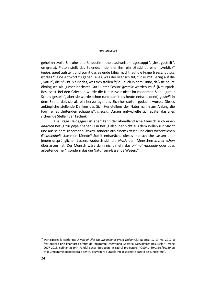#### BOGDAN MINCĂ

geheimnisvolle Unruhe und Unbestimmtheit aufweist – "gestoppt", "fest-gestellt", umgrenzt. Platon stellt das Seiende, indem er ihm ein "Gesicht", einen "Anblick" (*eidos, idea*) aufstellt und somit das Seiende fähig macht, auf die Frage *ti estin?*, "*was*  ist dies?" eine Antwort zu geben. Alles, was der Mensch tut, tut er mit Bezug auf die "Natur", die *physis*. Sie ist das, was sich stellen *läßt* – auch in dem Sinne, daß sie heute ökologisch als "unser höchstes Gut" unter Schutz *gestellt* werden muß (Naturpark, Reservat). Bei den Griechen wurde die Natur zwar nicht im modernen Sinne "unter Schutz gestellt", aber sie wurde schon (und damit bis heute entscheidend) *gestellt* in dem Sinne, daß sie als ein hervorragendes Sich-her-stellen gedacht wurde. Dieses anfängliche stellende Denken des Sich Her-stellens der Natur nahm am Anfang die Form eines "hütenden Schauens", *theōria*. Daraus entwickelte sich später das alles sichernde Stellen der Technik.

Die Frage Heideggers ist aber: kann der abendländische Mensch auch einen *anderen* Bezug zur *physis* haben? Ein Bezug also, der nicht aus dem Willen zur Macht und aus seinem sichernden *Stellen*, sondern aus einem *Lassen* und einer wesentlichen *Gelassenheit* stammen könnte? Somit entspräche dieses menschliche Lassen eher jenem ursprünglichen Lassen, wodurch sich die *physis* dem Menschen *immer schon* überlassen hat. Der Mensch wäre dann nicht mehr das *animal rationale* oder "das arbeitende Tier", sondern das die Natur sein-lassende Wesen.<sup>24</sup>

<sup>24</sup> Participarea la conferinţa *A Part of Life: The Meaning of Work Today* (Cluj Napoca, 17-19 mai 2012) a fost posibilă prin finanțarea oferită de Programul Operațional Sectorial Dezvoltarea Resurselor Umane 2007-2013, cofinanţat prin Fondul Social European, în cadrul proiectului POSDRU 89/1.5/S/60189 cu titlul "Programe postdoctorale pentru dezvoltare durabilă într-o societate bazată pe cunoaștere".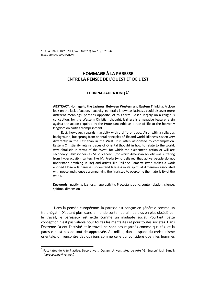# **HOMMAGE À LA PARESSE ENTRE LA PENSÉE DE L'OUEST ET DE L'EST**

# **CODRINA-LAURA IONIŢĂ\***

**ABSTRACT. Homage to the Laziness. Between Western and Eastern Thinking.** A close look on the lack of action, inactivity, generally known as laziness, could discover more different meanings, perhaps opposite, of this term. Based largely on a religious conception, for the Western Christian thought, laziness is a negative feature, a sin against the action required by the Protestant ethic as a rule of life to the heavenly kingdom on earth accomplishment.

East, however, regards inactivity with a different eye. Also, with a religious background, but sprung from oriental principles of life and world, idleness is seen very differently in the East than in the West. It is often associated to contemplation. Eastern Christianity retains traces of Oriental thought in how to relate to the world, way (fatalistic in terms of the West) for which the excitement, action or will are secondary. Philosophers as M. Vulcănescu (for which American society was suffering from hyperactivity), writers like M. Preda (who believed that active people do not understand anything in life) and artists like Philippe Ramette (who makes a work entitled Eloge à la paresse) understand laziness in its spiritual dimension associated with peace and silence accompanying the final step to overcome the materiality of the world.

**Keywords:** inactivity, laziness, hyperactivity, Protestant ethic, contemplation, silence, spiritual dimension

Dans la pensée européenne, la paresse est conçue en générale comme un trait négatif. D'autant plus, dans le monde contemporain, de plus en plus obsédé par le travail, le paresseux est exclu comme un inadapté social. Pourtant, cette conception n'est pas valable pour toutes les mentalités et pour toutes sociétés. Dans l'extrême Orient l'activité et le travail ne sont pas regardés comme qualités, et la paresse n'est pas de tout désapprouvée. Au milieu, dans l'espace du christianisme orientale, on rencontre des opinions comme celle qui considère que « les hommes

<sup>\*</sup> Facultatea de Arte Plastice, Decorative și Design, Universitatea de Arte "G. Enescu" Iași, E-mail: *lauracodrina@yahoo.fr*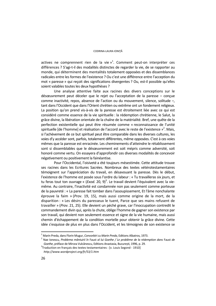#### CODRINA-LAURA IONIŢĂ

actives ne comprennent rien de la vie  $v^1$ . Comment peut-on interpréter ces différences ? S'agi-t-il des modalités distinctes de regarder la vie, de se rapporter au monde, qui déterminent des mentalités totalement opposées et des dissemblances radicales entre les formes de l'existence ? Ou c'est une différence entre l'acception du mot « paresse » qui reçoit des significations divergentes ? Ou, est-il possible qu'elles soient valables toutes les deux hypothèses ?

Une analyse attentive faite aux racines des divers conceptions sur le désœuvrement peut déceler que le rejet ou l'acceptation de la paresse – conçue comme inactivité, repos, absence de l'action ou du mouvement, silence, solitude –, tant dans l'Occident que dans l'Orient chrétien ou extrême ont un fondement religieux. La position qu'on prend vis-à-vis de la paresse est étroitement liée avec ce qui est considéré comme essence de la vie spirituelle : la rédemption chrétienne, le Salut, la grâce divine, la libération orientale de la chaîne de la matérialité. Bref, une quête de la perfection existentielle qui peut être résumée comme « reconnaissance de l'unité spirituelle [de l'homme] et réalisation de l'accord avec le reste de l'existence »<sup>2</sup>. Mais, si l'achèvement de ce but spirituel peut être comparable dans les diverses cultures, les voies d'y accéder sont, parfois, totalement différentes, même opposées. C'est à ces voies mêmes que la paresse est enracinée. Les cheminements d'atteindre le rétablissement sont si dissemblables que le désœuvrement est soit mépris comme adversité, soit honoré comme vertu. On essayera d'approfondir ces diverses modalités de concevoir négativement ou positivement la fainéantise.

Pour l'Occidental, l'oisiveté a été toujours mésestimée. Cette attitude trouve ses racines dans les Ecritures Sacrées. Nombreux des textes vétérotestamentaires témoignent sur l'appréciation du travail, en désavouant la paresse. Dès le début, l'existence de l'homme est posée sous l'ordre du labeur : « Tu travailleras six jours, et tu feras tout ton ouvrage » (*Exod.* 20, 9)<sup>3</sup>. Le travail devient l'équivalent avec la viemême. Au contraire, l'inactivité est condamnée non pas seulement comme porteuse de la pauvreté : « La paresse fait tomber dans l'assoupissement, Et l'âme nonchalante éprouve la faim » (*Prov*. 19, 15), mais aussi comme origine de la mort, de la disparition : « Les désirs du paresseux le tuent, Parce que ses mains refusent de travailler » (*Prov*. 21, 25). Elle devient un péché grave, car l'inoccupation contredit le commandement divin qui, après la chute, oblige l'homme de gagner son existence par son travail, qui devient non seulement essence et signe de la vie humaine, mais aussi chemin d'échappement de la condition mortelle pour obtenir la grâce divine. Cette idée s'esquisse de plus en plus dans l'Occident, et les témoignes de son existence se

<sup>&</sup>lt;sup>1</sup> Marin Preda, dans Florin Mugur, *Convorbiri cu Marin Preda*, Editions Albatros, 1973.<br><sup>2</sup> Nas Jonescu, *Preblema mântuirii î*n Faust al lui Ceethe / Le preblème de la rédem

Nae Ionescu, *Problema mântuirii în* Faust *al lui Goethe / Le problème de la rédemption dans* Faust *de Goethe*, préface de Mircea Vulcănescu, Editions Anastasia, București, 1996, p. 29.

 $3$ Traduction en français des textes testamentaires : [v. Louis Segond - 1910] *http://www.wordproject.org/fr/53/1.htm*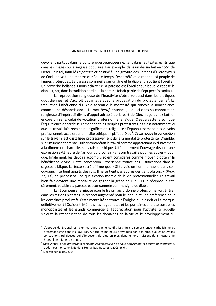dévoilent partout dans la culture ouest-européenne, tant dans les textes écrits que dans les images ou la sagesse populaire. Par exemple, dans un dessin fait en 1551 de Pieter Bruegel, intitulé *La paresse* et destiné à une gravure des Editions d'Hieronymus de Cock, on voit une montre cassée. Le temps s'est arrêté et le monde est peuplé de figures grotesques. La paresse sommeille sur un âne et le diable lui soutient l'oreiller. Un proverbe hollandais nous éclaire : « La paresse est l'oreiller sur laquelle repose le diable », car, dans la tradition nordique la paresse faisait partie de Sept péchés capitaux.

La réprobation religieuse de l'inactivité s'observe aussi dans les pratiques quotidiennes, et s'accroît davantage avec la propagation du protestantisme<sup>4</sup>. La traduction luthérienne du Bible accentue la mentalité qui conçoit la nonchalance comme une désobéissance. Le mot *Beruf*, entendu jusqu'ici dans sa connotation religieuse d'impératif divin, d'appel adressé de la part de Dieu, reçoit chez Luther encore un sens, celui de vocation professionnelle laïque. C'est à cette raison que l'équivalence apparaît seulement chez les peuples protestants, et c'est notamment ici que le travail laïc reçoit une signification religieuse : l'épanouissement des devoirs professionnels acquiert une finalité éthique, il plaît au Dieu<sup>5</sup>. Cette nouvelle conception sur le travail s'est cristallisée progressivement dans la mentalité protestante. D'emblé, sur l'influence thomiste, Luther considérait le travail comme appartenant exclusivement à la dimension charnelle, sans raison éthique. Ultérieurement l'ouvrage devient une expression extérieure de l'amour du prochain - chacun travaille pour les autres -, pour que, finalement, les devoirs accomplis soient considérés comme moyen d'obtenir la bénédiction divine. Cette conception luthérienne trouve des justifications dans la sagesse biblique. Le texte sacré affirme que « Si tu vois un homme habile dans son ouvrage, Il se tient auprès des rois; Il ne se tient pas auprès des gens obscurs » (*Prov*. 22, 13), en proposant une qualification morale de la vie professionnelle $^6$ . Le travail bien fait devient une modalité de gagner la grâce de Dieu. Et la réciproque est, sûrement, valable : la paresse est condamnée comme signe de diable.

La récompense religieuse pour le travail laïc ordonné professionnel va générer dans les régions piétistes un respect augmenté pour le labeur, et une préférence pour les domaines productifs. Cette mentalité se trouve à l'origine d'un esprit qui a marqué définitivement l'Occident. Même si les huguenotes et les puritaines ont luté contre les monopolistes et les grands commerciens, l'appréciation pour l'activité, à laquelle s'ajoute la rationalisation de tous les domaines de la vie et le développement du

<sup>4</sup> L'époque de Bruegel est bien marquée par le conflit issu du croisement entre catholicisme et protestantisme dans les Pays Bas. Autant les malheurs provoqués par la guerre, que les nouvelles conceptions religieuses qui s'imposent de plus en plus dans le nord, laissent dans l'œuvre de

Bruegel des signes évidents. 5 Max Weber, *Etica protestantă și spiritul capitalismului* / *L'Etique protestante et l'esprit du capitalisme*, traduit par Ihor Lemnij, Editions Humanitas, București, 2003, p. 64.

 $<sup>6</sup>$  Max Weber, o. cit., p. 65.</sup>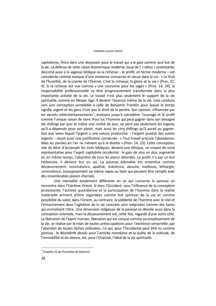#### CODRINA-LAURA IONIŢĂ

capitalisme, finira dans une obsession pour le travail qui a le gain comme seul but de la vie. La défense de cette raison économique moderne, issue de l' « ethos » protestante, descend aussi à la sagesse biblique où la richesse – le profit, en terme moderne – est considérée comme marque d'une existence consacrée et vécue dans la Loi : « Le fruit de l'humilité, de la crainte de l'Éternel, C'est la richesse, la gloire et la vie » (*Prov*. 22, 4). Si la richesse est vue comme « une couronne pour les sages » (*Prov*. 14, 24), la responsabilité professionnelle va être progressivement transformée dans la plus importante activité de la vie. Le travail n'est plus seulement le support de la vie spirituelle, comme en Moyen Age. Il devient l'essence même de la vie. Cela conduira vers une conception semblable à celle de Benjamin Franklin pour lequel le temps signifie argent et les gens n'ont pas le droit de le perdre. Son opinion, influencée par les versets vétérotestamentaires<sup>7</sup>, évoluera jusqu'à considérer l'ouvrage et le profit comme l'unique raison de vivre. Pour lui, l'homme qui peut gagner dans son besogne dix shillings par jour et traîne une moitié de jour, ne perd pas seulement les argents qu'il a dépensés pour son plaisir, mais aussi les cinq shillings qu'il aurait pu gagner. Son avis selon lequel l'argent a une nature productive  $-$  l'argent produit des autres argents – reçoit aussi une justification consacrée : « Tout travail procure l'abondance, Mais les paroles en l'air ne mènent qu'à la disette » (*Prov*. 14, 23). Cette conception, née du désir d'accomplir les mots bibliques, devient une éthique, un moyen de vivre représentative pour l'esprit capitaliste occidental : le gain de plus en plus augmenté et, en même temps, l'abandon de tous les plaisir débridés. Le profit n'a pas un but hédoniste, il devient but en soi. La paresse blâmable est entendue comme désœuvrement, nonchalance, apathie, indolence, aboulie, mollesse, léthargie, somnolence, assoupissement ou même repos ou loisir qui peuvent être remplis avec des innombrables plaisirs charnels.

Une mentalité totalement différente en ce qui concerne la paresse on rencontre dans l'Extrême Orient. Si dans l'Occident, sous l'influence de la conception protestante, l'activité quotidienne et la participation de l'homme dans la réalité matérielle arrivent d'être regardées comme but spirituel de la vie et comme possibilité du salut, dans l'Orient, au contraire, la solidarité de l'homme avec le réel et l'enracinement dans l'agitation de la vie concrète sont méprisées comme des lianes qui enchaînent l'être. Une dimension religieuse de la paresse se dévoile aussi dans la conception orientale, mais le désœuvrement est, cette fois, regardé d'une autre côté. La libération de l'esprit humain, libération qui est conçue comme accomplissement de la vie, se réalise par le rejet de toutes préoccupations pour l'existence sensorielle, par l'abandon de toutes tâches ordinaires. Ce qui, pour l'Occidental peut être vu comme paresse : le désintérêt absolu pour l'activité mondaine et la quête de la solitude, de l'immobilité et du silence, est, pour l'Oriental, l'idéal de la vie spirituelle.

<sup>7</sup> Chapitre 22 de *Proverbes de Salomon*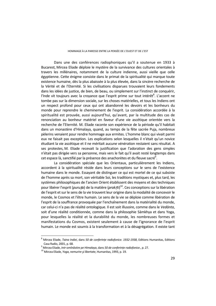Dans une des conférences radiophoniques qu'il a soutenue en 1933 à Bucarest, Mircea Eliade déploie le mystère de la survivance des cultures orientales à travers les millénaires, notamment de la culture indienne, aussi vieille que celle égyptienne. Cette énigme consiste dans le primat de la spiritualité qui marque toute existence humaine, dès la plus abaissée à la plus élevée, dans la sincère recherche de la Vérité et de l'Eternité. Si les civilisations disparues trouvaient leurs fondements dans les idées de justice, de bien, de beau, ou simplement sur l'instinct de conquérir, l'Inde vit toujours avec la croyance que l'esprit prime sur tout intérêt<sup>8</sup>. L'accent ne tombe pas sur la dimension sociale, sur les choses matérielles, et tous les Indiens ont un respect profond pour ceux qui ont abandonné les devoirs et les bonheurs du monde pour reprendre le cheminement de l'esprit. La considération accordée à la spiritualité est prouvée, aussi aujourd'hui, qu'avant, par la multitude des cas de renonciation au bonheur matériel en faveur d'une vie ascétique orientée vers la recherche de l'Eternité. M. Eliade raconte son expérience de la période qu'il habitait dans un monastère d'Himalaya, quand, au temps de la fête sacrée Puja, nombreux pèlerins venaient pour rendre hommage aux ermites. L'homme blanc qui vivait parmi eux ne faisait pas exception. Les explications selon lesquelles il n'était qu'un novice étudiant la vie ascétique et il ne méritait aucune vénération restaient sans résultat. A ses protestes, M. Eliade recevait la justification que l'adoration des gens simples n'était pas dirigée vers sa personne, mais vers le fait qu'il avait resté longtemps dans cet espace là, sanctifié par la présence des anachorètes et du fleuve sacré $^9$ .

La considération spéciale que les Orientaux, particulièrement les Indiens, accordent à la spiritualité réside dans leurs conceptions sur le sens de l'existence humaine dans le monde. Essayant de distinguer ce qui est mortel de ce qui subsiste de l'homme après sa mort, son véritable Soi, les traditions mystiques et, plus tard, les systèmes philosophiques de l'ancien Orient établissent des moyens et des techniques pour libérer l'esprit (*puru*ṣ*a*) de la matière (*prak*ṛ*ti*) 10. Ces conceptions sur la libération de l'esprit et sur le sens de la vie trouvent leur origine dans la modalité de concevoir le monde, le Cosmos et l'être humain. Le sens de la vie se déploie comme libération de l'esprit de la souffrance provoquée par l'enchaînement dans la matérialité du monde, car celui-ci n'a pas de réalité ontologique. Il est soit illusoire, comme dans le *Vedānta*, soit d'une réalité conditionnée, comme dans la philosophie Sāmkhya et dans Yoga, pour lesquelles la réalité et la durabilité du monde, les nombreuses formes et manifestations du Cosmos, existent seulement à cause de l'ignorance de l'esprit humain. Le monde est soumis à la transformation et à la désagrégation. Il existe tant

<sup>8</sup> Mircea Eliade, *Taina Indiei*, dans *50 de conferințe radiofonice. 1932-1938*, Editions Humanitas, Editions Casa Radio, 2001, p. 68.<br><sup>9</sup> Mirsea Fliede, *Intr* amînă

<sup>&</sup>lt;sup>3</sup> Mircea Eliade, *Intr-omînăstire pe Himalaya,* dans *50 de conferințe radiofonice.*, p. 27.<br><sup>10</sup> Mircea Eliade, *Yoga, nemurire și libertate,* Humanitas, 1993, p. 19.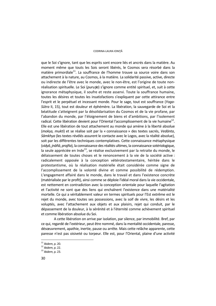#### CODRINA-LAURA IONIŢĂ

que le Soi s'ignore, tant que les esprits sont encore liés et ancrés dans la matière. Au moment même que touts les Sois seront libérés, le Cosmos sera résorbé dans la matière primordiale<sup>11</sup>. La souffrance de l'homme trouve sa source voire dans son attachement à la nature, au Cosmos, à la matière. La solidarité passive, active, directe ou indirecte de l'être avec le monde, avec le non-être, est l'origine de toute nonréalisation spirituelle. Le Soi (*puru*ṣ*a*) s'ignore comme entité spirituel, et, suit à cette ignorance métaphysique, il soufre et reste asservi. Toute la souffrance humaine, toutes les désires et toutes les insatisfactions s'expliquent par cette attirance entre l'esprit et le perpétuel et incessant monde. Pour le sage, tout est souffrance (*Yoga*-*Sūtra* II, 15), tout est douleur et éphémère. La libération, la sauvegarde de Soi et la béatitude s'atteignent par la désolidarisation du Cosmos et de la vie profane, par l'abandon du monde, par l'éloignement de biens et d'ambitions, par l'isolement radical. Cette libération devient pour l'Oriental l'accomplissement de la vie humaine $^{12}$ . Elle est une libération de tout attachement au monde qui amène à la liberté absolue (*mokṣa, mukti*) et se réalise soit par la « connaissance » des textes sacrés, *Vedānta*, *Sāmkhya* (les textes révélés assurent le contacte avec le Logos, avec la réalité absolue), soit par les différentes techniques contemplatives. Cette connaissance métaphysique (*vidyā*, *jnāñā*, *prajña*), la connaissance des réalités ultimes, la connaissance sotériologique, la seule appréciée en Inde<sup>13</sup>, se réalise exclusivement par la retraite du monde, le délaissement de toutes choses et le renoncement à la vie de la société active : radicalement opposée à la conception vétérotestamentaire, héritée dans le protestantisme, où la réalisation matérielle était considérée comme signe de l'accomplissement de la volonté divine et comme possibilité de rédemption. L'engagement affairé dans le monde, dans le travail et dans l'existence concrète (matérialisée par le profit), ainsi comme se déploie l'idéal moral dans la vie occidentale, est nettement en contradiction avec la conception orientale pour laquelle l'agitation et l'activité ne sont que des liens qui enchaînent l'existence dans une matérialité mortelle. Ce qui a véritablement valeur en termes spirituels pour l'Est extrême est le rejet du monde, avec toutes ses possessions, avec la soif de vivre, les désirs et les voluptés, avec l'attachement aux objets et aux plaisirs, rejet qui conduit, par le dépassement de la douleur, à la sérénité et à l'éternité comme achèvement spirituel et comme libération absolue du Soi.

A cette libération on arrive par isolation, par silence, par immobilité. Bref, par ce qui, regardé de l'extérieur, peut être nommé, dans la mentalité occidentale, paresse, désœuvrement, apathie, inertie, pause ou arrête. Mais cette relâche apparente, cette paresse n'est pas oisiveté ou torpeur. Elle est, pour l'Oriental, plaine d'une activité

<sup>&</sup>lt;sup>11</sup> Ibidem, p. 20.<br><sup>12</sup> Ibidem, p. 22.<br><sup>13</sup> Ibidem, p. 23.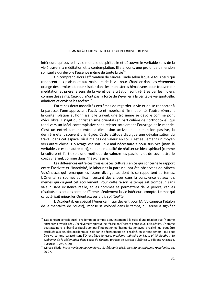intérieure qui ouvre la voie mentale et spirituelle et découvre le véritable sens de la vie à travers la méditation et la contemplation. Elle a, donc, une profonde dimension spirituelle qui dévoile l'essence même de toute la vie<sup>14</sup>.

On comprend alors l'affirmation de Mircea Eliade selon laquelle tous ceux qui renoncent aux plaisirs et aux malheurs de la vie pour s'habiller dans les vêtements orange des ermites et pour s'isoler dans les monastères himalayens pour trouver par méditation et prière le sens de la vie et de la création sont vénérés par les Indiens comme des saints. Ceux qui n'ont pas la force de s'éveiller à la véritable vie spirituelle, admirent et envient les ascètes<sup>15</sup>.

Entre ces deux modalités extrêmes de regarder la vie et de se rapporter à la paresse, l'une appréciant l'activité et méprisant l'immuabilité, l'autre révérant la contemplation et honnissant le travail, une troisième se dévoile comme pont d'équilibre. Il s'agit du christianisme oriental (en particulière de l'orthodoxie), qui tend vers un idéal contemplative sans rejeter totalement l'ouvrage et le monde. C'est un entrelacement entre la dimension active et la dimension passive, la dernière étant souvent privilégiée. Cette attitude divulgue une dévalorisation du travail dans cet espace, où il n'a pas de valeur en soi, il est seulement un moyen vers autre chose. L'ouvrage est soit un « mal nécessaire » pour survivre (mais la véritable vie est en autre part), soit une modalité de réaliser un idéal spirituel (comme la culture et l'art), soit une méthode de vaincre les passions et de soumettre le corps charnel, comme dans l'hésychasme.

Les différences entre ces trois espaces culturels en ce qui concerne le rapport entre l'activité et l'inactivité, le labeur et la paresse, ont été observées de Mircea Vulcănescu, qui remarque les façons divergentes dont ils se rapportent au temps. L'Oriental se soumet au flux incessant des choses dans la conscience et aux lois mêmes qui dirigent cet écoulement. Pour cette raison le temps est trompeur, sans valeur, sans existence réelle, et les hommes se permettent de le perdre, car les résultats des actions sont indifférents. Seulement la vie intérieure compte. Le mot qui caractérisait mieux les Orientaux serrait *la spiritualité*.

L'Occidental, en spécial l'Américain (qui devient pour M. Vulcănescu l'étalon de la mentalité de l'ouest), impose sa volonté dans le temps, qui arrive à signifier

<sup>&</sup>lt;sup>14</sup> Nae Ionescu conçoit aussi la rédemption comme aboutissement à la suite d'une rélation que l'homme entreprend avec le réel. L'achèvement spirituel se réalise par l'accord entre le Soi et la réalité. L'homme peut atteindre la libérté spirituelle soit par l'intégration et l'harmonisation avec la réalité - qui peut être attribuée aux peuples occidentaux - soit par le dépassement de la réalité, en sortant dehors - qui peut être vu comme caractérisant l'Orient (Nae Ionescu, *Problema mântuirii în* Faust *al lui Goethe / Le problème de la rédemption dans* Faust *de Goethe*, préface de Mircea Vulcănescu, Editions Anastasia,

București, 1996, p. 29) 15 Mircea Eliade, *Într-o mînăstire pe Himalaya…,12 februarie 1932,* dans *50 de conferințe radiofonice.* pp. 26-27.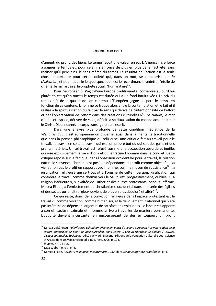d'argent, du profit, des biens. Le temps reçoit une valeur en soi. L'Américain s'efforce à gagner le temps et, pour cela, il s'enfonce de plus en plus dans l'activité, sans réaliser qu'il perd ainsi le sens même du temps. Le résultat de l'action est la seule chose importante pour cette société qui, dans un mot, se caractérise par *la civilisation*, et pour laquelle le type spécifique est le recordman, la vedette, l'étoile de  $c$ inéma, le milliardaire, le prophète social, l'humanitaire $^{16}$ .

Pour l'européen (il s'agit d'une Europe traditionnelle, conservée aujourd'hui plutôt en est qu'en ouest) le temps est durée qui a un fond intuitif vécu. Le prix du temps naît de la qualité de son contenu. L'Européen gagne ou perd le temps en fonction de ce contenu. L'homme se trouve alors entre la contemplation et le fait et il réalise « la spiritualisation du fait par le sens qui dérive de l'intentionnalité de l'effort et par l'objectivation de l'effort dans des créations culturelles »17. *La culture*, le mot clé de cet espace, dérivée de *culte*, définit la spiritualisation du monde accomplit par le Christ, Dieu incarné, le corps transfiguré par l'esprit.

Dans une analyse plus profonde de cette condition médiatrice de la *Weltanschauung* est européenne on discerne, aussi dans la mentalité traditionnelle que dans la pensée philosophique ou religieuse, une critique fait au travail pour le travail, au travail en soit, au travail qui est son propre but ou qui suit des gains et des profits matériels. Un tel travail est refusé comme une occupation absurde et inutile, qui vise exclusivement la vie « d'ici » et qui enracine l'homme dans le concret. Cette critique repose sur le fait que, dans l'obsession occidentale pour le travail, la relation naturelle s'inverse : l'homme est posé en dépendance du profit comme objectif de sa vie, et non pas le profit en rapport avec l'homme, comme moyen de subsistance<sup>18</sup>. La justification religieuse qui se trouvait à l'origine de cette inversion, justification qui considère le travail comme chemin vers le Salut, est, progressivement, oubliée. « La religion intérieure », si exaltée de Luther et des autres protestants, conduit, affirme Mircea Eliade, à l'émiettement du christianisme occidental dans une série des églises et des sectes où le fait religieux devient de plus en plus décoloré et altéré<sup>19</sup>.

Ce qui reste, donc, de la conviction religieuse dans l'espace protestant est le travail vu comme vocation, comme but en soi, et le dévouement irrationnel qui n'été pas intéressé de dépenser l'argent ni de satisfactions épicuriens. Le labeur est apporté à son efficacité maximale et l'homme arrive à travailler de manière permanente. L'activité devient incessante, en encourageant de désirer toujours un profit

<sup>16</sup> Mircea Vulcănescu, *Valorificarea culturii americane din punct de vedere european* / *La valorisation de la culture américaine de point de vuee européen*, dans *Opere II. Chipuri spirituale. Sociologie* / *Œuvres. Visages spirituelles. Sociologie*, édité par Marin Diaconu, Editions de la Fondation Culturelle pour Science et Art, Editions Univers Enciclopedic, București, 2005, p. 194. 17 *Ibidem*, p. 194-195.

 $18$  Max Weber, o. cit., p. 41.

<sup>19</sup> Mircea Eliade, *Revoluţii religioase, 9 septembrie 1932*, dans *50 de conferințe radiofonice*, p. 49.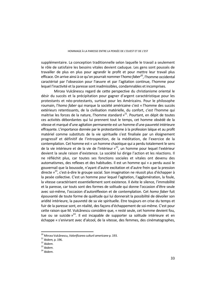supplémentaire. La conception traditionnelle selon laquelle le travail a seulement le rôle de satisfaire les besoins vitales devient caduque. Les gens sont poussés de travailler de plus en plus pour agrandir le profit et pour mettre leur travail plus efficace. On arrive ainsi à ce qu'on pourrait nommer l'*homo faber20*, l'homme occidental caractérisé par l'obsession pour l'œuvre et par l'agitation continue, l'homme pour lequel l'inactivité et la paresse sont inadmissibles, condamnables et incomprises.

Mircea Vulcănescu regard de cette perspective du christianisme oriental le désir du succès et la précipitation pour gagner d'argent caractéristique pour les protestants et néo-protestants, surtout pour les Américains. Pour le philosophe roumain, l'*homo faber* qui marque la société américaine c'est « l'homme des succès extérieurs retentissants, de la civilisation matérielle, du confort, c'est l'homme qui maitrise les forces de la nature. l'homme standard  $v^{21}$ . Pourtant, en dépit de toutes ces activités débordantes qui lui prennent tout le temps, cet homme obsédé de la vitesse et marqué d'une agitation permanente est un homme d'une pauvreté intérieure effrayante. L'importance donnée par le protestantisme à la profession laïque et au profit matériel comme substituts de la vie spirituelle s'est finalisée par un éloignement progressif et définitif de l'introspection, de la méditation, de l'exercice de la contemplation. Cet homme est « un homme chaotique qui a perdu totalement le sens de la vie intérieure et de la vie de l'intérieur  $v^{22}$ , un homme pour lequel l'extérieur devient la seule raison d'existence. La société lui dirige l'action et les réactions. Il ne réfléchit plus, car toutes ses fonctions sociales et vitales ont devenu des automatismes, des reflexes et des habitudes. Il est un homme qui « a perdu aussi le gouvernail que la boussole, n'ayant d'autre excitation et d'autre frein que la pression directe  $v^{23}$ , c'est-à-dire le groupe social. Son imagination ne réussit plus d'échapper à la pesée collective. C'est un homme pour lequel l'agitation, l'agglomération, la foule, la vitesse caractérisent essentiellement sont existence. Il évite le silence, l'immobilité et la paresse, car touts sont des formes de solitude qui donne l'occasion d'être seule avec soi-même, l'occasion d'autoréflexion et de contemplation. Cet *homo faber* fuit épouvanté de toute forme de quiétude qui lui donnerait la possibilité de dévoiler son aridité intérieure, la pauvreté de sa vie spirituelle. Etre toujours en crise du temps et fuir de la paresse sont, en réalité, des façons d'échappement de soi-même. C'est pour cette raison que M. Vulcănescu considère que, « resté seule, cet homme devient fou, tue ou se suicide  $x^{24}$ . Il est incapable de supporter sa solitude intérieure et en échappe « s'enivrant avec d'alcool, de la vitesse, des femmes, des cinématographes,

<sup>20</sup> Mircea Vulcănescu, *Valorificarea culturii americane* p. 193.

<sup>21</sup> *Ibidem,* p. 196. <sup>22</sup> *Ibidem*. <sup>23</sup> *Ibidem*. <sup>24</sup> *Ibidem*.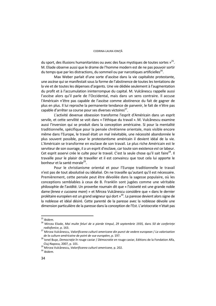du sport, des illusions humanitaristes ou avec des faux mystiques de toutes sortes  $v^{25}$ . M. Eliade observe aussi que le drame de l'homme modern est de ne pas pouvoir sortir du temps que par les distractions, du sommeil ou par narcotiques artificielles<sup>26</sup>.

Max Weber parlait d'une sorte d'ascèse dans la vie capitaliste protestante, une ascèse qui se manifestait sous la forme de l'abstinence de toutes les tentations de la vie et de toutes les dépenses d'argents. Une vie dédiée seulement à l'augmentation du profit et à l'accumulation ininterrompue du capital. M. Vulcănescu rappelle aussi l'ascèse alors qu'il parle de l'Occidental, mais dans un sens contraire. Il accuse l'Américain n'être pas capable de l'ascèse comme abstinence du fait de gagner de plus en plus. Il lui reproche la permanente tendance de parvenir, le fait de n'être pas capable d'arrêter sa course pour ses diverses victoires<sup>27</sup>.

L'activité devenue obsession transforme l'esprit d'Américain dans un esprit servile, et cette servilité se voit dans « l'éthique du travail ». M. Vulcănescu examine aussi l'inversion qui se produit dans la conception américaine. Si pour la mentalité traditionnelle, spécifique pour la pensée chrétienne orientale, mais visible encore même dans l'Europe, le travail était un mal inévitable, une nécessité abandonnée le plus souvent possible, pour le protestantisme américain il devient idéal de la vie. L'Américain se transforme en esclave de son travail. Le plus riche Américain est le serviteur de son ouvrage, il a un esprit d'esclave, car toute son existence *est* ce labeur. Cet esprit asservi crée le culte pour le travail. C'est la seule chose qu'il sait faire<sup>28</sup>. Il travaille pour le plaisir de travailler et il est convaincu que tout cela lui apporte le bonheur et la santé morale<sup>29</sup>.

Pour le christianisme oriental et pour l'Europe traditionnelle le travail n'est pas de tout absolutisé ou idéalisé. On ne travaille qu'autant qu'il est nécessaire. Premièrement, cette pensée peut être dévoilée dans la sagesse populaire, où les conceptions semblables à ceux de B. Franklin sont jugées comme une véritable philosophie de l'avidité. Un proverbe roumain dit que « l'oisiveté est une grande noble dame (*lenea e cucoana mare*) » et Mircea Vulcănescu considère que « dans le dernier prolétaire européen est un grand seigneur qui dort »30. La paresse devient alors signe de la noblesse et idéal désiré. Cette parenté de la paresse avec la noblesse dévoile une dimension particulière de la paresse dans la conception de l'Est. L'aristocratie n'était pas

 $25$  Ibidem.

<sup>25</sup> *Ibidem*. 26 Mircea Eliade, *Mai multe feluri de a pierde timpul*, *29 septembrie 1935,* dans *50 de conferinț<sup>e</sup>*

*radiofonice*, p. 163. 27 Mircea Vulcănescu, *Valorificarea culturii americane din punct de vedere european* / *La valorisation* 

*de la culture américaine de point de vue européen*, p. 197. 28 Ionel Buşe, *Democraţie în* rouge caviar / *Démocratie en* rouge caviar, Editions de la Fondation Alfa, Cluj-Napoca, 2007, p. 101. 29 Mircea Vulcănescu, *Valorificarea culturii americane,* p. 202. <sup>30</sup> *Ibidem*.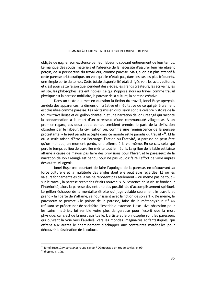obligée de gagner son existence par leur labeur, disposant entièrement de leur temps. Le manque des soucis matériels et l'absence de la nécessité d'assurer leur vie étaient perçus, de la perspective du travailleur, comme paresse. Mais, si on est plus attentif à cette paresse aristocratique, on voit qu'elle n'était pas, dans les cas les plus fréquents, une simple perte du temps. Cette totale disponibilité était dirigée vers les actes culturels et c'est pour cette raison que, pendent des siècles, les grands créateurs, les écrivains, les artiste, les philosophes, étaient nobles. Ce qui s'oppose alors au travail comme travail physique est la paresse nobiliaire, la paresse de la culture, la paresse créative.

Dans un texte qui met en question la fiction du travail, Ionel Buşe aperçoit, au-delà des apparences, la dimension créative et méditative de ce qui généralement est classifiée comme paresse. Les récits mis en discussion sont la célèbre histoire de la fourmi travailleuse et du grillon chanteur, et une narration de Ion Creangă qui raconte la condamnation à la mort d'un paresseux d'une communauté villageoise. A un premier regard, ces deux petits contes semblent prendre le parti de la civilisation obsédée par le labeur, la civilisation où, comme une réminiscence de la pensée protestante, « le seul paradis accepté dans ce monde est le paradis du travail  $v^{31}$ . Et là où la seule raison d'être est l'ouvrage, l'action ou l'activité, la paresse ne peut être qu'un manque, un moment perdu, une offense à la vie même. En ce cas, celui qui perd le temps au lieu de travailler mérite tout le mépris. Le grillon de la fable est laissé affamé à cause de n'avoir pas faire des provisions pour l'hiver, et le paresseux de la narration de Ion Creangă est pendu pour ne pas vouloir faire l'effort de vivre auprès des autres villageois.

Ionel Buşe ose pourtant de faire l'apologie de la paresse, en découvrant sa force culturelle et la multitude des angles dont elle peut être regardée. Là où les valeurs fondamentales de la vie ne reposent pas seulement – ou même pas de tout – sur le travail, la paresse reçoit des éclairs nouveaux. Si l'essence de la vie se fonde sur l'intériorité, alors la paresse devient une des possibilités d'accomplissement spirituel. Le grillon échappe de la mentalité étroite qui juge valable seulement le travail, et prend « la liberté de s'affamé, se nourrissant avec la fiction de son art ». De même, le paresseux se permet « le pointe de la paresse, faire de la métaphysique  $v^{32}$  en refusant se préoccuper de satisfaire l'insatiable estomac. L'exclusive obsession pour les soins matériels lui semble voire plus dangereuse pour l'esprit que la mort physique, car c'est de la mort spirituelle. L'artiste et le philosophe sont les paresseux qui ouvrent la voie vers l'au-delà, vers les mondes imaginaires et fantastiques, qui offrent aux autres le cheminement d'échapper aux contraintes matérielles pour découvrir la fascination de la culture.

<sup>&</sup>lt;sup>31</sup> Ionel Buşe, *Democrație în* rouge caviar / Démocratie en rouge caviar, p. 99.<br><sup>32</sup> *Ibidem.* p. 100.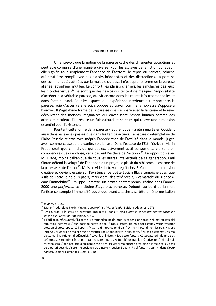On entrevoit que la notion de la paresse cache des différentes acceptions et peut être comprise d'une manière diverse. Pour les esclaves de la fiction du labeur, elle signifie tout simplement l'absence de l'activité, le repos ou l'arrête, relâche qui peut être rempli avec des plaisirs hédonistes et des distractions. La paresse des communautés attirées par la maladie du travail n'est qu'une forme de la paresse aliénée, atrophiée, mutilée. Le confort, les plaisirs charnels, les simulacres des jeux, les mondes virtuels<sup>33</sup> ne sont que des fiascos qui tentent de masquer l'impossibilité d'accéder à la véritable paresse, qui vit encore dans les mentalités traditionnelles et dans l'acte culturel. Pour les espaces où l'expérience intérieure est importante, la paresse, voie d'accès vers le soi, s'oppose au travail comme la noblesse s'oppose à l'ouvrier. Il s'agit d'une forme de la paresse que s'empare avec la fantaisie et le rêve, découvrant des mondes imaginaires qui envahissent l'esprit humain comme des arbres miraculeux. Elle réalise un fuit culturel et spirituel qui relève une dimension essentiel pour l'existence.

Pourtant cette forme de la paresse « authentique » a été signalée en Occident aussi dans les siècles passés que dans les temps actuels. La nature contemplative de Blaise Pascale rejette avec mépris l'appréciation de l'activité dans le monde, jugée avoir comme cause soit la vanité, soit la ruse. Dans l'espace de l'Est, l'écrivain Marin Preda croit que « l'individu qui est exclusivement actif consume sa vie sans en comprendre quelque chose, car il devient l'esclave de l'action  $v^{34}$ . En opposition avec M. Eliade, moins balkanique de tous les autres intellectuels de sa génération, Emil Cioran défend la volupté de l'abandon d'un projet, le plaisir du nihilisme, le charme de la paresse et de l'ennui<sup>35</sup>. Mais ce vide du travail recoit chez E. Cioran une dimension créative et devient essaie sur l'existence. Le poète Lucian Blaga témoigne aussi que « fils de l'acte je ne suis pas », mais « ami des ténèbres », « camarade du silence », dans l'immobilité<sup>36</sup>. Philippe Ramette, un artiste contemporain, réalise dans l'année 2000 une *performance* intitulée *Eloge à la paresse*. Debout, au bord de la mer, l'artiste contemple l'immensité aquatique ayant attaché à sa tête un énorme ballon

<sup>&</sup>lt;sup>33</sup> Ibidem, p. 105.<br><sup>34</sup> Marin Preda, dans Florin Mugur, *Convorbiri cu Marin Preda*, Editions Albatros, 1973.<br><sup>35</sup> Emil Cioran, « În sfârșit o existență împlinită », dans *Mircea Eliade în conștiința contemporanilor* 

*săi din exil,* Criterion Publishing, p. 85.<br><sup>36</sup> « Fără de număr sunteți, fii ai faptei, / pretutindeni pe drumuri, subt cer și prin case. / Numai eu stau aici fără folos, nemernic, / bun doar de-necat în ape. / Totuși aștept, de mult tot aștept / verun trecător atotbun și-atotdrept ca să-i spun : // O, nu-ți întoarce privirea, / O, nu-mi osândi nemișcarea. / Cresc între voi, ci umbrit de mâinile mele / misticul rod se rotunjește în altă parte. / Nu mă blestemați, nu mă blestemați! // Prieten al adâncului, / tovarăș al liniștei, / joc peste fapte. / Câteodată prin fluier de os strămoșesc / mă trimit în chip de cântec spre moarte. // Întrebător fratele mă privește, / mirată măntreabă sora, / dar încolăcit la picioarele mele / m-ascultă și mă pricepe prea bine / șarpele cel cu ochii de-a pururi deschiși / spre-nțelepciunea de dincolo », Lucian Blaga, « Fiu al faptei nu sunt », dans *Opera poetică*, Editions Humanitas, 1995, p. 140.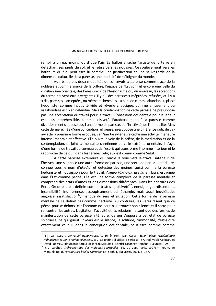rempli à un gaz moins lourd que l'air. Le ballon arrache l'artiste de la terre en détachant ses pieds du sol, et le retire vers les nouages. Ce soulèvement vers les hauteurs du ciel peut être lu comme une justification et une sauvegarde de la dimension culturelle de la paresse, une modalité de s'éloigner du monde.

Auprès de ces deux modalités de concevoir la paresse comme trace de la noblesse et comme source de la culture, l'espace de l'Est connait encore une, celle du christianisme orientale, des Pères Grecs, de l'hésychasme où, du nouveau, les acceptions du terme peuvent être divergentes. Il y a « des paresses » méprisées, refusées, et il y a « des paresses » acceptées, ou même recherchées. La paresse comme abandon au plaisir hédoniste, comme inactivité vide et rêverie chaotique, comme amusement ou vagabondage est bien défendue. Mais la condamnation de cette paresse ne présuppose pas une acceptation du travail pour le travail. L'obsession occidentale pour le labeur est aussi répréhensible, comme l'oisiveté. Paradoxalement, à la paresse comme divertissement s'oppose aussi une forme de paresse, de l'inactivité, de l'immobilité. Mais cette dernière, née d'une conception religieuse, présuppose une différence radicale visà-vis de la première forme évoquée, car l'inertie extérieure cache une activité intérieure intense, mentale et affective. Elle ouvre la voie de la prière, de la méditation et de la contemplation, et joint la mentalité chrétienne de celle extrême orientale. Il s'agit d'une forme de travail du cerveau et de l'esprit qui transforme l'homme intérieur et le rapproche de ce qui, dans les termes religieux est connu comme Salut.

A cette paresse extérieure qui ouvre la voie vers le travail intérieur de l'hésychasme s'oppose une autre forme de paresse, une sorte de paresse intérieure, connue sous le nom d'*akedia*, et détestée des moines, aussi comme la paresse hédoniste et l'obsession pour le travail. *Akedia* (άκηδία), *acedia* en latin, est jugée dans l'Est comme péché. Elle est une forme complexe de la paresse mentale et comprend des états d'âmes et des dimensions différentes. Dans les écritures des Pères Grecs elle est définie comme tristesse, oisiveté<sup>37</sup>, ennui, engourdissement, insensibilité, indifférence, assoupissement ou léthargie, mais aussi inquiétude, angoisse, insatisfaction<sup>38</sup>, manque du sens et agitation. Cette forme de la paresse mentale ne se définit pas comme inactivité. Au contraire, les Pères disent que ce péché pousse dehors, car l'homme ne peut plus trouver son silence et il sorte pour rencontrer les autres. L'agitation, l'activité et les relations ne sont que des formes de manifestation de cette paresse intérieure. Ce qui s'oppose à cet état de paresse spirituelle, ce qui guérit l'*akedia* est le silence, la solitude, l'immobilité, c'est-à-dire exactement ce qui, dans la conception occidentale, peut être nommé comme

<sup>37</sup> Sf. Ioan Casian, *Convorbiri duhovniceşti*, V, 16, în rom. Ioan Casian, *Scrieri alese. Așezămintele mănăstireşti şi Convorbiri duhovniceşti*, col. PSB (Părinţi şi Sciitori Bisericeşti), 57, trad. Vasile Cojocaru et David Popescu, Editura Institutului Biblic şi de Misiune al Bisericii Ortodoxe Române, Bucureşti, 1990 38 J.-C. Larchet, *Thérapeutique des maladies spirituelles*, Ed. Du Cerf, Paris, 1997; tr. roum. de

Manuela Bojin, *Terapeutica bolilor spirtuale*, Ed. Sophia, Bucuresti, 2001, p. 167.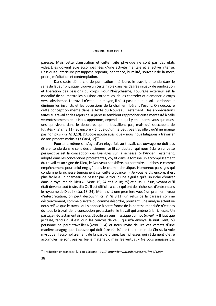paresse. Mais cette claustration et cette fixité physique ne sont pas des états vides. Elles doivent être accompagnées d'une activité mentale et affective intense. L'assiduité intérieure présuppose repentir, pénitence, humilité, souvenir de la mort, prière, méditation et contemplation.

Dans cette démarche de purification intérieure, le travail, entendu dans le sens du labeur physique, trouve un certain rôle dans les degrés initiaux de purification et libération des passions du corps. Pour l'hésychasme, l'ouvrage extérieur est la modalité de soumettre les pulsions corporelles, de les contrôler et d'amener le corps vers l'abstinence. Le travail n'est qu'un moyen, il n'est pas un but en soi. Il ordonne et diminue les instincts et les obsessions de la chair en libérant l'esprit. On découvre cette conception même dans le texte du Nouveau Testament. Des appréciations faites au travail et des rejets de la paresse semblent rapprocher cette mentalité à celle vétérotestamentaire : « Nous apprenons, cependant, qu'il y en a parmi vous quelquesuns qui vivent dans le désordre, qui ne travaillent pas, mais qui s'occupent de futilités » (*2 Th* 3,11), et encore « Si quelqu'un ne veut pas travailler, qu'il ne mange pas non plus » (*2 Th* 3,10). L'Apôtre ajoute aussi que « nous nous fatiguons à travailler de nos propres mains » (1 Cor 4,12)<sup>39</sup>.

Pourtant, même s'il s'agit d'un éloge fait au travail, cet ouvrage ne doit pas être entendu dans le sens des anciennes. Le fil conducteur qui nous éclaire sur cette perspective est la conception des Evangiles sur la richesse. Si l'Ancien Testament, adopté dans les conceptions protestantes, voyait dans la fortune un accomplissement du travail et un signe de Dieu, le Nouveau considère, au contraire, la richesse comme empêchement pour celui engagé dans le chemin christique. Nombreux passages qui condamne la richesse témoignent sur cette croyance : « Je vous le dis encore, il est plus facile à un chameau de passer par le trou d'une aiguille qu'à un riche d'entrer dans le royaume de Dieu ». (*Matt.* 19, 24 et *Luc* 18; 25) et aussi « Jésus, voyant qu'il était devenu tout triste, dit: Qu'il est difficile à ceux qui ont des richesses d'entrer dans le royaume de Dieu! » (*Luc* 18; 24). Même si, à une première vue, à un premier niveau d'interprétation, on peut découvrir ici (*2 Th* 3,11) un refus de la paresse comme désœuvrement, comme oisiveté ou comme désordre, pourtant, une analyse attentive nous relève que le travail qui s'oppose à cette forme de la paresse méprisée n'est pas du tout le travail de la conception protestante, le travail qui amène à la richesse. Un passage néotestamentaire nous dévoile un sens mystique du mot *travail* : « Il faut que je fasse, tandis qu'il est jour, les œuvres de celui qui m'a envoyé; la nuit vient, où personne ne peut travailler » (*Jean* 9, 4) et nous invite de lire ces versets d'une manière anagogique. L'œuvre qui doit être réalisée est le chemin du Christ, la voie mystique, l'accomplissement de la parole divine. Les richesses qui réclament d'être accumuler ne sont pas les biens matériaux, mais les vertus : « Ne vous amassez pas

<sup>39</sup> Traduction en français : [v. Louis Segond - 1910] *http://www.wordproject.org/fr/53/1.htm*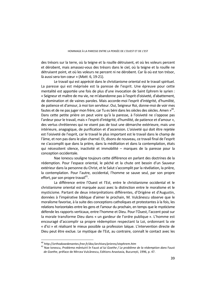des trésors sur la terre, où la teigne et la rouille détruisent, et où les voleurs percent et dérobent, mais amassez-vous des trésors dans le ciel, où la teigne et la rouille ne détruisent point, et où les voleurs ne percent ni ne dérobent. Car là où est ton trésor, là aussi sera ton cœur » (*Matt.* 6, 19-21).

Le travail qui est apprécié dans le christianisme oriental est le travail spirituel. La paresse qui est méprisée est la paresse de l'esprit. Une épreuve pour cette mentalité est apportée une fois de plus d'une invocation de Saint Ephrem le syrien : « Seigneur et maître de ma vie, ne m'abandonne pas à l'esprit d'oisiveté, d'abattement, de domination et de vaines paroles. Mais accorde-moi l'esprit d'intégrité, d'humilité, de patience et d'amour, à moi ton serviteur. Oui, Seigneur Roi, donne-moi de voir mes fautes et de ne pas juger mon frère, car Tu es béni dans les siècles des siècles. Amen »<sup>40</sup>. Dans cette petite prière on peut voire qu'à la paresse, à l'oisiveté ne s'oppose pas l'ardeur pour le travail, mais « l'esprit d'intégrité, d'humilité, de patience et d'amour », des vertus chrétiennes qui ne visent pas de tout une démarche extérieure, mais une intérieure, anagogique, de purification et d'ascension. L'oisiveté qui doit être rejetée est l'oisiveté de l'esprit, car le travail le plus important est le travail dans le champ de l'âme, et non pas dans le plan charnel. Et, disons de nouveau, ce travail final de l'esprit ne s'accomplit que dans la prière, dans la méditation et dans la contemplation, états qui nécessitent silence, inactivité et immobilité – marques de la paresse pour la conception occidentale.

Nae Ionescu souligne toujours cette différence en parlant des doctrines de la rédemption. Pour l'espace oriental, le péché et la chute ont besoin d'un Sauveur extérieur dans la personne du Christ, et le Salut s'accomplit par la révélation, la prière, la contemplation. Pour l'autre, occidental, l'homme se sauve seul, par son propre effort, par son propre travail $41$ .

La différence entre l'Ouest et l'Est, entre le christianisme occidental et le christianisme oriental est marquée aussi avec la distinction entre le moralisme et le mysticisme. Partant de deux interprétations différentes, d'Origène et d'Augustin, données à l'impérative biblique d'aimer le prochain, M. Vulcănescu observe que le moralisme favorise, à la suite des conceptions catholiques et protestantes à la fois, les relations horizontales entre les gens et l'amour du prochain, en temps que le mysticisme défende les rapports verticaux, entre l'homme et Dieu. Pour l'Ouest, l'accent posé sur la morale transforme Dieu dans « un gardeur de l'ordre publique ». L'homme est encouragé d'accomplir sa propre rédemption respectant la Loi, ordonnant la vie « d'ici » et réalisant le mieux possible sa profession laïque. L'intervention directe de Dieu peut être exclue. Le mystique de l'Est, au contraire, connaît le contact avec les

<sup>40</sup> *http://orthodoxedenantes.free.fr/doc/archives/prieres/stephrem.htm* 41 Nae Ionescu, *Problema mântuirii în* Faust *al lui Goethe / Le problème de la rédemption dans* Faust *de Goethe*, préface de Mircea Vulcănescu, Editions Anastasia, București, 1996, p. 47.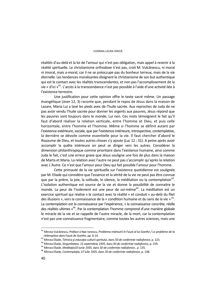#### CODRINA-LAURA IONIŢĂ

réalités d'au-delà et la loi de l'amour qui n'est pas obligation, mais appel à revenir à la réalité spirituelle. Le christianisme orthodoxe n'est pas, croit M. Vulcănescu, ni moral ni imoral, mais a-moral, car il ne se préoccupe pas du bonheur terreux, mais de la vie éternelle. Les tendances moralisantes éloignent le christianisme de son but authentique qui est le contact avec les réalités transcendantes, et non pas l'accomplissement de la vie « d'ici »42. L'accès à la transcendance n'est pas possible à l'aide d'une activité liée à l'existence terrestre.

Une justification pour cette opinion offre le texte sacré même. Un passage évangélique (*Jean* 12, 3) raconte que, pendant le repos de Jésus dans la maison de Lazare, Maria Lui a lavé les pieds avec de l'huile sacrée. Aux reproches de Juda de ne pas avoir vendu l'huile sacrée pour donner les argents aux pauvres, Jésus répond que les pauvres sont toujours dans le monde, Lui non. Ces mots témoignent le fait qu'il faut d'abord réaliser la relation verticale, entre l'homme et Dieu, et puis celle horizontale, entre l'homme et l'homme. Même si l'homme se définit autant par l'existence extérieure, sociale, que par l'existence intérieure, introspective, contemplative, la dernière se dévoile comme essentielle pour la vie. Il faut chercher d'abord le Royaume de Dieu, et toutes autres choses s'y ajoute (*Luc* 12 ; 31). A peine après avoir accomplir la quête intérieure on peut se diriger vers les autres. Considérer la dimension philanthropique comme prioritaire dans l'existence humaine, ainsi comme Juda le fait, c'est une erreur grave que Jésus souligne une fois de plus dans la maison de Marta et Maria. La relation avec l'autre ne peut pas s'accomplir qu'après la relation avec L'Autre. Ce n'est que l'amour pour Dieu qui fait possible l'amour pour l'homme.

Cette primauté de la vie spirituelle sur l'existence quotidienne est soulignée par M. Eliade qui considère que l'essence et la vérité de la vie ne peut pas être connue que par la prière, la joie, la solitude, le silence, la méditation ou la contemplation<sup>43</sup>. L'isolation authentique est source de la vie et donne la possibilité de connaitre le monde. La peur de l'isolement est une peur de soi-même<sup>44</sup>. La méditation est un exercice spirituel qui réalise « le contact avec la réalité » et conduit « au-delà du filet des illusions », vers la connaissance de la « condition humaine et du sens de la vie » 45. La contemplation est la connaissance par l'expérience, « la connaissance concrète, réelle des réalités ultimes »46. Par la contemplation l'homme comprend d'une manière globale le miracle de la vie et se rappelle de l'autre miracle, de la mort, car la contemplation n'est pas une connaissance fragmentaire, comme toutes les autres sciences, mais une

<sup>42</sup> Mircea Vulcănescu, *Préface* à Nae Ionescu, *Problema mântuirii în* Faust *al lui Goethe / Le problème de la* 

rédemption dans Faust de Goethe, pp. 6-14.<br>
<sup>43</sup> Mircea Eliade, *Tehnica și educația culturii spiritului*, dans 50 de conferințe radiofonice, p. 123.<br>
<sup>44</sup> Mircea Eliade, *Singurătatea. 15 septembrie 1935*, dans 50 de conf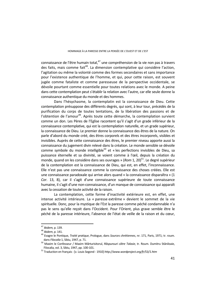connaissance de l'être humain total, $47$  une compréhension de la vie non pas à travers des faits, mais comme fait<sup>48</sup>. La dimension contemplative qui considère l'action, l'agitation ou même la volonté comme des formes secondaires et sans importance pour l'existence authentique de l'homme, et qui, pour cette raison, est souvent jugée comme fataliste et comme paresseuse de la perspective occidentale, se dévoile pourtant comme essentielle pour toutes relations avec le monde. A peine dans cette contemplation peut s'établir la relation avec l'autre, car elle seule donne la connaissance authentique du monde et des hommes.

Dans l'hésychasme, la contemplatin est la connaissance de Dieu. Cette contemplation présuppose des différents degrés, qui sont, à leur tour, précédés de la purification du corps de toutes tentations, de la libération des passions et de l'obtention de l'amour<sup>49</sup>. Après toute cette démarche, la contemplation survient comme un don. Les Pères de l'Eglise racontent qu'il s'agit d'un grade inférieur de la connaissance contemplative, qui est la contemplation naturelle, et un grade supérieur, la connaissance de Dieu. Le premier donne la connaissance des êtres de la nature. On parle d'abord du monde créé, des êtres corporels et des êtres incorporels, visibles et invisibles. Auprès de cette connaissance des êtres, le premier niveau apporte aussi la connaissance du jugement divin relevé dans la création. Le monde sensible se dévoile comme symbole du monde intelligible<sup>50</sup> et « les perfections invisibles de Dieu, sa puissance éternelle et sa divinité, se voient comme à l'œil, depuis la création du monde, quand on les considère dans ses ouvrages » (*Rom* 1, 20)51. Le degré supérieur de la contemplation est la connaissance de Dieu, qui est, en effet, l'inconnaissance. Elle n'est pas une connaissance comme la connaissance des choses créées. Elle est une connaissance paradoxale qui arrive alors quand « la connaissance disparaîtra » (1 *Cor*. 13, 8), car il s'agit d'une connaissance supérieure de toute connaissance humaine, il s'agit d'une non-connaissance, d'un manque de connaissance qui apparaît avec la cessation de toute activité de la raison.

La contemplation, cette forme d'inactivité extérieure est, en effet, une intense activité intérieure. La « paresse extrême » devient le sommet de la vie spirituelle. Donc, pour la mystique de l'Est la paresse comme péché condamnable n'a pas le sens qu'elle reçoit dans l'Occident. Pour l'Orient, plus grave semble être le péché de la paresse intérieure, l'absence de l'état de veille de la raison et du cœur,

<sup>&</sup>lt;sup>47</sup> *Ibidem,* p. 139.<br><sup>48</sup> *Ibidem,* p. 141.<br><sup>49</sup> Evagre le Pontique, *Traité pratique*, Prologue, dans *Sources chrétiennes*, nr. 171, Paris, 1971; tr. roum. dans *Filocalia* 1, Sibiu, 1947, p. 71. 50 Maxim le Confesseur / Maxim Mărturisitorul, *Răspunsuri către Talasie*, tr. Roum. Dumitru Stăniloaie,

Filocalia, vol. 3, Sibiu, 1947, pp. 100-101. 51 Traduction en français : [v. Louis Segond - 1910] *http://www.wordproject.org/fr/53/1.htm*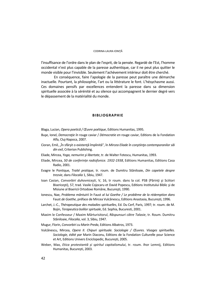l'insuffisance de l'ordre dans le plan de l'esprit, de la pensée. Regardé de l'Est, l'homme occidental n'est plus capable de la paresse authentique, car il ne peut plus quitter le monde visible pour l'invisible. Seulement l'achèvement intérieur doit être cherché.

En conséquence, faire l'apologie de la paresse peut paraître une démarche inactuelle. Pourtant, la philosophie, l'art ou la littérature le font. L'hésychasme aussi. Ces domaines pensifs par excellences entendent la paresse dans sa dimension spirituelle associée à la sérénité et au silence qui accompagnent le dernier degré vers le dépassement de la matérialité du monde.

#### **BIBLIOGRAPHIE**

Blaga, Lucian, *Opera poetică / Œuvre poétique*, Editions Humanitas, 1995.

- Buşe, Ionel, *Democraţie în* rouge caviar / *Démocratie en* rouge caviar, Editions de la Fondation Alfa, Cluj-Napoca, 2007.
- Cioran, Emil, "În sfârşit o existenţă împlinită", în *Mircea Eliade în conştiinţa contemporanilor săi din exil*, Criterion Publishing.
- Eliade, Mircea, *Yoga, nemurire şi libertate*, tr. de Walter Fotescu, Humanitas, 1993.
- Eliade, Mircea, *50 de conferințe radiofonice. 1932-1938*, Editions Humanitas, Editions Casa Radio, 2001.
- Evagre le Pontique, *Traité pratique*, tr. roum. de Dumitru Stăniloaie, *Din capetele despre trezvie*, dans *Filocalia* 1, Sibiu, 1947.
- Ioan Casian, *Convorbiri duhovnicești*, V, 16, tr roum. dans la col. PSB (Părinti și Sciitori Bisericeşti), 57, trad. Vasile Cojocaru et David Popescu, Editions Institutului Biblic şi de Misiune al Bisericii Ortodoxe Române, Bucureşti, 1990.
- Ionescu, Nae, *Problema mântuirii în* Faust *al lui Goethe / Le problème de la rédemption dans*  Faust *de Goethe*, préface de Mircea Vulcănescu, Editions Anastasia, București, 1996.
- Larchet, J.-C., *Thérapeutique des maladies spirituelles*, Ed. Du Cerf, Paris, 1997; tr. roum. de M. Bojin, *Terapeutica bolilor spirtuale*, Ed. Sophia, Bucuresti, 2001.
- Maxim le Confesseur / Maxim Mărturisitorul, *Răspunsuri către Talasie*, tr. Roum. Dumitru Stăniloaie, *Filocalia*, vol. 3, Sibiu, 1947.
- Mugur, Florin, *Convorbiri cu Marin Preda*, Editions Albatros, 1973.
- Vulcănescu, Mircea, *Opere II*. *Chipuri spirituale. Sociologie / Œuvres. Visages spirituelles. Sociologie, édité par* Marin Diaconu, Editions de la Fondation Culturelle pour Science et Art, Editions Univers Enciclopedic, București, 2005.
- Weber, Max, *Etica protestantă și spiritul capitalismului*, tr. roum. Ihor Lemnij, Editions Humanitas, București, 2003.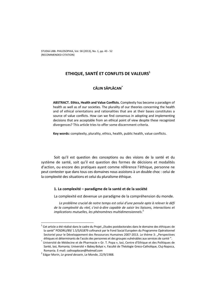# **ETHIQUE, SANTÉ ET CONFLITS DE VALEURS1**

# **CĂLIN SĂPLĂCAN\***

**ABSTRACT. Ethics, Health and Value Conflicts.** Complexity has become a paradigm of health as well as of our societies. The plurality of our theories concerning the health and of ethical orientations and rationalities that are at their bases constitutes a source of value conflicts. How can we find consensus in adopting and implementing decisions that are acceptable from an ethical point of view despite these recognized divergences? This article tries to offer some discernment criteria.

**Key words:** complexity, plurality, ethics, health, public health, value conflicts.

Soit qu'il est question des conceptions ou des visions de la santé et du système de santé, soit qu'il est question des formes de décisions et modalités d'action, ou encore des pratiques ayant comme référence l'éthique, personne ne peut contester que dans tous ces domaines nous assistons à un double choc : celui de la complexité des situations et celui du pluralisme éthique.

# **1. La complexité – paradigme de la santé et de la société**

La complexité est devenue un paradigme de la compréhension du monde.

*Le problème crucial de notre temps est celui d'une pensée apte à relever le défi de la complexité du réel, c'est-à-dire capable de saisir les liaisons, interactions et implications mutuelles, les phénomènes multidimensionnels.*<sup>2</sup>

 $^{\rm 1}$  Cet article a été réalisé dans le cadre du Projet "Etudes postdoctorales dans le domaine des éthiques de la santé" POSDRU/89/ 1.5/S/61879 cofinancé par le Fond Social Européen du Programme Opérationnel Sectoriel pour le Développement des Ressources Humaines 2007-2013. Le thème 3: "Perspectives éthiques et déterminants de l'accès des personnes et des groupes vulnérables aux services de santé ". \*

Université de Médecine et de Pharmacie « Gr. T. Popa », Iasi, Centre d'Ethique et des Politiques de Santé, Iasi, Romania; Université « Babeş-Bolyai », Faculté de Théologie Greco-Catholique, Cluj-Napoca, Romania. E-mail: *calinsaplacan@hotmail.com* 2

Edgar Morin, *Le grand dessein*, Le Monde, 22/9/1988.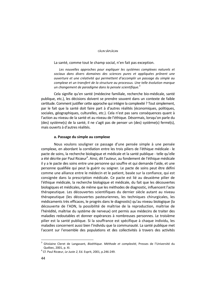#### CĂLIN SĂPI ĂCAN

La santé, comme tout le champ social, n'en fait pas exception.

Les nouvelles approches pour expliquer les systèmes complexes naturels et *sociaux dans divers domaines des sciences pures et appliquées prônent une ouverture et une créativité qui permettent d'accomplir un passage du simple au complexe et un transfert de la structure au processus. Une telle évolution marque un changement de paradigme dans la pensée scientifique.*<sup>3</sup>

Cela signifie qu'en santé (médecine familiale, recherche bio-médicale, santé publique, etc.), les décisions doivent se prendre souvent dans un contexte de faible certitude. Comment justifier cette approche qui intègre la complexité ? Tout simplement, par le fait que la santé doit faire part à d'autres réalités (économiques, politiques, sociales, géographiques, culturelles, etc.). Cela n'est pas sans conséquences quant à l'action au niveau de la santé et au niveau de l'éthique. Désormais, lorsqu'on parle du (des) système(s) de la santé, il ne s'agit pas de penser un (des) système(s) fermé(s), mais ouverts à d'autres réalités.

### **a. Passage du simple au complexe**

Nous voulons souligner ce passage d'une pensée simple à une pensée complexe, en abordant la corrélation entre les trois piliers de l'éthique médicale - le pacte de soins, la recherche biologique et médicale et la santé publique - telle qu'elle a été décrite par Paul Ricœur<sup>4</sup>. Ainsi, dit l'auteur, au fondement de l'éthique médicale il y a le pacte des soins entre une personne qui souffre et qui demande l'aide, et une personne qualifiée qui peut la guérir ou soigner. Le pacte de soins peut être défini comme une alliance entre le médecin et le patient, basée sur la confiance, qui est consignée dans la prescription médicale. Ce pacte est lié au deuxième pilier de l'éthique médicale, la recherche biologique et médicale, du fait que les découvertes biologiques et médicales, de même que les méthodes de diagnostic, influencent l'acte thérapeutique. Les découvertes scientifiques du dernier siècle autant au niveau thérapeutique (les découvertes pasteuriennes, les techniques chirurgicales, les médicaments très efficaces, le progrès dans le diagnostic) qu'au niveau biologique (la découverte de l'ADN, la possibilité de maîtrise de la reproduction, maîtrise de l'hérédité, maîtrise du système de nerveux) ont permis aux médecins de traiter des maladies redoutables et donner espérances à nombreuses personnes. Le troisième pilier est la santé publique. Si la souffrance est spécifique à chaque individu, les maladies concernent aussi bien l'individu que la communauté. La santé publique met l'accent sur l'ensemble des populations et des collectivités à travers des activités

<sup>3</sup> Ghislaine Cleret de Langavant*, Bioéthique. Méthode et complexité*, Presses de l'Université du Québec, 2001, p. XI. 4

Cf. Paul Ricœur, *Le Juste 2*, Ed. Esprit, 2001, p.246-249.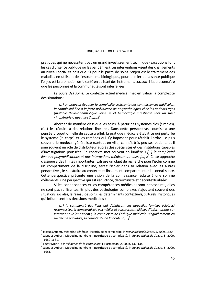pratiques qui ne nécessitent pas un grand investissement technique (exceptions font les cas d'urgence publique ou les pandémies). Les interventions visent des changements au niveau social et politique. Si pour le pacte de soins l'enjeu est le traitement des maladies en utilisant des instruments biologiques, pour le pilier de la santé publique l'enjeu est la promotion de la santé en utilisant des instruments sociaux. Il faut reconnaître que les personnes et la communauté sont interreliées.

*Le pacte des soins.* Le contexte actuel médical met en valeur la complexité des situations :

*[…] on pourrait évoquer la complexité croissante des connaissances médicales, la complexité liée à la forte prévalence de polypathologies chez les patients âgés (maladie thromboembolique veineuse et hémorragie intestinale chez un sujet «inopérable», que faire ?…)[…]*<sup>5</sup>

Aborder de manière classique les soins, à partir des systèmes clos (simples), c'est les réduire à des relations linéaires. Dans cette perspective, soumise à une pensée proportionnelle de cause à effet, la pratique médicale établit ce qui perturbe le système (le corps) et les remèdes qui s'y imposent pour rétablir l'ordre. Le plus souvent, le médecin généraliste (surtout en ville) connaît très peu ses patients et il joue souvent un rôle de distributeur auprès des spécialistes et des institutions capables d'investigations poussées. Ce contexte met souvent en lumière *« […] la complexité liée aux polymédications et aux interactions médicamenteuses […] »*<sup>6</sup> Cette approche classique a des limites importantes. Extraire un objet de recherche pour l'isoler comme un compartiment de la discipline, serait l'isoler dans sa relation avec les autres perspectives, le soustraire au contexte et finalement compartimenter la connaissance. Cette perspective présente une vision de la connaissance réduite à une somme d'éléments, une perspective qui est réductrice, déterministe et décontextualisée<sup>7</sup>.

Si les connaissances et les compétences médicales sont nécessaires, elles ne sont pas suffisantes. En plus des pathologies complexes s'ajoutent souvent des situations sociales, le réseau de soins, les déterminants contextuels, culturels, historiques qui influencent les décisions médicales :

*[…] la complexité des liens qui définissent les nouvelles familles éclatées/ recomposées, la complexité liée aux médias et aux sources multiples d'informations sur internet pour les patients, la complexité de l'éthique médicale, singulièrement en médecine palliative, la complexité de la douleur […]*<sup>8</sup>

<sup>&</sup>lt;sup>5</sup> Jacques Aubert, Médecine générale : incertitude et complexité, in *Revue Médicale Suisse*, 5, 2009, 1680.<br><sup>6</sup> Jacques Aubert, Médecine générale : incertitude et complexité, in *Revue Médicale Suisse*, 5, 2009, Jacques Aubert, Médecine générale : incertitude et complexité, in *Revue Médicale Suisse*, 5, 2009,

 $1680 - 1681.$ <sup>7</sup> Edgar Morin

Edgar Morin, *L'intelligence de la complexité*, L'Harmattan, 2000, p. 137-138. 8

Jacques Aubert, Médecine générale : incertitude et complexité, in *Revue Médicale Suisse*, 5, 2009, 1681.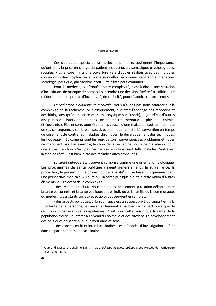#### CĂLIN SĂPI ĂCAN

Ces quelques aspects de la médecine primaire, soulignent l'importance qu'ont dans la prise en charge du patient les approches somatique, psychologiques, sociales. Plus encore il y a une ouverture vers d'autres réalités avec des multiples connexions interdisciplinaires et professionnelles : économie, géographie, médecine, sociologie, politique, philosophie, droit … et la liste peut continuer.

Pour le médecin, confronté à cette complexité, c'est-à-dire à une situation d'incertitude, de manque de consensus, prendre une décision s'avère être difficile. Le médecin doit faire preuve d'inventivité, de curiosité, pour résoudre ces problèmes.

*La recherche biologique et médicale.* Nous n'allons pas nous attarder sur la complexité de la recherche. Si, classiquement, elle était l'apanage des médecins et des biologistes (prédominance du corps physique sur l'esprit), aujourd'hui d'autres disciplines qui interviennent dans son champ (mathématique, physique, chimie, éthique, etc.). Plus encore, pour étudier les causes d'une maladie il faut tenir compte de ses conséquences sur le plan social, économique, affectif. L'intervention en temps de crise, la lutte contre les maladies chroniques, le développement des techniques, les nouveaux médicaments sont les lieux de son intervention. Les problèmes éthiques ne manquent pas. Par exemple, le choix de la recherche pour une maladie ou pour une autre. Ce choix n'est pas neutre, car en choisissant telle maladie, l'autre est laissée de côté. C'est bien le cas des maladies dites orphelines.

*La santé publique* était souvent comprise comme une orientation biologique. Les programmes de santé publique visaient généralement : la surveillance, la protection, la prévention, la promotion de la santé<sup>9</sup> qui se faisait uniquement dans une perspective médicale. Aujourd'hui, la santé publique ajoute à cette vision d'autres éléments, qui relèvent de la complexité:

- des systèmes sociaux. Nous rappelons simplement la relation délicate entre la santé personnelle et la santé publique, entre l'individu et la famille ou la communauté, où médecins, assistants sociaux et sociologues œuvrent ensembles.

- des aspects politiques. Si la souffrance est un aspect privé qui appartient à la singularité de la personne, les maladies tiennent aussi bien de l'aspect privé que de celui public (par exemple les épidémies). C'est pour cette raison que la santé de la population trouve un intérêt au niveau du politique et des citoyens. Le développement des politiques de santé publique vont dans ce sens.

- des aspects multi et interdisciplinaires. Les méthodes d'investigation se font dans un partenariat multidisciplinaire.

<sup>9</sup> Raymond Massé et Jocelyne Saint-Arnaud, *Ethique et santé publique*, Les Presses de l'Université Laval, 2003, p. 6.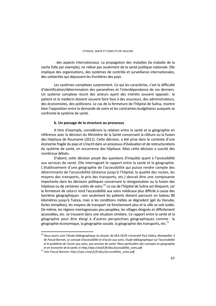- des aspects internationaux. La propagation des maladies (la maladie de la vache folle par exemple), ne relève pas seulement de la santé publique nationale. Elle implique des organisations, des systèmes de contrôle et surveillance internationales, des solidarités qui dépassent les frontières des pays.

Les systèmes complexes surprennent. Ce qui les caractérise, c'est la difficulté d'identification/détermination des paramètres et l'interdépendance de ces derniers. Un système complexe réunit des acteurs ayant des intérêts souvent opposés : le patient et le médecin doivent souvent faire face à des assureurs, des administrateurs, des économistes, des politiciens. Le cas de la fermeture de l'hôpital de Sulina, montre bien l'opposition entre la demande de soins et les contraintes budgétaires auxquels se confronte le système de santé.

### **b. Un passage de la structure au processus**

A titre d'exemple, considérons la relation entre la santé et la géographie en référence avec la décision du Ministère de la Santé concernant la clôture ou la fusion des hôpitaux de Roumanie (2011). Cette décision, a été prise dans le contexte d'une économie fragile du pays et s'inscrit dans un processus d'évaluation et de restructurations du système de santé, en occurrence des hôpitaux. Mais cette décision a suscité des nombreux débats.

D'abord, cette décision posait des questions d'iniquités quant à l'accessibilité aux services de santé. Elle interrogeait le rapport entre la santé et la géographie. L'établissement d'une géographie de l'accessibilité qui puisse rendre compte des déterminants de l'accessibilité (distance jusqu'à l'hôpital, la qualité des routes, les moyens des transports, le prix des transports, etc.) devrait être une composante importante dans les décisions politiques concernant la réorganisation ou la fusion des hôpitaux ou de certaines unités de soins.10 Le cas de l'hôpital de Sulina est éloquent, car la fermeture de celui-ci rend l'accessibilité aux soins médicaux plus difficile à cause des barrières géographiques : non seulement les patients doivent parcourir en bateau 80 kilomètres jusqu'à Tulcea, mais si les conditions météo se dégradent (gel du Danube, fortes tempêtes), les moyens de transport ne fonctionnent plus et la ville se voit isolée. De même, les régions montagneuses peu peuplées, les villages éloignés et difficilement accessibles, etc. se trouvent dans une situation similaire. Ce rapport entre la santé et la géographie peut être élargi à d'autres perspectives géographiques comme : la géographie économique, la géographie sociale, la géographie des transports, etc.<sup>11</sup>

<sup>&</sup>lt;sup>10</sup> Nous avons suivi l'étude bibliographique du dossier de DEA GEOS Université Paul Valéry, Montpellier 3 de Pascal Bonnet, *Le concept d'accessibilité et d'accès aux soins. Etude bibliographique sur l'accessibilité et le problème de l'accès aux soins, aux services de santé. Place particulière des concepts en géographie* 

*et en économie de la santé*, in *http://epe.cirad.fr/fr/doc/accessibilite\_soins.pdf*. 11 Voir Pascal Bonnet: *http://epe.cirad.fr/fr/doc/accessibilite\_soins.pdf*.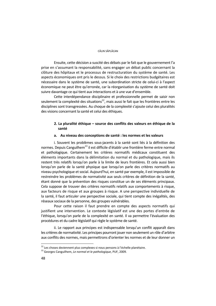#### CĂLIN SĂPI ĂCAN

Ensuite, cette décision a suscité des débats par le fait que le gouvernement l'a prise en s'assumant la responsabilité, sans engager un débat public concernant la clôture des hôpitaux et le processus de restructuration du système de santé. Les aspects économiques ont pris le dessus. Si le choix des restrictions budgétaires est nécessaire dans le système de santé, une subordination stricte de celui-ci à l'aspect économique ne peut être qu'erronée, car la réorganisation du système de santé doit suivre davantage ce qui tient aux interactions et à une vue d'ensemble.

 Cette interdépendance disciplinaire et professionnelle permet de saisir non seulement la complexité des situations<sup>12</sup>, mais aussi le fait que les frontières entre les disciplines sont transgressées. Au choque de la complexité s'ajoute celui des pluralités des visions concernant la santé et celui des éthiques.

# **2. La pluralité éthique – source des conflits des valeurs en éthique de la santé**

# **a. Au niveau des conceptions de santé : les normes et les valeurs**

i. Souvent les problèmes sous-jacents à la santé sont liés à la définition des normes. Depuis Canguilhem<sup>13</sup> il est difficile d'établir une frontière ferme entre normal et pathologique. Certainement les critères normatifs médicaux constituent des éléments importants dans la délimitation du normal et du pathologique, mais ils restent très relatifs lorsqu'on parle à la limite de leurs frontières. Et cela aussi bien lorsqu'on parle de la santé physique que lorsqu'on parle des critères normatifs au niveau psychologique et social. Aujourd'hui, en santé par exemple, il est impossible de restreindre les problèmes de normativité aux seuls critères de définition de la santé, étant donné que la prévention des risques constitue un de ses éléments principaux. Cela suppose de trouver des critères normatifs relatifs aux comportements à risque, aux facteurs de risque et aux groupes à risque. A une perspective individuelle de la santé, il faut articuler une perspective sociale, qui tient compte des inégalités, des réseaux sociaux de la personne, des groupes vulnérables.

Pour cette raison il faut prendre en compte des aspects normatifs qui justifient une intervention. Le contexte législatif est une des portes d'entrée de l'éthique, lorsqu'on parle de la complexité en santé. Il va permettre l'évaluation des procédures et du cadre législatif qui règle le système de santé.

ii. Le rapport aux principes est indispensable lorsqu'un conflit apparaît dans les critères de normativité. Les principes pourront jouer non seulement un rôle d'arbitre aux conflits des normes, mais permettrons d'orienter les normes et de leur donner un

<sup>&</sup>lt;sup>12</sup> Les choses deviennent plus complexes si nous pensons à l'échelle planétaire.<br><sup>13</sup> Georges Canguilhem, *Le normal et le pathologique*, PUF, 2009.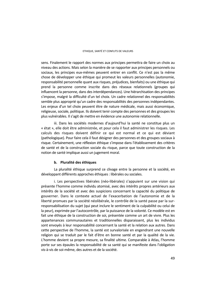#### ETHIQUE, SANTÉ ET CONFLITS DE VALEURS

sens. Finalement le rapport des normes aux principes permettra de faire un choix au niveau des actions. Mais selon la manière de se rapporter aux principes personnels ou sociaux, les principes eux-mêmes peuvent entrer en conflit. Ce n'est pas la même chose de développer une éthique qui promeut les valeurs personnelles (autonomie, responsabilité personnelle quant aux risques, préjudices, bienfaits) ou une éthique qui prend la personne comme inscrite dans des réseaux relationnels (groupes qui influencent la personne, dans des interdépendances). Une hiérarchisation des principes s'impose, malgré la difficulté d'un tel choix. Un cadre relationnel des responsabilités semble plus approprié qu'un cadre des responsabilités des personnes indépendantes. Les enjeux d'un tel choix peuvent être de nature médicale, mais aussi économique, religieuse, sociale, politique. Ils doivent tenir compte des personnes et des groupes les plus vulnérables. Il s'agit de mettre en évidence une autonomie relationnelle.

iii. Dans les sociétés modernes d'aujourd'hui la santé ne constitue plus un « état », elle doit être administrée, et pour cela il faut administrer les risques. Les calculs des risques doivent définir ce qui est normal et ce qui est déviant (pathologique). Pour faire cela il faut désigner des personnes et des groupes sociaux à risque. Certainement, une réflexion éthique s'impose dans l'établissement des critères de santé et de la construction sociale du risque, parce que toute construction de la notion de santé implique aussi un jugement moral.

### **b. Pluralité des éthiques**

La pluralité éthique surprend ce clivage entre la personne et la société, en développant différents approches éthiques : libérales ou sociales.

i. Les perspectives libérales (néo-libérales) s'appuient sur une vision qui présente l'homme comme individu atomisé, avec des intérêts propres antérieurs aux intérêts de la société et avec des suspicions concernant la capacité du politique de gouverner. Dans le contexte actuel de l'exacerbation de l'autonomie et de la liberté promues par la société néolibérale, le contrôle de la santé passe par la surresponsabilisation du sujet (qui peut inclure le sentiment de la culpabilité ou celui de la peur), exprimée par l'autocontrôle, par la puissance de la volonté. Ce modèle est en fait une éthique de la construction de soi, présentée comme un art de vivre. Plus les appartenances communautaires et traditionnelles disparaissent, plus les individus sont envoyés à leur responsabilité concernant la santé et la relation aux autres. Dans cette perspective de l'homme, la santé est survalorisée en engendrant une nouvelle religion qui se traduit par le fait d'être en bonne santé et par la qualité de la vie. L'homme devient sa propre mesure, sa finalité ultime. Comparable à Atlas, l'homme porte sur ses épaules la responsabilité de sa santé qui se manifeste dans l'obligation vis-à-vis de soi-même, des autres et de la société.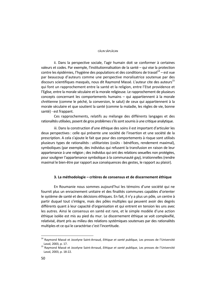#### CĂLIN SĂPI ĂCAN

ii. Dans la perspective sociale, l'agir humain doit se conformer à certaines valeurs et codes. Par exemple, l'institutionnalisation de la santé – qui vise la protection contre les épidémies, l'hygiène des populations et des conditions de travail $14 - 1$ est vue par beaucoup d'auteurs comme une perspective moralisatrice soutenue par des discours scientifiques masqués, nous dit Raymond Massé. L'auteur cite des auteurs<sup>15</sup> qui font un rapprochement entre la santé et la religion, entre l'Etat providence et l'Eglise, entre la morale séculaire et la morale religieuse. Le rapprochement de plusieurs concepts concernant les comportements humains – qui appartiennent à la morale chrétienne (comme le péché, la conversion, le salut) de ceux qui appartiennent à la morale séculaire et que soutient la santé (comme la maladie, les règles de vie, bonne santé) - est frappant.

Ces rapprochements, relatifs au mélange des différents langages et des rationalités utilisées, posent de gros problèmes s'ils sont soumis à une critique analytique.

iii. Dans la construction d'une éthique des soins il est important d'articuler les deux perspectives : celle qui présente une société de l'insertion et une société de la prescription. A cela s'ajoute le fait que pour des comportements à risque sont utilisés plusieurs types de rationalités : utilitaristes (coûts - bénéfices, rendement maximal), symboliques (par exemple, des individus qui refusent la transfusion en raison de leur appartenance à une religion ; des individus qui ont des relations sexuelles non protégées, pour souligner l'appartenance symbolique à la communauté gay), irrationnelles (rendre maximal le bien-être par rapport aux conséquences des gestes, le rapport au plaisir).

### **3. La méthodologie – critères de consensus et de discernement éthique**

En Roumanie nous sommes aujourd'hui les témoins d'une société qui ne fournit plus un enracinement unitaire et des finalités communes capables d'orienter le système de santé et des décisions éthiques. En fait, il n'y a plus un pôle, un centre à partir duquel tout s'intègre, mais des pôles multiples qui peuvent avoir des degrés différents quant à leur capacité d'organisation et qui entrent en tension les uns avec les autres. Ainsi le consensus en santé est rare, et le simple modèle d'une action éthique isolée est mis au pied du mur. Le discernement éthique se voit complexifié, relativisé, étant pris au milieu des relations systémiques soutenues par des rationalités multiples et ce qui le caractérise c'est l'incertitude.

<sup>&</sup>lt;sup>14</sup> Raymond Massé et Jocelyne Saint-Arnaud, *Ethique et santé publique*, Les presses de l'Université Laval, 2003, p. 17. 15 Raymond Massé et Jocelyne Saint-Arnaud, *Ethique et santé publique*, Les presses de l'Université

Laval, 2003, p. 18-22.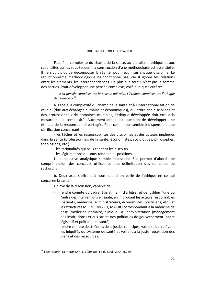#### ETHIQUE, SANTÉ ET CONFLITS DE VALEURS

Face à la complexité du champ de la santé, au pluralisme éthique et aux rationalités qui les sous-tendent, la construction d'une méthodologie est essentielle. Il ne s'agit plus de décomposer la réalité, pour réagir sur chaque discipline. Le réductionnisme méthodologique ne fonctionne pas, car il ignore les relations entre les éléments, les interdépendances. De plus « le tout » n'est pas la somme des parties. Pour développer une pensée complexe, voilà quelques critères :

*« La pensée complexe est la pensée qui relie. L'éthique complexe est l'éthique de reliance. »<sup>16</sup>*

 a. Face à la complexité du champ de la santé et à l'internationalisation de celle-ci (due aux échanges humains et économiques), qui attire des disciplines et des professionnels de domaines multiples, l'éthique développée doit être à la mesure de la complexité. Autrement dit, il est question de développer une éthique de la responsabilité partagée. Pour cela il nous semble indispensable une clarification concernant :

- les tâches et les responsabilités des disciplines et des acteurs impliqués dans la santé (professionnels de la santé, économistes, sociologues, philosophes, théologiens, etc.)

- les rationalités qui sous-tendent les discours

- les légitimations qui sous-tendent les positions

La perspective analytique semble nécessaire. Elle permet d'abord une compréhension des concepts utilisés et une délimitation des domaines de recherche.

b. Deux axes s'offrent à nous quand on parle de l'éthique en ce qui concerne la santé :

Un axe de la discussion, capable de :

- rendre compte du cadre législatif, afin d'arbitrer et de justifier l'une ou l'autre des interventions en santé, en impliquant les acteurs responsables (patients, médecins, administrateurs, économistes, politiciens, etc.) et les structures MICRO, MEZZO, MACRO correspondant à la médicine de base (médecine primaire, clinique), à l'administration (management des institutions) et aux structures politiques de gouvernement (cadre législatif et politique de santé).
- rendre compte des théories de la justice (principes, valeurs), qui relèvent les iniquités du système de santé et veillent à la juste répartition des biens et des ressources.

 $\overline{\phantom{a}}$ 16 Edgar Morin*, La Méthode*, t. 6, *L'Ethique*, Ed du Seuil, 2004, p.269.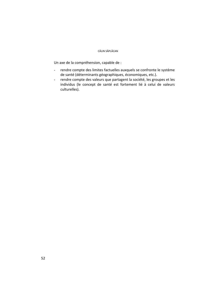#### CĂLIN SĂPI ĂCAN

Un axe de la compréhension, capable de :

- rendre compte des limites factuelles auxquels se confronte le système de santé (déterminants géographiques, économiques, etc.).
- rendre compte des valeurs que partagent la société, les groupes et les individus (le concept de santé est fortement lié à celui de valeurs culturelles).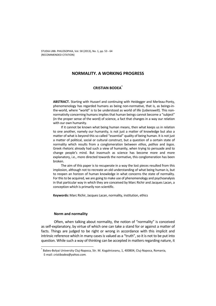# **NORMALITY. A WORKING PROGRESS**

# **CRISTIAN BODEA\***

**ABSTRACT.** Starting with Husserl and continuing with Heidegger and Merleau-Ponty, phenomenology has regarded humans as being non-normative, that is, as beings-inthe-world, where "world" is to be understood as world of life (*Lebenswelt*). This nonnormativity concerning humans implies that human beings cannot become a "subject" (in the proper sense of the word) of science, a fact that changes in a way our relation with our own humanity.

If it cannot be known what being human means, then what keeps us in relation to one another, namely our humanity, is not just a matter of knowledge but also a matter of what is beyond this so called "essential" quality of being human. It is not just a matter of political, social or cultural construct, but a question of a certain state of normality which results from a conglomeration between *ethos*, *pathos* and *logos*. Greek rhetoric already had such a view of humanity, when trying to persuade and to change people's mind. But inasmuch as science has become more and more explanatory, i.e., more directed towards the normative, this conglomeration has been broken.

The aim of this paper is to recuperate in a way the lost pieces resulted from this implosion, although not to recreate an old understanding of what being human is, but to reopen an horizon of human knowledge in what concerns the state of normality. For this to be acquired, we are going to make use of phenomenology and psychoanalysis in that particular way in which they are conceived by Marc Richir and Jacques Lacan, a conception which is primarily non scientific.

**Keywords:** Marc Richir, Jacques Lacan, normality, institution, ethics

#### **Norm and normality**

 $\overline{a}$ 

 Often, when talking about normality, the notion of "normality" is conceived as self-explanatory, by virtue of which one can take a stand for or against a matter of facts. Things are judged to be right or wrong in accordance with this implicit and intrinsic reference which in many cases is valued as a "truth", so it is not to be put into question. While such a way of thinking can be accepted in matters regarding nature, it

<sup>\*</sup> Babes-Bolyai University Cluj-Napoca, Str. M. Kogalniceanu, 1, 400804, Cluj-Napoca, Romania, E-mail: *cristibodea@yahoo.com.*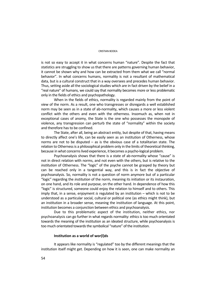#### CRISTIAN BODEA

is not so easy to accept it in what concerns human "nature". Despite the fact that statistics are struggling to show us that there are patterns governing human behavior, it cannot be shown why and how can be extracted from them what we call "normal behavior". In what concerns humans, normality is not a resultant of mathematical data, but is a cultural construct that in a way oversees and precedes human behavior. Thus, setting aside all the sociological studies which are in fact driven by the belief in a "real nature" of humans, we could say that normality becomes more or less problematic only in the fields of ethics and psychopathology.

 When in the fields of ethics, normality is regarded mainly from the point of view of the norm. As a result, one who transgresses or disregards a well established norm may be seen as in a state of ab-normality, which causes a more or less violent conflict with the others and even with the otherness. Insomuch as, when not in exceptional cases of anomy, the State is the one who possesses the monopole of violence, any transgression can perturb the state of "normality" within the society and therefore has to be confined.

 The State, after all, being an abstract entity, but despite of that, having means to directly affect one's life, can be easily seen as an institution of Otherness, whose norms are not to be disputed – as is the obvious case of a totalitarian state. The relation to Otherness is a philosophical problem only in the limits of theoretical thinking, because in what concerns lived experience, it becomes a psycho-logical problem.

 Psychoanalysis shows that there is a state of ab-normality whose "cause" is not in direct relation with norms, and not even with the others, but is relative to the *institution* of Otherness. The "logic" of the psyche cannot be grasped by theory but can be reached only in a tangential way, and this is in fact the objective of psychoanalysis. So, normality is not a question of norm anymore but of a particular "logic" regarding the *institution* of the norm, meaning its initiation or its instauration, on one hand, and its role and purpose, on the other hand. In dependence of how this "logic" is structured, someone could enjoy the relation to himself and to others. This imply that, in a sense, enjoyment *is* regulated by an institution – which is not to be understood as a particular social, cultural or political one (as ethics might think), but an institution in a broader sense, meaning the institution of language. At this point, institution becomes a conjunction between ethics and psychoanalysis.

 Due to this problematic aspect of the institution, neither ethics, nor psychoanalysis can go further in what regards normality: ethics is too much orientated towards the meaning of the institution as an ideated structure, while psychoanalysis is too much orientated towards the symbolical "nature" of the institution.

### **Institution as a world of wor(l)ds**

 It appears like normality is "regulated" too by the different meanings that the institution itself might get. Depending on how it is seen, one can make normality an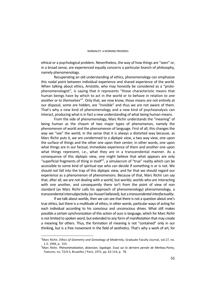ethical or a psychological problem. Nevertheless, the way of how things are "seen" or, in a broad sense, are experienced equally concerns a particular branch of philosophy, namely phenomenology.

 Recuperating an old understanding of ethics, phenomenology can emphasize this nodal point between individual experience and shared experience of the world. When talking about ethics, Aristotle, who may honestly be considered as a "protophenomenologist", is saying that it represents "those characteristic means that human beings have by which to act in the world or to behave in relation *to one*  another or to themselves<sup>"1</sup>. Only that, we now know, those means are not entirely at our disposal, some are hidden, are "invisible" and thus we are not aware of them. That's why a new kind of phenomenology and a new kind of psychoanalysis can interact, producing what is in fact a new understanding of what being human means.

 From the side of phenomenology, Marc Richir understands the "meaning" of being human as the chiasm of two major types of phenomenon, namely the phenomenon of world and the phenomenon of language. First of all, this changes the way we "see" the world, in the sense that it is always a distorted way because, as Marc Richir puts it, we are condemned to a *diplopic view*, a two way view, one upon the surface of things and the other one upon their center; in other words, one upon what things are in our factual, immediate experience of them and another one upon what things represent, i.e., what they are in a transcendental manner. As a consequence of this diplopic view, one might believe that what appears are only "superficial fragments of thing in itself"<sup>2</sup>, a simulacrum of "true" reality which can be accessible to some kind of spiritual eye who can decide if something is or is not. We should not fall into the trap of this diplopic view, and for that we should regard our experience as a phenomenon of phenomenons. Because of that, Marc Richir can say that, after all, we are not dealing with *a* world, but world*s*; worlds who are interacting with one another, and consequently there isn't from the point of view of non standard (as Marc Richir calls his approach of phenomenology) phenomenology, a transcendental intersubjectivity (as Husserl believed), but a *transcendental interfactuality*.

 If we talk about worlds, then we can see that there is not a question about one's true ethics, but there is a multitude of ethics, in other words, particular ways of acting for each individual according to his conscious and unconscious drives. What still makes possible a certain synchronization of this action of ours is language, which for Marc Richir is not limited to spoken word, but extended to any form of manifestation that may create a meaning for others. Thus, the formation of meaning is not "contained" only in our thinking, but is a free movement in the field of aesthetics. That's why a work of art, for

<sup>1</sup> Marc Richir, *Ethics of Geometry and Genealogy of Modernity*, Graduate Faculty Journal, vol.17, no. 1-2, 1994, p. 315. 2

Marc Richir*, Phénoménalisation, distorsion, logologie. Essai sur la derniere pensée de Merleau-Ponty*, Textures, no. 72/4.5, Bruxelles / Paris, 1972, pp. 63-114, p. 78.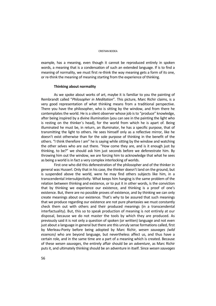#### CRISTIAN BODEA

example, has a meaning, even though it cannot be reproduced entirely in spoken words, a meaning that is a condensation of such an extended language. If is to find a meaning of normality, we must first re-think the way meaning gets a form of its one, or re-think the meaning of meaning starting from the experience of thinking.

### **Thinking about normality**

 As we spoke about works of art, maybe it is familiar to you the painting of Rembrandt called "*Philosopher in Meditation*". This picture, Marc Richir claims, is a very good representation of what thinking means from a traditional perspective. There you have the philosopher, who is sitting by the window, and from there he contemplates the world. He is a silent observer whose job is to "produce" knowledge, after being inspired by a divine illumination (you can see in the painting the light who is resting on the thinker`s head), for the world from which he is apart of. Being illuminated he must be, in return, an illuminator, he has a specific purpose, that of transmitting the light to others. He sees himself only as a reflective mirror, like he doesn't exist otherwise than for the sole purpose of thinking in the benefit of the others. "I think therefore I am" he is saying while sitting by the window and watching the other selves who are out there. "How come they are, and is it enough just by thinking, to be?" we should ask him just seconds before we defenestrate him. By throwing him out the window, we are forcing him to acknowledge that what he sees as being a world is in fact a very complex interlocking of worlds.

 First one who did this defenestration of the philosopher and of the thinker in general was Husserl. Only that in his case, the thinker doesn't land on the ground, but is suspended above the world, were he may find others subjects like him, in a transcendental intersubjectivity. What keeps him hanging is the same problem of the relation between thinking and existence, or to put it in other words, is the conviction that by thinking we experience our existence, and thinking is a proof of one's existence. But, there are no possible proves of existence, and by thinking we can only create meanings about our existence. That's why to be assured that such meanings that we produce regarding our existence are not pure phantasies we must constantly check them out with others and their produced meanings (in a transcendental interfactuality). But, this so to speak production of meaning is not entirely at our disposal, because we do not master the tools by which they are produced. As previously said it is not only a question of spoken (or written) language and not even just about a language in general but there are this unruly sense formations called, first by Merleau-Ponty before being adopted by Marc Richir, *wesen sauvages (wild essences)* who are beyond language, but nevertheless affect us, and thus have a certain role, and in the same time are a part of a meaning which is created. Because of these *wesen sauvages*, the entirely affair should be an *adventure*, as Marc Richir puts it, and ultimately thinking should be an adventure in itself. Since *wesen sauvages*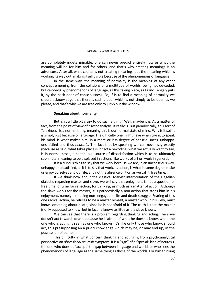are completely indeterminable, one can never predict entirely how or what the meaning will be for him and for others, and that's why creating meanings is an adventure. After all, what counts is not creating meanings but the meaning which is working its way out, making itself visible because of the phenomenons of language.

 In the same way, the meaning of normality is the meaning of any other concept emerging from the collisions of a multitude of worlds, being not de-coded, but *re-coded* by phenomenons of language, all this taking place, as Laszlo Tengely puts it, by the back door of consciousness. So, if is to find a meaning of normality we should acknowledge that there is such a door which is not simply to be open as we please, and that's why we are free only to jump out the window.

# **Speaking about normality**

 But isn't a little bit crazy to do such a thing? Well, maybe it is. As a matter of fact, from the point of view of psychoanalysis, it really is. But paradoxically, this sort of "craziness" is a normal thing, meaning this is our normal state of mind. Why is it so? It is simply just because of language. The difficulty one might have when trying to speak his mind, is what makes him, in a more or less degree of consciousness, unhappy, unsatisfied and thus *neurotic*. The fact that by speaking we can never say exactly (because as said, what takes place is in fact a re-coding) what we actually want to say, is in normal cases, a continuous source of dissatisfaction which is to be ultimately sublimate, meaning to be displaced in actions, like works of art or, work in general.

 It is a curious thing to say that we work because we are, in an unconscious way, unhappy or unsatisfied, as it is to say that work, as action, is what in some degree make us enjoy ourselves and our life, and not the absence of it or, as we call it, free time.

 If we think now about the classical Marxist interpretation of the Hegelian dialectic regarding master and slave, we will say that enjoyment is not a question of free time, of time for reflection, for thinking, as much as a matter of action. Although the slave works for the master, it is paradoxically a non action that stops him in his enjoyment, namely him being non- engaged in life and death struggle. Fearing of this one radical action, he refuses to be a master himself, a master who, in his view, must know something about death, since he is not afraid of it. The truth is that the master is only supposed to know, but in fact he knows as little as the slave knows.

 We can see that there is a problem regarding thinking and acting. The slave doesn't act towards death because he is afraid of what he doesn't know, while the one who is acting is seen as one who knows. It's like only those who know, should act, this presupposing an a priori knowledge which may be, or may end up, in the possession of some.

 This difficulty in what concern thinking and acting is, from psychoanalytical perspective an *obsessional neurosis* symptom. It is a "sign" of a "special" kind of neurosis, the one who doesn't "accept" the gap between language and world, or who sees the phenomenons of language as the same thing as those of the worlds. For him thinking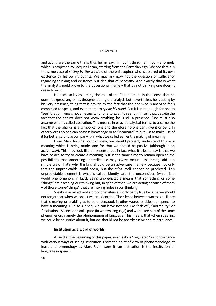#### CRISTIAN BODEA

and acting are the same thing, thus he my say: "If I don't think, I am not" - a formula which is proposed by Jacques Lacan, starting from the Cartesian ego. We see that it is the same case of *sitting by the window* of the philosopher who is assured of its own existence by his own thoughts. We may ask now not the question of sufficiency regarding thinking and existence but also that of necessity. And exactly that is what the analyst should prove to the obsessional, namely that by not thinking one doesn't cease to exist.

 He does so by assuming the role of the "dead" man, in the sense that he doesn't express any of his thoughts during the analysis but nevertheless he is acting by his very presence, thing that is proven by the fact that the one who is analyzed feels compelled to speak, and even more, to *speak his mind*. But it is not enough for one to "see" that thinking is not a necessity for one to exist, to see for himself that, despite the fact that the analyst does not know anything, he is still a presence. One must also assume what is called castration. This means, in psychoanalytical terms, to assume the fact that the phallus is a symbolical one and therefore no one can *have* it or *be* it. In other words no one can possess knowledge or to "incarnate" it, but just to make use of it (or better said to accompany it) in what we called earlier the making of meaning.

 From Marc Richir's point of view, we should properly understand this as a meaning which is being made, and for that we should be passive (although in an active way). This may look like a nonsense, but in fact what it tries to say is that we have to act, to try to create a meaning, but in the same time to remain open to the possibilities that something unpredictable may always occur – this being said in a simple way. That's why thinking should be an adventure, namely because not only that the unpredictable could occur, but the *telos* itself cannot be predicted. This unpredictable element is what is called, bluntly said, the unconscious (which is a world phenomenon, in fact). Being unpredictable means that something or some "things" are escaping our thinking but, in spite of that, we are acting because of them – of those some-"things" that are making holes in our thinking.

 Speaking as an act and a proof of existence is only partly true because we should not forget that when we speak we are silent too. The silence between words is a silence that is making or enabling us to be understood, in other words, enables our speech to have a meaning. Due to silence, we can have notions like "ethics", "normality" or "institution". Silence or blank space (in written language) and words are part of the same phenomenon, namely the phenomenon of language. This means that when speaking we could be neurotics about it, but we should not be too obsessive and reject silence.

### **Institution as a word of worlds**

 As said at the beginning of this paper, normality is "regulated" in concordance with various ways of seeing institution. From the point of view of phenomenology, at least phenomenology as Marc Richir sees it, an institution is the institution of language in speech.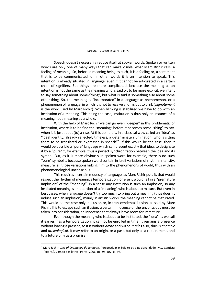Speech doesn't necessarily reduce itself at spoken words. Spoken or written words are only one of many ways that can make visible, what Marc Richir calls, a feeling of meaning. So, before a meaning being as such, it is a feeling or, a sentiment that is to be communicated, or in other words it is an intention to speak. This intention is already situated in language, even if it cannot be articulated in a certain chain of signifiers. But things are more complicated, because the meaning as an intention is not the same as the meaning who is said or, to be more explicit, we intent to say something about some-"thing", but what is said is something else about some other-thing. So, the meaning is "incorporated" in a language as phenomenon, or a phenomenon of language, in which it is not to receive a form, but to blink (*clignotement* is the word used by Marc Richir). When blinking is stabilized we have to do with an institution of *a* meaning. This being the case, institution is thus only an instance of a meaning not a meaning as a whole.

 With the help of Marc Richir we can go even "deeper" in this problematic of institution, where is to be find the "meaning" before it becomes some-"thing" to say, when it is just about (to) a-rise. At this point it is, in a classical way, called an "idea" as "ideal identity, already reflected, timeless, a determinate illumination, who is sitting there to be translated or, expressed in speech"<sup>3</sup>. If this would be the case, then it would be possible a "pure" language which can present exactly that idea, to designate it by a "pure" x, for example, thus a perfect synchronization between the idea and its symbol. But, as it is more obviously in spoken word for example, there is no such "pure" symbolic, because spoken word contain in itself variations of rhythm, intensity, measure, all those variations linking him to the phenomenons of world, thus with an phenomenological unconscious.

 This requires a certain modesty of language, as Marc Richir puts it, that would respect the rhythm of meaning's temporalization, or else it would fail in a "premature implosion" of the "meaning". In a sense any institution is such an implosion, so any instituted meaning is an abortion of a "meaning" who is about to mature. But even in best cases, when language doesn't try too much to bring out a meaning (thus doesn't induce such an implosion), mainly in artistic works, the meaning cannot be maturated. This would be the case only in illusion or, in transcendental illusion, as said by Marc Richir. If is to escape such an illusion, a certain innocence of the unconscious must be taken into consideration, an innocence that always leave room for immature.

 Even though the meaning who is about to be instituted, the "idea" as we call it earlier, has a temporalization, it cannot be enrolled in time. It remains a presence without having a present, so it is without *arche* and without *telos* also, thus is *anarchic* and *ateleological*. It may refer to an origin, or a past, but only as a requirement, and to a future only as a promise.

<sup>3</sup> Marc Richir, *Des phénomenes de langage*, Perspectivar o Sujeito et a Racionalidade, M.J. Cantista (coord.), Campo das letras, Porto, 2006, pp. 95-107, p. 96.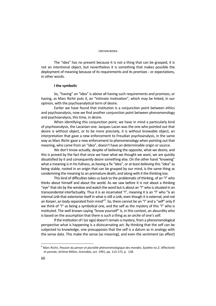#### CRISTIAN BODEA

 The "idea" has no present because it is not a thing that can be grasped, it is not an intentional object, but nevertheless it is something that makes possible the deployment of meaning because of its requirements and its promises - or expectations, in other words.

## **I the symbolic**

 So, "having" an "idea" is above all having such requirements and promises, or having, as Marc Richir puts it, an "intimate motivation", which may be linked, in our opinion, with the psychoanalytical term of desire.

 Earlier we have found that institution is a conjunction point between ethics and psychoanalysis, now we find another conjunction point between phenomenology and psychoanalysis, this time, in desire.

 When identifying this conjunction point, we have in mind a particularly kind of psychoanalysis, the Lacanian one. Jacques Lacan was the one who pointed out that desire is without object, or to be more precisely, it is without knowable object, an interpretation that gave a new enforcement to Freudian psychoanalysis, in the same way as Marc Richir gave a new enforcement to phenomenology when pointing out that meaning, who came from an "idea", doesn't have an determinable origin or source.

 We don't know actually, despite of believing the opposite, what we desire, and this is proved by the fact that once we have what we thought we want, we are quickly dissatisfied by it and consequently desire something else. On the other hand "knowing" what a meaning is in his fullness, as *having* a fix "idea", or at least *believing* this "idea" as being stable, rooted in an origin that can be grasped by our mind, is the same thing as condemning the meaning to an premature death, and along with it the thinking too.

 This kind of difficulties takes us back to the problematic of thinking, of an "I" who thinks about himself and about the world. As we saw before it is not about a thinking "eye" that sits by the window and watch the word but is about an "I" who is situated in an transcendental interfactuality. Thus it is an incarnated "I", meaning it is an "I" who "is an internal *Leib* that exteriorize itself in what is still a *Leib*, even though it is external, and not an *Korper,* an body separated from mind"<sup>4</sup>. So, there cannot be an "I" and a "self" only if we think of "I" as being a symbolical one, and the self as the mystery of this "I" who is instituted. The well known saying "know yourself" is, in this context, an absurdity who is based on the assumption that there is such a thing as an *arche* of one's self.

 If the institution of I (or ego) doesn't remain a mystery, from a phenomenological perspective what is happening is a disincarnating act. By thinking that the self can be subjected to knowledge, one presupposes that the self is a datum as in analogy with the sense data. This make the sense (as meaning), and even the sentiment (as affect)

<sup>4</sup> Marc Richir, *Passion du penser et pluralité phénoménologique des mondes*, Epokhe no.2: Affectivité et pensée, Jérôme Millon, Grenoble, oct. 1991, pp. 113-173, p. 128.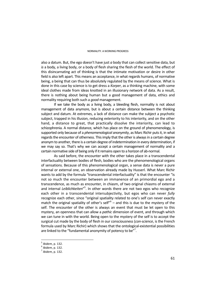also a datum. But, the ego doesn't have just *a* body that can collect sensitive data, but *is* a body, a living body, or a body of flesh sharing the flesh of the world. The effect of this disincarnating act of thinking is that the intimate motivation or desire in other field is also left apart. This means an acceptance, in what regards humans, of normative being, a being that can thus be absolutely regulated by the means of science. What is done in this case by science is to get dress a *Korper*, as a thinking machine, with some ideal clothes made from ideas knotted in an illusionary network of data. As a result, there is nothing about being human but a good management of data, ethics and normality requiring both such a *good* management.

 If we take the body as a living body, a bleeding flesh, normality is not about management of data anymore, but is about a certain distance between the thinking subject and datum. At extremes, a lack of distance can make the subject a psychotic subject, trapped in his illusion, reducing exteriority to his interiority, and on the other hand, a distance to great, that practically dissolve the interiority, can lead to schizophrenia. A normal distance, which has place on the ground of phenomenology, is supported only because of a *phenomenological anonymity*, as Marc Richir puts it, in what regards the encounter of otherness. This imply that the other is always in a certain degree anonym to another, there is a certain degree of indetermination in every determination, if we may say so. That's why we can accept a certain management of normality and a certain normative side of being only if it remains open to a horizon of ab-normal.

 As said before, the encounter with the other takes place in a transcendental interfactuality between bodies of flesh, bodies who are the phenomenological organs of sensations. Because of this phenomenological organ, a sense data is never a pure internal or external one, an observation already made by Husserl. What Marc Richir wants to add by the formula "transcendental interfactuality" is that the encounter "is not so much the encounter between an immanence of an primordial ego and a transcendence, as much as encounter, in chiasm, of two original chiasms of external and internal *Leiblichkeiten*"<sup>5</sup>. In other words there are not two egos who recognize each other in a transcendental intersubjectivity, but egos who can never *fully* recognize each other, since "original spatiality related to one's self can never exactly match the original spatiality of other's self $"^6$  – and this is due to the mystery of the self. The encounter of the other is always an event that must be let open to this mystery, an openness that can allow a *pathic* dimension of event, and through which we can tune in with the world. Being open to the mystery of the self is to accept the surgical cut made by the body of flesh in our consciousness (*con-science*, is the French formula used by Marc Richir) which shows that the ontological-existential possibilities are linked to the "fundamental anonymity of potency to be"<sup>7</sup>.

<sup>5</sup> *Ibidem*, p. 132. 6 *Ibidem*, p. 132. 7 *Ibidem*, p. 132.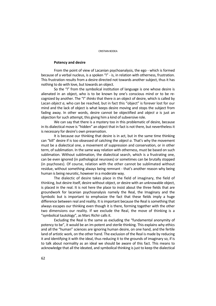### **Potency and desire**

 From the point of view of Lacanian psychoanalysis, the ego - which is formed because of a verbal nucleus, is a spoken "I" - is, in relation with otherness, frustration. This frustration results from a desire directed not towards another subject, thus it has nothing to do with love, but towards an object.

 So the "I" from the symbolical institution of language is one whose desire is alienated in an object, who is to be known by one's conscious mind or to be recognized by another. The "I" *thinks* that there *is* an object of desire, which is called by Lacan *object a*, who can be reached, but in fact this "object" is forever lost for our mind and the lack of object is what keeps desire moving and stops the subject from fading away. In other words, desire cannot be objectified and *object a* is just an objection for such attempt, this giving him a kind of subversive role.

 We can say that there is a mystery too in this problematic of desire, because in its dialectical move is "hidden" an object that in fact is not there, but nevertheless it is necessary for desire's own preservation.

 It is because our thinking that desire is in act, but in the same time thinking can "kill" desire if is too obsessed of catching the *object a*. That's why the movement must be a dialectical one, a movement of suppression and conservation, or in other term, of sublimation. In the same way relation with otherness, must be based on such sublimation. Without sublimation, the dialectical search, which is a frustrating one, can be even ignored (in pathological neuroses) or sometimes can be brutally stopped (in psychoses). Of course, relation with the other cannot be sublimated without residue, without something always being remnant - that's another reason why being human is being neurotic, however in a moderate way.

 The dialectic of desire takes place in the field of imaginary, the field of thinking, but desire itself, desire without object, or desire with an unknowable object, is placed in the real. It is not here the place to insist about the three fields that are groundwork for lacanian psychoanalysis namely the Real, the Imaginary and the Symbolic but is important to emphasize the fact that these fields imply a huge difference between real and reality. It is important because the Real is something that always escapes our thinking even though it is there, forming together with the other two dimensions our reality. If we exclude the Real, the move of thinking is a "symbolical tautology", as Marc Richir calls it.

 Excluding the Real is the same as excluding the "fundamental anonymity of potency to be", it would be an im-potent and sterile thinking. This explains why ethics and all the "human" sciences are ignoring human desire, on one hand, and the fertile land of artistic work, on the other hand. The exclusion of the Real is made by reducing it and identifying it with the ideal, thus reducing it to the grounds of imaginary so, if is to talk about normality as an ideal we should be aware of this fact. This means to acknowledge that all the ideated, and symbolical thinking is just to keep the dialectical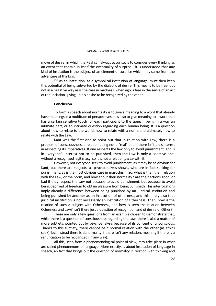move of desire, in which the Real can always occur so, is to consider every thinking as an event that contain in itself the eventuality of surprise - it is understood that any kind of institution is the subject of an element of surprise which may came from the adventure of thinking.

 "I" as an institution, as a symbolical institution of language, must then keep this potential of being subverted by the dialectic of desire. This means to be free, but not in a negative way as is the case in madness, when ego is free in the sense of an act of renunciation, giving up his desire to be recognized by the other.

# **Conclusion**

 To form a speech about normality is to give a meaning to a word that already have meanings in a multitude of perspectives. It is also to give meaning to a word that has a certain sensitive touch for each participant to the speech, being in a way an intimate part, or an intimate question regarding each human being. It is a question about how to relate to the world, how to relate with a norm, and ultimately how to relate with the Law.

 Kant was the first one to point out that in relation with Law, there is a problem of consciousness, a relation being not a "real" one if there isn't a disinterest in respecting its imperatives. If one respects the law only to avoid punishment, and is in everyone's interest not to be punished, then the Law is only a coercive one, without a recognized legitimacy, so it is not a relation *per se* with it.

 However, not everyone seek to avoid punishment, as it may be so obvious for Kant, but there are subjects, as psychoanalysis shows, who are in fact seeking for punishment, as is the most obvious case in masochism. So, what is then their relation with the Law, or the norm, and how about their normality? Are their actions good, or bad if they respect the Law not because to avoid punishment, but because to avoid being deprived of freedom to obtain pleasure from being punished? This interrogations imply already a difference between being punished by an juridical institution and being punished by another as an institution of otherness, and this imply also that juridical institution is not necessarily an institution of Otherness. Then, how is the relation of such a subject with Otherness, and how is seen the relation between Otherness and Law? Isn't there just a question of recognition and of desire of Other?

 These are only a few questions from an example chosen to demonstrate that, while there is a question of consciousness regarding the Law, there is also a matter of more subtlety, pointed out by psychoanalysis because of its concept of unconscious. Thanks to this subtlety, there cannot be *a* normal relation with the other (as ethics seek), but instead there is abnormality if there isn't any relation, meaning if there is a renunciation to be recognized (in any way).

 All this, seen from a phenomenological point of view, may take place in what are called phenomenons of language. More exactly, is about institution of language in speech, an fact that brings out the question of normality in relation with thinking and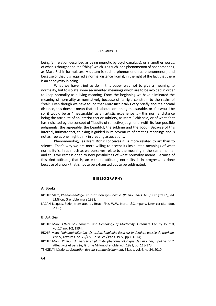#### CRISTIAN BODEA

being (an relation described as being neurotic by psychoanalysis), or in another words, of what is thought about a "thing" which is as such, or a phenomenon of phenomenons, as Marc Richir formulates. A datum is such a phenomenon as phenomenon, and because of that it is required a normal distance from it, in the light of the fact that there is an anonymity in being.

 What we have tried to do in this paper was not to give a meaning to normality, but to isolate some sedimented meanings which are to be avoided in order to keep normality as a living meaning. From the beginning we have eliminated the meaning of normality as normatively because of its rigid constrain to the realm of "real". Even though we have found that Marc Richir talks very briefly about a normal distance, this doesn't mean that it is about something measurable, or if it would be so, it would be as "measurable" as an artistic experience is - this normal distance being the attribute of an interior tact or subtlety, as Marc Richir said, or of what Kant has indicated by the concept of "faculty of reflective judgment" (with its four possible judgments: the agreeable, the beautiful, the sublime and the good). Because of this internal, intimate tact, thinking is guided in its adventure of creating meanings and is not as free as one might think in creating associations.

 Phenomenology, as Marc Richir conceives it, is more related to art than to science. That's why we are more willing to accept its insinuated meanings of what normality is, in as much as we ourselves relate to the meaning in the same manner and thus we remain open to new possibilities of what normality means. Because of this kind attitude, that is, an esthetic attitude, normality is in progress, as done because of a work that is not to be exhausted but to be sublimated.

### **BIBLIOGRAPHY**

### **A. Books**

- RICHIR Marc, *Phénoménologie et institution symbolique. (Phénomenes, temps et ętres II)*, ed. J.Millon, Grenoble, mars 1988;
- LACAN Jacques, Ecrits, translated by Bruce Fink, W.W. Norton&Company, New York/London, 2006;

## **B. Articles**

- RICHIR Marc, *Ethics of Geometry and Genealogy of Modernity*, Graduate Faculty Journal, vol.17, no. 1-2, 1994;
- RICHIR Marc*, Phénoménalisation, distorsion, logologie. Essai sur la derniere pensée de Merleau-Ponty*, Textures, no. 72/4.5, Bruxelles / Paris, 1972, pp. 63-114;
- RICHIR Marc, *Passion du penser et pluralité phénoménologique des mondes*, Epokhe no.2: Affectivité et pensée, Jérôme Millon, Grenoble, oct. 1991, pp. 113-173;
- TENGELYI, László, *La formation de sens comme événement*, Eikasia, vol. 6, no.34, 2010.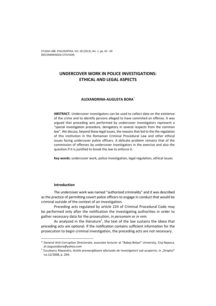# **UNDERCOVER WORK IN POLICE INVESTIGATIONS: ETHICAL AND LEGAL ASPECTS**

# **ALEXANDRINA-AUGUSTA BORA**\*

**ABSTRACT.** Undercover investigators can be used to collect data on the existence of the crime and to identify persons alleged to have commited an offense. It was argued that preceding acts performed by undercover investigators represent a "special investigation procedure, derogatory in several respects from the common law". We discuss, beyond these legal issues, the reasons that led to the the regulation of this institution in the Romanian Criminal Procedural Law and other ethical issues facing undercover police officers. A delicate problem remains that of the commission of offenses by undercover investigators in the exercise and also the question if it is justified to break the law to enforce it.

**Key words:** undercover work, police investigation, legal regulation, ethical issues

### **Introduction**

 $\overline{\phantom{a}}$ 

The undercover work was named "authorized criminality" and it was described as the practice of permitting covert police officers to engage in conduct that would be criminal outside of the context of an investigation.

Preceding acts regulated by article 224 of Criminal Procedural Code may be performed only after the notification the investigating authorities in order to gather necessary data for the prosecution, *in personam* or *in rem*.

As analyzed in the literature<sup>1</sup>, the text of the law sustains the ideea that preceding acts are optional. If the notification contains sufficient information for the prosecution to begin criminal investigation, the preceding acts are not necessary.

<sup>\*</sup> General Anti-Corruption Directorate, associate lecturer at "Babeş-Bolyai" University, Cluj-Napoca, *dr.augustabora@yahoo.com* <sup>1</sup> <sup>Ț</sup>uculeanu Alexandru, *Actele premergătoare efectuate de investigatorii sub acoperire*, in "Dreptul"

no.12/2008, p. 204;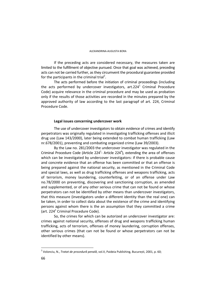If the preceding acts are considered necessary, the measures taken are limited to the fulfillment of objective pursued. Once that goal was achieved, preceding acts can not be carried further, as they circumvent the procedural guarantee provided for the participants in the criminal trial<sup>2</sup>.

The acts performed before the initiation of criminal proceedings (including the acts performed by undercover investigators, art.224<sup>1</sup> Criminal Procedure Code) acquire relevance in the criminal procedure and may be used as probation only if the results of those activities are recorded in the minutes prepared by the approved authority of law according to the last paragrapf of art. 224, Criminal Procedure Code.

# **Legal issues concerning undercover work**

The use of undercover investigators to obtain evidence of crimes and identify perpetrators was originally regulated in investigating trafficking offenses and illicit drug use (Law 143/2000), later being extended to combat human trafficking (Law nr.678/2001), preventing and combating organized crime (Law 39/2003).

By the Law no. 281/2003 the undercover investigator was regulated in the Criminal Procedure Code (Article  $224^4$ - Article  $224^4$ ), extending the area of offenses which can be investigated by undercover investigators: if there is probable cause and concrete evidence that an offense has been committed or that an offense is being prepared against the national security, as mentioned in the Criminal Code and special laws, as well as drug trafficking offenses and weapons trafficking, acts of terrorism, money laundering, counterfeiting, or of an offense under Law no.78/2000 on preventing, discovering and sanctioning corruption, as amended and supplemented, or of any other serious crime that can not be found or whose perpetrators can not be identified by other means than undercover investigators, that this measure (investigators under a different identity than the real one) can be taken, in order to collect data about the existence of the crime and identifying persons against whom there is the an assumption that they committed a crime (art. 224 $^1$  Criminal Procedure Code).

So, the crimes for which can be autorized an undercover investigator are: crimes against national security, offenses of drug and weapons trafficking human trafficking, acts of terrorism, offenses of money laundering, corruption offenses, other serious crimes (that can not be found or whose perpetrators can not be identified by other means).

 $\overline{\phantom{a}}$ 2 Volonciu, N., *Tratat de procedură penală*, vol.II, Paideia Publishing, București, 2001, p. 60;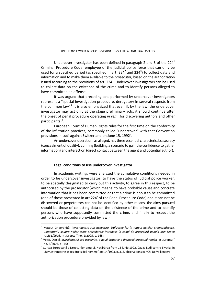Undercover investigator has been defined in paragraph 2 and 3 of the  $224<sup>1</sup>$ Criminal Procedure Code: employee of the judicial police force that can only be used for a specified period (as specified in art. 224<sup>2</sup> and 224<sup>3</sup>) to collect data and information and to make them available to the prosecutor, based on the authorization issued according to the provisions of art. 224<sup>2</sup>. Undercover investigators can be used to collect data on the existence of the crime and to identify persons alleged to have committed an offense.

It was argued that preceding acts performed by undercover investigators represent a "special investigation procedure, derogatory in several respects from the common law"<sup>3.</sup> It is also emphasized that even if, by the law, the undercover investigator may act only at the stage preliminary acts, it should continue after the onset of penal procedure operating *in rem* (for discovering authors and other participants)<sup>4</sup>.

European Court of Human Rights rules for the first time on the conformity of the infiltration practices, commonly called "undercover" with that Convention provisions in Ludi against Switzerland on June 15, 1992 $^5$ .

An undercover operation, as alleged, has three essential characteristics: secrecy (concealment of quality), cunning (building a scenario to gain the confidence to gather information) and interaction (direct contact between the agent and potential author).

# **Legal conditions to use undercover investigator**

 $\overline{a}$ 

In academic writings were analyzed the cumulative conditions needed in order to be undercover investigator: to have the status of judicial police worker, to be specially designated to carry out this activity, to agree in this respect, to be authorized by the prosecutor (which means: to have probable cause and concrete information that it has been committed or that a crime is about to be committed (one of those presented in art.224 $<sup>1</sup>$  of the Penal Procedure Code) and it can not be</sup> discovered or perpetrators can not be identified by other means, the aims pursued should be those of collecting data on the existence of the crime and to identify persons who have supposedly committed the crime, and finally to respect the authorization procedure provided by law.)

<sup>3</sup> Mateuț Gheorghiță, *Investigatorii sub acoperire. Utilizarea lor în timpul actelor premergătoare. Comentariu asupra noilor texte procedurale introduse în codul de procedură penală prin Legea nr.281/2003, in "Dreptul" no. 1/2005, p. 165;* 

Voica, Daniel, *Investigatorul sub acoperire, o nouă instituție a dreptului procesual român,* in "Dreptul" no. 5/2004, p. 10;

<sup>&</sup>lt;sup>5</sup> Curtea Europeană a Drepturilor omului, Hotărârea from 15 iunie 1992, Cauza Ludi contra Elveția, in "Revue trimestrielle des droits de l homme", no.14/1993, p. 313, observations par Ch. De Valkeneer;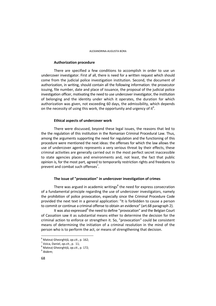# **Authorization procedure**

There are specified a few conditions to accomplish in order to use un undercover investigator. First af all, there is need for a written request which should come from the judicial police investigation institution. Second, the document of authorization, in writing, should contain all the following information: the prosecutor issuing, file number, date and place of issuance, the proposal of the judicial police investigation officer, motivating the need to use undercover investigator, the institution of belonging and the identity under which it operates, the duration for which authorization was given, not exceeding 60 days, the admissibility, which depends on the necessity of using this work, the opportunity and urgency of it<sup>6</sup>.

# **Ethical aspects of undercover work**

There were discussed, beyond these legal issues, the reasons that led to the the regulation of this institution in the Romanian Criminal Procedural Law. Thus, among the arguments supporting the need for regulation and the functioning of this procedure were mentioned the next ideas: the offenses for which the law allows the use of undercover agents represents a very serious threat by their effects, these criminal activities are generally carried out in the most perfect secret inaccessible to state agencies places and environments and, not least, the fact that public opinion is, for the most part, agreed to temporarily restriction rights and freedoms to prevent and combat such offenses<sup>7</sup>.

# **The issue of "provocation" in undercover investigation of crimes**

There was argued in academic writings<sup>8</sup> the need for express consecration of a fundamental principle regarding the use of undercover investigators, namely the prohibition of police provocation, especially since the Criminal Procedure Code provided the next text in a general application: "It is forbidden to cause a person to commit or continue a criminal offense to obtain an evidence" (art.68 paragraph 2).

It was also expressed<sup>9</sup> the need to define "provocation" and the Belgian Court of Cassation saw it as substantial means either to determine the decision for the criminal action to enforce or strengthen it. So, "provocation" could be consistent means of determining the initiation of a criminal resolution in the mind of the person who is to perform the act, or means of strengthening that decision.

<sup>&</sup>lt;sup>6</sup><br>Mateuț Gheorghiță, *op.cit.*, p. 162;<br><sup>7</sup> Veica, Daniel, en cit., p. 11;

Voica, Daniel, *op.cit.*, p. 11; 8

Mateuț Gheorghiță, *op.cit*., p. 172; 9 *Ibidem*;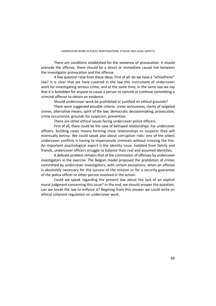There are conditions established for the existence of provocation: it should precede the offense, there should be a direct or immediate causal link between the investigator provocation and the offense.

A few question raise from these ideas. First of all: do we have a "schizofrenic" law? It is clear that we have covered in the law this instrument of undercover work for investigating serious crime, and at the same time, in the same law we say that it is forbidden for anyone to cause a person to commit or continue committing a criminal offense to obtain an evidence.

Should undercover work be prohibited or justified on ethical grounds?

There were suggested possible criteria: crime seriousness, clarity of targeted crimes, alternative means, spirit of the law, democratic decisionmaking, prosecution, crime occurrence, grounds for suspicion, prevention

There are other ethical issues facing undercover police officers.

First of all, there could be the case of betrayed relationships. For undercover officers, building cases means forming close relationships to suspects they will eventually betray. We could speak also about corruption risks: one of the oldest undercover conflicts is having to impersonate criminals without crossing the line. An important psychological aspect is the identity issue. Isolated from family and friends, undercover officers struggle to balance their real and assumed identities.

A delicate problem remains that of the commission of offenses by undercover investigators in the exercise. The Belgian model proposed the prohibition of crimes committed by undercover investigators, with certain exceptions: when an offense is absolutely necessary for the success of the mission or for a security guarantee of the police officer or other person involved in the action.

Could we speak regarding the present law about the lack of an explicit moral judgment concerning this issue? In the end, we should answer the question: can we break the law to enforce it? Begining from this answer we could write an ethical coherent regulation on undercover work.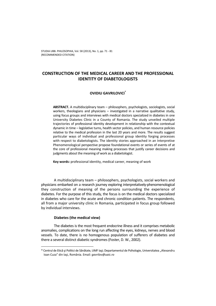# **CONSTRUCTION OF THE MEDICAL CAREER AND THE PROFESSIONAL IDENTITY OF DIABETOLOGISTS**

# **OVIDIU GAVRILOVICI\***

**ABSTRACT.** A multidisciplinary team – philosophers, psychologists, sociologists, social workers, theologians and physicians – investigated in a narrative qualitative study, using focus groups and interviews with medical doctors specialized in diabetes in one University Diabetes Clinic in a County of Romania. The study unveiled multiple trajectories of professional identity development in relationship with the contextual dynamic in time – legislative turns, health sector policies, and human resource policies relative to the medical profession in the last 20 years and more. The results suggest particular ways of individual and professional group identity forging processes with respect to diabetologists. The identity stories approached in an Interpretive Phenomenological perspective propose foundational events or series of events of at the core of professional meaning making processes that justify career decisions and judgments about the meaning of work as a diabetologist.

**Key words:** professional identity, medical career, meaning of work

A multidisciplinary team – philosophers, psychologists, social workers and physicians embarked on a research journey exploring interpretatively-phenomenological they construction of meaning of the persons surrounding the experience of diabetes. For the purpose of this study, the focus is on the medical doctors specialized in diabetes who care for the acute and chronic condition patients. The respondents, all from a major university clinic in Romania, participated in focus group followed by individual interviews.

# **Diabetes (the medical view)**

 $\overline{a}$ 

The diabetes is the most frequent endocrine illness and it comprises metabolic anomalies, complications on the long run affecting the eyes, kidneys, nerves and blood vessels. To date, there is no homogenous population of sufferers of diabetes and there a several distinct diabetic syndromes (Foster, D. W., 2002).

<sup>\*</sup> Centrul de Etică şi Politici de Sănătate, UMF Iaşi; Departamentul de Psihologie, Universitatea "Alexandru Ioan Cuza" din Iaşi, România. Email*: gavrilov@uaic.ro*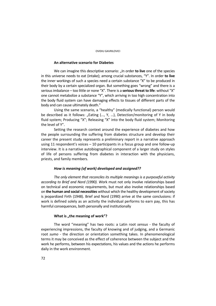# **An alternative scenario for Diabetes**

We can imagine this descriptive scenario: "In order **to live** one of the species in this universe needs to eat (intake); among crucial substances, "Y". In order **to live**  the inner workings of such a species need a certain substance "X" to be produced in their body by a certain specialized organ. But something goes "wrong" and there is a serious imbalance – too little or none "X". There is a **serious threat to life**: without "X" one cannot metabolize a substance "Y", which arriving in too high concentration into the body fluid system can have damaging effects to tissues of different parts of the body and can cause ultimately death."

Using the same scenario, a "healthy" (medically functional) person would be described as it follows: "Eating (..., Y, ...), Detection/monitoring of Y in body fluid system; Producing "X"; Releasing "X" into the body fluid system; Monitoring the level of Y".

Setting the research context around the experience of diabetes and how the people surrounding the suffering from diabetes structure and develop their career the present study represents a preliminary report in a narrative approach using 11 respondent's voices – 10 participants in a focus group and one follow-up interview. It is a narrative autobiographical component of a larger study on styles of life of persons suffering from diabetes in interaction with the physicians, priests, and family members.

# *How is meaning (of work) developed and assigned??*

*The only element that reconciles its multiple meanings is a purposeful activity according to Brief and Nord (1990). W*ork must not only involve relationships based on technical and economic requirements, but must also involve relationships based on **the human and social necessities** without which the healthy development of society is jeopardized Firth (1948). Brief and Nord (1990) arrive at the same conclusions: if work is defined solely as an activity the individual performs to earn pay, this has harmful consequences, both personally and institutionally

# **What is "the meaning of work"?**

The word "meaning" has two roots: a Latin root *sensus -* the faculty of experiencing impressions, the faculty of knowing and of judging, and a Germanic root *sumo -* the direction or orientation something takes. In phenomenological terms it may be conceived as the effect of coherence between the subject and the work he performs, between his expectations, his values and the actions he performs daily in the work environment.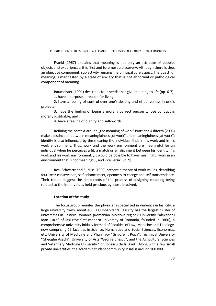Frankl (1967) explains that meaning is not only an attribute of people, objects and experiences; it is first and foremost a discovery. Although there is thus an objective component, subjectivity remains the principal core aspect. The quest for meaning is manifested by a state of anxiety that is not abnormal or pathological component of meaning.

Baumeister (1991) describes four needs that give meaning to life (pp. 6-7)

1. have a purpose, a reason for living,

2. have a feeling of control over one's destiny and effectiveness in one's projects,

3. have the feeling of being a morally correct person whose conduct is morally justifiable, and

4. have a feeling of dignity and self-worth.

Refining the context around "the meaning of work" Pratt and Ashforth (2003) make a distinction between meaningfulness "of work" and meaningfulness "at work": identity is also influenced by the meaning the individual finds in his work and in his work environment. Thus, work and the work environment are meaningful for an individual when he perceives a fit, a match or an alignment between his identity, his work and his work environment. "It would be possible to have meaningful work in an environment that is not meaningful, and vice versa". (p. 9)

Ros, Schwartz and Surkiss (1999) present a theory of work values, describing four axes: conservation, self-enhancement, openness to change and self-transcendence. Their tenets suggest the deep roots of the process of assigning meaning being related to the inner values held precious by those involved.

# **Location of the study**

The focus group reunites the physicians specialized in diabetics in Iasi city, a large university town, about 400 000 inhabitants. Iasi city has the largest cluster of universities in Eastern Romania (Romanian Moldova region): University "Alexandru Ioan Cuza" of Iași (the first modern university of Romania, founded in 1860), a comprehensive university initially formed of Faculties of Law, Medicine and Theology, now comprising 15 faculties in Science, Humanities and Social Sciences, Economics, etc. University of Medicine and Pharmacy "Grigore T. Popa", Technical University "Gheoghe Asachi", University of Arts "George Enescu", and the Agricultural Sciences and Veterinary Medicine University "Ion Ionescu de la Brad". Along with a few small private universities, the academic student community in Iasi is around 100.000.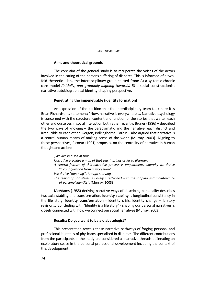# **Aims and theoretical grounds**

The core aim of the general study is to recuperate the voices of the actors involved in the caring of the persons suffering of diabetes. This is informed of a twofold theoretical lens the interdisciplinary group started from: A) a systemic chronic care model *(initially, and gradually aligning towards) B)* a social constructionist narrative autobiographical identity-shaping perspective.

# **Penetrating the impenetrable (identity formation)**

An expression of the position that the interdisciplinary team took here it is Brian Richardson's statement: "Now, narrative is everywhere"… Narrative psychology is concerned with the structure, content and function of the stories that we tell each other and ourselves in social interaction but, rather recently, Bruner (1986) – described the two ways of knowing – the paradigmatic and the narrative, each distinct and irreducible to each other. Gergen, Polkinghorne, Sarbin – also argued that narrative is a central human means of making sense of the world (Murray, 2003). Aligning to these perspectives, Ricoeur (1991) proposes, on the centrality of narrative in human thought and action:

*"We live in a sea of time. Narrative provides a map of that sea, it brings order to disorder. A central feature of this narrative process is emplotment, whereby we derive "a configuration from a succession" We derive "meaning" through storying The telling of narratives is closely intertwined with the shaping and maintenance of personal identity".* (Murray, 2003)

McAdams (1985) deriving narrative ways of describing personality describes two axis: stability and transformation. **Identity stability** is longitudinal consistency in the life story. **Identity transformation** - identity crisis, identity change – is story revision… concluding with "Identity is a life story" - shaping our personal narratives is closely connected with how we connect our social narratives (Murray, 2003).

# **Results: Do you want to be a diabetologist?**

This presentation reveals these narrative pathways of forging personal and professional identities of physicians specialized in diabetics. The different contributions from the participants in the study are considered as narrative threads delineating an exploratory space in the personal-professional development including the context of this development.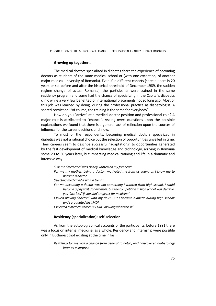### **Growing up together…**

The medical doctors specialized in diabetes share the experience of becoming doctors as students of the same medical school or (with one exception, of another major medical university of Romania). Even if in different cohorts (spread apart in 20 years or so, before and after the historical threshold of December 1989, the sudden regime change of actual Romania), the participants were trained in the same residency program and some had the chance of specializing in the Capital's diabetics clinic while a very few benefited of international placements not so long ago. Most of this job was learned by doing, during the professional practice as diabetologist. A shared conviction: "of course, the training is the same for everybody".

How do you "arrive" at a medical doctor position and professional role? A major role is attributed to "chance". Asking overt questions upon the possible explanations we found that there is a general lack of reflection upon the sources of influence for the career decisions until now.

To most of the respondents, becoming medical doctors specialized in diabetics was not a rational choice but the selection of opportunities unveiled in time. Their careers seem to describe successful "adaptations" to opportunities generated by the fast development of medical knowledge and technology, arriving in Romania some 20 to 30 years later, but impacting medical training and life in a dramatic and intensive way.

*"For me "medicine" was clearly written on my forehead* 

*For me my mother, being a doctor, motivated me from as young as I know me to become a doctor* 

*Selecting medicine? It was in trend!* 

*For me becoming a doctor was not something I wanted from high school, I could become a physicist, for example: but the competition in high school was decisive: you "are less" if you don't register for medicine!* 

*I loved playing "doctor" with my dolls. But I became diabetic during high school; and I graduated first MD!* 

*I selected a medical career BEFORE knowing what this is"* 

### **Residency (specialization): self-selection**

As from the autobiographical accounts of the participants, before 1991 there was a focus on internal medicine, as a whole. Residency and internship were possible only in Bucharest (not existing at the time in Iasi).

*Residency for me was a change from general to detail, and I discovered diabetology later as a surprise*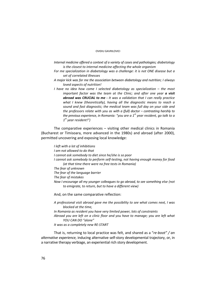### OVIDIU GAVRILOVICI

- *Internal medicine offered a context of a variety of cases and pathologies; diabetology is the closest to internal medicine affecting the whole organism*
- *For me specialization in diabetology was a challenge: it is not ONE disease but a set of correlated illnesses*
- *A major kick was for me the association between diabetology and nutrition; I always loved aspects of nutrition!*
- *I have no idea how come I selected diabetology as specialization the most important factor was the team at the Clinic; and after one year a visit abroad was CRUCIAL to me - It was a validation that I can really practice what I knew (theoretically), having all the diagnostic means to reach a sound and fast diagnostic; the medical team was full day on your side and the professors relate with you as with a (full) doctor – contrasting harshly to the previous experience, in Romania: "you are a 1st year resident, go talk to a 1st year resident!")*

The comparative experiences – visiting other medical clinics in Romania (Bucharest or Timisoara, more advanced in the 1980s) and abroad (after 2000), permitted uncovering and exposing local knowledge:

*I left with a lot of inhibitions I am not allowed to do that I cannot ask somebody to diet since he/she is so poor I cannot ask somebody to perform self-testing, not having enough money for food (at that time there were no free tests in Romania) The fear of unknown The fear of the language barrier The fear of mistakes Now I encourage all my younger colleagues to go abroad, to see something else (not to emigrate, to return, but to have a different view)*

And, on the same comparative reflection:

*A professional visit abroad gave me the possibility to see what comes next, I was blocked at the time, In Romania as resident you have very limited power, lots of constraints Abroad you are left on a clinic floor and you have to manage; you are left what YOU CAN DO "alone" It was as a completely new RE-START* 

That is, returning to local practice was felt, and shared as a "*re-boot" / an alternative experience,* inducing alternative self-story developmental trajectory, or, in a narrative therapy verbiage, an experiential rich story development.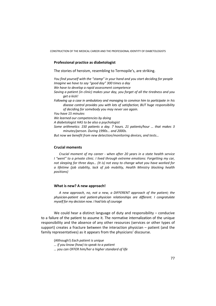CONSTRUCTION OF THE MEDICAL CAREER AND THE PROFESSIONAL IDENTITY OF DIABETOLOGISTS

# **Professional practice as diabetologist**

The stories of heroism, resembling to Termopile's, are striking.

*You find yourself with the "stamp" in your hand and you start deciding for people Imagine we have to say "good day" 300 times a day We have to develop a rapid assessment competence Saving a patient (in clinic) makes your day, you forget of all the tiredness and you get a kick! Following up a case in ambulatory and managing to convince him to participate in his disease control provides you with lots of satisfaction; BUT huge responsibility of deciding for somebody you may never see again. You have 15 minutes We learned our competencies by doing A diabetologist HAS to be also a psychologist Some arithmetics: 150 patients a day. 7 hours. 21 patients/hour … that makes 3 minutes/person. During 1990s… and 2000s. But now we benefit from new detection/monitoring devices, and tests…* 

### **Crucial moments**

*Crucial moment of my career - when after 20 years in a state health service I "went" to a private clinic. I lived through extreme emotions: Forgetting my car, not sleeping for three days… (It is) not easy to change what you have worked for a lifetime (job stability, lack of job mobility, Health Ministry blocking health positions)* 

### **What is new? A new approach!**

*A new approach, no, not a new, a DIFFERENT approach of the patient; the physician-patient and patient-physician relationships are different. I congratulate myself for my decision now. I had lots of courage* 

We could hear a distinct language of duty and responsibility – conducive to a failure of the patient to assume it. The normative internalization of the unique responsibility and the absence of any other resources (services or other types of support) creates a fracture between the interaction physician – patient (and the family representatives) as it appears from the physicians' discourse.

(Although!) *Each patient is unique … if you know (how) to speak to a patient … you can OFFER him/her a higher standard of life*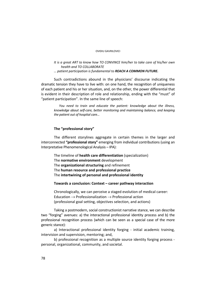### OVIDIU GAVRILOVICI

*It is a great ART to know how TO CONVINCE him/her to take care of his/her own health and TO COLLABORATE … patient participation is fundamental to REACH A COMMON FUTURE.* 

Such contradictions abound in the physicians' discourse indicating the dramatic tension they have to live with: on one hand, the recognition of uniqueness of each patient and his or her situation, and, on the other, the power differential that is evident in their description of role and relationship, ending with the "must" of "patient participation". In the same line of speech:

*You need to train and educate the patient: knowledge about the illness, knowledge about self-care, better monitoring and maintaining balance, and keeping the patient out of hospital care…* 

# **The "professional story"**

The different storylines aggregate in certain themes in the larger and interconnected **"professional story"** emerging from individual contributions (using an Interpretative Phenomenological Analysis – IPA):

The timeline of **health care differentiation** (specialization) The **normative environment** development The **organizational structuring** and refinement The **human resource and professional practice**  The **intertwining of personal and professional identity**

### **Towards a conclusion: Context – career pathway interaction**

Chronologically, we can perceive a staged evolution of medical career: Education  $\rightarrow$  Professionalization  $\rightarrow$  Professional action (professional goal setting, objectives selection, and actions)

Taking a postmodern, social constructionist narrative stance, we can describe two "forging" avenues: a) the interactional professional identity process and b) the professional recognition process (which can be seen as a special case of the more generic stance):

a) Interactional professional identity forging - initial academic training, intervision and supervision, mentoring; and,

b) professional recognition as a multiple source identity forging process personal, organizational, community, and societal.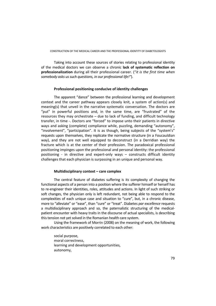Taking into account these sources of stories relating to professional identity of the medical doctors we can observe a chronic **lack of systematic reflection on professionalization** during all their professional career. ("*it is the first time when somebody asks us such questions, in our professional life!"*).

# **Professional positioning conducive of identity challenges**

The apparent "dance" between the professional learning and development context and the career pathway appears closely knit, a system of action(s) and meaning(s) that unveil in the narrative systematic conversation. The doctors are "put" in powerful positions and, in the same time, are "frustrated" of the resources they may orchestrate – due to lack of funding, and difficult technology transfer, in time -. Doctors are "forced" to impose unto their patients in directive ways and asking (complete) compliance while, puzzling, demanding "autonomy", "involvement", "participation". It is as though, being subjects of the "system's" requests upon themselves, they replicate the normative structure (in a Foucauldian way), and they are not well equipped to deconstruct (in a Derridian way) the fracture which is at the center of their profession. The paradoxical professional positioning impinges upon the professional and personal identity: the professional positioning - in directive and expert-only ways – constructs difficult identity challenges that each physician is surpassing in an unique and personal way.

# **Multidisciplinary context – care complex**

The central feature of diabetes suffering is its complexity of changing the functional aspects of a person into a position where the sufferer himself or herself has to re-engineer their identities, roles, attitudes and actions. In light of such striking or soft changes, the physician only is left redundant, not being able to respond to the complexities of each unique case and situation to "cure", but, in a chronic disease, more to "alleviate" or "ease", than "cure" or "treat". Diabetes *par excellence* requests a multidisciplinary approach and so, the paternalistic structuring of the medicalpatient encounter with heavy traits in the discourse of actual specialists, is describing this tension not yet solved in the Romanian health care system.

Using the framework of Morrin (2008) on the meaning of work, the following work characteristics are positively correlated to each other:

social purpose, moral correctness, learning and development opportunities, autonomy,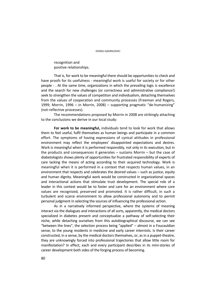recognition and positive relationships.

That is, for work to be meaningful there should be opportunities to check and have proofs for its usefulness - meaningful work is useful for society or for other people - . At the same time, organizations in which the prevailing logic is excellence and the search for new challenges (or correctness and administrative compliance!) seek to strengthen the values of competition and individualism, detaching themselves from the values of cooperation and community processes (Freeman and Rogers, 1999; Morrin, 1996 – in Morrin, 2008) – supporting pragmatic "de-humanizing" (not-reflective processes).

The recommendations proposed by Morrin in 2008 are strikingly attaching to the conclusions we derive in our local study:

**For work to be meaningful,** individuals tend to look for work that allows them to feel useful, fulfil themselves as human beings and participate in a common effort. The symptoms of having expressions of cynical attitudes in professional environment may reflect the employees' disappointed expectations and desires. Work is meaningful when it is performed responsibly, not only in its execution, but in the products and consequences it generates – sustains Morrin – but the case of diabetologists shows plenty of opportunities for frustrated responsibility of experts of care lacking the means of acting according to their acquired technology. Work is meaningful when it is performed in a context that respects human values, in an environment that respects and celebrates the desired values – such as justice, equity and human dignity. Meaningful work would be constructed in organizational spaces and interactional actions that stimulate trust development. The special role of a leader in this context would be to foster and care for an environment where core values are recognized, preserved and promoted. It is rather difficult, in such a turbulent and scarce environment to allow professional autonomy and to permit personal judgment in selecting the sources of influencing the professional action.

As in a narratively informed perspective, where the systems of meaning interact via the dialogues and interactions of all sorts, apparently, the medical doctors specialized in diabetes present and conceptualize a pathway of self-selecting their niche, while detaching ourselves from this autobiographical discourse, we can see "between the lines", the selection process being "applied" – almost in a Foucauldian sense, to the young residents in medicine and early career internists. Is their career constructed, in a sense, by the medical doctors themselves, or, as in a puppet-theatre, they are unknowingly forced into professional trajectories that allow little room for manifestation? In effect, each and every participant describes in its mini-stories of career development both sides of the forging process of becoming.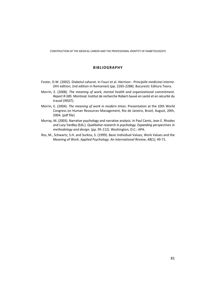CONSTRUCTION OF THE MEDICAL CAREER AND THE PROFESSIONAL IDENTITY OF DIABETOLOGISTS

# **BIBLIOGRAPHY**

- Foster, D.W. (2002). Diabetul zaharat. In Fauci et al. *Harrison Principiile medicinei interne.*  (XIV edition; 2nd edition in Romanian) (pp. 2265-2288). Bucuresti: Editura Teora.
- Morrin, E. (2008). *The meaning of work, mental health and organizational commitment. Report R-585.* Montreal: Institut de recherche Robert-Sauvé en santé et en sécurité du travail (IRSST).
- Morrin, E. (2004). *The meaning of work in modern times*. Presentation at the 10th World Congress on Human Resources Management, Rio de Janeiro, Brazil, August, 20th, 2004. (pdf file)
- Murray, M. (2003). Narrative psychology and narrative analysis. In Paul Camic, Jean E. Rhodes and Lucy Yardley (Eds.). *Qualitative research in psychology. Expanding perspectives in methodology and design.* (pp. 95-112). Washington, D.C.: APA.
- Ros, M., Schwartz, S.H. and Surkiss, S. (1999). Basic Individual Values, Work Values and the Meaning of Work. *Applied Psychology. An International Review*, *48(1)*, 49-71.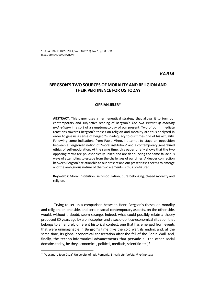STUDIA UBB. PHILOSOPHIA, Vol. 58 (2013), No. 1, pp. 83 - 96 (RECOMMENDED CITATION)

# *VARIA*

# **BERGSON'S TWO SOURCES OF MORALITY AND RELIGION AND THEIR PERTINENCE FOR US TODAY**

### **CIPRIAN JELER\***

**ABSTRACT.** This paper uses a hermeneutical strategy that allows it to turn our contemporary and subjective reading of Bergson's *The two sources of morality and religion* in a sort of a symptomatology of our present. Two of our immediate reactions towards Bergson's theses on religion and morality are thus analyzed in order to give us a sense of Bergson's inadequacy to our times *and* of his actuality. Following some indications from Paolo Virno, I attempt to stage an opposition between a Bergsonian notion of "moral institution" and a contemporary generalized ethics of self-modulation. At the same time, this paper briefly shows that the two opposing terms are philosophically linked and are denouncing the same fallacious ways of attempting to escape from the challenges of our times. A deeper connection between Bergson's relationship to our present and our present itself seems to emerge and the ambiguous nature of the two elements is thus prefigured.

**Keywords:** Moral institution, self-modulation, pure belonging, closed morality and religion.

Trying to set up a comparison between Henri Bergson's theses on morality and religion, on one side, and certain social contemporary aspects, on the other side, would, without a doubt, seem strange. Indeed, what could possibly relate a theory proposed 80 years ago by a philosopher and a socio-politico-economical situation that belongs to an entirely different historical context, one that has emerged from events that were unimaginable in Bergson's time (like the cold war, its ending and, at the same time, its global economical consecration after the fall of the Berlin Wall, and, finally, the techno-informatical advancements that pervade all the other social domains today, be they economical, political, mediatic, scientific etc.)?

<sup>\* &</sup>quot;Alexandru Ioan Cuza" University of Iași, Romania. E-mail: *ciprianjeler@yahoo.com*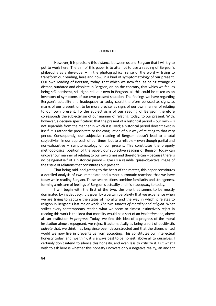However, it is precisely this distance between us and Bergson that I will try to put to work here. The aim of this paper is to attempt to use a reading of Bergson's philosophy as a developer – in the photographical sense of the word  $-$ , trying to transform our reading, here and now, in a kind of symptomatology of our present. Our own reading of Bergson, today, that which we now feel as being strange or distant, outdated and obsolete in Bergson, or, on the contrary, that which we feel as being *still* pertinent, still right, still our own in Bergson, all this could be taken as an inventory of symptoms of our own present situation. The feelings we have regarding Bergson's actuality and inadequacy to today could therefore be used as signs, as marks of our present, or, to be more precise, as signs of our own manner of relating to our own present. To the subjectivism of our reading of Bergson therefore corresponds the subjectivism of our manner of relating, today, to our present. With, however, a decisive specification: that the present of a historical period – our own – is not separable from the manner in which it is lived; a historical period doesn't exist in itself, it is rather the precipitate or the coagulation of our way of relating to that very period. Consequently, our subjective reading of Bergson doesn't lead to a total subjectivism in our approach of our times, but to a reliable – even though partial and non-exhaustive – symptomatology of our present. This constitutes the properly methodological position of the paper: our subjective reading of Bergson today can uncover our manner of relating to our own times and therefore can – because there is no being-in-itself of a historical period – give us a reliable, quasi-objective image of the tissue of relations that constitutes our present.

That being said, and getting to the heart of the matter, this paper constitutes a detailed analysis of two immediate and almost automatic reactions that we have today while reading Bergson. These two reactions combine familiarity and strangeness, forming a mixture of feelings of Bergson's actuality and his inadequacy to today.

I will begin with the first of the two, the one that seems to be mostly dominated by inadequacy. It is given by a certain perplexity that we experience when we are trying to capture the status of morality and the way in which it relates to religion in Bergson's last major work, *The two sources of morality and religion*. What strikes every contemporary reader, what we seem to almost instinctively reject in reading this work is the idea that morality would be a sort of an *institution* and, above all, an institution *in progress*. Today, we find this idea of a progress of the moral institution almost repugnant, we reject it automatically as being a sort of positivistic *naïveté* that, we think, has long since been deconstructed and that the disenchanted world we now live in prevents us from accepting. This constitutes our intellectual honesty today, and, we think, it is always best to be honest, above all to ourselves. I certainly don't intend to silence this honesty, and even less to criticize it. But what I wish to ask here is whether this honesty uncovers only a negative reality, an ancient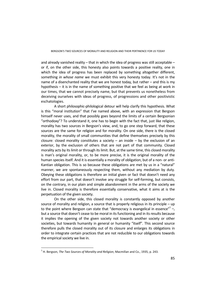and already vanished reality – that in which the idea of progress was still acceptable – or if, on the other side, this honesty also points towards a positive reality, one in which the idea of progress has been replaced by something altogether different, something *in whose name* we must exhibit this very honesty today. It's not in the name of a disenchanted reality that we are honest today, but rather – and this is my hypothesis – it is in the name of something positive that we feel as being at work in our times, that we cannot precisely name, but that prevents us nonetheless from deceiving ourselves with ideas of progress, of progressions and other positivistic eschatologies.

A short philosophic-philological detour will help clarify this hypothesis. What is this "moral institution" that I've named above, with an expression that Bergson himself never uses, and that possibly goes beyond the limits of a certain Bergsonian "orthodoxy"? To understand it, one has to begin with the fact that, just like religion, morality has two sources in Bergson's view, and, to go one step forward, that these sources are the same for religion and for morality. On one side, there is the closed morality, the morality of small communities that define themselves precisely by this closure: closed morality constitutes a society  $-$  an inside  $-$  by the exclusion of an exterior, by the exclusion of others that are not part of that community. Closed morality acts by its limit or through its limit. But, at the same time, this closed morality is man's original morality, or, to be more precise, it is the original morality of the human species itself. And it is essentially a morality of obligation, but of a non- or anti-Kantian obligation. This is so because these obligations are met by us in a "natural" manner, we are spontaneously respecting them, without any mediation by duty. Obeying these obligations is therefore an initial given or fact that doesn't need any effort from our part, that doesn't involve any struggle for self-forming, but consists, on the contrary, in our plain and simple abandonment in the arms of the society we live in. Closed morality is therefore essentially conservative, what it aims at is the perpetuation of the given society.

On the other side, this closed morality is constantly opposed by another source of morality and religion, a source that is properly religious in its principle – up to the point where Bergson can state that "democracy is evangelical in essence"<sup>1</sup> -, but a source that doesn't cease to be moral in its functioning and in its results because it implies the opening of the given society not towards another society or other societies, but towards humanity in general or humanity "itself". This second source therefore pulls the closed morality out of its closure and enlarges its obligations in order to integrate certain practices that are not reducible to our obligations towards the empirical society we live in.

<sup>1</sup> H. Bergson, *The Two Sources of Morality and Religion*, Macmillan and Co., 1935, p. 243.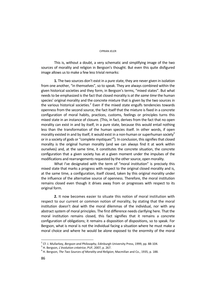This is, without a doubt, a very schematic and simplifying image of the two sources of morality and religion in Bergson's thought. But even this quite disfigured image allows us to make a few less trivial remarks:

**1.** The two sources don't exist in a pure state, they are never given in isolation from one another, "in themselves", so to speak. They are always combined within the given historical societies and they form, in Bergson's terms, "mixed states". But what needs to be emphasized is the fact that closed morality is *at the same time* the human species' original morality and the concrete mixture that is given by the two sources in the various historical societies. $^2$  Even if the mixed state engulfs tendencies towards openness from the second source, the fact itself that the mixture is fixed in a concrete configuration of moral habits, practices, customs, feelings or principles turns this mixed state in an instance of closure. (This, in fact, derives from the fact that no open morality can exist in and by itself, in a pure state, because this would entail nothing less than the transformation of the human species itself. In other words, if open morality existed in and by itself, it would exist in a non-human or superhuman society<sup>3</sup> or in a society of gods or "complete mystiques"<sup>4</sup>). In conclusion, this signifies that closed morality is the original human morality (and we can always find it at work within ourselves) and, at the same time, it constitutes the concrete situation, the concrete configuration that a given society has at a given moment under the impulses of the modifications and rearrangements requested by the other source, open morality.

What I've designated with the term of "moral institution" is precisely this mixed state that marks a progress with respect to the original closed morality and is, at the same time, a configuration, itself closed, taken by this original morality under the influence of the alternative source of openness. Therefore, the moral institution remains closed even though it drives away from or progresses with respect to its original form.

**2.** It now becomes easier to situate this notion of moral institution with respect to our current or common notion of morality, by stating that the moral institution doesn't deal with the moral dilemmas of the individual, nor with any abstract system of moral principles. The first difference needs clarifying here. That the moral institution remains closed, this fact signifies that it remains a concrete configuration of obligations; it remains a disposition of dispositions, so to speak. For Bergson, what is moral is not the individual facing a situation where he must make a moral choice and where he would be alone exposed to the enormity of the moral

 $\overline{a}$ 

<sup>&</sup>lt;sup>2</sup> Cf. J. Mullarkey, *Bergson and Philosophy*, Edinburgh University Press, 1999, pp. 88-104.<br><sup>3</sup> U. Bergson, *L'évolution exéctrice*, PUE, 2007, p. 257.

H. Bergson, *L'évolution créatrice*, PUF, 2007, p. 267. 4

H. Bergson, *The Two Sources of Morality and Religion*, Macmillan and Co., 1935, p. 188.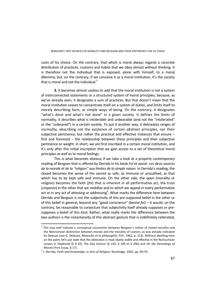costs of his choice. On the contrary, that which is moral always regards a concrete distribution of practices, customs and habits that we obey almost without thinking. It is therefore not the individual that is exposed, alone with himself, to a moral dilemma; but, on the contrary, if we conceive it as a moral institution, it's the society that is moral and not the individual. $5$ 

**3.** It becomes almost useless to add that the moral institution is not a system of interconnected statements or a structured system of moral principles, because, as we've already seen, it designates a sum of practices. But that doesn't mean that the moral institution ceases to concentrate itself on a system of duties, and limits itself to merely describing facts, or simple ways of being. On the contrary, it designates "what's done and what's not done" in a given society. It defines the limits of normality, it describes what is intolerable and unbearable (and not the "intolerated" or the "unbeared") in a certain society. To put it another way, it delineates ranges of normality, describing not the existence of certain *abstract* principles, nor their subjective pertinence, but rather the practical and effective instances that ensure  $$ first and foremost – the relationship between these principles and their subjective pertinence or weight. In short, we are first inscribed in a certain moral institution, and it's only after this initial inscription that we gain access to a set of theoretical moral principles *as well as* to moral feelings.

This is what becomes obvious if we take a look at a properly *contemporary* reading of Bergson that is offered by Derrida in his book *Foi et savoir. Les deux sources de la morale et de la "religion" aux limites de la simple raison*. In Derrida's reading, the closed becomes the sense of the sacred as safe, as immune or unscathed, as that which has to be kept safe and immune. On the other side, the open (morality or religion) becomes the faith (*foi*) that is inherent in all performative act, the trust (*croyance*) in the other that we mobilize and to which we appeal in every performative act or in any act of attesting or addressing<sup>6</sup>. What marks the difference here between Derrida and Bergson is not the subjectivity of this pre-supposed belief in the other or of this belief in general, beyond any "good conscience" (*bonne foi*) – it would, on the contrary, be reasonable to conjecture that subjectivity itself already supposes or presupposes a belief of this kind. Rather, what really marks the difference between the two authors is the instantaneity of this abstract gesture that is indefinitely reiterated,

 $\overline{a}$ 

<sup>&</sup>lt;sup>5</sup> This may well indicate a conceptual connection between Bergson's notion of closed morality and the Nietzschean distinction between morals and the morality of custom, as was already indicated by Deleuze (see G. Deleuze, *Nietzsche et la philosophie*, PUF, 1962, p. 153). Without dwelling here on this point, let's just state that this distinction is most clearly visible and effective in the Nietzschean corpus in *Daybreak* (§ 9-10), *The Gay Science* (§ 143, § 149 et § 296) and *On the Genealogy of* 

*Morals* (First Essay, § 17). 6 J. Derrida, *Faith and Knowledge*, in *Acts of Religion*, Routledge, 2002, pp. 69-70.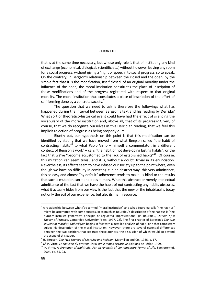that is at the same time necessary, but whose only role is that of instituting any kind of exchange (economical, dialogical, scientific etc.) without however leaving any room for a social progress, without giving a "right of speech" to social progress, so to speak. On the contrary, in Bergson's relationship between the closed and the open, by the simple fact that it is the modification, itself closed, of an original morality under the influence of the open, the moral institution constitutes the place of inscription of those modifications and of the progress registered with respect to that original morality. The moral institution thus constitutes a place of inscription of the effort of self-forming done by a concrete society.<sup>7</sup>

The question that we need to ask is therefore the following: what has happened during the interval between Bergson's text and his reading by Derrida? What sort of theoretico-historical event could have had the effect of silencing the vocabulary of the moral institution and, above all, that of its progress? Given, of course, that we do recognize ourselves in this Derridian reading, that we feel this implicit rejection of progress as being properly ours.

Bluntly put, our hypothesis on this point is that this modification can be identified by stating that we have moved from what Bergson called "the habit of contracting habits" $8$  to what Paolo Virno – himself a commentator, in a different context, of Bergson's work<sup>9</sup> – calls "the habit of not developing lasting habits", or the fact that we've "become accustomed to the lack of established habits" $10$ . Of course, this mutation can seem trivial, and it is, without a doubt, trivial in its enunciation. Nevertheless, its effects seem to have infused our society up to the point where, even though we have no difficulty in admitting it in an abstract way, this very admittance, this so easy and almost "by default" adherence tends to make us blind to the results that such a mutation can – and does – imply. What this abstract or merely intellectual admittance of the fact that we have the habit of not contracting any habits obscures, what it actually hides from our view is the fact that the new or the inhabitual is today not only the soil of our experience, but also its main resource.

 $^7$  A relationship between what I've termed "moral institution" and what Bourdieu calls "the habitus" might be attempted with some success, in as much as Bourdieu's description of the habitus is "the durably installed generative principle of regulated improvisations" (P. Bourdieu, *Outline of a Theory of Practice*, Cambridge University Press, 1977, 78). The first chapter of Bergson's *The two sources of morality and religion* begins in fact with a detailed analysis of habit, one that completely guides his description of the moral institution. However, there are several essential differences between the two positions that separate these authors, the discussion of which would go beyond the scope of this paper.<br> $8 + 8$ 

<sup>&</sup>lt;sup>e</sup> H. Bergson, *The Two Sources of Morality and Religion,* Macmillan and Co., 1935, p. 17.<br><sup>9</sup> Cf. D. Virne, Le couvenir du précent. Essai sur le temps historique. Editions de l'éclat. 19

<sup>&</sup>lt;sup>9</sup> Cf. P. Virno, *Le souvenir du présent. Essai sur le temps historique*, Editions de l'éclat, 1999.<br><sup>10</sup> P. Virno, *A Grammar of Multitude: For an Analysis of Contemporary Forms of Life, Semiotext(e),* 2004, pp. 85, 93.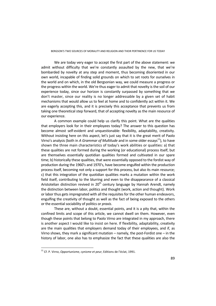BERGSON'S TWO SOURCES OF MORALITY AND RELIGION AND THEIR PERTINENCE FOR US TODAY

We are today very eager to accept the first part of the above statement: we admit without difficulty that we're constantly assaulted by the new, that we're bombarded by novelty at any step and moment, thus becoming disoriented in our own world, incapable of finding solid grounds on which to set roots for ourselves in the world and on which, in the old Bergsonian way, we could measure a progress or the progress within the world. We're thus eager to admit that novelty is the soil of our experience today, since our horizon is constantly surpassed by something that we don't master, since our reality is no longer addressable by a given set of habit mechanisms that would allow us to feel at home and to confidently act within it. We are eagerly accepting this, and it is precisely this acceptance that prevents us from taking one theoretical step forward, that of accepting novelty as the main resource of our experience.

A common example could help us clarify this point. What are the qualities that employers look for in their employees today? The answer to this question has become almost self-evident and unquestionable: flexibility, adaptability, creativity. Without insisting here on this aspect, let's just say that it is the great merit of Paolo Virno's analysis (both in *A Grammar of Multitude* and in some older essays<sup>11</sup>), to have shown the three main characteristics of today's work abilities or qualities: a) that these qualities are not formed during the working (or educational) process itself, but are themselves essentially quotidian qualities formed and cultivated in our spare time; b) historically these qualities, that were essentially opposed to the fordist way of production during the 1960's and 1970's, have become engulfed within the production process itself, becoming not only a support for this process, but also its main resource; c) that this integration of the quotidian qualities marks a mutation within the work field itself, contributing to the blurring and even to the disappearance of a classical Aristotelian distinction revived in  $20<sup>th</sup>$  century language by Hannah Arendt, namely the distinction between labor, politics and thought (work, action and thought). Work or labor thus gets impregnated with all the requisites for the other human endeavors, engulfing the creativity of thought as well as the fact of being exposed to the others or the essential sociability of politics or *praxis*.

These are, without a doubt, essential points, and it is a pity that, within the confined limits and scope of this article, we cannot dwell on them. However, even though these points that belong to Paolo Virno are integrated in my approach, there is another aspect I would like to insist on here. If flexibility, adaptability, creativity are the main qualities that employers demand today of their employees, and if, as Virno shows, they mark a significant mutation – namely, the post-Fordist one – in the history of labor, one also has to emphasize the fact that these qualities are also the

<sup>11</sup> Cf. P. Virno, *Opportunisme, cynisme et peur*, Editions de l'éclat, 1991.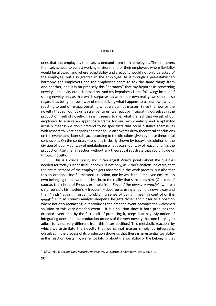ones that the employees themselves demand from their employers. The employers themselves need to build a working environment for their employees where flexibility would be allowed, and where adaptability and creativity would not only be asked *of* the employee, but also granted *to* the employee. As if through a pre-established harmony, the employers and the employees seem to ask the same things from one another, and it is on precisely this "harmony" that my hypothesis concerning novelty – creativity etc. – is based on. And my hypothesis is the following: instead of seeing novelty only as that which surpasses us within our own reality, we should also regard it as being our own way of metabolizing what happens to us, our own way of reacting to and of re-appropriating what we cannot master. Since the new or the novelty that surrounds us is stranger to us, we react by integrating ourselves in the production itself of novelty. This is, it seems to me, what the fact that we ask of our employers to ensure an appropriate frame for our own creativity and adaptability actually means: we don't pretend to be specialists that could distance themselves with respect to what happens and that could afterwards draw theoretical conclusions on the events and, later still, act according to the directions given by those theoretical conclusions. On the contrary – and this is clearly shown by today's dissolution of the division of labor – our way of metabolizing what occurs, our way of reacting to it is the production itself, i.e. a reaction without any theoretical substrate that could guide us through novelty.

This is a crucial point, and it can engulf Virno's points about the qualities needed for today's labor field. It shows us not only, as Virno's analysis indicates, that the entire *persona* of the employee gets absorbed in the work process, but also that this absorption is itself a metabolic reaction, one by which the employee ensures his own belonging to the world he lives in, to the reality that surrounds him. (One can, of course, think here of Freud's example from *Beyond the pleasure principle* where a child reenacts his mother's – frequent – departures using a toy he throws away and then "finds" again, in order to obtain a sense of being himself in control of this event $12$ . But, as Freud's analysis deepens, he gets closer and closer to a position where not only reenacting, but producing the dreaded event becomes the welcomed solution to this very dreaded event  $-$  it is a solution since it both produces the dreaded event and, by the fact itself of producing it, keeps it at bay. My notion of integrating oneself in the production process of the very novelty that one is trying to adjust to is not very different from this latter position.) This metabolic reaction, by which we assimilate the novelty that we cannot master simply by integrating ourselves in the process of its production shows us that there is an essential sociability in this reaction. Certainly, we're not talking about the sociability or the belonging that

<sup>12</sup> Cf. S. Freud, *Beyond the Pleasure Principle*, W. W. Norton & Company, 1961, pp. 8-11.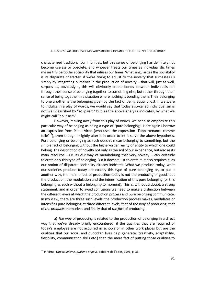characterized traditional communities, but this sense of belonging has definitely not become useless or obsolete, and whoever treats our times as individualistic times misses this particular sociability that infuses our times. What singularizes this sociability is its disparate character: if we're trying to adjust to the novelty that surpasses us simply by integrating ourselves in the production of novelty – that will, just as well, surpass us, obviously –, this will obviously create bonds between individuals not through their sense of belonging together to something else, but rather through their sense of being together in a situation where nothing is bonding them. Their belonging to one another is the belonging given by the fact of being equally lost. If we were to indulge in a play of words, we would say that today's so-called individualism is not well described by "solipsism" but, as the above analysis indicates, by what we might call "polipsism".

However, moving away from this play of words, we need to emphasize this particular way of belonging as being a type of "pure belonging". Here again I borrow an expression from Paolo Virno (who uses the expression "l'appartenance comme telle $^{\prime\prime}$ <sup>13</sup>), even though I slightly alter it in order to let it serve the above hypothesis. Pure belonging or belonging as such doesn't mean belonging to something, but the simple fact of belonging without the higher-order reality or entity to which one could belong. The description of novelty not only as the soil of our experience, but also as its main resource  $-$  i.e. as our way of metabolizing that very novelty  $-$  can certainly tolerate only this type of belonging. But it doesn't just tolerate it, it also requires it, as our notion of disparate sociability already indicates. What we produce today, what our societies produce today are exactly this type of pure belonging or, to put it another way, the main effect of production today is not the producing of goods but the production, the modulation and the intensification of this pure belonging (or this belonging as such without a belonging-to moment). This is, without a doubt, a strong statement, and in order to avoid confusions we need to make a distinction between the different levels at which the production process and pure belonging communicate. In my view, there are three such levels: the production process makes, modulates or intensifies pure belonging at three different levels, that of *the way* of producing, that of *the products* themselves and finally that of *the fact* of producing.

**a)** *The way* of producing is related to the production of belonging in a direct way that we've already briefly encountered: if the qualities that are required of today's employee are not acquired in schools or in other work places but are the qualities that our social and quotidian lives help generate (creativity, adaptability, flexibility, communication skills etc.) then the mere fact of putting those qualities to

<sup>13</sup> P. Virno, *Opportunisme, cynisme et peur*, Editions de l'éclat, 1991, p. 36.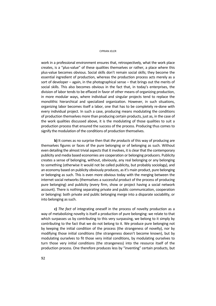work in a professional environment ensures that, retrospectively, what the work place creates, is a "plus-value" of these qualities themselves or rather, a place where this plus-value becomes obvious. Social skills don't remain social skills; they become the essential ingredient of production, whereas the production process acts merely as a sort of developer – again, in the photographical sense – that brings out the merits of social skills. This also becomes obvious in the fact that, in today's enterprises, the division of labor tends to be effaced in favor of other means of organizing production, in more modular ways, where individual and singular projects tend to replace the monolithic hierarchical and specialized organization. However, in such situations, organizing labor becomes itself a labor, one that has to be completely re-done with every individual project. In such a case, producing means modulating the conditions of production themselves more than producing certain products, just as, in the case of the work qualities discussed above, it is the modulating of those qualities to suit a production process that ensured the success of the process. Producing thus comes to signify the modulation of the conditions of production themselves.

**b)** It comes as no surprise then that *the products* of this way of producing are themselves figures or faces of the pure belonging or of belonging as such. Without even detailing the almost trivial aspects that it involves, it is clear that the contemporary publicity and media based economies are cooperation or belonging producers. Publicity creates a sense of belonging, without, obviously, any real belonging or any belonging to something (otherwise it would not be called publicity, but probably sociology), and an economy based on publicity obviously produces, as it's main product, pure belonging or belonging as such. This is even more obvious today with the merging between the internet social networks (themselves a successful product of the process of producing pure belonging) and publicity (every firm, show or project having a social network account). There is nothing separating private and public communication, cooperation or belonging: both private and public belonging merge into a disparate sociability, or into belonging as such.

**c)** *The fact* of integrating oneself in the process of novelty production as a way of metabolizing novelty is itself a production of pure belonging: we relate to that which surpasses us by contributing to this very surpassing, we belong to it simply by contributing to the fact that we do not belong to it. We produce pure belonging not by keeping the initial condition of the process (the strangeness of novelty), nor by modifying those initial conditions (the strangeness doesn't become known), but by modulating ourselves to fit those very initial conditions, by modulating ourselves to turn those very initial conditions (the strangeness) into the resource itself of the production process. One therefore produces less by "inventing" certain products, but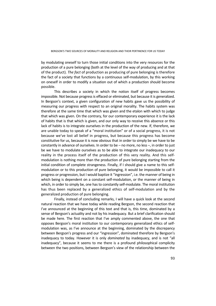by modulating oneself to turn those initial conditions into the very resources for the production of a pure belonging (both at the level of the way of producing and at that of the product). *The fact* of production as producing of pure belonging is therefore the fact of a society that functions by a continuous self-modulation, by this working on oneself in order to modify a situation out of which a production should become possible.

This describes a society in which the notion itself of progress becomes impossible. Not because progress is effaced or eliminated, but because it is generalized. In Bergson's context, a given configuration of new habits gave us the possibility of measuring our progress with respect to an original morality. The habits system was therefore at the same time that which was given and the etalon with which to judge that which was given. On the contrary, for our contemporary experience it is the lack of habits that is that which is given, and our only way to receive this absence or this lack of habits is to integrate ourselves in the production of the new. If, therefore, we are unable today to speak of a "moral institution" or of a social progress, it is not because we've lost all belief in progress, but because this progress has become constitutive for us, because it is now obvious that in order to simply be we have to be constantly in advance of ourselves. In order to be – no more, no less –, in order to just be we have to modulate ourselves as to be able to integrate our inadequacy to our reality in the process itself of the production of this very reality. And this selfmodulation is nothing more than the production of pure belonging starting from the initial condition of complete strangeness. Finally, if I should give a name to this selfmodulation or to this production of pure belonging, it would be impossible to call it progress or progression, but I would baptize it "ingression", i.e. the manner of being in which being is dependent on a constant self-modulation, or the manner of being in which, in order to simply be, one has to constantly self-modulate. The moral institution has thus been replaced by a generalized ethics of self-modulation and by the generalized production of pure belonging.

Finally, instead of concluding remarks, I will have a quick look at the second natural reaction that we have today while reading Bergson, the second reaction that I've announced at the beginning of this text and that is, this time, dominated by a sense of Bergson's actuality and not by his inadequacy. But a brief clarification should be made here. The first reaction that I've amply commented above, the one that opposes Bergson's moral institution to our contemporary generalized ethics of selfmodulation was, as I've announce at the beginning, dominated by the discrepancy between Bergson's progress and our "ingression", dominated therefore by Bergson's inadequacy to today. However it is only *dominated* by inadequacy, and is not "all inadequacy", because it seems to me there is a profound philosophical complicity between the two positions, between Bergson's view of the relationship between the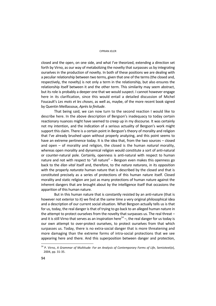closed and the open, on one side, and what I've theorized, extending a direction set forth by Virno, as our way of metabolizing the novelty that surpasses us by integrating ourselves in the production of novelty. In both of these positions we are dealing with a peculiar relationship between two terms, given that one of the terms (the closed and, respectively, the novelty) is not only a term in the relationship, but also ensures the relationship itself between it and the other term. This similarity may seem abstract, but its role is probably a deeper one that we would suspect. I cannot however engage here in its clarification, since this would entail a detailed discussion of Michel Foucault's *Les mots et les choses*, as well as, maybe, of the more recent book signed by Quentin Meillassoux, *Après la finitude*.

That being said, we can now turn to the second reaction I would like to describe here. In the above description of Bergson's inadequacy to today certain reactionary nuances might have seemed to creep up in my discourse. It was certainly not my intention, and the indication of a serious actuality of Bergson's work might support this claim. There is a certain point in Bergson's theory of morality and religion that I've already brushed upon without properly analyzing, and this point seems to have an extreme pertinence today. It is the idea that, from the two sources – closed and open – of morality and religion, the closed is the human *natural* morality, whereas open morality and dynamical religion would constitute a sort of anti-natural or counter-natural pole. Certainly, openness is anti-natural with respect to human nature and not with respect to "all nature" – Bergson even makes this openness go back to the *élan vital* itself and, therefore, to the *natura naturans*, in its opposition with the properly *naturata* human nature that is described by the closed and that is constituted precisely as a series of protections of this human nature itself. Closed morality and static religion are just as many protections of human nature against the inherent dangers that are brought about by the intelligence itself that occasions the apparition of this human nature.

But in this human nature that is constantly resisted by an anti-nature (that is however not exterior to it) we find at the same time a very original philosophical idea and a description of our current social situation. What Bergson actually tells us is that for us, today, the real danger is that of trying to go back to an alleged human nature in the attempt to protect ourselves from the novelty that surpasses us. The real threat – and it is still Virno that serves as an inspiration here<sup>14</sup> –, the real danger for us today is our own attempt to over-protect ourselves, to protect ourselves from that which surpasses us. Today, there is no extra-social danger that is more threatening and more damaging than the extreme forms of intra-social protections that we see appearing here and there. And this superposition between danger and protection,

<sup>&</sup>lt;sup>14</sup> P. Virno, A Grammar of Multitude: For an Analysis of Contemporary Forms of Life, Semiotext(e), 2004, pp. 31-35.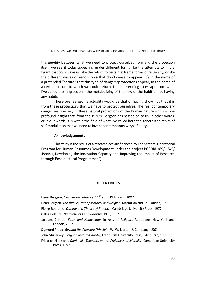BERGSON'S TWO SOURCES OF MORALITY AND RELIGION AND THEIR PERTINENCE FOR US TODAY

this *identity* between what we need to protect ourselves from and the protection itself, we see it today appearing under different forms like the attempts to find a tyrant that could save us, like the return to certain extreme forms of religiosity, or like the different waves of xenophobia that don't cease to appear. It's in the name of a pretended "nature" that this type of dangers/protections appear, in the name of a certain nature to which we could return, thus pretending to escape from what I've called the "ingression", the metabolizing of the new or the habit of not having any habits.

Therefore, Bergson's actuality would be that of having shown us that it is from these protections that we have to protect ourselves. The real contemporary danger lies precisely in these natural protections of the human nature  $-$  this is one profound insight that, from the 1930's, Bergson has passed on to us. In other words, or in our words, it is within the field of what I've called here the generalized ethics of self-modulation that we need to invent contemporary ways of being.

### **Aknowledgements**

This study is the result of a research activity financed by The Sectoral Operational Program for Human Resources Development under the project POSDRU/89/1.5/S/ 49944 ("Developing the Innovation Capacity and Improving the Impact of Research through Post-doctoral Programmes").

### **REFERENCES**

Henri Bergson, *L'évolution créatrice*, 11<sup>th</sup> edn., PUF, Paris, 2007.

Henri Bergson, *The Two Sources of Morality and Religion*, Macmillan and Co., London, 1935.

Pierre Bourdieu, *Outline of a Theory of Practice*, Cambridge University Press, 1977.

Gilles Deleuze, *Nietzsche et la philosophie*, PUF, 1962.

- Jacques Derrida, *Faith and Knowledge*, in *Acts of Religion*, Routledge, New York and London, 2002.
- Sigmund Freud, *Beyond the Pleasure Principle*, W. W. Norton & Company, 1961.
- John Mullarkey, *Bergson and Philosophy*, Edinburgh University Press, Edinburgh, 1999.
- Friedrich Nietzsche, *Daybreak. Thoughts on the Prejudices of Morality*, Cambridge University Press, 1997.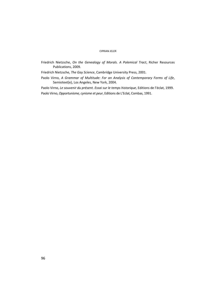Friedrich Nietzsche, *On the Genealogy of Morals. A Polemical Tract*, Richer Resources Publications, 2009.

Friedrich Nietzsche, *The Gay Science*, Cambridge University Press, 2001.

Paolo Virno, *A Grammar of Multitude: For an Analysis of Contemporary Forms of Life*, Semiotext(e), Los Angeles, New York, 2004.

Paolo Virno, *Le souvenir du présent. Essai sur le temps historique*, Editions de l'éclat, 1999. Paolo Virno, *Opportunisme, cynisme et peur*, Editions de L'Eclat, Combas, 1991.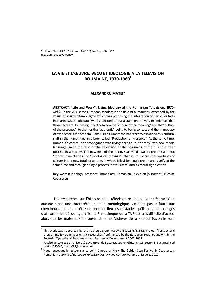# **LA VIE ET L'ŒUVRE. VECU ET IDEOLOGIE A LA TELEVISION ROUMAINE, 1970-1980**<sup>1</sup>

# **ALEXANDRU MATEI\***

**ABSTRACT. "Life and Work": Living Ideology at the Romanian Television, 1970- 1980.** In the 70s, some European scholars in the field of humanities, exceeded by the vogue of structuralism vulgate which was preaching the integration of particular facts into large systematic patchworks, decided to put a stake on the very experiences that those facts are. He distinguished between the "culture of the meaning" and the "culture of the presence", to disinter the "authentic" being-to-being contact and the immediacy of experience. One of them, Hans-Ulrich Gumbrecht, has recently explained this cultural shift in the humanities, in a book called "Production of Presence". At the same time, Romania's communist propaganda was trying hard to "authentify" the new media language, given the raise of the Television at the beginning of the 60s, in a freer post-stalinist society. The new goal of the audiovisual media was to create synthetic "moral immediacies" or "ideological feelings": that is, to merge the two types of culture into a new totalitarian one, in which Television could create and signify at the same time and through a single process "enthusiasm" and its moral signification.

**Key words:** Ideology, presence, immediacy, Romanian Television (history of), Nicolae Ceausescu

Les recherches sur l'histoire de la télévision roumaine sont très rares<sup>2</sup> et aucune n'ose une interprétation phénoménologique. Ce n'est pas la faute aux chercheurs, mais peut-être en premier lieu les obstacles qu'ils se voient obligés d'affronter les découragent-ils : la Filmothèque de la TVR est très difficile d'accès, alors que les matériaux à trouver dans les Archives de la Radiodiffusion le sont

 $^1$  This work was supported by the strategic grant POSDRU/89/1.5/S/58852, Project "Postdoctoral programme for training scientific researchers" cofinanced by the European Social Found within the Sectorial Operational Program Human Resources Development 2007-2013.

<sup>\*</sup> Faculté de Lettres de l'Université *Spiru Haret* de Bucarest, str. Ion Ghica, nr. 13, sector 3, Bucureşti, cod

postal: 030045, *amatei25@yahoo.com*<br><sup>2</sup> Nous renvoyons le lecteur sur ce point à notre article « The Golden Stag Festival in Ceausescu's Romania », *Journal of European Television History and Culture*, volume 1, issue 2, 2012.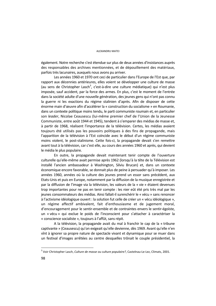également. Notre recherche s'est étendue sur plus de deux années d'insistances auprès des responsables des archives mentionnées, et de dépouillement des matériaux, parfois très lacunaires, auxquels nous avons pu arriver.

Les années 1960 et 1970 ont ceci de particulier dans l'Europe de l'Est que, par rapport aux décennies antérieures, elles voient se développer une culture de masse (au sens de Christopher Lasch<sup>3</sup>, c'est-à-dire une culture médiatique) qui n'est plus imposée, sauf accident, par la force des armes. En plus, c'est le moment de l'entrée dans la société adulte d'une nouvelle génération, des jeunes gens qui n'ont pas connu la guerre ni les exactions du régime stalinien d'après. Afin de disposer de cette énorme main d'œuvre afin d'accélérer la « construction du socialisme » en Roumanie, dans un contexte politique moins tendu, le parti communiste roumain et, en particulier son *leader*, Nicolae Ceausescu (lui-même premier chef de l'Union de la Jeunesse Communiste, entre août 1944 et 1945), tendent à s'emparer des médias de masse et, à partir de 1968, réalisent l'importance de la télévision. Certes, les médias avaient toujours été utilisés pas les pouvoirs politiques à des fins de propagande, mais l'apparition de la télévision à l'Est coïncide avec le début d'un régime communiste moins violent, le post-stalinisme. Cette fois-ci, la propagande devait s'en remettre avant tout à la télévision, car c'est elle, au cours des années 1960 et après, qui devient le média le plus populaire.

En outre, la propagande devait maintenant tenir compte de l'ouverture culturelle qu'elle-même avait permise après 1962 (lorsqu'à la tête de la Télévision est installé l'ancien ambassadeur à Washington, Silviu Brucan) et, dans un contexte économique encore favorable, se donnait plus de peine à persuader qu'à imposer. Les années 1960, années où la culture des jeunes prend un essor sans précédent, aux Etats-Unis et puis en Europe, notamment par la diffusion de la musique enregistrée et par la diffusion de l'image via la télévision, les valeurs de la « vie » étaient devenues trop importantes pour ne pas en tenir compte : les nier eût été pris très mal par les jeunes consommateurs des médias. Ainsi fallait-il surenchérir le « vécu » sans renoncer à l'activisme idéologique ouvert : la solution fut celle de créer un « vécu idéologique », un régime affectif ambivalent, fait d'enthousiasme et de jugement moral, d'encouragement pour le sentir-ensemble et de contraintes envers le sentir-égoïste, un « vécu » qui exclue le poids de l'inconscient pour s'attacher à caractériser la « conscience socialiste », toujours à l'affût, sans répit.

A la télévision, la propagande avait du mal à franchir le cap de la « tribune captivante » (Ceausescu) qu'on exigeait qu'elle devienne, dès 1969. Avant qu'elle n'en vînt à ignorer sa propre nature de spectacle vivant et dynamique pour se muer dans un festival d'images arrêtées au centre desquelles trônait le couple présidentiel, la

<sup>3</sup> Voir Christopher Lasch, *Culture de masse ou culture populaire?*, Castelnau-Le-Lez, Climats, 2001.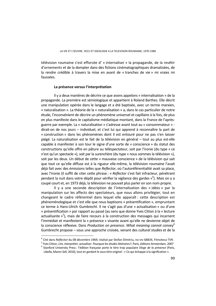télévision roumaine s'est efforcée d' « internaliser » la propagande, de la revêtir d'ornements et de la dompter dans des fictions cinématographiques dramatisées, de la rendre crédible à travers la mise en avant de « tranches de vie » mi vraies mi faussées.

### **La présence versus l'interprétation**

Il y a deux manières de décrire ce que avons appelons « internalisation » de la propagande. La première est sémiologique et appartient à Roland Barthes. Elle décrit une manipulation opérée dans le langage et a été baptisée, avec un terme marxien, « naturalisation ». La théorie de la « naturalisation » a, dans le cas particulier de notre étude, l'inconvénient de décrire un phénomène universel et capillaire à la fois, de plus en plus manifeste dans le capitalisme médiatique montant, dans la France de l'aprèsguerre par exemple. La « naturalisation » s'adresse avant tout au « consommateur » dirait-on de nos jours – individuel, et c'est lui qui apprend à reconnaître la part de « construction » dans les phénomènes dont il est entouré pour ne pas s'en laisser piégé. La naturalisation est le fait de la télévision en général – tout au plus est-elle capable à manifester à son tour le signe d'une sorte de « conscience » du statut des constructions qu'elle offre en pâture au téléspectateur, soit par l'ironie (du type « ce n'est qu'un spectacle »), soit par la surenchère (du type « nous sommes la télévision »), soit par les deux. Un début de cette « mauvaise conscience » de la télévision qui sait que tout ce qu'elle diffuse est à la rigueur elle-même, la télévision roumaine l'avait déjà fait avec des émissions telles que *Reflector*, où l'autoréférentialité avait sa place, avec l'ironie (il suffit de citer cette phrase : « *Reflector* s'est fait infracteur, pénétrant pendant la nuit dans votre dépôt pour vérifier la vigilance des gardes »<sup>4</sup>). Mais on y a coupé court et, en 1973 déjà, la télévision ne pouvait plus parler en son nom propre.

Il y a une seconde description de l'internalisation des « idées » par la manipulation sur les affects des spectateurs, que nous allons privilégier, tout en changeant le cadre référentiel dans lequel elle apparaît : cette description est phénoménologique et c'est elle que nous baptisons « présentification », empruntant ce terme à Hans-Ulrich Gumbrecht. Il ne s'agit pas d'une « actualisation » ou d'une « présentification » par rapport au passé (au sens que donne Yves Citton à la « lecture actualisante »<sup>5</sup>), mais de faire recours à la construction des messages qui incarnent l'immédiat et manifestent la « présence » vivante avant qu'elle ne devienne objet de la conscience réflexive. Dans *Production on presence. What meaning cannot convey*<sup>6</sup> Gumbrecht propose – sous une approche croisée, venant des *cultural studies* et de la

a<br><sup>4</sup> Cité dans *Reflector* du 08 décembre 1969, réalisé par Stefan Dimitriu, no inv 68834, Filmoteca TVR.<br><sup>5</sup> Vice Citton, Lise, interprétes, estudiese Reurquei les études littéraires? Paris, éditions Amsterdam, 2007.

Yves Citton, *Lire, interpréter, actualiser. Pourquoi les études littéraires?*, Paris, éditions Amsterdam, 2007 6

<sup>&</sup>lt;sup>6</sup> Stanford University Press : l'édition française porte le titre trop populaire *Eloge de la présence* (Paris, Libella, Maren Sell, 2010), tout en gardant le sous-titre originel : « Ce qui échappe à la signification ».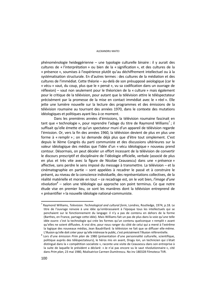#### ALEXANDRU MATEI

phénoménologie heideggérienne – une typologie culturelle binaire : il y aurait des cultures de « l'interprétation » ou bien de la « signification », et des cultures de la « présence », soumises à l'expérience plutôt qu'au déchiffrement intellectuel ou à la systématisation structurale. En d'autres termes : des cultures de la médiation et des cultures de l'immédiat. Cette théorie – au-delà de son présupposé axiologique (car le « vécu » vaut, du coup, plus que le « pensé », vu sa codification dans un ouvrage de réflexion) – vaut non seulement pour le théoricien de la « culture » mais également pour le critique de la télévision, pour autant que la télévision attire le téléspectateur précisément par la promesse de la mise en contact immédiat avec le « réel ». Elle jette une lumière nouvelle sur la lecture des programmes et des émissions de la télévision roumaine au tournant des années 1970, dans le contexte des mutations idéologiques et politiques ayant lieu à ce moment.

Dans les premières années d'émissions, la télévision roumaine fascinait en tant que « technologie », pour reprendre l'adage du titre de Raymond Williams<sup>7</sup>; il suffisait qu'elle émette et qu'un spectateur muni d'un appareil de télévision regarde l'émission. Or, vers la fin des années 1960, la télévision devient de plus en plus une forme à « remplir » ; on lui demande déjà plus que d'être tout simplement. C'est depuis le Xème Congrès du parti communiste et des discussions ultérieures sur la valeur idéologique des médias que l'idée d'un « vécu idéologique » nouveau prend contour. Désormais, on peut déceler un effort incessant de la télévision de convertir le discours prescriptif et disciplinaire de l'idéologie officielle, verbale (associé de plus en plus et très vite avec la figure de Nicolae Ceausescu) dans une « présence » affective, sans perdre le sens imposé du message à transmettre. La télévision – et la cinématographie en partie – sont appelées à recadrer le passé et à construire le présent, au niveau de la conscience individuelle, des représentations collectives, de la réalité matérielle et morale en tout – ce recadrage est, on le voit bien, *l'image d'une*  révolution<sup>8</sup> – selon une téléologie qui approche son point terminus. Ce que notre étude vise en premier lieu, ce sont les manières dont la télévision entreprend de « présentifier » la nouvelle idéologie national-communiste.

 $\overline{a}$ 

<sup>7</sup> Raymond Williams, *Television. Technological and cultural form*, Londres, Routledge, 1974, p.18. Le titre de l'ouvrage renvoie à une idée qu'embrassaient à l'époque tous les intellectuels qui se penchaient sur le fonctionnement du langage: il n'y a pas de contenu en dehors de la forme (Barthes, en France, partage cette idée). Mais Williams fait un pas de plus dans la voie qu'une telle idée ouvre: c'est la technologie qui crée les formes qu'un contenu quelconque « remplit » avant qu'elles ne soient diffusées. A vrai dire, pour nous ranger du côté de celui qui a mené à l'extrême la logique des nouveaux médias, Jean Baudrillard: la télévision ne fait que se diffuser elle-même.

L'illusion qu'elle doit créer pour qu'elle intéresse le public, c'est précisément l'illusion référentielle. 8 Lors d'une émission *Prim plan* de 1980 (présentation d'une personnalité culturelle, scientifique, politique auprès des téléspectateurs), le héros mis en avant, Dragu Ion, un technicien qui s'était distingué dans la « compétition socialiste », raconte une visite de Ceausescu dans son entreprise à la suite de laquelle le président a déclaré: « Je n'ai pas encore vu le saut révolutionnaire », cité dans *Prim plan*, 23 mai 1980, Réalisatrice Carmen Dumitrescu. No inv 180328 Filmoteca TVR.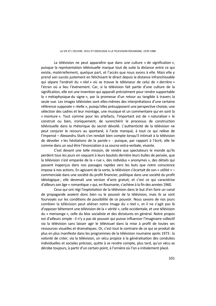#### LA VIE ET L'ŒUVRE. VECU ET IDEOLOGIE A LA TELEVISION ROUMAINE, 1970-1980

La télévision ne peut apparaître que dans une culture « de signification », puisque la représentation télévisuelle marque tout de suite la distance entre ce qui existe, matériellement, quelque part, et l'accès que nous avons à elle. Mais elle y prend son succès justement en fétichisant le direct depuis la distance infranchissable qui sépare l'endroit du « réel » où se trouve le téléviseur de celui de « derrière » l'écran où a lieu l'événement. Car, si la télévision fait partie d'une culture de la signification, elle est une invention qui apparaît précisément pour rendre supportable la « métaphysique du signe », par la promesse d'un retour au tangible à travers la seule vue. Les images télévisées sont elles-mêmes des interprétations d'une certaine référence supposée « réelle », puisqu'elles présupposent une perspective choisie, une sélection des cadres et leur montage, une musique et un commentaire qui en sont la « monture ». Tout comme pour les artefacts, l'important est de « naturaliser » le construit ou bien, ironiquement, de surenchérir le processus de construction télévisuelle dans la rhétorique du secret dévoilé. L'authenticité de la télévision ne peut conjurer le recours au spontané, à l'acte manqué, à tout ce qui relève de l'impensé – Alexandru Stark s'en rendait bien compte lorsqu'il intimait à la télévision de dévoiler « les hésitations de la parole » - puisque, par rapport à l'écrit, elle lie comme dans un seul être l'énonciation à sa source extra-verbale, vivante.

C'est devant une telle mission, de rendre aux spectateurs le monde qu'ils perdent tous les jours en vaquant à leurs boulots derrière leurs bulles de pensée, que la télévision s'est emparée de la « rue », des individus « anonymes », des détails qui passent inaperçus dans nos passages rapides vers les buts que notre conscience impose à nos actions. En agissant de la sorte, la télévision s'écartait de son « utilité » – commerciale dans une société du profit financier, politique dans une société du profit idéologique ; elle devenait une version d'acte gratuit, et c'est ce qui caractérise d'ailleurs son âge « romantique » qui, en Roumanie, s'achève à la fin des années 1960.

Ceux qui ont régi l'exploitation de la télévision dans le but d'en faire un canal de propagande avaient donc bien vu le pouvoir de la télévision, mais ils se sont fourvoyés sur les conditions de possibilité de ce pouvoir. Nous savons de nos jours combien la télévision peut aliéner notre image du « réel », et il ne s'agit pas là d'opposer bêtement une télévision de la « vérité », celle occidentale, et une télévision du « mensonge », celle du bloc socialiste et des dictatures en général. Notre propos est d'ailleurs simple : il n'y a pas de pouvoir qui puisse influencer l'imaginaire collectif via la télévision sans laisser agir le télévisuel dans la mise à profit de toutes ses ressources visuelles et dramatiques. Or, c'est tout le contraire de ce qui se produit de plus en plus manifeste dans les programmes de la télévision roumaine après 1973 : la volonté de créer, via la télévision, un vécu propice à la généralisation des conduites individuelles et sociales précises, quitte à se rendre compte, plus tard, qu'un vécu se dérobe toujours, à partir d'un certain point, à l'ornière où l'on a initialement placé.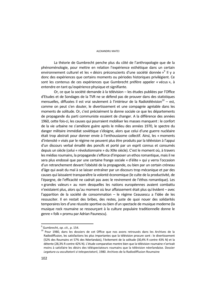#### ALEXANDRU MATEI

La théorie de Gumbrecht penche plus du côté de l'anthropologie que de la phénoménologie, pour mettre en relation l'expérience esthétique dans un certain environnement culturel et les « désirs préconscients d'une société donnée »<sup>9</sup> Il y a donc des expériences que certains moments ou périodes historiques privilégient. Ce sont les contenus de ces expériences que Gumbrecht préfère appeler « vécus », à entendre en tant qu'expérience physique et signifiante.

Or, ce que la société demande à la télévision – les études publiées par l'Office d'Etudes et de Sondages de la TVR ne se défend pas de prouver dans des statistiques mensuelles, diffusées il est vrai seulement à l'intérieur de la Radiotélévision $10 - 1$ est. comme on peut s'en douter, le divertissement et une compagnie agréable dans les moments de solitude. Or, c'est précisément la donne sociale ce que les départements de propagande du parti communiste essaient de changer. A la différence des années 1960, cette fois-ci, les causes qui pourraient mobiliser les masses manquent : le confort de la vie urbaine ne s'améliore guère après le milieu des années 1970, le spectre du danger militaire immédiat soviétique s'éloigne, alors que celui d'une guerre nucléaire était trop abstrait pour donner envie à l'enthousiasme collectif. Ainsi, les « moments d'intensité » visés par le régime ne peuvent plus être produits par la télévision à l'appui d'un discours verbal émaillé des poncifs et porté par un esprit connus et consumés depuis un siècle (celui « révolutionnaire » du XIXe siècle). C'est le moment où, à travers les médias roumains, la propagande s'efforce d'imposer un ethos romantique, mais il ne sera plus endossé que par une certaine frange sociale « d'élite » qui y verra l'occasion d'un retranchement devant l'obésité de la propagande, ou bien par un certain créneau d'âge qui avait du mal à se laisser entraîner par un discours trop mécanique et par des causes qui laissaient transparaître la volonté économique (le culte de la productivité, de l'épargne, de l'efficacité ne cadrait pas avec le revirement de l'éthos romantique). Les « grandes valeurs » au nom desquelles les nations européennes avaient combattu n'existaient plus, alors qu'au moment où leur affaissement était plus qu'évident – avec l'apparition de la société de consommation – le régime Ceausescu a l'idée de les ressusciter. Il en restait des bribes, des restes, juste de quoi nouer des solidarités temporaires lors d'une réussite sportive ou bien d'un spectacle de musique moderne (la musique rock roumaine se ressourçant à la culture populaire traditionnelle donne le genre « folk » promu par Adrian Paunescu).

 $\overline{a}$ 

 $9$  Gumbrecht, op. cit., p. 154.

<sup>&</sup>lt;sup>10</sup> Pour 1980, dans les dossiers de cet Office que nos avons retrouvés dans les Archives de la Radiodiffusion, les satisfactions les plus importantes que la télévision procure sont : le divertissement (52% des Roumains et 57% des Néerlandais), l'évitement de la solitude (30,4% R contre 43% N) et la détente (28,3% R contre 42% N). L'étude comparative montre bien que la télévision roumaine n'arrivait moins à satisfaire les désirs des téléspectateurs roumains que la télévision néerlandaise. Dossier *Legatura cu ascultatorii si telespectatorii*, 1980. Archives de la Radiodiffusion Roumaine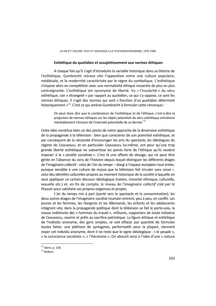# **Esthétique du quotidien et assujettissement aux normes éthiques**

A chaque fois qu'il s'agit d'introduire la variable historique dans sa théorie de l'esthétique, Gumbrecht retrace vite l'opposition entre une culture populaire, médiévale, et la modernité caractérisée par le règne du symbolique. L'esthétique s'impose alors en compétition avec une normativité éthique ressentie de plus en plus contraignante. L'esthétique est synonyme de liberté. Vu « l'insularité » du vécu esthétique, son « étrangeté » par rapport au quotidien, ce qui s'y oppose, ce sont les normes éthiques. Il s'agit des normes qui sont « fonction d'un quotidien déterminé historiquement »<sup>11</sup>. C'est ce qui amène Gumbrecht à formuler cette remarque :

On peut donc dire que la combinaison de l'esthétique et de l'éthique, c'est-à-dire la projection de normes éthiques sur les objets potentiels du vécu esthétique entraînera inévitablement l'érosion de l'intensité potentielle de ce dernier.<sup>12</sup>

Cette idée constitue bien un des pivots de notre approche de la dimension esthétique de la propagande à la télévision : bien que conscients de son potentiel esthétique, et par conséquent de la nécessité d'encourager les arts du spectacle, les idéologues du régime de Ceausescu, et en particulier Ceausescu lui-même, ont peur qu'une trop grande liberté esthétique ne subvertisse les points forts de l'éthique qu'ils veulent imposer à la « société socialiste ». C'est là une affaire de dosage, qui ne peut être gérée en l'absence du sens de l'histoire depuis lequel distinguer les différents étages de l'imaginaire collectif : celui de *l'air du temps* – élargi à l'espace européen tout entier, puisque sensible à une culture de masse que la télévision fait circuler sans cesse –, celui des *identités culturelles* propres au moment historique de la société à laquelle on veut appliquer un certain discours idéologique (nation, minorité ethnique, culturelle, sexuelle etc.) et, en fin de compte, le niveau de *l'imaginaire collectif créé par le Pouvoir* pour satisfaire ses propres exigences et projets.

L'air du temps mis à part (porté vers le spectacle et la consommation), les deux autres étages de l'imaginaire sociétal roumain entrent, peu à peu, en conflit. Les jeunes et les femmes, les Hongrois et les Allemands, les enfants et les adolescents intègrent vite, dans la propagande politique dont la télévision se fait le porte-voix, la masse indistincte des « hommes du travail », militants, supporters de toute initiative de Ceausescu, soumis et prêts au sacrifice patriotique. La figure éthique *et esthétique* de l'individu anonyme, des gens simples, se voit effacer par quantité de formules toutes faites: une pléthore de syntagmes, performatifs pour la plupart, viennent noyer cet individu anonyme, dont il ne reste que le signe idéologique : « le peuple », « la conscience socialiste », « l'héroïsme ». On aboutit ainsi à l'idée d'une « nature

 $11$  Idem, p. 158.

<sup>12</sup> Ibidem.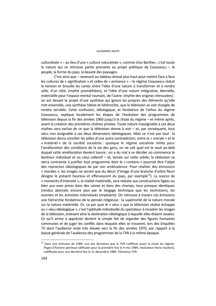culturalisée » – au lieu d'une « culture naturalisée », comme chez Barthes : c'est toute la nature qui se retrouve partie prenante au projet politique de Ceausescu – le peuple, la forme du pays, la beauté des paysages.

C'est ainsi que – revenant au tableau dressé plus haut pour mettre face à face les cultures de « signification » et celles de « présence » – le régime Ceausescu réduit la tension et brouille les cartes entre l'idée d'une nature à transformer et à rendre utile, d'un côté, (mythe prométhéen), et l'idée d'une nature intégrative, éternelle, matricielle pour l'espace mental roumain, de l'autre. (mythe des origines retrouvées) : on est devant le projet d'une synthèse qui ignore les propres des éléments qu'elle met ensemble, une synthèse hâtive et hétéroclite, que la télévision se voit chargée de rendre sensible. Cette confusion, idéologique, et fondatrice de l'ethos du régime Ceausescu, explique localement les étapes de l'évolution des programmes de télévision depuis la fin des années 1960 jusqu'à la chute du régime – et même après, avant la création des premières chaînes privées. Toute nature inassignable à ces deux mythes sera exclue de ce que la télévision donne à voir – et, par conséquent, tout vécu non assignable à ces deux dimensions idéologiques. Mais ce n'est pas tout : la télévision devra concilier les pôles d'une autre contradiction, entre la « morale » et le « matériel » de la société socialiste : quoique le régime socialiste milite pour l'amélioration des conditions de la vie des gens, on ne sait quel est le seuil au-delà duquel cette amélioration devient luxure ; on a du mal à se décider où commence le bonheur individuel et où celui collectif – et, lancée sur cette orbite, la télévision se verra contrainte à justifier tout programme dont le « contenu » pourrait être l'objet des reproches idéologiques de par son ambivalence. Pour réaliser des émissions « morales », les images ne seront que du décor (l'image d'une branche d'arbre fleuri désigne le présent heureux et effervescent du pays, par exemple<sup>13</sup>). La source de « moments d'intensité », la réalité matérielle, sera réduite aux constructions figées ou bien aux vues prises dans des usines et dans des champs, tous presque identiques (rendus abstraits encore plus par le langage technique que les techniciens, les ouvriers et les activistes interviewés emploient). On retrouve à travers ces émissions une hiérarchie fondatrice de la pensée religieuse : la supériorité de la nature morale sur la nature matérielle. Or, ce par quoi le « vécu » que la télévision réalise échappe au « vécu idéologique », c'est l'aptitude individuelle du spectateur à recadrer les images de la télévision, enlevant ainsi la destination idéologique à laquelle elles étaient vouées. Ce qu'il arrive à apprécier devient le simple fait de regarder des figures humaines communes et de juger les conflits dans lesquels elles se trouvent, lors des *Enquêtes TV* dont l'audience reste très élevée vers la fin des années 1970, par rapport à la baisse générale de l'audience des programmes de la TVR à la même époque.

 $\overline{a}$ 

 $^{13}$  Dans une émission de 1989, une des dernières que la TVR rediffuse avant la chute du régime: *Pages d'histoire glorieuse* (diffusée pour la première fois le 9 mai 1989, réalisateur Horia Vasiloni), rediffusée pour une dernière fois le 21 décembre 1989. Filmoteca TVR.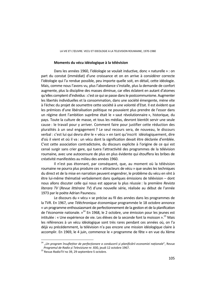### **Moments du vécu idéologique à la télévision**

Dans les années 1960, l'idéologie se voulait inductive, donc « naturelle » : on part du constat (immédiat) d'une croissance et on en arrive à considérer correcte l'idéologie qui l'a rendue possible, peu importe quelle soit, en détail, cette idéologie. Mais, comme nous l'avons vu, plus l'abondance s'installe, plus la demande de confort augmente, plus la discipline des masses diminue, car elles éclatent en autant d'atomes qu'elles comptent d'individus : c'est ce qui se passe dans le postcommunisme. Augmenter les libertés individuelles et la consommation, dans une société émergente, mène vite à l'échec du projet de soumettre cette société à une volonté d'Etat. Il est évident que les prémices d'une libéralisation politique ne pouvaient plus prendre de l'essor dans un régime dont l'ambition suprême était le « saut révolutionnaire », historique, du pays. Toute la culture de masse, et tous les médias, devront bientôt servir une seule cause : le travail pour y arriver. Comment faire pour justifier cette réduction des pluralités à un seul engagement ? Le seul recours sera, de nouveau, le discours verbal : c'est lui qui devra *dire* le « vécu » en tant qu'inscrit idéologiquement, dire d'où il vient et où il va : un vécu dont la signification devait être déclarée d'emblée. C'est cette association contradictoire, du discours explicite à l'origine de ce qui est censé surgir sans crier gare, qui tuera l'attractivité des programmes de la télévision roumaine, avec une autocensure de plus en plus évidente qui étouffera les bribes de créativité manifestées au milieu des années 1960.

Il n'est pas étonnant, par conséquent, que, au moment où la télévision roumaine ne pourra plus produire ces « attracteurs de vécu » que seules les techniques du direct et de la mise en narration peuvent engendrer, le problème du vécu en vînt à être lui-même thématisé verbalement dans quelques émissions de télévision – dont nous allons discuter celle qui nous est apparue la plus réussie : la première *Revista literara TV* (*Revue littéraire TV*) d'une nouvelle série, réalisée au début de l'année 1973 par le poète Adrian Paunescu.

Le discours du « vécu » se précise au fil des années dans les programmes de la TVR. En 1967, une *Téléchronique économique* programmée le 18 octobre annonce « un programme enthousiasmant de perfectionnement de la gestion et de la planification de l'économie nationale.  $v^{14}$  En 1968, le 2 octobre, une émission pour les jeunes est intitulée : « Une expérience de vie. Les élèves de la seconde font la moisson ».<sup>15</sup> Mais les références à un vécu idéologique sont très rares pendant ces années où, on l'a déjà vu précédemment, la télévision n'a pas encore une mission idéologique claire à accomplir. En 1969, le 4 juin, commence le « programme de fête » en vue du Xème

 $\overline{a}$ 

<sup>14 &</sup>quot;*Un program însuflețitor de perfecționare a conducerii și planificării economiei naționale*", Revue *Programul de Radio și Televiziune* nr. 830, jeudi 12 octobre 1967. 15 Revue *RadioTV* no 39, 29 septembre-5 octobre.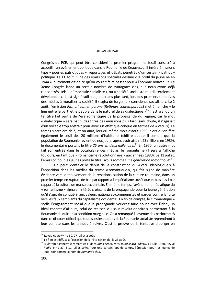#### ALEXANDRU MATEI

Congrès du PCR, qui peut être considéré le premier programme festif consacré à accueillir un événement politique dans la Roumanie de Ceausescu. Il insère émissions type « poésies patriotiques », reportages et débats pénétrés d'un certain « pathos » politique. Le 11 août, l'une des émissions spéciales dessine « le profil du jeune né en 1944 », autrement dit de ce qu'on voulait faire passer pour « l'homme nouveau ». Le Xème Congrès lance un certain nombre de syntagmes clés, que nous avons déjà rencontrés, tels « démocratie socialiste » ou « société socialiste multilatéralement développée ». Il est significatif que, deux ans plus tard, lors des premiers tentatives des médias à moraliser la société, il s'agira de forger la « conscience socialiste ». Le 2 août, l'émission *Ritmuri contemporane* (*Rythmes contemporains*) met à l'affiche « le lien entre le parti et le peuple dans le naturel de sa dialectique  $v^{16}$  Il est vrai qu'un tel titre fait partie de l'ère romantique de la propagande du régime, car le mot « dialectique » sera banni des titres des émissions plus tard (sans doute, il s'agissait d'un vocable trop abstrait pour avoir un effet quelconque en termes de « vécu »). Le temps s'accélère déjà, et on aura, lors du même mois d'août 1969, alors qu'on fête également le seuil des 20 millions d'habitants (chiffre auquel il semble que la population de Roumanie revient de nos jours, après avoir atteint 23 millions en 1989), le documentaire portant le titre 25 ans en deux millénaires<sup>17</sup> En 1970, un autre mot fait son entrée dans le vocabulaire des médias, le romantisme (il sera à l'affiche toujours, en tant que « romantisme révolutionnaire » aux années 1980). Le 11 juillet, l'émission pour les jeunes porte le titre : *Nous sommes une génération romantique*18.

On peut identifier le début de la construction du « vécu idéologique » à l'apparition dans les médias du terme « romantique », qui fait signe de manière évidente vers le mouvement de la renationalisation de la culture roumaine, dans un premier temps en rupture de ban par rapport à l'impérialisme soviétique et puis aussi par rapport à la culture de masse occidentale. En même temps, l'avènement médiatique du « romantisme » signale l'intérêt croissant de la propagande pour la jeune génération qu'il s'agit de conquérir aux valeurs nationales-communistes et garder contre la fuite vers les faux semblants du capitalisme occidental. En fin de compte, le « romantique » scelle l'engagement social que la propagande voudrait faire nouer avec l'idéal, un idéal concret d'ailleurs, celui de réaliser le « saut révolutionnaire » permettant à la Roumanie de quitter sa condition marginale. On a remarqué l'advenue des performatifs dans ce discours officiel que toutes les institutions de la Roumanie socialiste reprendront à leur compte dans les années à suivre. C'est la preuve de la tentative d'obliger en

<sup>&</sup>lt;sup>16</sup> Revue *RadioTV* no 30, 27 juillet-2 août.<br><sup>17</sup> Le film est diffusé à l'occasion de la Fête nationale, le 23 août.

<sup>18 «</sup> Sîntem o generaţie romantică », dans *Bună seara, fete! Bună seara, băieţi!,* 11 iulie 1970. Revue *RadioTV* no 27, 5-11 juillet 1970. Pour une certain laps de temps, l'émission pour les jeunes de jeudi soir portera le nom de *Romantic club*.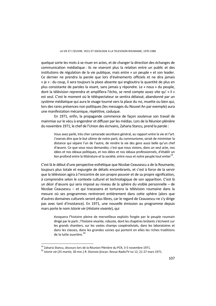quelque sorte les mots à se muer en actes, et de changer la direction des échanges de communication médiatique : ils ne viseront plus la relation entre un public et des institutions de régulation de la vie publique, mais entre « un peuple » et son leader. Ce dernier ne prendra la parole que lors d'événements officiels et ne dira jamais « je » : du coup, il sera toujours la place absente qui engloutira la quantité de plus en plus consistante de paroles la visant, sans jamais y répondre. Le « nous » du peuple, dont la télévision reprendra et amplifiera l'écho, se rend compte assez vite qu' « il » est seul. C'est le moment où le téléspectateur se sentira délaissé, abandonné par un système médiatique qui aura le visage tourné vers la place du roi, muette ou bien qui, lors des rares présences non politiques (les messages du Nouvel An par exemple) aura une manifestation mécanique, répétitive, caduque.

 En 1971, enfin, la propagande commence de façon soutenue son travail de mainmise sur le vécu à engendrer et diffuser par les médias. Lors de la Réunion plénière du novembre 1971, le chef de l'Union des écrivains, Zaharia Stancu, prend la parole :

Vous avez parlé, très cher camarade secrétaire général, au rapport entre la vie et l'art. J'oserais dire que le but ultime de notre parti, du communisme, serait de minimiser la distance qui sépare l'un de l'autre, de rendre la vie des gens aussi belle qu'un chef d'œuvre. Ce que vous nous demandez, c'est que nous vivions, dans un seul acte, nos idées et nos idéaux politiques, et nos idées et nos idéaux professionnels, d'établir un lien profond entre la littérature et la société, entre nous et notre peuple tout entier<sup>19</sup>.

C'est là le début d'une perspective esthétique que Nicolae Ceausescu a de la Roumanie, toujours plus totale et expurgée de détails encombrants, et c'est à force de la servir que la télévision agira à l'encontre de son propre pouvoir et de sa propre signification, à comprendre selon le contexte culturel et technologique de son apparition. C'est là un désir d'œuvre qui sera imposé au niveau de la sphère du visible personnelle – de Nicolae Ceausescu – et qui tracassera et torturera la télévision roumaine dans la mesure où ses programmes rentreront entièrement dans cette sphère (alors que d'autres domaines culturels seront plus libres, car le regard de Ceausescu ne s'y dirige pas avec tant d'insistance). En 1971, une nouvelle émission au programme depuis mars porte le nom *Istorie vie* (*Histoire vivante*), qui

évoquera l'histoire pleine de merveilleux exploits forgée par le peuple roumain dirigé par le parti ; l'histoire vivante, robuste, dont les chapitres brûlants s'écrivent sur les grands chantiers, sur les vastes champs coopérativisés, dans les laboratoires et dans les classes, dans les grandes usines qui portent en elles les riches traditions de la lutte ouvrière.<sup>20</sup>

<sup>&</sup>lt;sup>19</sup> Zaharia Stancu, discours lors de la Réunion Plénière du PCR, 3-5 novembre 1971.<br><sup>20</sup> *Istorie vie* (25 martie, 50 min.) R: Dionisie Şincan. Revue *RadioTV* no 12, 21-27 mars 1971.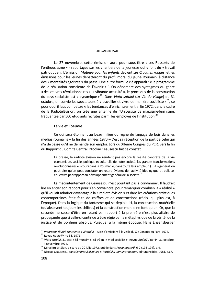#### ALEXANDRU MATEI

Le 27 novembre, cette émission aura pour sous-titre « Les Ressorts de l'enthousiasme » - reportages sur les chantiers de la jeunesse qui y font du « travail patriotique ». L'émission *Matinée pour les enfants* devient *Les Cravates rouges*, et les émissions pour les jeunes débatteront du profil moral du jeune Roumain, à distance des « mentalités égoistes » du passé. Une autre formule clé apparaît : « le programme de la réalisation consciente de l'avenir  $v^{21}$ . On dénombre des syntagmes du genre « des œuvres révolutionnaires », « vibrante actualité », le processus de la construction du pays socialiste est « dynamique »22. Dans *Viata satului* (*La Vie du village*) du 31 octobre, on convie les spectateurs à « travailler et vivre de manière socialiste »<sup>23</sup>, ce pour quoi il faut combattre « les tendances d'enrichissement ». En 1972, dans le cadre de la Radiotélévision, on crée une antenne de l'Université de marxisme-léninisme, fréquentée par 500 étudiants recrutés parmi les employés de l'institution.<sup>24</sup>

#### **La vie et l'oeuvre**

Ce qui sera étonnant au beau milieu du règne du langage de bois dans les médias roumains – la fin des années 1970 – c'est sa réception de la part de celui qui n'a de cesse qu'il ne demande son emploi. Lors du XIIème Congrès du PCR, vers la fin du Rapport du Comité Central, Nicolae Ceausescu fait ce constat :

La presse, la radiotélévision ne rendent pas encore la réalité concrète de la vie économique, sociale, politique et culturelle de notre société, les grandes transformations révolutionnaires en cours dans la Roumanie, dans toute leur ampleur. (…) En général, on peut dire qu'on peut constater un retard évident de l'activité idéologique et politicoéducative par rapport au développement général de la société.<sup>25</sup>

Le mécontentement de Ceausescu n'est pourtant pas à condamner. Il faudrait lire en entier son rapport pour s'en convaincre, pour remarquer combien la « réalité » qu'il voulait admirer davantage à la « radiotélévision » et dans les créations artistiques contemporaines était faite de chiffres et de constructions (réels, qui plus est, à l'époque). Dans la logique du fantasme qui se déploie ici, la construction matérielle (qu'absolvent toujours les chiffres) et la construction morale ne font qu'un. Or, que la seconde ne cesse d'être en retard par rapport à la première n'est plus affaire de propagande que si celle-ci continue à être régie par la métaphysique de la vérité, de la justice et du bonheur absolus. Puisque, à la même époque, Hans Enzensberger

<sup>&</sup>lt;sup>21</sup> Programul făuririi constiente a viitorului – cycle d'émissions à la veille du XIe Congrès du Parti, 1974.

<sup>&</sup>lt;sup>22</sup> Revue RadioTV no 36, 1971.<br><sup>23</sup> Viata satului, 31 oct: « Să muncim și să trăim în mod socialist ». Revue RadioTV no 44, 31 octobre-4 novembre 1971.<br><sup>24</sup> Mihai Bujor-Sion, discurs du 20 iulie 1972, publié dans Presa noastră, 6-7 (193-194), p.4.<br><sup>25</sup> Nicolae Ceausescu, dans Congresul al XII-lea al Partidului Comunist Roman, editura Politica, 1981, p.67.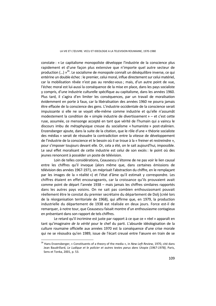constate : « Le capitalisme monopoliste développe l'industrie de la conscience plus rapidement et d'une façon plus extensive que n'importe quel autre secteur de production  $(...)$  »<sup>26</sup>. Le socialisme de monopole connaît un déséquilibre inverse, ce qui entérine un double échec : le premier, celui moral, influe directement sur celui matériel, car la mobilisation rêvée n'est pas au rendez-vous ; mais, d'un autre point de vue, l'échec moral est lui-aussi la conséquence de la mise en place, dans les pays socialiste y compris, d'une industrie culturelle spécifique au capitalisme, dans les années 1960. Plus tard, il s'agira d'en limiter les conséquences, par un travail de moralisation évidemment en porte à faux, car la libéralisation des années 1960 ne pourra jamais être effacée de la conscience des gens. L'industrie occidentale de la conscience serait impuissante si elle ne se voyait elle-même comme industrie et qu'elle n'assumât modestement la condition de « simple industrie de divertissement » – et c'est cette ruse, assumée, ce mensonge accepté en tant que vérité de l'humain qui a vaincu le discours imbu de métaphysique creuse du socialisme « humaniste » post-stalinien. Enzensberger ajoute, dans la suite de la citation, que le rôle d'une « théorie socialiste des médias » serait de résoudre la contradiction entre la vitesse de développement de l'industrie de la conscience et le besoin où il se troue à la « freiner et restreindre », pour s'imposer toujours devant elle. Or, cela a été, on le sait aujourd'hui, impossible. Le seul effet moralisant de cette industrie est celui de son excès : le point où des jeunes renoncent à posséder un poste de télévision.

 Loin de telles considérations, Ceausescu s'étonne de ne pas voir le lien causal entre les chiffres qu'il invoque (alors même que, dans certaines émissions de télévision des années 1967-1971, on méprisait l'abstraction du chiffre, en le remplaçant par les images de la « réalité ») et l'état d'âme qu'il estimait y correspondre. Les chiffres étaient en effet encourageants, car la croissance qu'ils prouvaient avait comme point de départ l'année 1938 – mais jamais les chiffres similaires rapportés dans les autres pays voisins. On ne sait pas combien enthousiasmant pouvait réellement être le constat du premier secrétaire du département de Dolj (créé lors de la réorganisation territoriale de 1968), qui affirme que, en 1979, la production industrielle du département de 1938 est réalisée en deux jours. Force est-il de remarquer, à notre tour, que Ceausescu faisait montre d'un enthousiasme contagieux en présentant dans son rapport de tels chiffres.

Le retard qu'il incrimine est juste par rapport à ce que ce « réel » apparaît en tant qu'imaginaire *de la vérité* pour le chef du parti. L'absurde idéologisation de la culture roumaine officielle aux années 1970 est la conséquence d'une crise morale qui ne se résoudra qu'en 1989, issue de l'écart creusé entre l'œuvre en train de se

 $\overline{a}$ 

<sup>26</sup> Hans Enzensberger, « Constituents of a theory of the media », in *New Left Review*, 1970, cité dans Jean Baudrillard, *Le Ludique et le policier et autres textes parus dans* Utopie *(1967-1978)*, Paris, Sens et Tonka, 2001, p. 53.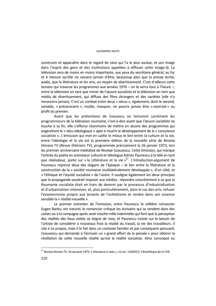#### ALEXANDRU MATEI

construire et apparaître dans le regard de celui qui l'a le plus voulue, et son image dans l'esprit des gens et des institutions appelées à diffuser cette image-là. La télévision sera de moins en moins importante, aux yeux du secrétaire général, au fur et à mesure qu'elle ne cessera jamais d'être, beaucoup plus que la presse écrite, audio, que la littérature et les arts, *un moyen de divertissement*. C'est d'ailleurs cette tension qui traverse les programmes aux années 1970 – on le verra tout à l'heure –, entre la télévision en tant que miroir de l'œuvre socialiste et la télévision en tant que média de divertissement, qui diffuse des films étrangers et des variétés (elle n'y renoncera jamais). C'est un combat entre deux « vécus », également, dont le second, variable, « préconscient », inutile, mesquin, ne pourra jamais être « exorcisé » au profit du premier.

Avant que les prétentions de Ceauescu ne torturent carrément les programmeurs de la télévision roumaine, c'est-à-dire avant que *l'œuvre socialiste* ne touche à sa fin, elle s'efforce néanmoins de mettre en œuvre des programmes qui engendrent le « vécu idéologique » apte à nourrir le développement de la « conscience socialiste ». L'émission qui met en saillie le mieux le lien entre la culture et la vie, entre l'idéologie et la vie est la première édition de la nouvelle série de *Revista literara TV* (*Revue littéraire TV*), programmée précisément le 26 janvier 1973, lors du premier anniversaire médiatisé de Nicolae Ceausescu. Cette émission, qui marque l'entrée du poète en animateur culturel et idéologue Adrian Paunescu à la télé en tant que réalisateur, porte sur « la Littérature et la vie  $x^{27}$ . L'introduction-argument de Paunescu reprend deux des slogans de l'époque – le lien entre la littérature et la construction de la « société roumaine multilatéralement développée », d'un côté, et « l'éthique et l'équité socialiste » de l'autre. Il souligne également les deux principes que la propagande voudrait imposer aux médias : répondre *concrètement* à ce que la Roumanie socialiste était en train de devenir par le processus d'industrialisation et d'urbanisation intensives, et, plus particulièrement, dans le cas des arts, refuser l'évasionnisme propre aux tenants de l'esthétisme et rendre dans son essence sensible la « réalité nouvelle ».

Le premier entretien de l'émission, entre Paunescu le célèbre romancier Eugen Barbu, est naturel: le romancier critique les écrivains qui se rendent dans des usines ou à la campagne après avoir touché mille indemnités qui font que la perception des réalités des lieux visités se teigne de rose, et Paunescu insiste sur le besoin de l'artiste de considérer à nouveaux frais la réalité du travail, la vie des travailleurs. Il cite à ce propos, mais il le fait dans un contexte familier et par conséquent persuasif, Ceausescu qui demande à l'écrivain un « grand effort de la pensée » pour obtenir la révélation de cette nouvelle réalité qu'est la réalité socialiste. Ainsi convoqué au

<sup>27</sup> *Revista literara TV*, 26 ianuarie 1973, « Literatura si viata », no inv. 116402/2, Filmothèque de la TVR.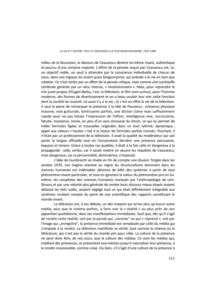milieu de la discussion, le discours de Ceausescu devient lui-même vivant, authentique et pourvu d'une certaine majesté. L'effort de la pensée requis par Ceausescu est, ici, un objectif noble, un seuil à atteindre par la conscience individuelle de chacun de nous, dans une logique du vivant quasi bergsonienne, qui préside à la vie en tant que création. Ce n'est certes pas un effort de la pensée critique, mais comme une surchauffe cérébrale générée par un vécu intense, « révolutionnaire ». Mais, pour reprendre le très juste propos d'Eugen Barbu, l'art, la télévision, le film sont surtout, pour l'homme moderne, des formes de divertissement et on a beau vouloir leur nier cette fonction dont la société les investit. Là-aussi il y a la vie ; et c'est en effet la vie de la télévision. Il vaut la peine de remarquer la présence à la télé de Paunescu : présence physique massive, voix gutturale, tonitruante parfois, une diction claire mais suffisamment rapide pour ne pas laisser l'impression de l'effort, intelligence vive, narcissisme, fatuité, insistance, ironie, en plus d'un sens émoussé du kitsch, ce qui lui permet de mêler formules figées et trouvailles originales dans un tout rythmé, dynamique ; appel aux valeurs « hautes » fait à la faveur de formules parfois creuses. Pourtant, il n'était pas un professionnel de la télévision. Il avait la qualité du modérateur qui sait parler la langue officielle tout en l'escamotant derrière une présence persuasive, loquace et tenace. Grâce à toutes ces qualités, il était à la fois utile et dangereux à la propagande : utile, certes, car il savait mettre en œuvre les requêtes de Ceausescu, mais dangereux, car sa personnalité, dominatrice, s'imposait.

L'idée de Gumbrecht se révèle en fin de compte une illusion: forgée dans les années 1970, son origine réactive au régne du structuralisme dominant dans les sciences humaines est indéniable: désireux de bâtir des systèmes à partir de tout phénomène vivant particulier, et tout en ignorant la valeur du phénomène pris en luimême, les coryphées des sciences humaines marqués par l'anthropologie de Lévi-Strauss et par une volonté plus générale de rendre leurs discours mieux étayés avaient délaissé les faits isolés, avaient négligé tout ce qui était difficilement intégrable aux systèmes rendant compte du point de vue scientifique des rapports constituant le monde vivant.

La télévision est, à ses débuts, un des moyens qui arrive plus qu'aucun autre média, plus que le cinéma parfois, à faire voir la « réalité » au plus près de son apparition quotidienne, dans ses manifestations immédiates. Sauf que, dès qu'il s'agit de rendre cette réalité, soit par la parole qui "raconte" ou qui « reprend », soit par l'image qui "enregistre", la présence immédiate est remplacée par celle du média qui s'emploie à la rendre. La télévision manifeste sa vérité, tout comme le cinéma ou la littérature, qui n'est pas la vérité du monde pris pour cible. La culture de la présence ne peut donc être, de nos jours, que la culture des médias. Ce sont les médias qui, médiant des présences, se présentent eux-mêmes jusqu'à naturaliser leur présence, à la rendre insaisissable, comme vraie. Ou bien, s'il s'agit d'une culture de la présence à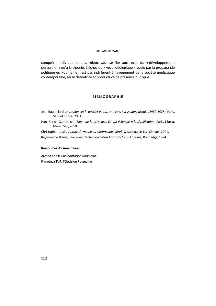#### ALEXANDRU MATEI

conquérir individuellement, mieux vaut se fier aux récits du « développement personnel » qu'à la théorie. L'échec du « vécu idéologique » voulu par la propagande politique en Roumanie n'est pas indifférent à l'avènement de la société médiatique contemporaine, seule détentrice et productrice de présence publique.

### **BIBLIOGRAPHIE**

Jean Baudrillard, *Le Ludique et le policier et autres textes parus dans* Utopie *(1967-1978)*, Paris, Sens et Tonka, 2001.

Hans Ulrich Gumbrecht, *Eloge de la présence. Ce qui échappe à la signification*, Paris, Libella, Maren Sell, 2010.

Christopher Lasch, *Culture de masse ou culture populaire?*, Castelnau-Le-Lez, Climats, 2001. Raymond Williams, *Television. Technological and cultural form*, Londres, Routledge, 1974.

#### **Ressources documentaires**

Archives de la Radiodiffusion Roumaine Filmoteca TVR, Télévision Roumaine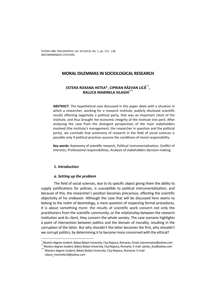# **MORAL DILEMMAS IN SOCIOLOGICAL RESEARCH**

# **ESTERA ROXANA HETEA\*, CIPRIAN RĂZVAN LICĂ\*\*, RALUCA MARINELA SILAGHI\*\*\***

**ABSTRACT.** The hypothetical case discussed in this paper deals with a situation in which a researcher, working for a research institute, publicly disclosed scientific results affecting negatively a political party, that was an important client of the institute, and thus brought the economic integrity of the institute into peril. After analyzing the case from the divergent perspectives of the main stakeholders involved (the institute's management, the researcher in question and the political party), we conclude that autonomy of research in the field of social sciences is possible only if political practices assume the conditions of moral responsibility.

**Key words:** Autonomy of scientific research, Political instrumentalization, Conflict of interests, Professional responsibilities, Analysis of stakeholders decision-making

### **1. Introduction**

### *a. Setting up the problem*

The field of social sciences, due to its specific object giving them the ability to supply justifications for policies, is susceptible to political instrumentalization, and because of this, the researcher's position becomes precarious, affecting the scientific objectivity of his endeavor. Although the case that will be discussed here seems to belong to the realm of deontology, a mere question of respecting formal procedures, it is about something more: the results of scientific work concern not only the practitioners from the scientific community, or the relationship between the research institution and its client, they concern the whole society. The case scenario highlights a point of intersection between politics and the domain of morality, resulting in the corruption of the latter. But why shouldn't the latter becomes the first, why shouldn't we corrupt politics, by determining it to become more concerned with the ethical?

\*

Masters degree student, Babeș-Bolyai University, Cluj-Napoca, Romania. Email: *esteraroxana@yahoo.com*<br><sup>\*</sup> Masters degree student, Babeș-Bolyai University, Cluj-Napoca, Romania. E-mail: *ciprian\_lica@yahoo.com*<br>\*\* Masters

*raluca\_marinela14@yahoo.com*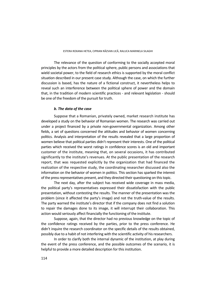The relevance of the question of conforming to the socially accepted moral principles by the actors from the political sphere, public persons and associations that wield societal power, to the field of research ethics is supported by the moral conflict situation described in our present case study. Although the case, on which the further discussion is based, has the nature of a fictional construct, it nevertheless helps to reveal such an interference between the political sphere of power and the domain that, in the tradition of modern scientific practices - and relevant legislation - should be one of the freedom of the pursuit for truth.

# *b. The data of the case*

Suppose that a Romanian, privately owned, market research institute has developed a study on the behavior of Romanian women. The research was carried out under a project financed by a private non-governmental organization. Among other fields, a set of questions concerned the attitudes and behavior of women concerning politics. Analysis and interpretation of the results revealed that a large proportion of women believe that political parties didn't represent their interests. One of the political parties which received the worst ratings in confidence scores is an old and important customer of the institute, meaning that, on several occasions, it has contributed significantly to the institute's revenues. At the public presentation of the research report, that was requested explicitly by the organization that had financed the realization of the respective study, the coordinating researcher discussed also the information on the behavior of women in politics. This section has sparked the interest of the press representatives present, and they directed their questioning on this topic.

The next day, after the subject has received wide coverage in mass media, the political party's representatives expressed their dissatisfaction with the public presentation, without contesting the results. The manner of the presentation was the problem (since it affected the party's image) and not the truth-value of the results. The party warned the institute's director that if the company does not find a solution to repair the damages done to its image, it will interrupt their collaboration. This action would seriously affect financially the functioning of the institute.

Suppose, again, that the director had no previous knowledge on the topic of the confidence ratings received by the parties, prior to the press conference. He didn't inquire the research coordinator on the specific details of the results obtained, possibly due to a habit of not interfering with the scientific activity of his researchers.

In order to clarify both the internal dynamic of the institution, at play during the event of the press conference, and the possible outcomes of the scenario, it is helpful to provide a more detailed description for this institution.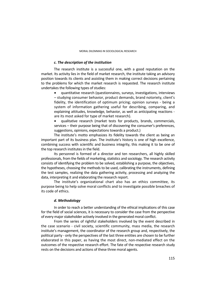#### *c. The description of the institution*

The research institute is a successful one, with a good reputation on the market. Its activity lies in the field of market research, the institute taking an advisory position towards its clients and assisting them in making correct decisions pertaining to the problems for which the market research is requested. The research institute undertakes the following types of studies:

 quantitative research (questionnaires, surveys, investigations, interviews – studying consumer behavior, product demands, brand notoriety, client's fidelity, the identification of optimum pricing; opinion surveys - being a system of information gathering useful for describing, comparing, and explaining attitudes, knowledge, behavior, as well as anticipating reactions are its most asked for type of market research).

 qualitative research (market tests for products, brands, commercials, services – their purpose being that of discovering the consumer's preferences, suggestions, opinions, expectations towards a product.)

The institute's motto emphasizes its fidelity towards the client as being an important part of its business plan*.* The institute's history is one of high excellence, combining success with scientific and business integrity, this making it to be one of the top research institutes in the field.

Its personnel is formed of a director and ten researchers, all highly skilled professionals, from the fields of marketing, statistics and sociology. The research activity consists of identifying the problem to be solved, establishing a purpose, the objectives, the hypotheses, choosing the methods to be used, calibrating the instruments, defining the test samples, realizing the data gathering activity, processing and analyzing the data, interpreting it and elaborating the research report.

The institute's organizational chart also has an ethics committee, its purpose being to help solve moral conflicts and to investigate possible breaches of its code of ethics.

### *d. Methodology*

In order to reach a better understanding of the ethical implications of this case for the field of social sciences, it is necessary to consider the case from the perspective of every major stakeholder actively involved in the generated moral conflict.

From the series of rightful stakeholders involved by the event described in the case scenario - civil society, scientific community, mass media, the research institute's management, the coordinator of the research group and, respectively, the political party - only the perspectives of the last three entities are chosen to be further elaborated in this paper, as having the most direct, non-mediated effect on the outcomes of the respective research effort. The fate of the respective research study rests on the decisions and actions of these three moral agents.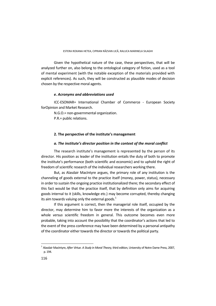Given the hypothetical nature of the case, these perspectives, that will be analyzed further on, also belong to the ontological category of fiction, used as a tool of mental experiment (with the notable exception of the materials provided with explicit references). As such, they will be constructed as plausible modes of decision chosen by the respective moral agents.

# *e. Acronyms and abbreviations used*

ICC-ESOMAR= International Chamber of Commerce - European Society forOpinion and Market Research.

N.G.O.= non-governmental organization.

P.R.= public relations.

# **2. The perspective of the institute's management**

# *a. The institute's director position in the context of the moral conflict*

The research institute's management is represented by the person of its director. His position as leader of the institution entails the duty of both to promote the institute's performance (both scientific and economic) and to uphold the right of freedom of scientific research of the individual researchers working there.

But, as Alasdair MacIntyre argues, the primary role of any institution is the channeling of goods external to the practice itself (money, power, status), necessary in order to sustain the ongoing practice institutionalized there; the secondary effect of this fact would be that the practice itself, that by definition only aims for acquiring goods internal to it (skills, knowledge etc.) may become corrupted, thereby changing its aim towards valuing only the external goods. $1$ 

If this argument is correct, then the managerial role itself, occupied by the director, may determine him to favor more the interests of the organization as a whole *versus* scientific freedom in general. This outcome becomes even more probable, taking into account the possibility that the coordinator's actions that led to the event of the press conference may have been determined by a personal antipathy of the coordinator either towards the director or towards the political party.

<sup>1</sup> Alasdair MacIntyre, *After Virtue. A Study in Moral Theory*, third edition, University of Notre Dame Press, 2007, p. 194.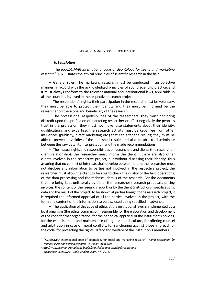#### *b. Legislation*

The *ICC-ESOMAR international code of deontology for social and marketing research*<sup>2</sup> (1976) states the ethical principles of scientific research in the field:

 General rules: The marketing research must be conducted in an objective manner, in accord with the acknowledged principles of sound scientific practice, and it must always conform to the relevant national and international laws, applicable in all the countries involved in the respective research project.

 $-$  The respondent's rights: their participation in the research must be voluntary, they must be able to protect their identity and they must be informed be the researcher on the scope and beneficiary of the research.

 $-$  The professional responsibilities of the researchers: they must not bring discredit upon the profession of marketing researcher or affect negatively the people's trust in the profession; they must not make false statements about their identity, qualifications and expertise; the research activity must be kept free from other influences (publicity, direct marketing etc.) that can alter the results; they must be able to prove the validity of the published results and also be able to discriminate between the raw data, its interpretation and the made recommendations.

- The mutual rights and responsibilities of researchers and clients (the researcherclient relationship): the researcher must inform the client if there are also other clients involved in the respective project, but without disclosing their identity, thus assuring that no conflict of interests shall develop between them; the researcher must not disclose any information to parties not involved in the respective project; the researcher must allow the client to be able to check the quality of the field operations, of the data processing and the technical details of the research. For the documents that are being kept unilaterally by either the researcher (research proposals, pricing invoices, the content of the research report) or by the client (instructions, specifications, data and the result of the project) to be shown at parties foreign to the research project, it is required the informed approval of all the parties involved in the project, with the form and content of the information to be disclosed being specified in advance.

- The application of this code of ethics at the institutional level is implemented by a local organism (the ethics commission) responsible for the elaboration and development of the code for that organization, for the periodical appraisal of the institution's policies, for the establishment and maintenance of organizational culture, for offering counsel and arbitration in case of moral conflicts, for sanctioning against those in breach of the code, for protecting the rights, safety and welfare of the institution's members.

 2 "ICC-ESOMAR international code of deontology for social and marketing research", *World association for market, social and opinion research - ESOMAR*, 2008, web

*<sup>&</sup>lt;http://www.esomar.org/uploads/public/knowledge-and-standards/codes-andguidelines/ICCESOMAR\_Code\_English\_.pdf*>, 7-XI-2012.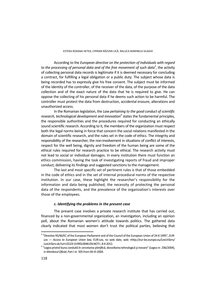According to the *European directive on the protection of individuals with regard to the processing of personal data and of the free movement of such data<sup>3</sup>, the activity* of collecting personal data records is legitimate if it is deemed necessary for concluding a contract, for fulfilling a legal obligation or a public duty. The subject whose data is being recorded has to expressly give his free consent. The subject must be informed of the identity of the controller, of the receiver of the data, of the purpose of the data collection and of the exact nature of the data that he is required to give. He can oppose the collecting of his personal data if he deems such action to be harmful. The controller must protect the data from destruction, accidental erasure, alterations and unauthorized access.

In the Romanian legislation, the *Law pertaining to the good conduct of scientific*  research, technological development and innovation<sup>4</sup> states the fundamental principles, the responsible authorities and the procedures required for conducting an ethically sound scientific research. According to it, the members of the organization must respect both the legal norms being in force that concern the social relations manifested in the domain of scientific research, and the rules set in the code of ethics. The integrity and responsibility of the researcher, the non-involvement in situations of conflict of interests, respect for the well being, dignity and freedom of the human being are some of the ethical rules required for research practice to be ethical. The research activity must not lead to social or individual damages. In every institution there must function an ethics commission, having the task of investigating reports of fraud and improper conduct, delivering its findings and suggested sanctions to the management.

The last and most specific set of pertinent rules is that of those embedded in the code of ethics and in the set of internal procedural norms of the respective institution. In our case, these highlight the researcher's responsibility for the information and data being published, the necessity of protecting the personal data of the respondents, and the prevalence of the organization's interests over those of the employees.

# *c. Identifying the problems in the present case*

The present case involves a private research institute that has carried out, financed by a non-governmental organization, an investigation, including an opinion poll, about the Romanian women's attitude towards politics. The gathered data clearly indicated that most women don't trust the political parties, believing that

<sup>3</sup> "Directive 95/46/EC of the European Parliament and of the Council of the European Union of 24-X-1995", *EUR-Lex — Access to European Union law*, EUR-Lex, no web date, web *<http://eur-lex.europa.eu/LexUriServ/ LexUriServ.do?uri=CELEX:31995L0046:EN:NOT>*, 8-II-2012. 4

<sup>&</sup>lt;sup>4</sup> "Legea privind buna conduită în cercetarea științifică, dezvoltarea tehnologică și inovare" (Legea nr. 206/2004), in *Monitorul Oficial*, Part I nr. 505 from 04-VI-2004.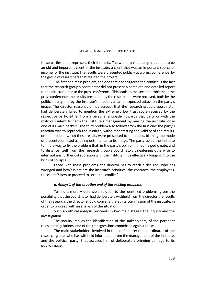these parties don't represent their interests. The worst ranked party happened to be an old and important client of the institute, a client that was an important source of income for the institute. The results were presented publicly at a press conference, by the group of researchers that realized the project.

The first and main problem, the one that had triggered the conflict, is the fact that the research group's coordinator did not present a complete and detailed report to the director, prior to the press conference. This leads to the second problem: at the press conference, the results presented by the researchers were received, both by the political party and by the institute's director, as an unexpected attack on the party's image. The director reasonably may suspect that the research group's coordinator had deliberately failed to mention the extremely low trust score received by the respective party, either from a personal antipathy towards that party or with the malicious intent to harm the institute's management by making the institute loose one of its main backers. The third problem also follows from the first one: the party's reaction was to reproach the institute, without contesting the validity of the results, on the mode in which these results were presented to the public, blaming the mode of presentation used as being detrimental to its image. The party asked the institute to find a way to fix the problem that, in the party's opinion, it had helped create, and to distance itself from the research group's coordinator, threatening otherwise to interrupt any further collaboration with the institute, thus effectively bringing it to the brink of collapse.

Faced with these problems, the director has to reach a decision: who has wronged and how? What are the institute's priorities: the contracts, the employees, the clients? How to proceed to settle the conflict?

# *d. Analysis of the situation and of the existing problems*

To find a morally defensible solution to the identified problems, given the possibility that the coordinator had deliberately withheld from the director the results of the research, the director should convene the ethics commission of the institute, in order to proceed with an analysis of the situation.

Such an ethical analysis proceeds in two main stages: the inquiry and the investigation.

The inquiry implies the identification of the stakeholders, of the pertinent rules and regulations, and of the transgressions committed against these.

The main stakeholders involved in the conflict are: the coordinator of the research group, who has withheld information from the management of the institute, and the political party, that accuses him of deliberately bringing damage to its public image.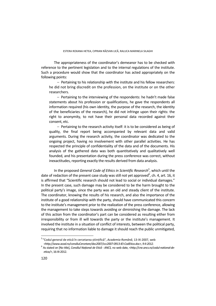The appropriateness of the coordinator's demeanor has to be checked with reference to the pertinent legislation and to the internal regulations of the institute. Such a procedure would show that the coordinator has acted appropriately on the following points:

 $-$  Pertaining to his relationship with the institute and his fellow researchers: he did not bring discredit on the profession, on the institute or on the other researchers.

 $-$  Pertaining to the interviewing of the respondents: he hadn't made false statements about his profession or qualifications, he gave the respondents all information required (his own identity, the purpose of the research, the identity of the beneficiaries of the research), he did not infringe upon their rights: the right to anonymity, to not have their personal data recorded against their consent, etc.

 $-$  Pertaining to the research activity itself: it is to be considered as being of quality, the final report being accompanied by relevant data and valid arguments. During the research activity, the coordinator was dedicated to the ongoing project, having no involvement with other parallel activities. He has respected the principle of confidentiality of the data and of the documents. His analysis of the gathered data was both quantitatively and qualitatively well founded, and his presentation during the press conference was correct, without inexactitudes, reporting exactly the results derived from data analysis.

In the proposed *General Code of Ethics in Scientific Research<sup>5</sup>, which until the* date of redaction of the present case study was still not yet approved<sup>6</sup>, ch. 4, art. 16, it is affirmed that "Scientific research should not lead to social or individual damages." In the present case, such damage may be considered to be the harm brought to the political party's image, since the party was an old and steady client of the institute. The coordinator, knowing the results of his research, and also the importance of the institute of a good relationship with the party, should have communicated this concern to the institute's management prior to the realization of the press conference, allowing the management to take steps towards avoiding or diminishing the damage. The lack of this action from the coordinator's part can be considered as resulting either from irresponsibility or from ill will towards the party or the institute's management. It involved the institute in a situation of conflict of interests, between the political party, requiring that no information liable to damage it should reach the public unmitigated,

 $\overline{a}$ 

<sup>5 &</sup>quot;Codul general de etică în cercetarea științifică", *Academia Română*, 13-IX-2007, web *<http://www.acad.ro/consiliuCercetare/doc2007/ccc2007-0913-IEI-CodEtica.doc>, 9-II-2012.* <sup>6</sup>

As stated on [No title], *Consiliul Național de Etică - ANCS,* no web date, <*http://cne.ancs.ro/codul-national-deetica/>*, 16-XI-2012.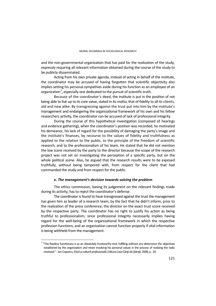and the non-governmental organization that has paid for the realization of the study, expressly requiring all relevant information obtained during the course of the study to be publicly disseminated.

Acting from his own private agenda, instead of acting in behalf of the institute, the coordinator may be accused of having forgotten that scientific objectivity also implies setting his personal sympathies aside during his function as an employee of an organization<sup>7</sup>, especially one dedicated to the pursuit of scientific truth.

Because of the coordinator's deed, the institute is put in the position of not being able to live up to its core value, stated in its motto, that of fidelity to all its clients, old and new alike. By transgressing against the trust put into him by the institute's management and endangering the organizational framework of his own and his fellow researchers activity, the coordinator can be accused of lack of professional integrity.

During the course of this hypothetical investigation (composed of hearings and evidence gathering), when the coordinator's position was recorded, he motivated his demeanor, his lack of regard for the possibility of damaging the party's image and the institute's finances, by recourse to the values of fidelity and truthfulness as applied to the relation to the public, to the principle of the freedom of scientific research, and to the professionalism of his team. He stated that he did not mention the low score received by the party to the director because the scope of the research project was not set on investigating the perception of a specific party, but on the whole political scene. Also, he argued that the research results were to be exposed truthfully, without being tampered with, from respect for the client that had commanded the study and from respect for the public.

### *e. The management's decision towards solving the problem*

The ethics commission, basing its judgement on the relevant findings made during its activity, has to reject the coordinator's defense.

The coordinator is found to have transgressed against the trust the management has given him as leader of a research team, by the fact that he didn't inform, prior to the realization of the press conference, the director on the exact trust score received by the respective party. The coordinator has no right to justify his action as being truthful to professionalism, since professional integrity necessarily implies having regard for the well-being of the organizational framework in which the respective profession functions, and an organization cannot function properly if vital information is being withheld from the management.

 $\overline{a}$ 

 $^7$  "The flawless functionary is as an absolutely trustworthy tool, fulfilling without any deterrence the objectives established by the organization and never involving his personal values in the process of realizing the tasks received." - Ion Copoeru, *Etică şi cultură profesională,* Editura Casa Cărţii de Ştiinţă, 2008, p. 29.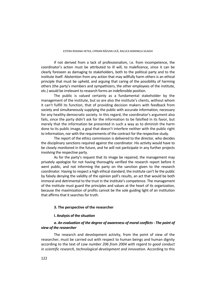If not derived from a lack of professionalism, i.e. from incompetence, the coordinator's action must be attributed to ill will, to maleficence, since it can be clearly foreseen as damaging to stakeholders, both to the political party and to the institute itself. Abstention from any action that may willfully harm others is an ethical principle that must be upheld, and arguing that caring of the possibility of harming others (the party's members and sympathizers, the other employees of the institute, etc.) would be irrelevant to research forms an indefensible position.

The public is valued certainly as a fundamental stakeholder by the management of the institute, but so are also the institute's clients, without whom it can't fulfill its function, that of providing decision makers with feedback from society and simultaneously supplying the public with accurate information, necessary for any healthy democratic society. In this regard, the coordinator's argument also fails, since the party didn't ask for the information to be falsified in its favor, but merely that the information be presented in such a way as to diminish the harm done to its public image, a goal that doesn't interfere neither with the public right to information, nor with the requirements of the contract for the respective study.

The report of the ethics commission is delivered to the director, who decides the disciplinary sanctions required against the coordinator. His activity would have to be closely monitored in the future, and he will not participate in any further projects involving the respective party.

As for the party's request that its image be repaired, the management may privately apologize for not having thoroughly verified the research report before it went public, and not informing the party on the sanction given to the research coordinator. Having to respect a high ethical standard, the institute can't lie the public by falsely denying the validity of the opinion poll's results, an act that would be both immoral and detrimental to the trust in the institute's competence. The management of the institute must guard the principles and values at the heart of its organization, because the maximization of profits cannot be the sole guiding light of an institution that affirms that it searches for truth.

### **3. The perspective of the researcher**

### **I. Analysis of the situation**

# *a. An evaluation of the degree of awareness of moral conflicts - The point of view of the researcher*

The research and development activity, from the point of view of the researcher, must be carried out with respect to human beings and human dignity according to the text of *Law number 206 from 2004 with regard to good conduct in scientific research, technological development and innovation.* According to this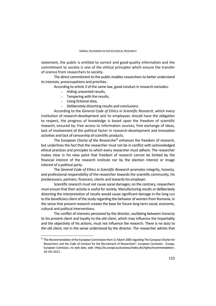statement, the public is entitled to correct and good-quality information and the commitment to society is one of the ethical principles which ensure the transfer of science from researchers to society.

The direct commitment to the public enables researchers to better understand its interests, preoccupations and priorities.

According to article 3 of the same law, good conduct in research excludes:

- Hiding unwanted results,
- Tampering with the results,
- Using fictional data,
- Deliberately distorting results and conclusions.

According to the *General Code of Ethics in Scientific Research*, which every institution of research-development and its employees should have the obligation to respect, the progress of knowledge is based upon the freedom of scientific research, ensured by: free access to information sources, free exchange of ideas, lack of involvement of the political factor in research-development and innovation activities and lack of censorship of scientific products.

The *European Charta of the Researcher*<sup>8</sup> enhances the freedom of research, but underlines the fact that the researcher must not be in conflict with acknowledged ethical practices and principles to which every researcher must adhere. The researcher makes clear in his view point that freedom of research cannot be limited by the financial interest of the research institute nor by the election interest or image interest of a political party.

The *General Code of Ethics in Scientific Research* promotes integrity, honesty, and professional responsibility of the researcher towards the scientific community, his predecessors, partners, financers, clients and towards his employer.

Scientific research must not cause social damages; on the contrary, researchers must ensure that their activity is useful for society. Manufacturing results or deliberately distorting the interpretation of results would cause significant damage in the long run to the beneficiary client of the study regarding the behavior of women from Romania, in the sense that present research creates the base for future long term social, economic, cultural and political interventions.

The conflict of interests perceived by the director, oscillating between honesty to his present client and loyalty to the old client, which may influence the impartiality and the objectivity of his actions, must not influence the research. There is no duty to the old client, not in the sense understood by the director. The researcher admits that

 8 "The Recommendation of the European Commission from 11 March 2005 regarding The European Charter for Researchers and the Code of Conduct for the Recruitment of Researchers", *European Comission - Europa*, European Comission, no web date, web <*http://ec.europa.eu/euraxess/index.cfm/rights/recommendation>*, 20-VIII-2012.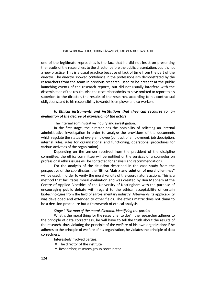one of the legitimate reproaches is the fact that he did not insist on presenting the results of the researchers to the director before the public presentation, but it is not a new practice. This is a usual practice because of lack of time from the part of the director. The director showed confidence in the professionalism demonstrated by the researchers from the team in previous research, used to be present at the public launching events of the research reports, but did not usually interfere with the dissemination of the results. Also the researcher admits to have omitted to report to his superior, to the director, the results of the research, according to his contractual obligations, and to his responsibility towards his employer and co-workers.

### *b. Ethical instruments and institutions that they can recourse to, an evaluation of the degree of expression of the actors*

The internal administrative inquiry and investigation:

In the first stage, the director has the possibility of soliciting an internal administrative investigation in order to analyze the provisions of the documents which regulate the status of every employee (contract of employment, job description, internal rules, rules for organizational and functioning, operational procedures for various activities of the organization).

Depending on the answer received from the president of the discipline committee, the ethics committee will be notified or the services of a counselor on professional ethics issues will be contacted for analysis and recommendations.

For the analysis of the situation described in the case study from the perspective of the coordinator, the "**Ethics Matrix and solution of moral dilemmas"** will be used, in order to verify the moral validity of the coordinator's actions. This is a method that facilitates moral evaluation and was created by Ben Mepham at the Centre of Applied Bioethics of the University of Nottingham with the purpose of encouraging public debate with regard to the ethical acceptability of certain biotechnologies from the field of agro-alimentary industry. Afterwards its applicability was developed and extended to other fields. The ethics matrix does not claim to be a decision procedure but a framework of ethical analysis.

# *Stage I. The map of the moral dilemma, identifying the parties*

What is the moral thing for the researcher to do? If the researcher adheres to the principle of data correctness, he will have to tell the truth about the results of the research, thus violating the principle of the welfare of his own organization; if he adheres to the principle of welfare of his organization, he violates the principle of data correctness.

Interested/Involved parties:

- The director of the institute
- Researcher, research group coordinator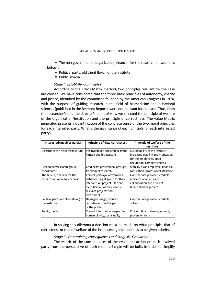The non-governmental organization, financer for the research on women's behavior

- Political party, old client (loyal) of the institute
- Public, media

### *Stage II. Establishing principles*

According to the Ethics Matrix method, two principles relevant for the case are chosen. We have considered that the three basic principles of autonomy, charity and justice, identified by the committee founded by the American Congress in 1974, with the purpose of guiding research in the field of biomedicine and behavioral sciences (published in the Belmont Report), were not relevant for the case. Thus, from the researcher's and the director's point of view we selected the principle of welfare of the organization/institution and the principle of correctness. The value Matrix generated presents a quantification of the concrete sense of the two moral principles for each interested party. What is the significance of each principle for each interested party?

| Interested/Involves parties            | <b>Principle of data correctness</b> | Principle of welfare of the<br>institute |
|----------------------------------------|--------------------------------------|------------------------------------------|
| Director of the research institute     | Positive image and credibility for   | Sustainability of the institute          |
|                                        | himself and his institute            | increased stability and motivation       |
|                                        |                                      | for the employees, good                  |
|                                        |                                      | reputation, competitiveness.             |
| Researcher/research group              | Credibility, professional prestige,  | Stability as an employee, financial      |
| coordinator                            | freedom of research                  | motivation, professional affiliation     |
| The N.G.O., financer for the           | Correct portrayal of women's         | Good service provider, credible,         |
| research on women's behavior           | behavior, target group for their     | indicator of an efficient                |
|                                        | intervention project. Efficient      | collaboration and efficient              |
|                                        | identification of their needs,       | financial management                     |
|                                        | relevant projects and                |                                          |
|                                        | investments.                         |                                          |
| Political party, old client (loyal) of | Damaged image, reduced               | Good service provider, credible,         |
| the institute                          | confidence from the part             | solvent                                  |
|                                        | of the public                        |                                          |
| Public, media                          | Correct information, respect for     | Efficient financial management,          |
|                                        | human dignity, social utility        | professionalism                          |

In solving this dilemma a decision must be made on what principle, that of correctness or that of welfare of the institute/organization, has to be given priority.

# *Stage III. Determining consequences and Stage IV. Evaluation*

The Matrix of the consequences of the evaluated action on each involved party from the perspective of each moral principle will be built. In order to simplify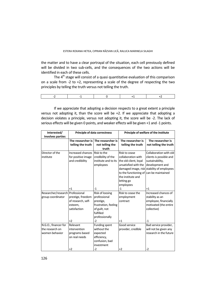the matter and to have a clear portrayal of the situation, each cell previously defined will be divided in two sub-cells, and the consequences of the two actions will be identified in each of these cells.

The  $4<sup>th</sup>$  stage will consist of a quasi quantitative evaluation of this comparison on a scale from -2 to +2, representing a scale of the degree of respecting the two principles by telling the truth versus not telling the truth.

If we appreciate that adopting a decision respects to a great extent a principle versus not adopting it, than the score will be  $+2$ . If we appreciate that adopting a decision violates a principle, versus not adopting it, the score will be -2. The lack of serious effects will be given 0 points, and weaker effects will be given +1 and -1 points.

| Interested/                      |                    | <b>Principle of data correctness</b> | Principle of welfare of the institute   |                                            |  |
|----------------------------------|--------------------|--------------------------------------|-----------------------------------------|--------------------------------------------|--|
| <b>Involves parties</b>          |                    |                                      |                                         |                                            |  |
|                                  |                    | The researcher is The researcher is  | The researcher is                       | The researcher is                          |  |
|                                  | telling the truth  | not telling the                      | telling the truth                       | not telling the truth                      |  |
|                                  |                    | truth                                |                                         |                                            |  |
| Director of the                  | Increased chances  | Risk to the                          | Risk to cease                           | Collaboration with old                     |  |
| institute                        | for positive image | credibility of the                   | collaboration with                      | clients is possible and                    |  |
|                                  | and credibility    | institute and to its                 | the old client, loyal                   | sustainability,                            |  |
|                                  |                    | employees                            | unsatisfied with the                    | development and                            |  |
|                                  |                    |                                      |                                         | damaged image, risk stability of employees |  |
|                                  |                    |                                      | to the functioning of can be maintained |                                            |  |
|                                  |                    |                                      | the institute and                       |                                            |  |
|                                  |                    |                                      | letting go                              |                                            |  |
|                                  |                    |                                      | employees                               |                                            |  |
|                                  | $^{+1}$            | $-1$                                 | $-1$                                    | $+1$                                       |  |
| Researcher/research Professional |                    | Risk of loosing                      | Risk to cease the                       | Increased chances of                       |  |
| group coordinator                | prestige, freedom  | professional                         | employment                              | stability as an                            |  |
|                                  | of research, self- | prestige,                            | contract                                | employee, financially                      |  |
|                                  | esteem,            | frustration, feeling                 |                                         | motivated (the entire                      |  |
|                                  | satisfaction       | of guilt, not                        | collective)                             |                                            |  |
|                                  |                    | fulfilled                            |                                         |                                            |  |
|                                  |                    | professionally                       |                                         |                                            |  |
|                                  | $+2$               | -2                                   | $+1$                                    | -1                                         |  |
| N.G.O., financer for             | Relevant           | Funding spent                        | Good service                            | Bad service provider,                      |  |
| the research on                  | intervention       | without the                          | provider, credible                      | will not be given any                      |  |
| women behavior                   | programs based     | expected                             |                                         | research in the future                     |  |
|                                  | on real needs      | efficiency,                          |                                         |                                            |  |
|                                  |                    | confusion, bad                       |                                         |                                            |  |
|                                  |                    | investment                           |                                         |                                            |  |
|                                  | $+2$               | $-2$                                 | $+2$                                    | $-2$                                       |  |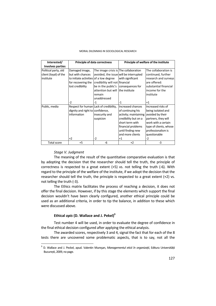| Interested/<br><b>Involves parties</b>                     |                                                                                                                        | <b>Principle of data correctness</b>                                                                                                                                                   | Principle of welfare of the institute                                                                                                                                             |                                                                                                                                                                                  |  |
|------------------------------------------------------------|------------------------------------------------------------------------------------------------------------------------|----------------------------------------------------------------------------------------------------------------------------------------------------------------------------------------|-----------------------------------------------------------------------------------------------------------------------------------------------------------------------------------|----------------------------------------------------------------------------------------------------------------------------------------------------------------------------------|--|
| Political party, old<br>client (loyal) of the<br>institute | Damaged image,<br>but with chances<br>to initiate activities of a low degree<br>for recovering the<br>lost credibility | The image crisis is The collaboration<br>avoided, the issue will be interrupted<br>credibility will not financial<br>be in the public's<br>attention but will<br>remain<br>unaddressed | with significant<br>consequences for<br>the institute                                                                                                                             | The collaboration is<br>continued, further<br>research and surveys<br>are offered:<br>substantial financial<br>income for the<br>institute                                       |  |
|                                                            | -2                                                                                                                     | -1                                                                                                                                                                                     | -1                                                                                                                                                                                | $+1$                                                                                                                                                                             |  |
| Public, media                                              | Respect for human Lack of credibility,<br>dignity and right to confidence,<br>information<br>$+2$                      | insecurity and<br>suspicion<br>-2                                                                                                                                                      | Increased chances<br>of continuing his<br>activity; maintaining<br>credibility but on a<br>short term with<br>financial problems<br>until finding new<br>and more clients<br>$+1$ | Increased risks of<br>being isolated and<br>avoided by their<br>partners, they will<br>work with a certain<br>type of clients, whose<br>professionalism is<br>questionable<br>-2 |  |
| Total score                                                | +5                                                                                                                     | -6                                                                                                                                                                                     | $+2$                                                                                                                                                                              | $-3$                                                                                                                                                                             |  |

#### MORAL DILEMMAS IN SOCIOLOGICAL RESEARCH

#### *Stage V. Judgment*

 $\overline{\phantom{a}}$ 

The meaning of the result of the quantitative comparative evaluation is that by adopting the decision that the researcher should tell the truth, the principle of correctness is respected to a great extent (+5) vs. not telling the truth (-6). With regard to the principle of the welfare of the institute, if we adopt the decision that the researcher should tell the truth, the principle is respected to a great extent (+2) vs. not telling the truth (-3).

The Ethics matrix facilitates the process of reaching a decision, it does not offer the final decision. However, if by this stage the elements which support the final decision wouldn't have been clearly configured, another ethical principle could be used as an additional criteria, in order to tip the balance, in addition to these which were discussed above.

# **Ethical** *opis* **(D. Wallace and J. Pekel)9**

Test number 4 will be used, in order to evaluate the degree of confidence in the final ethical decision configured after applying the ethical analysis.

The awarded scores, respectively 3 and 4, signal the fact that for each of the 8 tests there are uncovered some problematic aspects, that is to say, not all the

<sup>9</sup> D. Wallace and J. Peckel, apud. Valentin Mureşan, *Managementul eticii în organizații*, Editura Universității București, 2009, no page.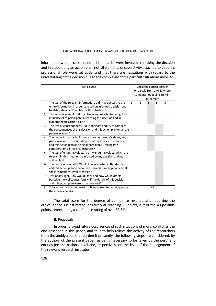information were accessible, not all the parties were involved in making the decision and in elaborating an action plan, not all elements of subjectivity attached to people's professional role were set aside, and that there are hesitations with regard to the universalizing of the decision due to the complexity of the particular situations involved.

|                | Ethical opis                                                      | Circle the correct answer      |                |                |                |   |
|----------------|-------------------------------------------------------------------|--------------------------------|----------------|----------------|----------------|---|
|                |                                                                   | on a scale from 1 to 5, where  |                |                |                |   |
|                |                                                                   | 1 means not at all, 5 fully in |                |                |                |   |
|                |                                                                   | agreement                      |                |                |                |   |
| $\mathbf{1}$   | The test of the relevant information. Did I have access to the    | $\mathbf{1}$                   | $\overline{2}$ | $\overline{3}$ | $\overline{4}$ | 5 |
|                | entire information in order to reach an informed decision and     |                                |                |                |                |   |
|                | to elaborate an action plan for this situation?                   |                                |                |                |                |   |
| $\mathfrak{p}$ | Test of involvement. Did I involve everyone who has a right to    |                                |                |                |                |   |
|                | influence or to participate in reaching this decision and in      |                                |                |                |                |   |
|                | elaborating this action plan?                                     |                                |                |                |                |   |
| 3              | The test of consequences. Did I anticipate and try to compare     |                                |                |                |                |   |
|                | the consequences of this decision and this action plan on all the |                                |                |                |                |   |
|                | people involved?                                                  |                                |                |                |                |   |
| 4              | The test of impartiality. If I were in someone else's shoes, any  |                                |                |                |                |   |
|                | party involved in this situation, would I perceive this decision  |                                |                |                |                |   |
|                | and this action plan as being impartial (fair), taking into       |                                |                |                |                |   |
|                | consideration all the circumstances?                              |                                |                |                |                |   |
| 5              | The test of enduring values. Are my enduring values, which are    |                                |                |                |                |   |
|                | relevant in this situation, reinforced by my decision and my      |                                |                |                |                |   |
|                | action plan?                                                      |                                |                |                |                |   |
| 6              | The test of universality. Would I be interested in this decision  |                                |                |                |                |   |
|                | and this action plan to become a universal law applicable to all  |                                |                |                |                |   |
|                | similar situations, even to myself?                               |                                |                |                |                |   |
| $\overline{7}$ | Test of day light. How would I feel, and how would others         |                                |                |                |                |   |
|                | perceive me (colleagues, family) if the details of this decision  |                                |                |                |                |   |
|                | and this action plan were to be revealed?                         |                                |                |                |                |   |
| 8              | Total score for the degree of confidence resulted after applying  |                                |                | 25             |                |   |
|                | the ethical analysis.                                             |                                |                |                |                |   |

The total score for the degree of confidence resulted after applying the ethical analysis is estimated intuitively at reaching 25 points, out of the 40 possible points, representing a confidence rating of over 62,5%.

# **II. Proposals**

In order to avoid future occurrences of such situations of moral conflict as the one described in this paper, and thus to help relieve the activity of the researchers from the ambiguities that burden it presently, the following steps are considered, by the authors of the present paper, as being necessary to be taken by the pertinent entities (on the national level and, respectively, on the level of the management of the relevant research institutes):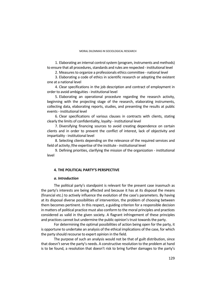MORAL DILEMMAS IN SOCIOLOGICAL RESEARCH

1. Elaborating an internal control system (program, instruments and methods) to ensure that all procedures, standards and rules are respected - institutional level

2. Measures to organize a professionals ethics committee - national level

3. Elaborating a code of ethics in scientific research or adopting the existent one at a national level

4. Clear specifications in the job description and contract of employment in order to avoid ambiguities - institutional level

5. Elaborating an operational procedure regarding the research activity, beginning with the projecting stage of the research, elaborating instruments, collecting data, elaborating reports, studies, and presenting the results at public events - institutional level

6. Clear specifications of various clauses in contracts with clients, stating clearly the limits of confidentiality, loyalty - institutional level

7. Diversifying financing sources to avoid creating dependence on certain clients and in order to prevent the conflict of interest, lack of objectivity and impartiality - institutional level

8. Selecting clients depending on the relevance of the required services and field of activity /the expertise of the institute - institutional level

9. Defining priorities, clarifying the mission of the organization - institutional level

# **4. THE POLITICAL PARTY'S PERSPECTIVE**

### *a. Introduction*

The political party's standpoint is relevant for the present case inasmuch as the party's interests are being affected and because it has at its disposal the means (financial etc.) to actively influence the evolution of the case's parameters. By having at its disposal diverse possibilities of intervention, the problem of choosing between them becomes pertinent. In this respect, a guiding criterion for a responsible decision in matters of political practice must also conform to the moral principles and practices considered as valid in the given society. A flagrant infringement of these principles and practices cannot but undermine the public opinion's trust towards the party.

For determining the optimal possibilities of action being open for the party, it is opportune to undertake an analysis of the ethical implications of the case, for which the party should recourse to expert opinion in the field.

The purpose of such an analysis would not be that of guilt distribution, since that doesn't serve the party's needs. A constructive resolution to the problem at hand is to be found, a resolution that doesn't risk to bring further damages to the party's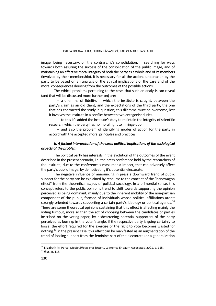image, being necessary, on the contrary, it's consolidation. In searching for ways towards both assuring the success of the consolidation of the public image, and of maintaining an effective moral integrity of both the party as a whole and of its members (involved by their membership), it is necessary for all the actions undertaken by the party to be based on an analysis of the ethical implications of the case and of the moral consequences deriving from the outcomes of the possible actions.

The ethical problems pertaining to the case, that such an analysis can reveal (and that will be discussed more further on) are:

 $-$  a dilemma of fidelity, in which the institute is caught, between the party's claim as an old client, and the expectations of the third party, the one that has contracted the study in question; this dilemma must be overcome, lest it involves the institute in a conflict between two antagonist duties.

 $-$  to this it's added the institute's duty to maintain the integrity of scientific research, which the party has no moral right to infringe upon.

 $-$  and also the problem of identifying modes of action for the party in accord with the accepted moral principles and practices.

# *b. A factual interpretation of the case: political implications of the sociological aspects of the problem*

The political party has interests in the evolution of the outcomes of the event described in the present scenario, i.e. the press conference held by the researchers of the institute, due to the conference's mass media impact, that can adversely affect the party's public image, by demotivating it's potential electorate.

The negative influence of announcing in press a downward trend of public support for the party can be explained by recourse to the concept of the "bandwagon effect" from the theoretical *corpus* of political sociology. In a primordial sense, this concept refers to the public opinion's trend to shift towards supporting the opinion perceived as being dominant, mainly due to the inherent mobility of the non-partisan component of the public, formed of individuals whose political affiliations aren't strongly oriented towards supporting a certain party's ideology or political agenda.<sup>10</sup> There are some theoretical opinions sustaining that this effect is affecting mainly the voting turnout, more so than the act of choosing between the candidates or parties inscribed on the voting-paper, by disheartening potential supporters of the party perceived as loosing: in the voter's angle, if the respective party is going certainly to loose, the effort required for the exercise of the right to vote becomes wasted for nothing.<sup>11</sup> In the present case, this effect can be manifested as an augmentation of the trend of loosing support from the feminine part of the electorate (or a generalization

<sup>&</sup>lt;sup>10</sup> Elizabeth M. Perse, *Media Effects and Society*, Lawrence Erlbaum Associates, 2001, p. 115.<br><sup>11</sup> *ibid.*, p. 118.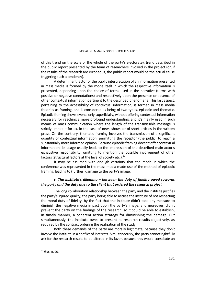of this trend on the scale of the whole of the party's electorate), trend described in the public report presented by the team of researchers involved in the project (or, if the results of the research are erroneous, the public report would be the actual cause triggering such a tendency).

A determinant factor of the public interpretation of an information presented in mass media is formed by the mode itself in which the respective information is presented, depending upon the choice of terms used in the narrative (terms with positive or negative connotations) and respectively upon the presence or absence of other contextual information pertinent to the described phenomena. This last aspect, pertaining to the accessibility of contextual information, is termed in mass media theories as framing, and is considered as being of two types, episodic and thematic. Episodic framing shows events only superficially, without offering contextual information necessary for reaching a more profound understanding, and it's mainly used in such means of mass communication where the length of the transmissible message is strictly limited – for ex. in the case of news shows or of short articles in the written press. On the contrary, thematic framing involves the transmission of a significant quantity of contextual information, permitting the receptor (the public) to reach a substantially more informed opinion. Because episodic framing doesn't offer contextual information, its usage usually leads to the impression of the described main actor's exhaustive responsibility, omitting to mention the possible involvement of other factors (structural factors at the level of society etc.). $^{12}$ 

It may be assumed with enough certainty that the mode in which the conference was represented in the mass media made use of the method of episodic framing, leading to (further) damage to the party's image.

# *c. The institute's dilemma – between the duty of fidelity owed towards the party and the duty due to the client that ordered the research project*

The long collaboration relationship between the party and the institute justifies the party's injured quality, the party being able to accuse the institute of not respecting the moral duty of fidelity, by the fact that the institute didn't take any measure to diminish the negative media impact upon the party's image, and moreover, didn't prevent the party on the findings of the research, so it could be able to establish, in timely manner, a coherent action strategy for diminishing the damage. But simultaneously, the institute owes to present its research results objectively, as required by the contract ordering the realization of the study.

Both these demands of the party are morally legitimate, because they don't involve the institute in a conflict of interests. Simultaneously, the party cannot rightfully ask for the research results to be altered in its favor, because this would constitute an

 $\overline{\phantom{a}}$ <sup>12</sup> *ibid.,* p. 96.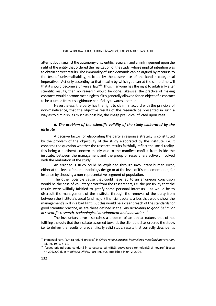attempt both against the autonomy of scientific research, and an infringement upon the right of the entity that ordered the realization of the study, whose implicit intention was to obtain correct results. The immorality of such demands can be argued by recourse to the test of universalizability, solicited by the observance of the kantian categorical imperative: "Act only according to that maxim by which you can at the same time will that it should become a universal law" $^{13}$  Thus, if anyone has the right to arbitrarily alter scientific results, then no research would be done. Likewise, the practice of making contracts would become meaningless if it's generally allowed for an object of a contract to be usurped from it's legitimate beneficiary towards another.

Nevertheless, the party has the right to claim, in accord with the principle of non-maleficence, that the objective results of the research be presented in such a way as to diminish, as much as possible, the image prejudice inflicted upon itself.

# *d. The problem of the scientific validity of the study elaborated by the institute*

A decisive factor for elaborating the party's response strategy is constituted by the problem of the objectivity of the study elaborated by the institute, i.e. it concerns the question whether the research results faithfully reflect the social reality, this being a pertinent concern mainly due to the manifest conflict from inside the institute, between the management and the group of researchers actively involved with the realization of the study.

An erroneous study could be explained through involuntary human error, either at the level of the methodology design or at the level of it's implementation, for instance by choosing a non-representative segment of population.

The other possible cause that could have led to an erroneous conclusion would be the case of voluntary error from the researchers, i.e. the possibility that the results were willfully falsified to gratify some personal interests – as would be to discredit the management of the institute through the removal of the party from between the institute's usual (and major) financial backers, a loss that would show the management's skill in a bad light. But this would be a clear breach of the standards for good scientific practice, as are these defined in the *Law pertaining to good behavior in scientific research, technological development and innovation*. 14

The involuntary error also raises a problem of an ethical nature, that of not fulfilling the duty that the institute assumed towards the client that has ordered the study, i.e. to deliver the results of a scientifically valid study, results that correctly describe it's

 $\overline{\phantom{a}}$ 13 Immanuel Kant, "Critica rațiunii practice" in *Critica rațiunii practice. Întemeierea metafizicii moravurilor*, Ed. IRI, 1995, p. 62.<br><sup>14</sup> "Legea privind buna conduită în cercetarea științifică, dezvoltarea tehnologică și inovare" (Legea

nr. 206/2004), in *Monitorul Oficial*, Part I nr. 505, published in 04-VI-2004.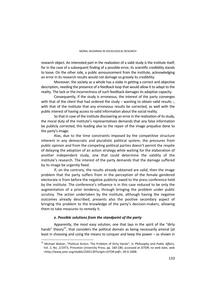research object. An interested part in the realization of a valid study is the institute itself, for in the case of a subsequent finding of a possible error, its scientific credibility stands to loose. On the other side, a public announcement from the institute, acknowledging an error in its research results would not damage so gravely its credibility.

Moreover, the society as a whole has a stake in getting a correct and objective description, needing the presence of a feedback loop that would allow it to adapt to the reality. The lack or the incorrectness of such feedback damages its adaptive capacity.

Consequently, if the study is erroneous, the interest of the party converges with that of the client that had ordered the study – wanting to obtain valid results -, with that of the institute that any erroneous results be corrected, as well with the public interest of having access to valid information about the social reality.

So that in case of the institute discovering an error in the realization of its study, the moral duty of the institute's representatives demands that any false information be publicly corrected, this leading also to the repair of the image prejudice done to the party's image.

Alas, due to the time constraints imposed by the competitive structure inherent in any democratic and pluralistic political system, the pressures from public opinion and from the competing political parties doesn't permit the respite of delaying the adoption of an action strategy while waiting for the elaboration of another independent study, one that could determine the validity of the institute's research. The interest of the party demands that the damage suffered by its image be urgently fixed.

If, on the contrary, the results already obtained are valid, then the image problem that the party suffers from in the perception of the female gendered electorate is from before the negative publicity owed to the press conference held by the institute. The conference's influence is in this case reduced to be only the augmentation of a prior tendency, through bringing the problem under public scrutiny. The action undertaken by the institute, although having the negative outcomes already described, presents also the positive secondary aspect of bringing the problem to the knowledge of the party's decision-makers, allowing them to take measures to remedy it.

# *e. Possible solutions from the standpoint of the party*

 $\overline{a}$ 

Apparently, the most easy solution, one that lays in the spirit of the "dirty hands" theory<sup>15</sup>, that considers the political domain as being necessarily amoral (at least in choosing and using the means to conquer and keep the power – as shown in

<sup>15</sup> Michael Walzer, "Political Action. The Problem of Dirty Hands", in *Philosophy and Public Affairs*, Vol. 2, No. 2/1973, Princeton University Press, pp. 160-180, accessed at *JSTOR*, no web date, web *<http://www.jstor.org/stable/2265139?origin=JSTOR-pdf>*, 30-X-2008.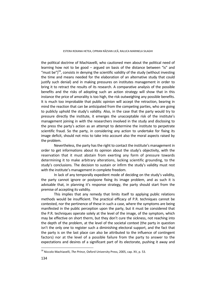the political doctrine of Machiavelli, who cautioned men about the political need of learning how not to be good – argued on basis of the distance between "is" and "must be" $1^{16}$ , consists in denying the scientific validity of the study (without investing the time and means needed for the elaboration of an alternative study that could justify such denial) and in making pressures on institutes management in order to bring it to retract the results of its research. A comparative analysis of the possible benefits and the risks of adopting such an action strategy will show that in this instance the price of amorality is too high, the risk outweighing any possible benefits. It is much too improbable that public opinion will accept the retraction, bearing in mind the reaction that can be anticipated from the competing parties, who are going to publicly uphold the study's validity. Also, in the case that the party would try to pressure directly the institute, it emerges the unacceptable risk of the institute's management joining in with the researchers involved in the study and disclosing to the press the party's action as an attempt to determine the institute to perpetrate scientific fraud. So the party, in considering any action to undertake for fixing its image deficit, should not miss to take into account also the moral aspects raised by the problem.

Nevertheless, the party has the right to contact the institute's management in order to get informations about its opinion about the study's objectivity, with the reservation that it must abstain from exerting any form of pressure towards determining it to make arbitrary alterations, lacking scientific grounding, to the study's conclusions. The decision to sustain or infirm the study's validity must rest with the institute's management in complete freedom.

In lack of any temporally expedient mode of deciding on the study's validity, the party cannot ignore or postpone fixing its image problem, and as such it is advisable that, in planning it's response strategy, the party should start from the premise of accepting its validity.

This implies that any remedy that limits itself to applying public relations methods would be insufficient. The practical efficacy of P.R. techniques cannot be contested, nor the pertinence of these in such a case, where the symptoms are being manifested in the public perception upon the party, but it must be considered that the P.R. techniques operate solely at the level of the image, of the symptom, which may be effective on short therm, but they don't cure the sickness, not reaching into the depth of the problem, at the level of the societal context (the party in question isn't the only one to register such a diminishing electoral support, and the fact that the party is on the last place can also be attributed to the influence of contingent factors) nor at the level of a possible failure from the party to answer to the expectations and desires of a significant part of its electorate, pushing it away and

 $\overline{a}$ 16 Niccolo Machiavelli, *The Prince*, Oxford University Press, 2005, cap. XV, p. 53.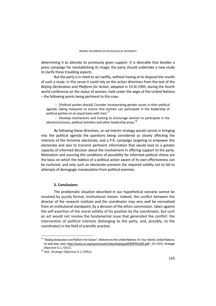determining it to alienate its previously given support. It is desirable that besides a press campaign for reestablishing its image, the party should undertake a new study to clarify these troubling aspects.

But the party is in need to act swiftly, without having at its disposal the results of such a study. In this sense it could rely on the action directives from the text of the *Beijing Declaration and Platform for Action*, adopted in 15-XI-1995, during the fourth world conference on the status of women, held under the aegis of the United Nations – the following points being pertinent to this case:

 [Political parties should] Consider incorporating gender issues in their political agenda, taking measures to ensure that women can participate in the leadership of political parties on an equal basis with men.<sup>17</sup>

- Develop mechanisms and training to encourage women to participate in the electoral process, political activities and other leadership areas.<sup>18</sup>

By following these directives, an *ad interim* strategy would consist in bringing into the political agenda the questions being considered as closely affecting the interests of the feminine electorate, and a P.R. campaign targeting to empower this electorate and also to transmit pertinent information that would lead to a greater capacity of informed decision about the involvement in offering support to the party. Motivation and assuring the conditions of possibility for informed political choice are the basis on which the *habitus* of a political action aware of its own effectiveness can be nurtured, and only such an electorate presents the required solidity not to fall to attempts of demagogic manipulation from political enemies.

### **5. Conclusions**

The problematic situation described in our hypothetical scenario cannot be resolved by purely formal, institutional means. Indeed, the conflict between the director of the research institute and the coordinator may very well be normalized from an institutional standpoint, by a decision of the ethics commission. taken against the self-assertion of the moral validity of his position by the coordinator, but such an act would not resolve the fundamental issue that generated the conflict: the intervention of political interests (belonging to the party, and, possibly, to the coordinator) in the field of scientific practice.

 $\overline{a}$ 

<sup>17 &</sup>quot;Beijing Declaration and Platform for Action", *Welcome to the United Nations: It's Your World*, United Nations, no web date, web <http://www.un.org/womenwatch/daw/beijing/pdf/BDPfA%20E.pdf>, 25-I-2012, Strategic

Objective G.1./191/c. 18 *ibid.*, Strategic Objective G.1./195/e.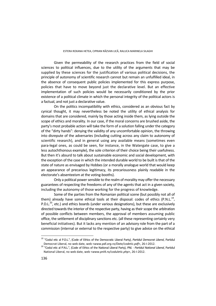Given the permeability of the research practices from the field of social sciences to political influences, due to the utility of the arguments that may be supplied by these sciences for the justification of various political decisions, the principle of autonomy of scientific research cannot but remain an unfulfilled ideal, in the absence of consequent public policies implemented for this express purpose, policies that have to move beyond just the declarative level. But an effective implementation of such policies would be necessarily conditioned by the prior existence of a political climate in which the personal integrity of the political actors is a factual, and not just a declarative value.

On the politics incompatibility with ethics, considered as an obvious fact by cynical thought, it may nevertheless be noted the utility of ethical analysis for domains that are considered, mainly by those acting inside them, as lying outside the scope of ethics and morality. In our case, if the moral concerns are brushed aside, the party's most probable action will take the form of a solution falling under the category of the "dirty hands": denying the validity of any uncomfortable opinion, the throwing into disrepute of the adversaries (including cutting across any claim to autonomy of scientific research), and in general using any available means (sometimes even para-legal ones, as could be seen, for instance, in the Watergate case, to give a less autochthonous example), the sole criterion of their choice being their usefulness. But then it's absurd to talk about sustainable economic and social development, with the exception of the case in which the intended durable world to be built is that of the state of nature as envisaged by Hobbes (or a morally analogue world that would keep an appearance of precarious legitimacy, its precariousness plainly readable in the electorate's absenteeism at the voting-booths).

Only a political power sensible to the realm of morality may offer the necessary guarantees of respecting the freedoms of any of the agents that act in a given society, including the autonomy of those working for the progress of knowledge.

Some of the parties from the Romanian political scene (but possibly not all of them) already have some ethical tools at their disposal: codes of ethics (P.N.L.<sup>19</sup>, P.D.L. $^{20}$ , etc.) and ethics boards (under various designations), but these are exclusively directed towards the interior of the respective party, having as their scope the arbitration of possible conflicts between members, the approval of members assuming public office, the settlement of disciplinary sanctions etc. (all these representing certainly very beneficial initiatives). But it lacks any mention of an advisory role from the part of a commission (internal or external to the respective party) to give advice on the ethical

 $\overline{a}$ 

<sup>19 &</sup>quot;Codul etic al P.D.L.", (Code of Ethics of the Democratic Liberal Party), *Partidul Democrat Liberal*, Partidul Democrat Liberal, no web date, web <*www.pdl.org.ro/Date/codetic.pdf*>, 26-I-2012. 20 "Codul etic al P.N.L.", (Code of Ethics of the National Liberal Party), *PNL - Partidul National Liberal*, Partidul

National Liberal, no web date, web <*www.pnl4.ro/coduletic.php*>, 26-I-2012.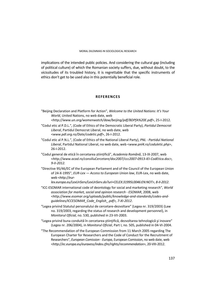implications of the intended public policies. And considering the cultural gap (including of political culture) of which the Romanian society suffers, due, without doubt, to the vicissitudes of its troubled history, it is regrettable that the specific instruments of ethics don't get to be used also in this potentially beneficial role.

### **REFERENCES**

- "Beijing Declaration and Platform for Action", *Welcome to the United Nations: It's Your World*, United Nations, no web date, web *<http://www.un.org/womenwatch/daw/beijing/pdf/BDPfA%20E.pdf*>, 25-I-2012.
- "Codul etic al P.D.L.", (Code of Ethics of the Democratic Liberal Party), *Partidul Democrat Liberal*, Partidul Democrat Liberal, no web date, web <*www.pdl.org.ro/Date/codetic.pdf*>, 26-I-2012.
- "Codul etic al P.N.L.", (Code of Ethics of the National Liberal Party), *PNL Partidul National Liberal*, Partidul National Liberal, no web date, web <*www.pnl4.ro/coduletic.php*>, 26-I-2012.
- "Codul general de etică în cercetarea științifică", *Academia Română*, 13-IX-2007, web <*http://www.acad.ro/consiliuCercetare/doc2007/ccc2007-0913-IEI-CodEtica.doc>, 9-II-2012.*
- "Directive 95/46/EC of the European Parliament and of the Council of the European Union of 24-X-1995", *EUR-Lex — Access to European Union law*, EUR-Lex, no web date, web <*http://eur-*

*lex.europa.eu/LexUriServ/LexUriServ.do?uri=CELEX:31995L0046:EN:NOT>, 8-II-2012*.

- "ICC-ESOMAR international code of deontology for social and marketing research", *World association for market, social and opinion research - ESOMAR*, 2008, web <*http://www.esomar.org/uploads/public/knowledge-and-standards/codes-andguidelines/ICCESOMAR\_Code\_English\_.pdf>, 7-XI-2012*.
- "Legea privind Statutul personalului de cercetare-dezvoltare" (Legea nr. 319/2003) (Law no. 319/2003, regarding the status of research and development personnel), in *Monitorul Oficial,* no. 530, published in 23-VII-2003.
- "Legea privind buna conduită în cercetarea științifică, dezvoltarea tehnologică și inovare" (Legea nr. 206/2004), in *Monitorul Oficial*, Part I, no. 505, published in 04-VI-2004.
- "The Recommendation of the European Commission from 11 March 2005 regarding The European Charter for Researchers and the Code of Conduct for the Recruitment of Researchers", *European Comission - Europa*, European Comission, no web date, web <*http://ec.europa.eu/euraxess/index.cfm/rights/recommendation*>, 20-VIII-2012.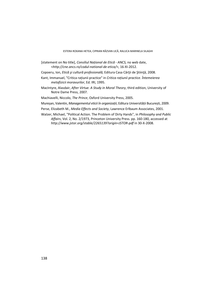- [statement on No title], *Consiliul Național de Etică ANCS,* no web date, <*http://cne.ancs.ro/codul-national-de-etica/*>, 16-XI-2012.
- Copoeru, Ion, *Etică şi cultură profesională,* Editura Casa Cărţii de Ştiinţă, 2008.
- Kant, Immanuel, "Critica rațiunii practice" in *Critica rațiunii practice. Întemeierea metafizicii moravurilor*, Ed. IRI, 1995.
- MacIntyre, Alasdair, *After Virtue. A Study in Moral Theory*, third edition, University of Notre Dame Press, 2007.

Machiavelli, Niccolo, *The Prince*, Oxford University Press, 2005.

Mureșan, Valentin, *Managementul eticii în organizații*, Editura Universității București, 2009.

Perse, Elizabeth M., *Media Effects and Society*, Lawrence Erlbaum Associates, 2001.

Walzer, Michael, "Political Action. The Problem of Dirty Hands", in *Philosophy and Public Affairs*, Vol. 2, No. 2/1973, Princeton University Press. pp. 160-180, accessed at *http://www.jstor.org/stable/2265139?origin=JSTOR-pdf* in 30-X-2008.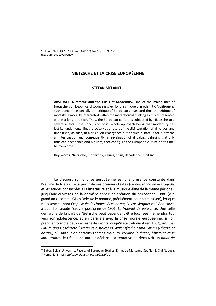# **NIETZSCHE ET LA CRISE EUROPÉENNE**

# **ŞTEFAN MELANCU\***

**ABSTRACT. Nietzsche and the Crisis of Modernity.** One of the major lines of Nietzsche's philosophical discourse is given by the critique of modernity. A critique as such concerns especially the critique of European values and thus the critique of morality, a morality interpreted within the metaphysical thinking as it is represented within a long tradition. Thus, the European culture is subjected by Nietzsche to a severe analysis, the conclusion of its whole approach being that modernity has lost its fundamental lines, precisely as a result of the disintegration of all values, and finds itself, as such, in a crisis. An emergence out of such a state is for Nietzsche an interrogation and, consequently, a reevaluation of all values, believing that only thus can decadence and nihilism, that configure the European culture of its time, be overcome.

**Key-words**: Nietzsche, modernity, values, crisis, decadence, nihilism.

Le discours sur la crise européenne est une présence constante dans l'œuvre de Nietzsche, à partir de ses premiers textes (*La naissance de la tragédie* et les études consacrées à la littérature et à la musique éline de la même période), jusqu'aux ouvrages de la dernière année de création du philosophe, 1888 (« le grand an », comme Gilles Deleuze le nomme, précisément pour cette raison), lorsque Nietzsche élabora *Crépuscule des idoles, Ecce homo, Le cas Wagner* et *L'Antéchrist*, à quoi l'on ajoute l'œuvre posthume de 1901, *La Volonté de puissance*. Une telle démarche de la part de Nietzsche peut cependant être localisée même plus tôt, vers son adolescence, et en parallèle avec la crise morale européenne, si l'on prend en compte deux de ses textes écrits lorsqu'il était étudiant (en 1862), intitulés *Fatum und Geschiscte (Destin et histoire)* et *Willensfreiheit und Fatum (Liberté et destin)*, où, autour de certains thèmes majeurs, comme *le destin, l'histoire* et *le libre arbitre*, le très jeune auteur déclare « la tentative de découvrir un *point de* 

 $\overline{a}$ 

**<sup>\*</sup>** Babeş-Bolyai University, Faculty of European Studies, Emm. de Martonne Str. No. 1, Cluj-Napoca, Romania. E-mail: *stefan.melancu@euro.ubbcluj.ro*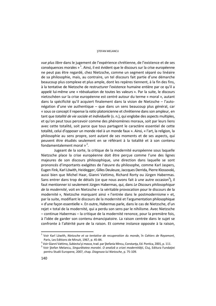#### STEFAN MELANCU

*vue plus libre* dans le jugement de l'expérience chrétienne, de l'existence et de ses conséquences morales » 1. Ainsi, il est évident que le discours sur la crise européenne ne peut pas être regardé, chez Nietzsche, comme un segment séparé ou linéaire de sa philosophie, mais, au contraire, un tel discours fait partie d'une démarche beaucoup plus complexe et plus ample, dont les repères tiennent, à la fin des fins, à la tentative de Nietzsche de restructurer l'existence humaine entière par ce qu'il a appelé lui-même une « réévaluation de toutes les valeurs ». Par la suite, le discours nietzschéen sur la crise européenne est centré autour du terme « moral », autant dans la spécificité qu'il acquiert finalement dans la vision de Nietzsche – l'autonégation d'une vie authentique – que dans un sens beaucoup plus général, car « sous ce concept il repense la *ratio* platonicienne et chrétienne dans son ampleur, en tant que *totalité de vie sociale et individuelle* (s. n.), qui englobe des aspects multiples, et qu'on peut tous percevoir comme des phénomènes moraux, soit par leurs liens avec cette totalité, soit parce que tous partagent le caractère essentiel de cette totalité, celui d'opposer un monde réel à un monde faux ». Ainsi, « l'art, la religion, la philosophie au sens propre, sont autant de ses moments et de ses aspects, qui peuvent être étudiés seulement en se référant à la totalité et à son contenu fondamentalement moral  $\frac{1}{2}$ .

Jugeant de la sorte, la critique de la modernité européenne sous laquelle Nietzsche place la crise européenne doit être perçue comme l'une des lignes majeures de son discours philosophique, une direction dans laquelle se sont prononcés d'importants exégètes de l'œuvre du philosophe, comme Karl Jaspers, Eugen Fink, Karl Löwith, Heidegger, Gilles Deuleuze, Jaccques Derrida, Pierre Klossovski, aussi bien que Michel Haar, Gianni Vattimo, Richard Rorty ou Jürgen Habermas. Sans entrer dans trop de détails (ce que nous avons fait à une autre occasion<sup>3</sup>), il faut mentionner ici seulement Jürgen Habermas, qui, dans *Le Discours philosophique de la modernité*, voit en Nietzsche « la véritable provocation pour le discours de la modernité », Nietzsche marquant ainsi « l'entrée dans le postmodernisme » et, par la suite, modifiant le discours de la modernité et l'argumentation philosophique « d'une façon essentielle ». En outre, Habermas parle, dans le cas de Nietzsche, d'un rejet « total de la modernité, qui a perdu son sens par le nihilisme. Avec Nietzsche – continue Habermas – la critique de la modernité renonce, pour la première fois, à l'idée de garder son contenu émancipatoire. La raison centrée dans le sujet se confronte à l'altérité pure de la raison. Et comme instance opposée à la raison,

<sup>1</sup> Voir Karl Löwith, *Nietzsche et sa tentative de recuperation du monde*, în *Cahiers de Rayamont*, Paris, Les Editions de Minuit, 1967, p. 45-84.<br><sup>2</sup> Voir Gianni Vattimo, Subjectul si massa, traduna

Voir Gianni Vattimo, *Subiectul şi masca*, trad. par Ştefania Mincu, Constanţa, Ed. Pontica, 2001, p. 111. 3

Voir Ştefan Melancu, *Singurătatea moralei. O analiză a crizei modernităţii*, Cluj, Editura Fundaţiei pentru Studii Europene, 2007, chap. *Diagnoza lui Nietzsche*, p. 75-109.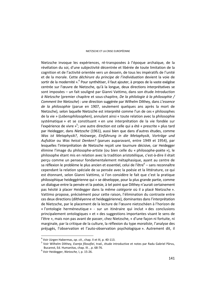Nietzsche invoque les expériences, ré-transposées à l'époque archaïque, de la révélation du soi, d'une subjectivité décentrée et libérée de toute limitation de la cognition et de l'activité orientée vers un dessein, de tous les impératifs de l'unité et de la morale. Cette *déchirure du principe de l'individuation* devient la voie de sortir de la modernité ».<sup>4</sup> Pour synthétiser, il faut ajouter, à propos de la vaste exégèse centrée sur l'œuvre de Nietzsche, qu'à la longue, deux directions interprétatives se sont imposées – un fait souligné par Gianni Vattimo, dans son étude *Introduction à Nietzsche* (premier chapitre et sous-chapitre, *De la philologie à la philosophie / Comment lire Nietzsche*) : une direction suggérée par Wilhelm Dilthey, dans *L'essence de la philosophie* (parue en 1907, seulement quelques ans après la mort de Nietzsche), selon laquelle Nietzsche est interprété comme l'un de ces « philosophes de la vie » (*Lebensphilosophen*), annulant ainsi « toute relation avec la philosophie systématique » et se constituant « en une interprétation de la vie fondée sur l'expérience de vivre »<sup>5</sup>; une autre direction est celle qui a été « prescrite » plus tard par Heidegger, dans *Nietzsche* (1961), aussi bien que dans d'autres études, comme *Was ist Metaphysik?*, *Holzwege*, *Einführung in die Metaphysik*, *Vorträge und Aufsätze* ou *Was heisst Denken?* (parues auparavant, entre 1949 et 1954), par lesquelles l'interprétation de Nietzsche reçoit une tournure décisive, car Heidegger élimine l'image du philosophe-artiste (ou bien celle du « philosophe-poète »), le philosophe étant mis en relation avec la tradition aristotélique, c'est-à-dire il était perçu comme un penseur fondamentalement métaphasique, ayant au centre de sa réflexion le problème le plus ancien et essentiel, celui de l'être<sup>6</sup> – sans reconnaître cependant la relation spéciale de sa pensée avec la poésie et la littérature, ce qui est étonnant, selon Gianni Vattimo, si l'on considère le fait que c'est la pratique philosophique heideggérienne qui « se développe, pour la plus grande partie, comme un dialogue entre la pensée et la poésie, à tel point que Dilthey n'aurait certainement pas hésité à placer Heidegger dans la même *catégorie* où il a placé Nietzsche ». Vattimo propose, précisément pour cette raison, l'élimination du contraste entre ces deux directions (dilthéyenne et heideggérienne), dominantes dans l'interprétation de Nietzsche, par le placement de la lecture de l'œuvre nietzschéen à l'horizon de « l'ontologie herméneutique » - sur un itinéraire qui inclut « des conclusions principalement ontologiques » et « des suggestions importantes visant le sens de l'être », mais non pas avant de passer, chez Nietzsche, « d'une façon ni fortuite, ni marginale, par la critique de la culture, la réflexion du type *moraliste*, l'analyse des préjugés, l'observation et l'auto-observation psychologique ». Autrement dit, il

 $\overline{a}$ 

<sup>&</sup>lt;sup>4</sup> Voir Jürgen Habermas, *op. cit.*, chap. II et III, p. 40-113.<br><sup>5</sup> Voir Wilhelm Dilthey, Esenta filosofiei, trad., étude int

Voir Wilhelm Dilthey, *Esenţa filosofiei*, trad., étude introductive et notes par Radu Gabriel Pârvu, Bucarest, Ed. Humanitas, chap. III., p. 68-76.

Voir Heidegger, *Nietzsche,* I, p. 15-26.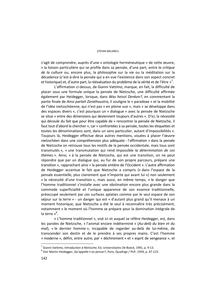#### STEFAN MELANCU

s'agit de comprendre, auprès d'une « ontologie herméneutique » de cette œuvre, « la liaison particulière qui se profile dans sa pensée, d'une part, entre *la critique de la culture* ou, encore plus, la philosophie sur la vie ou la méditation sur la décadence (c'est-à-dire la pensée qui a en vue l'existence dans son aspect concret et historique) et, d'autre part, la réévaluation du problème de la vérité et de l'être »<sup>7</sup>.

L'affirmation ci-dessus, de Gianni Vattimo, marque, en fait, la difficulté de placer sous une formule unique la pensée de Nietzsche, une difficulté affirmée également par Heidegger, lorsque, dans *Was heisst Denken?*, en commentant la partie finale de *Ainsi parlait Zarathoustra*, il souligne le « paradoxe » et la mobilité de l'idée nietzschéenne, qui n'est pas « en pleine vue », mais « se développe dans des espaces divers », c'est pourquoi un « dialogue » avec la pensée de Nietzsche se situe « entre des dimensions qui deviennent toujours d'autres ». D'ici, la nécessité qui découle du fait que pour être capable de « rencontrer la pensée de Nietzsche, il faut tout d'abord la chercher », car « confrontées à sa pensée, toutes les étiquettes et toutes les dénominations sont, dans un sens particulier, autant d'impossibilités ». Toujours là, Heidegger effectue deux autres mentions, vouées à placer l'œuvre nietzschéen dans une compréhension plus adéquate : l'affirmation « dans la pensée de Nietzsche on retrouve tous les motifs de la pensée occidentale, mais tous sont transmutés », « une transmutation qui rend impossible *la détermination de ces thèmes* ». Ainsi, « à la pensée de Nietzsche, qui est une transition, on ne peut répondre que par un dialogue qui, au fur de son propre parcours, prépare une transition », rapprochant ainsi « la pensée entière de l'Occident ». L'autre affirmation de Heidegger accentue le fait que Nietzsche a compris (« dans l'espace de la pensée essentielle, plus clairement que n'importe qui avant lui ») non seulement « la nécessité d'une transition », mais aussi, en même temps, « le danger que l'homme traditionnel s'installe avec une obstination encore plus grande dans la commode superficialité et l'unique apparence de son essence traditionnelle, préoccupé seulement par ces surfaces aplaties comme par le seul espace de son séjour sur la terre » - un danger qui est « d'autant plus grand qu'il menace à un moment historique, que Nietzsche a été le seul à reconnaître très précisément, notamment « le moment où l'homme se prépare pour la domination intégrale de la terre »<sup>8</sup>.

« L'homme traditionnel », visé ici et auquel se réfère Heidegger, est, dans les paroles de Nietzsche, « l'animal encore indéterminé » (*Au-delà du bien et du mal*), « le dernier homme », incapable de regarder au-delà de lui-même, de transcender son destin et de le prendre à ses propres mains. C'est l'homme « moderne », défini, entre autre, par « déchirement » et « esprit de vengeance », et

<sup>&</sup>lt;sup>7</sup> Gianni Vattimo, *Introduction à Nietzsche*, Ed. Universitaires De Boeck, 1991, p. 9-13.<br><sup>8</sup> Veir Martin Heidegger, *Ou'annelle Len nenser*?, Paris, Quadrige ( BUE 1950, p. 47-1

Voir Martin Heidegger, *Qu'appelle-t-on penser?*, Paris, Quadrige / PUF, 1959, p. 47-123.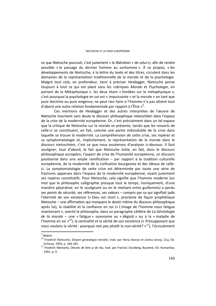ce que Nietzsche poursuit, c'est justement « la libération » de celui-ci, afin de rendre possible « le passage du dernier homme au surhomme ». À ce propos, « les développements de Nietzsche, à la lettre du texte et des titres, circulent dans les domaines de la représentation traditionnelle de la morale et de la psychologie. Malgré tout cela, en profondeur, tient à préciser Heidegger, Nietzsche pense toujours à tout ce qui est placé sous les rubriques *Morale* et *Psychologie*, en partant de la Métaphysique », les deux étant « fondées sur la métaphysique »; c'est pourquoi la psychologie en soi est « impuissante » et la morale « en tant que pure doctrine ou pure exigence, ne peut rien faire si l'homme n'a pas atteint tout d'abord une autre relation fondamentale par rapport à l'Être »<sup>9</sup>.

Ces mentions de Heidegger et des autres interprètes de l'œuvre de Nietzsche inscrivent sans doute le discours philosophique nietzschéen dans l'espace de la *crise* de la modernité européenne. Or, c'est précisément dans un tel espace que la critique de Nietzsche sur la morale se présente, tandis que les ressorts de celle-ci se constituent, en fait, comme une partie indissoluble de la crise dans laquelle se trouve la modernité. La compréhension de cette crise, ses repères et sa symptomatologie et, implicitement, la représentation de la morale dans le discours nietzschéen, c'est ce que nous essaierons d'analyser ci-dessous. Il faut souligner, tout d'abord, le fait que Nietzsche initie, en fait, dans le discours philosophique européen, l'aspect de crise de l'humanité européenne, un discours positionné dans une ample ramification – par rapport à la tradition culturelle européenne, de la modernité de la civilisation bourgeoise et des idéaux de celleci. La symptomatologie de cette crise est déterminée par toute une série de fractures apparues dans l'espace de la modernité européenne, visant justement ses repères constitutifs. Pour Nietzsche, cela signifie que l'homme *moderne* (un mot que le philosophe calligraphie presque tout le temps, ironiquement, d'une manière péjorative, en le soulignant ou en le mettant entre guillemets) a perdu ses points de sécurité, ses références, ses valeurs – compris par ce qui signifiait jadis l'éternité de son existence (« Dieu est mort », proclame de façon prophétique Nietzsche – une affirmation qui marquera le destin même du discours philosophique après lui), la stabilité et la confiance en soi (« L'image de l'homme nous fatigue maintenant », avertit le philosophe, dans un paragraphe célèbre de *La Généalogie de la morale* – une « fatigue » synonyme au « dégoût » ou à la « maladie de l'homme en soi  $v^{10}$ ), la centralité et la vérité de son existence (« Présupposant que nous voulons la vérité : *pourquoi non pas plutôt* la non-vérité? »<sup>11</sup>), l'écroulement

<sup>9</sup> *Ibidem*

<sup>10</sup> Friedrich Nietzsche, *Despre genealogia moralei*, trad. par Horia Stanca et Janina Ianoşi, Cluj, Ed. Echinox, 1993, p. 184-185. 11 Friedrich Nietzsche, *Dincolo de bine şi de rău*, trad. par Francisc Grunberg, Bucarest, Ed. Humanitas,

<sup>1991,</sup> p. 9.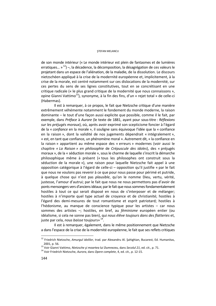### STEFAN MELANCU

de son monde intérieur (« Le monde intérieur est plein de fantasmes et de lumières erratiques... » <sup>12</sup>) –, la décadence, la décomposition, la désagrégation de ces valeurs le projetant dans un espace de l'aliénation, de la maladie, de la dissolution. Le discours nietzschéen appliqué à la crise de la modernité européenne et, implicitement, à la crise de la morale, est centré notamment sur ces dislocations de la modernité, sur ces pertes du sens de ses lignes constitutives, tout en se concrétisant en une critique radicale (« le plus grand critique de la modernité que nous connaissons », opine Gianni Vattimo<sup>13</sup>), synonyme, à la fin des fins, d'un « rejet total » de celle-ci (Habermas).

Il est à remarquer, à ce propos, le fait que Nietzsche critique d'une manière extrêmement véhémente notamment le fondement du monde moderne, la raison dominante – le tout d'une façon aussi explicite que possible, comme il le fait, par exemple, dans *Préface* à *Aurore* (le texte de 1881, ayant pour sous-titre : *Réflexions sur les préjugés moraux*), où, après avoir exprimé son scepticisme foncier à l'égard de la « *confiance* en la morale », il souligne sans équivoque l'idée que la « confiance en la raison », dont la validité de nos jugements dépendrait « intégralement », « est, en tant que confiance, un phénomène moral ». Autrement dit, « la confiance en la raison » appartient au même espace des « erreurs » modernes (voir aussi le chapitre *« La Raison » en philosophie* de *Crépuscule des idoles*), des « préjugés moraux », de la « séduction morale », sous le charme de laquelle s'inscrit la démarche philosophique même à présent (« tous les philosophes ont construit sous la séduction de la morale »), une raison pour laquelle Nietzsche fait appel à une opposition catégorique à l'égard de celle-ci – opposition qu'il justifie « par le fait que nous ne voulons pas revenir à ce que pour nous passe pour périmé et putride, à quelque chose qui n'est pas *plausible*, qu'on le nomme Dieu, vertu, vérité, justesse, l'amour d'autrui; par le fait que nous ne nous permettons pas d'avoir de ponts mensongers vers d'anciens idéaux; par le fait que nous sommes fondamentalement hostiles à tout ce qui serait disposé en nous de s'interposer et de mélanger; hostiles à n'importe quel type actuel de croyance et de christianité; hostiles à l'égard des demi-mesures de tout romantisme et esprit patriotard; hostiles à l'hédonisme, au manque de conscience typique pour les artistes – car nous sommes des artistes –; hostiles, en bref, au *féminisme* européen entier (ou idéalisme, si cela ne sonne pas bien), qui *nous élève toujours dans des flatteries* et, juste par cela, *nous baisse* toujours» 14.

Il est à remarquer, également, dans le même positionnement que Nietzsche a dans l'espace de la crise de la modernité européenne, le fait que ses reflets critiques

<sup>12</sup> Friedrich Nietzsche, *Amurgul idolilor*, trad. par Alexandru Al. Şahighian, Bucarest, Ed. Humanitas,

<sup>2001,</sup> p. 56.<br><sup>13</sup> Voir Gianni Vattimo, *Nietzsche și moartea lui Dumnezeu*, dans *Secolul 21*, ed. cit., p. 71.<br><sup>14</sup> Voir Friedrich Nietzsche, *Aurora*, dans *Opere complete*, 4, ed. cit., p. 12-15.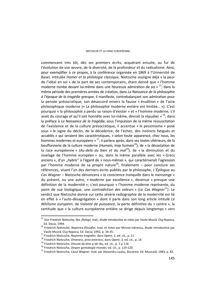### NIETZSCHE ET LA CRISE EUROPÉENNE

commencent très tôt, dès ses premiers écrits, acquérant ensuite, au fur de l'évolution de son œuvre, de la diversité, de la profondeur et du radicalisme. Ainsi, pour exemplifier à ce propos, à la conférence organisée en 1869 à l'Université de Basel, intitulée *Homer et la philologie classique*, Nietzsche souligne déjà « la peur de l'idéal en soi » de la part de ses contemporains, étant donné que « l'homme moderne tombe devant lui-même dans une heureuse admiration de soi » 15; dans la même période des premières années de création, dans *La Naissance de la philosophie à l'époque de la tragédie grecque*, il manifeste, contrebalançant son admiration pour la pensée présocratique, son désaccord envers la fausse « érudition » de l'acte philosophique moderne (« La philosophie moderne entière est limitée… »). C'est pourquoi « la philosophie a perdu sa raison d'exister » et « l'homme moderne, s'il avait du courage et qu'il soit honnête avec lui-même, devrait la répudier » <sup>16</sup>; dans la préface à *La Naissance de la tragédie*, sous l'impulsion de la même ressuscitation de l'existence et de la culture présocratique, il accentue « le pessimisme » posé sous « le signe du déclin, de la décadence, de l'échec, des instincts fatigués et accablés » qui seraient des caractéristiques, « selon toute apparence, chez nous, les hommes modernes et européens » <sup>17</sup>; il parlera après, dans ses textes ultérieurs, de la bouffonnerie de la culture moderne (*Humain, trop humain18*); de « la dévastation de la race européenne » (*Au-delà du bien et du mal<sup>19</sup>*); de « la diminution et du nivelage de l'homme européen » ou, dans la même parallèle avec les « Grecs anciens », d'un "*hybris"* à l'égard de « nous-mêmes », qui caractériserait l'agression par l'homme moderne de sa propre nature<sup>20</sup>; finalement – pour conclure ses références, visant l'un des derniers écrits publiés par le philosophe, *L'Épilogue* au *Cas Wagner* – Nietzsche dénoncera « *la conscience tranquille* dans le mensonge » du présent, ou une autre, « *moderne* par excellence », devenue « presque une définition de la modernité »; c'est pourquoi « l'homme moderne représente, du point de vue biologique, une *contradiction des valeurs* » (*Le Cas Wagner*<sup>21</sup>). Le verdict que Nietzsche donne sur cette sévère radiographie de la modernité est lié en effet à « l'auto-désagrégation » dont il parle dans son long article intitulé *Le Nihilisme européen*, de *Volonté de puissance*, la perte définitive du « centre », la certitude que « la culture européenne entière se dirige depuis longtemps » vers

 $\overline{a}$ 

<sup>15</sup> Voir Friedrich Nietzsche, *Noi, filologii*, trad., étude introductive et notes par Vasile Muscă, Cluj-Napoca,

Ed. Dacia, 1994. 16 Friedrich Nietzsche, *Naşterea filosofiei*, trad. et notes par Mircea Ivănescu, étude introductive par

<sup>&</sup>lt;sup>17</sup> Friedrich Nietzsche, Nașterea tragediei, dans Opere, 2, ed. cit., p. 11.<br><sup>18</sup> Friedrich Nietzsche, Omenesc, prea omenesc, dans Opere, 3, ed. cit., p. 14.<br><sup>19</sup> Friedrich Nietzsche, Dincolo de bine și de rău, ed. cit.,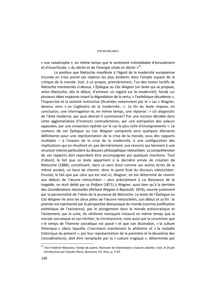### STEFAN MELANCU

« une catastrophe », en même temps que le sentiment irrémédiable d'écroulement et d'incertitude, « du déclin et de l'énergie vitale en déclin  $v^{22}$ .

La position que Nietzsche manifeste à l'égard de la modernité européenne trouvée en crise prend ses repères les plus évidents dans l'ample espace de la critique de la morale. Voir, à ce propos, premièrement, l'un des textes tardifs de Nietzsche mentionnés ci-dessus, *L'Épilogue* au *Cas Wagner* (un texte qui se propose, selon Nietzsche, dès le début, d'achever un regard sur *la modernité*), fondé sur plusieurs idées majeures visant la dégradation de la vertu, « l'esthétique décadente », l'hypocrisie et la volonté instinctive (illustrées notamment par le « cas » Wagner, devenu ainsi « un Cagliostro de la modernité… ». La fin du texte impose, en conclusion, une interrogation et, en même temps, une réponse : « Un *diagnostic* de l'âme moderne, par quoi devrait-il commencer? Par une incision décidée dans cette agglomération d'instincts contradictoires, par une extirpation des valeurs opposées, par une vivisection opérée sur le cas le plus *riche d'enseignements* ». Le contenu de cet *Épilogue* au *Cas Wagner* comprend ainsi quelques éléments définitoires pour une représentation de la crise de la morale, sous des rapports multiples – à l'espace de la crise de la modernité, à une configuration des implications qui en résultent et, pas dernièrement, aux ressorts qui tiennent à une structure interne particulière du discours philosophique nietzschéen. La compréhension de ces rapports doit cependant être accompagnée par quelques mentions. Tout d'abord, le fait que ce texte appartient à la dernière année de création de Nietzsche (1888), constituant, dans ce sens (tout comme ses autres écrits de la même année), un bout de chemin, donc le point final du discours nietzschéen. Ensuite, le fait que par celui qui est visé ici, Wagner, on est déterminé de revenir aux débuts de l'œuvre nietzschéen – plus précisément à *La Naissance de la tragédie*, un écrit dédié par sa *Préface* (1871) à Wagner, aussi bien qu'à la dernière des *Considérations inactuelles* (*Richard Wagner à Bayreuth*, 1876), nourrie justement par la personnalité de l'idole de la jeunesse de Nietzsche. Le texte de l'*Épilogue* au *Cas Wagner* lie ainsi les deux pôles de l'œuvre nietzschéen, son début et sa fin : le premier est représenté par la perspective dionysiaque du monde (comme justification esthétique de l'existence), par le plongement dans le monde présocratique et l'évitement, par la suite, du nihilisme menaçant instauré en même temps que la morale socratique et son héritier, le christianisme, mais aussi par la conviction que « le temps de l'homme socratique est passé » et que son illustration, « la culture théorique » (dans laquelle s'inscrivent maintenant le *philistine* et « la maladie historique du présent », par leur représentation de la première et la deuxième des *Considérations*), doit être remplacée par la « culture tragique », déterminée par

<sup>22</sup> Voir Friedrich Nietzsche, *Voinţa de putere. Încercare de transmutare a tuturor valorilor*, trad. et étude introductive par Claudiu Baciu, Bucarest, Ed. Aion, p. 5-45.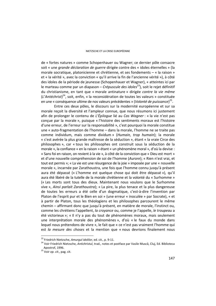de « fortes natures » comme Schopenhauer ou Wagner; ce dernier pôle consacre soit « une *grande déclaration de guerre* dirigée contre des « idoles éternelles » (la morale socratique, platonicienne et chrétienne, et ses fondements – « la raison » et « la vérité », avec la conviction « qu'il arrive la fin de l'ancienne vérité »), à côté des idoles de la période de jeunesse (Schopenhauer et Wagner), « atteintes ici par le marteau comme par un diapason – *Crépuscule des idoles<sup>23</sup>*), soit le rejet définitif du christianisme, en tant que « morale antinature » dirigée *contre la vie même*  (*L'Antéchrist*) 24, soit, enfin, « la reconsidération de toutes les valeurs » constituée en une « conséquence ultime de nos valeurs précédentes » (*Volonté de puissance*) 25.

Entre ces deux pôles, le discours sur la modernité européenne et sur sa morale reçoit la diversité et l'ampleur connue, que nous résumons ici justement afin de prolonger le contenu de *L'Épilogue* lié au *Cas Wagner* : « la vie n'est pas conçue par la morale », puisque « l'histoire des sentiments moraux est l'histoire d'une erreur, de l'erreur sur la responsabilité », c'est pourquoi la morale constitue une « auto-fragmentation de l'homme – dans la morale, l'homme ne se traite pas comme individum, mais comme dividum » (*Humain, trop humain*); la morale « s'est avérée la plus grande maîtresse de la séduction », étant « la vraie Circe des philosophes », car « tous les philosophes ont construit sous la séduction de la morale », la confiance « en la raison » étant « un phénomène moral », d'où la devise : « Sans foi en raison, on revient à la vie », à côté de la conviction que « Dieu est mort » et d'une nouvelle compréhension de soi de l'homme (*Aurore*); « Rien n'est vrai, et tout est permis »; « La vie est une résurgence de la joie » imposée par une « nouvelle morale », incarnée par Zarathoustra, une fois que l'homme connu jusqu'à présent aura été dépassé (« L'homme est quelque chose qui doit être dépassé »), qu'il aura été libéré de la tutelle de la morale chrétienne et la volonté du « Surhomme » (« Les morts sont tous des dieux. Maintenant nous voulons que le Surhomme vive », *Ainsi parlait Zarathoustra*); « La pire, la plus tenace et la plus dangereuse de toutes les erreurs a été celle d'un dogmatique, c'est-à-dire l'invention par Platon de l'esprit pur et le Bien en soi » (une erreur « inoculée » par Socrate), « et à partir de Platon, tous les théologiens et les philosophes parcourent le même chemin – affirmant donc que jusqu'à présent, en matière de morale, l'instinct ou, comme les chrétiens l'appellent, *la croyance* ou, comme je l'appelle, *le troupeau* a été victorieux »; « Il n'y a pas du tout de phénomènes moraux, mais seulement une interprétation morale des phénomènes », d'où « le faux du monde dans lequel nous prétendons de vivre », le fait que « ce n'est pas vraiment l'homme qui est *la mesure des choses* et la mention que « nous devrions finalement nous

<sup>&</sup>lt;sup>23</sup> Friedrich Nietzsche, Amurgul idolilor, ed. cit., p. 9-11.

<sup>&</sup>lt;sup>24</sup> Voir Friedrich Nietzsche, Antichristul, trad., notes et postface par Vasile Muscă, Cluj, Ed. Biblioteca Apostrof, 1996. 25 Voir *op. cit.,* pag. cit.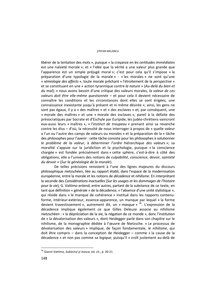### STEFAN MELANCU

libérer de la tentation des mots », puisque « la croyance en *les certitudes immédiates*  est une naïveté morale »; et « l'idée que la vérité a une valeur plus grande que l'apparence est un simple préjugé moral »; c'est pour cela qu'il s'impose « la préparation d'une typologie de la morale » - « les morales » ne sont qu'une « *sémiologie des affects* », toute morale prêchant « l'étroitement de la *perspective* » et se constituant en une « action tyrannique contre *la nature* » (*Au-delà du bien et du mal*); « nous avons besoin d'une *critique* des valeurs morales, *la valeur de ces valeurs doit être elle-même questionnée* – et pour cela il devient nécessaire de connaître les conditions et les circonstances dont elles se sont érigées, une connaissance inexistante jusqu'à présent et ni même désirée »; ainsi, les gens ne sont pas égaux, il y a « des maîtres » et « des esclaves » et, par conséquent, une « morale des maîtres » et une « morale des esclaves »; pareil à la défaite des présocratiques par Socrate et d'Eschyle par Euripide, les judéo-chrétiens vaincront eux-aussi leurs « maîtres », « *l'instinct de troupeau* » prenant ainsi sa revanche contre les élus – d'où, la nécessité de nous interroger à propos de « quelle *valeur* a l'un ou l'autre des camps de valeurs ou *morales* » et la préparation de la « tâche des philosophes pour l'avenir : cette tâche consiste pour les philosophes à solutionner *le problème de la valeur*, à déterminer *l'ordre hiérarchique des valeurs* »; sa moralité s'appuie sur la juridiction et la psychologie, puisque « la conscience chargée » est fondée précisément dans « cette sphère, c'est-à-dire à côté des obligations, elle a l'univers des notions de *culpabilité*, *conscience*, *devoir*, *sainteté du devoir* » (*Sur la généalogie de la morale*).

De telles précisions renvoient à l'une des lignes majeures du discours philosophique nietzschéen, liée au rapport établi, dans l'espace de la modernisation européenne, entre la morale et les notions de *décadence* et *nihilisme*. En interprétant la seconde des *Considérations inactuelles* (*Sur les usages et les dommages de l'histoire pour la vie*), G. Vattimo entend, entre autres, partant de la substance de ce texte, en tant que définition « générale » de la décadence, « l'absence d'une unité stylistique », qui réside dans « le manque de cohérence » institué dans les rapports contenuforme, intérieur-extérieur, essence-apparence, un manque par lequel « la forme devient travestissement », autrement dit, un « *masque* » *26.* L'expression de la décadence implique également ce que Gilles Deleuze associe au nihilisme nietzschéen : « la dépréciation de la vie, la négation de ce monde », donc l'institution de « la dévalorisation des valeurs », dont Heidegger parle dans son chapitre sur le nihilisme, de la monographie dédiée à l'œuvre de Nietzsche. « Le processus de dévalorisation des valeurs » implique, de façon fondamentale, *le nihilisme*, qui doit être compris – dans la conception de Heidegger – comme « la cause de la décadence » et non pas comme sa *logique*, puisqu'il « croît justement au-delà de

<sup>26</sup> Gianni Vattimo, *Subiectul şi masca*, ed. cit., p. 20-21.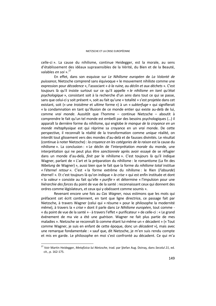celle-ci ». La cause du nihilisme, continue Heidegger, est la morale, au sens d'établissement des idéaux suprasensibles de la Vérité, du Bien et de la Beauté, valables *en soi* »<sup>27</sup>

En effet, dans son esquisse sur *Le Nihilisme européen* de *La Volonté de puissance*, Nietzsche comprend sans équivoque « le mouvement nihiliste comme une expression pour *décadence* », l'associant « *à la ruine, au déclin et aux déchets* ». C'est toujours là qu'il insiste surtout sur ce qu'il appelle « *le nihilisme en tant qu'état psychologique* », consistant soit à la recherche d'un *sens* dans tout ce qui se passe, sans que celui-ci y soit présent », soit au fait qu'une « totalité » s'est projetée dans cet existant, soit (« une *troisième* et *ultime* forme ») à un « *subterfuge* » qui signifierait « la condamnation en tant qu'illusion de ce monde entier qui existe au-delà de lui, comme *vrai monde*. Aussitôt que l'homme – continue Nietzsche – aboutit à comprendre le fait qu'un tel monde est embelli par des besoins psychologiques (…) il apparaît la dernière forme du nihilisme, qui englobe *le manque de la croyance en un monde métaphysique* est qui réprime sa croyance en un *vrai* monde. De cette perspective, il reconnaît la réalité de la transformation comme *unique* réalité, on interdit tout glissement vers des mondes d'au-delà et de fausses divinités. Le résultat (continue à noter Nietzsche) : *la croyance en les catégories de la raison* est la cause du nihilisme ». La conclusion : « Le déclin de l'interprétation *morale* du monde, une interprétation qui ne peut plus être *sanctionnée* après avoir essayé de se réfugier dans un monde d'au-delà, *finit* par le nihilisme ». C'est toujours là qu'il indique Wagner, parlant de « L'art et la préparation du nihilisme : le romantisme (La fin des *Nibelung* de Wagner) », aussi bien que le fait que la forme *du nihilisme total* institue *« l'éternel retour »*. C'est « la forme extrême du nihilisme : le Rien (*l'absurde*) éternel! ». Et c'est toujours là qu'on indique « *la crise* » qui est enfin instituée et dont « la valeur » consiste au fait qu'elle « *purifie* » et détermine « l'impulsion pour une *hiérarchie des forces* du point de vue de la santé : reconnaissant ceux qui donnent des ordres comme législateurs, et ceux qui y obéissent comme soumis ».

 Revenant encore une fois au *Cas Wagner*, nous estimons que les mots qui préfacent cet écrit contiennent, en tant que ligne directrice, ce passage fait par Nietzsche, à travers Wagner (celui qui « résume » pour le philosophe la modernité même), à travers la « *crise* » dont il parle dans *Le Nihilisme européen*, tout comme - « du point de vue de la santé » - à travers l'effet « purificateur » de celle-ci : « Le grand événement de ma vie a été une *guérison*. Wagner ne fait plus partie de mes maladies ». Nietzsche se reconnaît là comme étant lui-même un « décadent » (« Tout comme Wagner, je suis en enfant de cette époque, donc un *décadent* »), mais avec une remarque fondamentale : « sauf que, dit Nietzsche, je m'en suis rendu compte et mis en garde. Le philosophe en moi s'est confronté au décadent. Ce qui m'a

<sup>27</sup> Voir Martin Heidegger, *Metafizica lui Nietzsche*, trad. par Ştefan Aug. Doinaş, dans *Secolul 21*, ed. cit., p. 162-175.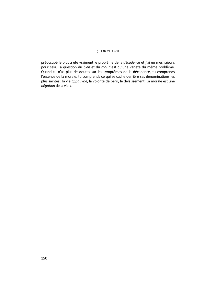### STEFAN MELANCU

préoccupé le plus a été vraiment le problème de la *décadence* et j'ai eu mes raisons pour cela. La question du *bien* et du *mal* n'est qu'une variété du même problème. Quand tu n'as plus de doutes sur les symptômes de la décadence, tu comprends l'essence de la morale, tu comprends ce qui se cache derrière ses dénominations les plus saintes : la vie *appauvrie*, la volonté de périr, le délaissement. La morale est une *négation* de la vie ».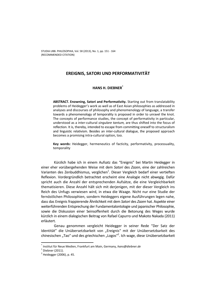# **EREIGNIS, SATORI UND PERFORMATIVITÄT**

# **HANS H. DIEBNER\***

**ABSTRACT. Enowning, Satori and Performativity.** Starting out from translatability problems of Heidegger's work as well as of East Asian philosophies as addressed in analyses and discourses of philosophy and phenomenology of language, a transfer towards a phenomenology of temporality is proposed in order to unravel the knot. The concepts of performance studies, the concept of performativity in particular, understood as a inter-cultural *singulare tantum,* are thus shifted into the focus of reflection. It is, thereby, intended to escape from committing oneself to structuralism and linguistic relativism. Besides an inter-cultural dialogue, the proposed approach becomes a promising intra-cultural option, too.

**Key words:** Heidegger, hermeneutics of facticity, performativity, processuality, temporality

Kürzlich habe ich in einem Aufsatz das "Ereignis" bei Martin Heidegger in einer eher vorübergehenden Weise mit dem *Satori* des *Zazen*, eine der zahlreichen Varianten des Zenbuddhismus, verglichen $^1$ . Dieser Vergleich bedarf einer vertieften Reflexion. Vordergründlich betrachtet erscheint eine Analogie nicht abwegig. Dafür spricht auch die Anzahl der entsprechenden Aufsätze, die eine Vergleichbarkeit thematisieren. Diese Anzahl hält sich mit derjenigen, mit der dieser Vergleich ins Reich des Unfugs verwiesen wird, in etwa die Waage. Nicht nur eine Studie der fernöstlichen Philosophien, sondern Heideggers eigene Ausführungen legen nahe, dass das Ereignis frappierende Ähnlichkeit mit dem *Satori* des *Zazen* hat. Aspekte einer weiterführenden Entsprechung der Fundamentalontologie und japanischer Philosophie, sowie die Diskussion einer Seinsoffenheit durch die Betonung des Weges wurde kürzlich in einem dialogischen Beitrag von Rafael Capurro und Makoto Nakada (2011) erläutert.

Genau genommen vergleicht Heidegger in seiner Rede "Der Satz der Identität" die Unübersetzbarkeit von "Ereignis" mit der Unübersetzbarkeit des chinesischen "Tao" und des griechischen "Logos"<sup>2</sup>. Ich wage, diese Unübersetzbarkeit

<sup>\*</sup> Institut für Neue Medien, Frankfurt am Main, Germany, *hans@diebner.de* <sup>1</sup>

 $<sup>1</sup>$  Diebner (2011).</sup>

<sup>&</sup>lt;sup>2</sup> Heidegger (2006), p. 45.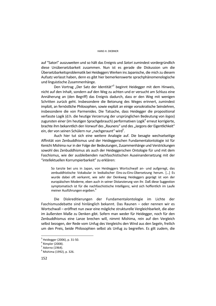auf "Satori" auszuweiten und so hält das Ereignis und *Satori* zumindest vordergründlich diese Unübersetzbarkeit zusammen. Nun ist es gerade die Diskussion um die Übersetzbarkeitsproblematik bei Heideggers Werken ins Japanische, die mich zu diesem Aufsatz verlasst haben, denn es gibt hier bemerkenswerte sprachphänomenologische und linguistische Zusammenhänge.

Den Vortrag "Der Satz der Identität"<sup>3</sup> beginnt Heidegger mit dem Hinweis, nicht auf den Inhalt, sondern auf den Weg zu achten und er versucht am Schluss eine Annäherung an (den Begriff) das Ereignis dadurch, dass er den Weg mit wenigen Schritten zurück geht. Insbesondere die Betonung des Weges erinnert, zumindest implizit, an fernöstliche Philosophien, sowie explizit an einige vorsokratische Seinslehren, insbesondere die von Parmenides. Die Tatsache, dass Heidegger die propositional verfasste Logik (d.h. die heutige Verzerrung der ursprünglichen Bedeutung von *logos*) zugunsten einer (im heutigen Sprachgebrauch) performativen Logik<sup>4</sup> erneut korrigierte, brachte ihm bekanntlich den Vorwurf des "Raunens" und des "Jargons der Eigentlichkeit" ein, der von seinen Schülern nur "nachgeraunt" wird<sup>5</sup>.

Auch hier tut sich eine weitere Analogie auf. Die besagte wechselseitige Affinität von Zenbuddhismus und der Heideggerschen Fundamentalontologie ist für Kenichi Mishima nur in der Folge der Bedeutungen, Zusammenhänge und Verstrickungen sowohl des Zenbuddhismus als auch der Heideggerschen Ontologie für und mit dem Faschismus, wie der ausbleibenden nachfaschistischen Auseinandersetzung mit der "intellektuellen Korrumpierbarkeit" zu erklären:

So tanzte bei uns in Japan, von Heideggers Wortschwall an- und aufgeregt, das zenbuddhistische Vokabular in lexikalischer Eins-zu-Eins-Übersetzung herum. […] Es wurde dabei oft verkannt, wie sehr der Denkweg Heideggers geprägt ist von der europäischen Moderne, eben auch in seiner Distanzierung von ihr. Daß diese Suggestion symptomatisch ist für die nachfaschistische Intelligenz, wird sich hoffentlich im Laufe meiner Ausführungen ergeben.<sup>6</sup>

Die Diskreditierungen der Fundamentalontologie im Lichte der Faschismusdebatte sind hinlänglich bekannt. Das Raunen – oder nennen wir es Wortschwall – eröffnet nun zwar eine mögliche strukturelle Vergleichbarkeit, die aber im äußersten Maße zu Denken gibt. Sofern man weder für Heidegger, noch für den Zenbuddhismus eine Lanze brechen will, nimmt Mishima, rein auf den Vergleich selbst bezogen, der Rede vom Unfug des Vergleichs den Wind aus den Segeln, freilich um den Preis, beide Philosophien selbst als Unfug zu begreifen. Es gilt zudem, die

 3 Heidegger (2006), p. 31-50.

<sup>4</sup> Rimpler (2008).

<sup>&</sup>lt;sup>5</sup> Adorno (1964).

<sup>6</sup> Mishima (1992), p. 326.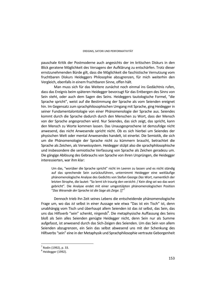pauschale Kritik der Postmoderne auch angesichts der im kritischen Diskurs in den Blick geratene Möglichkeit des Versagens der Aufklärung zu entschärfen. Trotz dieser ernstzunehmenden Bürde gilt, dass die Möglichkeit die faschistische Vernutzung vom fruchtbaren Diskurs Heideggers Philosophie abzugrenzen, für mich weiterhin den Vergleich, ebenfalls in einem fruchtbaren Sinne, offen hält.

Man muss sich für das Weitere zunächst noch einmal ins Gedächtnis rufen, dass das Ereignis beim späteren Heidegger bevorzugt für das Entbergen des Sinns von Sein steht, oder auch dem Sagen des Seins. Heideggers tautologische Formel, "die Sprache spricht", weist auf die Bestimmung der Sprache als vom Seienden ereignet hin. Im Gegensatz zum sprachphilosophischen Umgang mit Sprache, ging Heidegger in seiner Fundamentalontologie von einer Phänomenologie der Sprache aus. Seiendes kommt durch die Sprache dadurch durch den Menschen zu Wort, dass der Mensch von der Sprache angesprochen wird. Nur Seiendes, das sich zeigt, das spricht, kann den Mensch zu Worte kommen lassen. Das Unausgesprochene ist demzufolge nicht anwesend, das nicht Anwesende spricht nicht. Ob es sich hierbei um Seiendes der physischen Welt oder mental Anwesendes handelt, ist einerlei. Die Semiotik, die sich um die Phänomenologie der Sprache nicht zu kümmern braucht, betrachtet die Sprache als Zeichen, als Verweissystem. Heidegger stülpt also die sprachphilosophische und insbesondere die semiotische Verfassung von Sprache als Zeichen geradezu um. Die gängige Ablösung des Gebrauchs von Sprache von ihren Ursprüngen, die Heidegger interessierten, war ihm klar:

Um das, "worüber die Sprache spricht" nicht im Leeren zu lassen und es nicht ständig auf das sprechende Sein zurückzuführen, unternimmt Heidegger eine weitläufige phänomenologische Analyse des Gedichts von Stefan George *Das Wort*, namentlich der letzten Strophe, die lautet: "So lernt ich traurig den verzicht: / Kein ding sei wo das wort gebricht". Die Analyse endet mit einer umgestülpten phänomenologischen Position "*Das Wesende der Sprache ist die Sage als Zeige.* []"7

Dennoch trieb ihn Zeit seines Lebens die entscheidende phänomenologische Frage um, wo das *ist* selbst in einer Aussage wie etwa "Das ist ein Tisch" ist, denn unabhängig vom Tisch und überhaupt allem Seienden ist das *ist* selbst, das Sein, das uns das Hilfsverb "sein" schenkt, nirgends<sup>8</sup>. Die metaphysische Auffassung des Seins bloß als Sein alles Seienden genügte Heidegger nicht, denn Sein nur als Summe aufgefasst, ist anwesend durch das Sich-Zeigen des Seienden. Um das Sein von allem Seienden abzugrenzen, ein Sein das selbst abwesend uns mit der Schenkung des Hilfsverbs "sein" eine in der Metaphysik und Sprachphilosophie vertraute Geborgenheit

<sup>&</sup>lt;sup>7</sup> Rodin (1992), p. 33.

<sup>&</sup>lt;sup>8</sup> Heidegger (1992).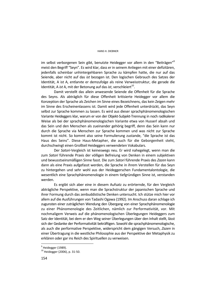### HANS H. DIEBNER

im selbst verborgenen Sein gibt, benutzte Heidegger vor allem in den "Beiträgen"<sup>9</sup> meist den Begriff "Seyn". Es wird klar, dass er in seinem Anliegen mit einer defizitären, jedenfalls scheinbar unhintergehbaren Sprache zu kämpfen hatte, die nur auf das Seiende, aber nicht auf das *ist* bezogen ist. Den logischen Gebrauch des Satzes der Identität, A ist A, entlarvte er demzufolge als reine Verweisstruktur, die gerade die Identität, A *ist* A, mit der Betonung auf das *ist*, verschleiert<sup>10</sup>.

Damit verstellt das allein anwesende Seiende die Offenheit für die Sprache des Seyns. Als abträglich für diese Offenheit kritisierte Heidegger vor allem die Konzeption der Sprache als Zeichen im Sinne eines Bezeichnens, das kein Zeigen mehr im Sinne des Erscheinenlassens ist. Damit wird jede Offenheit unterdrückt, das Seyn selbst zur Sprache kommen zu lassen. Es wird aus dieser sprachphänomenologischen Variante Heideggers klar, warum er von der Objekt-Subjekt-Trennung in noch radikalerer Weise als bei der sprachphänomenologischen Variante etwa von Husserl absah und das Sein und den Menschen als zueinander gehörig begriff, denn das Sein kann nur durch die Sprache via Menschen zur Sprache kommen und was nicht zur Sprache kommt ist nicht. So kommt also seine Formulierung zustande, "die Sprache ist das Haus des Seins". Diese Haus-Metapher, die auch für die Geborgenheit steht, durchschwingt einen Großteil Heideggers verwendeten Vokabulars.

Der *Satori*-Vergleich ist keineswegs neu. Er wird nahegelegt, wenn man die zum *Satori* führende Praxis der völligen Befreiung von Denken in einem subjektiven und bewusstseinsmäßigen Sinne fasst. Die zum *Satori* führende Praxis des *Zazen* kann dann als eine Praxis aufgefasst werden, die Sprache in ihrem Verstellen für das Seyn zu hintergehen und sehr wohl aus der Heideggerschen Fundamentalontologie, die wesentlich eine Sprachphänomenologie in einem tiefgründigen Sinne ist, verstanden werden.

Es ergibt sich aber eine in diesem Aufsatz zu erörternde, für den Vergleich abträgliche Perspektive, wenn man die Sprachstruktur der japanischen Sprache und ihrer Formung durch das zenbuddistische Denken untersucht. Ich stütze mich hier vor allem auf die Ausführungen von Tadashi Ogawa (1992). Im Anschuss daran schlage ich zugunsten einer zuträglichen Wendung den Übergang von einer Sprachphänomenologie zu einer Phänomenologie des Zeitlichen, nämlich zur Performativität, vor. Mit nochmaligem Verweis auf die phänomenologischen Überlegungen Heideggers zum Satz der Identität, bei dem er den Weg seiner Überlegungen über den Inhalt stellt, lässt sich der Gedanke der Performativität bekräftigen. Sowohl die sprachphänomenologische, als auch die performative Perspektive, widerspricht dem gängigen Versuch, *Zazen* in einer Übertragung in die westliche Philosophie aus der Perspektive der Metaphysik zu erklären oder gar ins Reich des Spirituellen zu verweisen.

<sup>&</sup>lt;sup>9</sup> Heidegger (1989).

<sup>10</sup> Heidegger (2006), p. 31-50.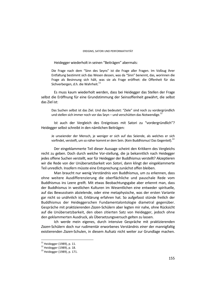Heidegger wiederholt in seinen "Beiträgen" abermals:

Die Frage nach dem "Sinn des Seyns" ist die Frage aller Fragen. Im Vollzug ihrer Entfaltung bestimmt sich das Wesen dessen, was da "Sinn" benennt, das, worinnen die Frage als Besinnung sich hält, was sie als Frage eröffnet: die Offenheit für das Sichverbergen, d.h. die Wahrheit.<sup>11</sup>

Es muss kaum wiederholt werden, dass bei Heidegger das Stellen der Frage selbst die Eröffnung für eine Grundstimmung der Seinsoffenheit gewährt, die selbst das Ziel ist:

Das Suchen selbst ist das Ziel. Und das bedeutet: "Ziele" sind noch zu vordergründlich und stellen sich immer noch vor das Seyn – und verschütten das Notwendige.<sup>12</sup>

Ist auch der Vergleich des Ereignisses mit Satori zu "vordergründlich"? Heidegger selbst schreibt in den nämlichen Beiträgen:

Je unseiender der Mensch, je weniger er sich auf das Seiende, als welches er sich vorfindet, versteift, um so näher kommt er dem Sein. (Kein Buddhismus! Das Gegenteil).<sup>13</sup>

Der eingeklammerte Teil dieser Aussage scheint den Kritikern des Vergleichs recht zu geben. Doch durch welche Vor-stellung, die ja bekanntlich nach Heidegger jedes offene Suchen verstellt, war für Heidegger der Buddhismus verstellt? Akzeptieren wir die Rede von der Unübersetzbarkeit von *Satori*, dann klingt der eingeklammerte Teil unredlich. Insofern müsste eine Entsprechung zunächst offen bleiben.

Man braucht nur wenig Verständnis von Buddhismus, um zu erkennen, dass ohne weitere Ausdifferenzierung die oberflächliche und pauschale Rede vom Buddhismus ins Leere greift. Mit etwas Beobachtungsgabe aber erkennt man, dass der Buddhismus in westlichen Kulturen im Wesentlichen eine entweder spirituelle, auf das Bewusstsein abzielende, oder eine metaphysische, was der ersten Variante gar nicht so unähnlich ist, Erklärung erfahren hat. So aufgefasst stünde freilich der Buddhismus der Heideggerschen Fundamentalontologie diametral gegenüber. Gespräche mit praktizierenden *Zazen*-Schülern aber legten mir nahe, ohne Rücksicht auf die Unübersetzbarkeit, den oben zitierten Satz von Heidegger, jedoch ohne den geklammerten Ausdruck, als Übersetzungsversuch gelten zu lassen.

Ich werde mein eigenes, durch intensive Gespräche mit praktizierenden *Zazen*-Schülern doch nur rudimentär erworbenes Verständnis *einer* der mannigfaltig existierenden *Zazen*-Schulen, in diesem Aufsatz nicht weiter zur Grundlage machen.

 $\overline{a}$ 

<sup>&</sup>lt;sup>11</sup> Heidegger (1989), p. 11.

<sup>12</sup> Heidegger (1989), p. 18.

<sup>13</sup> Heidegger (1989), p. 171.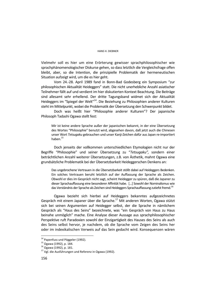Vielmehr soll es hier um eine Erörterung gewisser sprachphilosophischer wie sprachphänomenologischer Diskurse gehen, so dass letztlich die Vergleichsfrage offen bleibt, aber, so die Intention, die prinzipielle Problematik der hermeneutischen Situation aufzeigt wird, um die es hier geht.

Vom 24.-28. April 1989 fand in Bonn-Bad Godesberg ein Symposium "zur philosophischen Aktualität Heideggers" statt. Die nicht unerhebliche Anzahl asiatischer Teilnehmer fällt auf und verdient im hier diskutierten Kontext Beachtung. Die Beiträge sind allesamt sehr erhellend. Der dritte Tagungsband widmet sich der Aktualität Heideggers im "Spiegel der Welt"14. Die Beziehung zu Philosophien anderer Kulturen steht im Mittelpunkt, wobei die Problematik der Übersetzung den Schwerpunkt bildet.

Doch was heißt hier "Philosophie anderer Kulturen"? Der japanische Philosoph Tadashi Ogawa stellt fest:

Mir ist keine andere Sprache außer der japanischen bekannt, in der eine Übersetzung des Wortes "Philosophie" benutzt wird, abgesehen davon, daß jetzt auch die Chinesen unser Wort *Tetsugaku* gebrauchen und unser Kanji-Zeichen dafür aus Japan re-importiert hahen $15$ 

Doch jenseits der vollkommen unterschiedlichen Etymologien nicht nur der Begriffe "Philosophie" und seiner Übersetzung zu "*Tetsugaku",* sondern einer beträchtlichen Anzahl weiterer Übersetzungen, z.B. von Ästhetik, mahnt Ogawa eine grundsätzliche Problematik bei der Übersetzbarkeit Heideggerschen Denkens an:

Das ungebrochene Vertrauen in die Übersetzbarkeit stößt dabei auf Heideggers Bedenken. Ein solches Vertrauen beruht letztlich auf der Auffassung der Sprache als Zeichen. Obwohl er dies im Gespräch nicht sagt, scheint Heidegger zu spüren, daß die Japaner zu dieser Sprachauffassung eine besonderer Affinität habe. […] Sowohl der Nominalismus wie das Verständnis der Sprache als Zeichen sind Heideggers Sprachauffassung zutiefst fremd.<sup>16</sup>

Ogawa bezieht sich hierbei auf Heideggers bekanntes aufgezeichnetes Gespräch mit einem Japaner über die Sprache.17 Mit anderen Worten, Ogawa stützt sich bei seinen Argumenten auf Heidegger selbst, der die Sprache in nämlichem Gespräch als "Haus des Seins" bezeichnete, was "ein Gespräch von Haus zu Haus beinahe unmöglich" mache. Eine Analyse dieser Aussage aus sprachphilosophischer Perspektive ruft Paradoxien sowohl der Einzigartigkeit des Hauses des Seins als auch des Seins selbst hervor, je nachdem, ob die Sprache vom Zeigen des Seins her oder im indexikalischen Verweis auf das Sein gedacht wird. Konsequenzen wären

<sup>&</sup>lt;sup>14</sup> Papenfuss und Pöggeler (1992).

 $15$  Ogawa (1992), p. 184.

 $16$  Ogawa (1992), p. 181.

<sup>&</sup>lt;sup>17</sup> Vgl. die Ausführungen und Referenz in Ogawa (1992).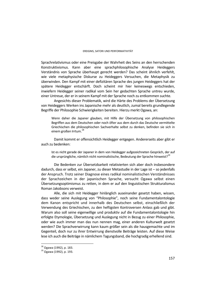Sprachrelativismus oder eine Preisgabe der Wahrheit des Seins an den herrschenden Konstruktivismus. Kann aber eine sprachphilosophische Analyse Heideggers Verständnis von Sprache überhaupt gerecht werden? Das scheint ähnlich verfehlt, wie viele metaphysische Diskurse zu Heideggers Versuchen, die Metaphysik zu überwinden. Den Kampf mit einer defizitären Sprache des jungen Heideggers hat der spätere Heidegger entschärft. Doch scheint mir hier keineswegs entschieden, inwiefern Heidegger seiner radikal vom Sein her gedachten Sprache untreu wurde, einer Untreue, der er in seinem Kampf mit der Sprache noch zu entkommen suchte.

Angesichts dieser Problematik, wird die Härte des Problems der Übersetzung von Heideggers Werken ins Japanische mehr als deutlich, zumal bereits grundlegende Begriffe der Philosophie Schwierigkeiten bereiten. Hierzu merkt Ogawa, an:

Wenn daher die Japaner glauben, mit Hilfe der Übersetzung von philosophischen Begriffen aus dem Deutschen oder noch öfter aus dem durch das Deutsche vermittelte Griechischen die philosophischen Sachverhalte selbst zu denken, befinden sie sich in einem großen Irrtum.<sup>18</sup>

Damit kommt er offensichtlich Heidegger entgegen. Andererseits aber gibt er auch zu bedenken:

Ist es nicht gerade der Japaner in dem von Heidegger aufgezeichneten Gespräch, der auf die ursprüngliche, nämlich nicht nominalistische, Bedeutung der Sprache hinweist?<sup>19</sup>

Die Bedenken zur Übersetzbarkeit relativierten sich aber doch insbesondere dadurch, dass er selbst, ein Japaner, zu dieser Metastudie in der Lage ist – so jedenfalls der Anspruch. Trotz seiner Diagnose eines radikal nominalistischen Verständnisses der Sprachzeichen in der japanischen Sprache, versucht Ogawa selbst einen Übersetzungsoptimismus zu retten, in dem er auf den linguistischen Strukturalismus Roman Jakobsons verweist.

Alle, die sich mit Heidegger hinlänglich auseinander gesetzt haben, wissen, dass weder seine Auslegung von "Philosophie", noch seine Fundamentalontologie dem Kanon entspricht und innerhalb des Deutschen selbst, einschließlich der Verwendung des Griechischen, zu den heftigsten Kontroversen Anlass gab und gibt. Warum also soll seine eigenwillige und produktiv auf die Fundamentalontologie hin erfolgte Etymologie, Übersetzung und Auslegung nicht in Bezug zu einer Philosophie, oder wie auch immer man das nun nennen mag, einer anderen Kulturwelt gesetzt werden? Die Sprachverwirrung kann kaum größer sein als die hausgemachte und im Gegenteil, doch nur zu ihrer Entwirrung dienstvolle Beiträge leisten. Auf diese Weise lese ich auch die Beiträge in nämlichem Tagungsband, die hochgradig erhellend sind.

<sup>18</sup> Ogawa (1992), p. 183.

<sup>19</sup> Ogawa (1992), p. 193.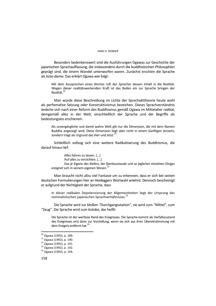### HANS H. DIEBNER

Besonders bedenkenswert sind die Ausführungen Ogawas zur Geschichte der japanischen Sprachauffassung, die insbesondere durch die buddhistischen Philosophien geprägt sind, die einem Wandel unterworfen waren. Zunächst erschien die Sprache als *koto-dama.* Das erklärt Ogawa wie folgt:

Mit dem Aussprechen eines Wortes ruft der Sprecher dessen Inhalt in die Realität. Wegen dieser realitätsweckenden Kraft ist das Reden ein zur Sprache bringen der Realität<sup>20</sup>

Man würde diese Beschreibung im Lichte der Sprechakttheorie heute wohl als perfomative Setzung oder Konstruktivismus bezeichen. Dieses Sprachverständnis änderte sich nach einer Reform des Buddhismus gemäß Ogawa im Mittelalter radikal, demgemäß alles in der Welt, einschließlich der Sprache und der Begriffe als bedeutungslos erschienen:

Als unvergängliche und damit wahre Welt gilt nur die Dimension, die mit dem Namen Buddha angezeigt wird. Diese Dimension liegt aber nicht in einem künftigen Jenseits, sondern trägt als Urgrund das Hier und Jetzt.<sup>2</sup>

Schließlich vollzog sich eine weitere Radikalisierung des Buddhismus, die darauf hinaus lief:

Alles fahren zu lassen. [...] Auf alles zu verzichten. [...] Das je Eigene des Kiefers, der Bambusstaude und so jeglichen einzelnen Dinges ereignet sich in seinem eigenen Wesen.<sup>22</sup>

Man braucht nicht allzu viel Fantasie um zu erkennen, dass er sich bei seinen deutschen Formulierungen hier an Heideggers Wortwahl anlehnt. Dennoch bescheinigt er aufgrund der Nichtigkeit der Sprache, dass

In dieser radikalen Depotenzierung der Allgemeinheiten liegt der Ursprung des nominalistischen japanischen Sprachverhältnisses.<sup>23</sup>

Die Sprache wird zur bloßen "Durchgangsstation", sie wird zum "Mittel", zum "Zeug". Die Sprache wird zum *kotoba*, das heißt:

Die Sprache ist der wertlose Rand des Ereignisses. Die Sprache kommt als Verfallszustand des Ereignisses erst dann zur Vorstellung, wenn sie sich aus ihrer Übereinstimmung mit dem Ereignis entfernt hat.<sup>24</sup>

<sup>20</sup> Ogawa (1992), p. 189.

<sup>21</sup> Ogawa (1992), p. 190.

 $22$  Ogawa (1992), p. 191.

 $23$  Ogawa (1992), p. 192.

 $24$  Ogawa (1992), p. 194.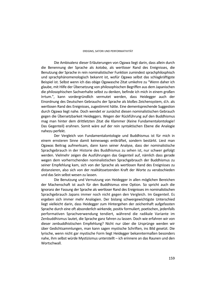Die Ambivalenz dieser Erläuterungen von Ogawa liegt darin, dass allein durch die Benennung der Sprache als *kotoba*, als wertloser Rand des Ereignisses, die Benutzung der Sprache in rein nominalistischer Funktion zumindest sprachphilosphisch und sprachphänomenologisch bekannt ist, wofür Ogawa selbst das schlagkräftigste Beispiel ist. Selbst wenn ich das obige Ogawasche Zitat umkehre zu "Wenn daher ich glaube, mit Hilfe der Übersetzung von philosophischen Begriffen aus dem Japanischen die philosophischen Sachverhalte selbst zu denken, befinde ich mich in einem großen Irrtum.", kann vordergründlich vermutet werden, dass Heidegger auch der Einordnung des Deutschen Gebrauchs der Sprache als bloßes Zeichensystem, d.h. als wertlosen Rand des Ereignisses, zugestimmt hätte. Eine dementsprechende Suggestion durch Ogawa liegt nahe. Doch wendet er zunächst diesen nominalistischen Gebrauch gegen die Übersetzbarkeit Heideggers. Wegen der Rückführung auf den Buddhismus mag man hinter dem drittletzten Zitat die Klammer (Keine Fundamentalontologie! Das Gegenteil) erahnen. Somit wäre auf der rein syntaktischen Ebene die Analogie nahezu perfekt.

Der Vergleich von Fundamentalontologie und Buddhismus ist für mich in einem ernsteren Sinne damit keineswegs entkräftet, sondern bestärkt. Liest man Ogawas Beitrag aufmerksam, dann kann seiner Analyse, dass der nominalistische Sprachgebrauch in der Historie des Buddhismus zu sehen ist, nur schwer gefolgt werden. Vielmehr zeigen die Ausführungen das Gegenteil auf, nämlich dass gerade wegen dem vorherrschenden nominalistischen Sprachgebrauch der Buddhismus zu seiner Empfehlung kam, sich von der Sprache als wertlosen Rand des Ereignisses zu distanzieren, also sich von der realitätssetzenden Kraft der Worte zu verabschieden und das Sein selbst wesen zu lassen.

Die Benutzung und Vernutzung von Heidegger in allen möglichen Bereichen der Machenschaft ist auch für den Buddhismus eine Option. So spricht auch die Ignoranz der Fassung der Sprache als wertloser Rand des Ereignisses im nominalistischen Sprachgebrauch Japans immer noch nicht gegen den Vergleich. Im Gegenteil. Es ergeben sich immer mehr Analogien. Der bislang schwergewichtigste Unterschied liegt vielleicht darin, dass Heidegger zum Hintergehen der zeichenhaft aufgefassten Sprache durch eine oft absonderlich wirkende, positiv formuliert, poetischen, jedenfalls performativen Sprachverwendung tendiert, während die radikale Variante im Zenbuddhismus lautet, die Sprache ganz fahren zu lassen. Doch wie erfahren wir von dieser zenbuddhistischen Empfehlung? Nicht nur über die Ursprünge werden wir über Gedichtsammlungen, man kann sagen mystische Schriften, ins Bild gesetzt. Die lyrische, wenn nicht gar mystische Form liegt Heidegger bekanntermaßen besonders nahe, ihm selbst würde Mystizismus unterstellt – ich erinnere an das Raunen und den Wortschwall.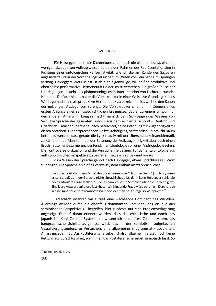### HANS H. DIEBNER

Für Heidegger stellte die Dichterkunst, aber auch die bildende Kunst, eine der wenigen akzeptierten Vollzugsweisen dar, die den Rahmen des Repräsentationalen in Richtung einer ontologischen Performativität, wie ich die am Rande des Sagbaren angesiedelte Praxis der Vordringungsversuche zum Wesen von Sein nenne, zu sprengen vermag. Heideggers Werk selbst ist als eine eigenwillige, will heißen produktive und eben selbst performative Hermeneutik Hölderlins zu verstehen. Ein großer Teil seiner Überlegungen besteht aus phänomenlogischen Interpretation von Dichtern, zumeist Hölderlin. Darüber hinaus hat er die Vorsokratiker in einer Weise zur Grundlage seines Werks gemacht, die als produktive Hermeneutik zu bezeichnen ist, weil sie den Kanon der geläufigen Auslegungen sprengt. Die Vorsokratiker sind für ihn Zeugen eines ersten Anfangs eines seinsgeschichtlichen Ereignisses, das er zu einem Entwurf für den anderen Anfang im Ereignis macht, nämlich dem Sich-Zeigen des Wesens von Sein. Die Sprache des gesamten Fundus, aus dem er hierbei schöpft – Deutsch und Griechisch – machen, hermeneutisch betrachtet, seine Betonung zur Zugehörigkeit zu diesen Sprachen, zur entsprechenden Volkszugehörigkeit, verständlich. Es braucht kaum betont zu werden, dass gerade die Lyrik massiv mit der Übersetzbarkeitsproblematik zu kämpfen hat. Man kann bei der Betonung der Volkszugehörigkeit aber auch einen Bruch mit seiner Distanzierung der Fundamentalontologie von einer Anthropologie sehen. Die kontroverse Diskussion und die Versuche, Heideggers Fundamentalontologie aus anthropologischer Perspektive zu begreifen, setze ich als bekannt voraus.

Zum Wesen der Sprache gehört nach Heidegger, etwas Sprachloses zu Wort zu bringen. Die Sprache als bloßes Verweissystem enthält nichts Sprachliches.

Die Sprache ist damit ein Mittel des Sprachlosen oder "Haus des Seins" […]. Nun, wenn es so ist, daß es in der Sprache nichts Sprachliches gibt, dann kann Heidegger ruhig die noch radikalere Frage stellen: "... ob es nämlich je ein Sprechen über die Sprache gibt". Eine klare Antwort auf diese fast rhetorisch klingende Frage wäre schon ein Durchbruch in eine ganz neue *postliterarische* Welt, von der man heutzutage so viel spricht."25

Tatsächlich erfahren wir zurzeit eine wachsende Dominanz des Visuellen. Allerdings werden durch die ebenfalls dominanten Versuche, das Visuelle aus semiotischer Perspektive zu begreifen, hier zunächst nur eine Problemverlagerung angezeigt. Es darf daran erinnert werden, dass das chinesische und damit das japanische Kanji-Zeichen-System als wesentlich bildhaftes Zeichensystem, als logographische Schrift, aufgefasst wird, das in der semiotisch aufgefassten Visualisierungtendenz zu Versuchen, eine allgemeine Bildgrammatik abzuleiten, Anlass gegeben hat. Das Postliterarische selbst ist also, allgemein gefasst, noch keine Rettung aus Sprachlosigkeit, wenn man das Postliterarische selbst semiotisch fasst. So

<sup>&</sup>lt;sup>25</sup> Rodin (1992), p. 27.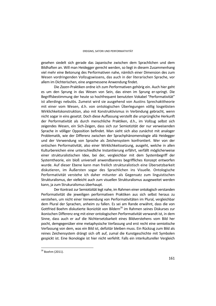gesehen siedelt sich gerade das Japanische zwischen dem Sprachlichen und dem Bildhaften an. Will man Heidegger gerecht werden, so liegt in diesem Zusammenhang viel mehr eine Betonung des Performativen nahe, nämlich einer Dimension des zum Wesen vordringenden Vollzugswissens, das auch in der literarischen Sprache, vor allem im Dichterischen, eine angemessene Anwendung findet.

Die *Zazen*-Praktiken ordne ich zum Performativen gehörig ein. Auch hier geht es um den Sprung in das Wesen von Sein, das einen im Sprung er-springt. Die Begriffsbestimmung der heute so hochfrequent benutzten Vokabel "Performativität" ist allerdings nebulös. Zumeist wird sie ausgehend von Austins Sprechakttheorie mit einer vom Wesen, d.h. von ontologischen Überlegungen völlig losgelösten Wirklichkeitskonstruktion, also mit Konstruktivismus in Verbindung gebracht, wenn nicht sogar in eins gesetzt. Doch diese Auffassung verstellt die ursprüngliche Herkunft der Performativität als durch menschliche Praktiken, d.h., im Vollzug selbst sich zeigendes Wesen, ein Sich-Zeigen, dass sich zur Semiotizität der nur verweisenden Sprache in völliger Opposition befindet. Man sieht sich also zunächst mit analoger Problematik, wie der Differenz zwischen der Sprachphänomenologie allá Heidegger und der Verwendung von Sprache als Zeichensystem konfrontiert. Wer von der ontischen Performativität, also einer Wirklichkeitssetzung, ausgeht, welche in allen Kulturbereichen eine unterschiedliche Instantiierung erfährt, verfällt möglicherweise einer strukturalistischen Idee, bei der, vergleichbar mit dem Systembegriff der Systemtheorie, ein bloß universell anwendbareres begriffliches Konzept entworfen wurde. Auf dieser Ebene kann man freilich strukturalistisch eine Übersetzbarkeit diskutieren, im Äußersten sogar des Sprachlichen ins Visuelle. Ontologische Performativität verstehe ich daher mitunter als Gegensatz zum linguistischen Strukturalismus, der vielleicht auch zum visuellen Strukturalismus ausgeweitet werden kann, ja zum Strukuralismus überhaupt.

Der Kontrast zur Semiotizität legt nahe, im Rahmen einer ontologisch verstanden Performativität die jeweiligen performativen Praktiken aus sich selbst heraus zu verstehen, um nicht einer Verwendung von Performativitäten im Plural, vergleichbar dem Plural der Sprachen, anheim zu fallen. Es sei am Rande erwähnt, dass die von Gottfried Boehm diskutierte Ikonizität von Bildern<sup>26</sup> im Rahmen seines Diskurses zur ikonischen Differenz eng mit einer ontologischen Performativität verwandt ist, in dem Sinne, dass auch er auf die Nichtersetzbarkeit eines Bildverstehens vom Bild her pocht, demgegenüber eine metaphysische Verfassung und erst recht eine semiotische Verfassung von dem, was ein Bild ist, defizitär bleiben muss. Ein Rückzug zum Bild als reines Zeichensystem drängt sich oft auf, zumal die Kunstgeschichte mit Symbolen gespickt ist. Eine Ikonologie ist hier nicht verfehlt. Falls ein interkultureller Vergleich

<sup>&</sup>lt;sup>26</sup> Boehm (2011).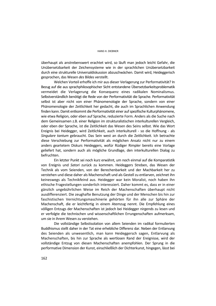überhaupt als anstrebenswert erachtet wird, so läuft man jedoch leicht Gefahr, die Unübersetzbarkeit der Zeichensysteme wie in der sprachlichen Unübersetzbarkeit durch eine strukturelle Universaldiskussion abzuschwächen. Damit wird, Heideggerisch gesprochen, das Wesen *des* Bildes verstellt.

Welchen Vorteil erhoffe ich mir aus dieser Verlagerung zur Performativität? In Bezug auf die aus sprachphilosophischer Sicht entstandene Übersetzbarkeitsproblematik vermeidet die Verlagerung die Konsequenz eines radikalen Nominalismus. Selbstverständlich benötigt die Rede von der Performativität die Sprache. Performativität selbst ist aber nicht von einer Phänomenologie der Sprache, sondern von einer Phänomenologie der Zeitlichkeit her gedacht, die auch im Sprachlichen Anwendung finden kann. Damit entkommt die Performativität einer auf spezifische Kulturphänomene, wie etwa Religion, oder eben auf Sprache, reduzierte Form. Anders als die Suche nach dem Gemeinsamen z.B. einer Religion im strukturalistischen interkulturellen Vergleich, oder eben der Sprache, ist die Zeitlichkeit das Wesen des Seins selbst. Wie das Wort Ereignis bei Heidegger, wird Zeitlichkeit, auch interkulturell - so die Hoffnung - als *Singulare tantum* gebraucht. Das Sein west an durch die Zeitlichkeit. Ich betrachte diese Verschiebung zur Performativität als möglichen Ansatz nicht nur zu einem anders geartetem Diskurs Heideggers, wofür Rüdiger Rimpler bereits eine Vorlage geliefert hat, sondern auch als mögliche Grundlage, den interkulturellen Dialog zu befruchten.

Ein letzter Punkt sei noch kurz erwähnt, um noch einmal auf die Komparatistik von Ereignis und *Satori* zurück zu kommen. Heideggers Streben, das Wesen der Technik als vom Seienden, von der Berechenbarkeit und der Machbarkeit her zu verstehen und diese daher als Machenschaft und als Gestell zu entlarven, zeichnet ihn keineswegs als Technikfeind aus. Heidegger war kein Moralist, noch haben ihn ethische Fragestellungen sonderlich interessiert. Daher kommt es, dass er in einer gänzlich ungebührlichen Weise im Reich der Machenschaften überhaupt nicht ausdifferenziert. Die zeughafte Benutzung der Dinge und der Menschen bis hin zur faschistischen Vernichtungsmaschinerie gehörten für ihn alle zur Sphäre der Machenschaft, die er leichtfertig in einem Atemzug nennt. Die Empfehlung eines völligen Entzugs der Machenschaften ist jedoch bei Heidegger nirgends zu lesen und er verfolgte die technischen und wissenschaftlichen Errungenschaften aufmerksam, um sie in ihrem Wesen zu verstehen.

Die vollständige Selbstisolation von allem Seienden im radikal formulierten Buddhismus stellt daher in der Tat eine erhebliche Differenz dar. Neben der Entlarvung des Seienden als unwesentlich, man kann Heideggersch sagen, Entlarvung als Machenschaften, bis hin zur Sprache als wertlosen Rand der Ereignisse, wird der vollständige Entzug von diesen Machenschaften anempfohlen. Der Sprung in die performative Dimension der Kunst, einschließlich der Dichterkunst, hingegen, lässt bei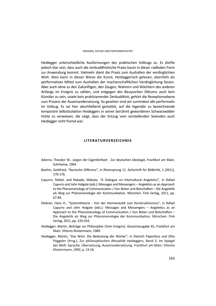Heidegger unterschiedliche Ausformungen des praktischen Vollzugs zu. Es dürfte jedoch klar sein, dass auch die zenbuddhistische Praxis kaum in dieser radikalen Form zur Anwendung kommt. Vielmehr dient die Praxis zum Aushalten der verdinglichten Welt. Man kann in dieser Weise die Kunst, Heideggerisch gelesen, ebenfalls als performatives Mittel zum Aushalten der machenschaftlichen Verdinglichung fassen. Aber auch ohne zu den Zukünftigen, den Zeugen, Wahrern und Wächtern des anderen Anfangs im Ereignis zu zählen, und entgegen des Beuysschen Diktums auch kein Künstler zu sein, sowie kein praktizierender Zenbuddhist, gehört die Rezeptionsebene zum Prozess der Auseinandersetzung. So gesehen sind wir zumindest alle performativ im Vollzug. Es sei hier abschließend gestattet, auf die legendär zu bezeichnende temporäre Selbstisolation Heideggers in seiner berühmt gewordenen Schwarzwälder Hütte zu verweisen, die zeigt, dass der Entzug vom verstellenden Seienden auch Heidegger nicht fremd war.

## **LITERATURVERZEICHNIS**

- Adorno, Theodor W., Jargon der Eigentlichkeit Zur deutschen Ideologie, Frankfurt am Main, Suhrkamp, 1964.
- Boehm, Gottfried, "Ikonische Differenz", in Rheinsprung 11. Zeitschrift für Bildkritik, 1 (2011), 170-176.
- Capurro, Rafael, and Nakada, Makato, "A Dialogue on Intercultural Angeletics", in Rafael Capurro and John Holgate (eds.): Messages and Messengers – Angeletics as an Approach to the Phenomenology of Communication / Von Boten und Botschaften – Die Angeletik als Weg zur Phänomenologie der Kommunikation. München: Fink Verlag, 2011, pp. 67-84.
- Diebner, Hans H., "Systemtheorie Von der Hermeneutik zum Konstruktivismus", in Rafael Capurro and John Holgate (eds.): Messages and Messengers – Angeletics as an Approach to the Phenomenology of Communication / Von Boten und Botschaften – Die Angeletik als Weg zur Phänomenologie der Kommunikation. München: Fink Verlag, 2011, pp. 229-254.
- Heidegger, Martin, Beiträge zur Philosophie (Vom Ereignis). Gesamtausgabe 65, Frankfurt am Main: Vittorio Klostermann, 1989.
- Heidegger, Martin, "Das Wort. Die Bedeutung der Wörter", in Dietrich Papenfuss und Otto Pöggeler (Hrsg.), Zur philosophischen Aktualität Heideggers, Band 3, Im Spiegel der Welt: Sprache, Übersetzung, Auseinandersetzung. Frankfurt am Main: Vittorio Klostermann, 1992, p. 13-16.